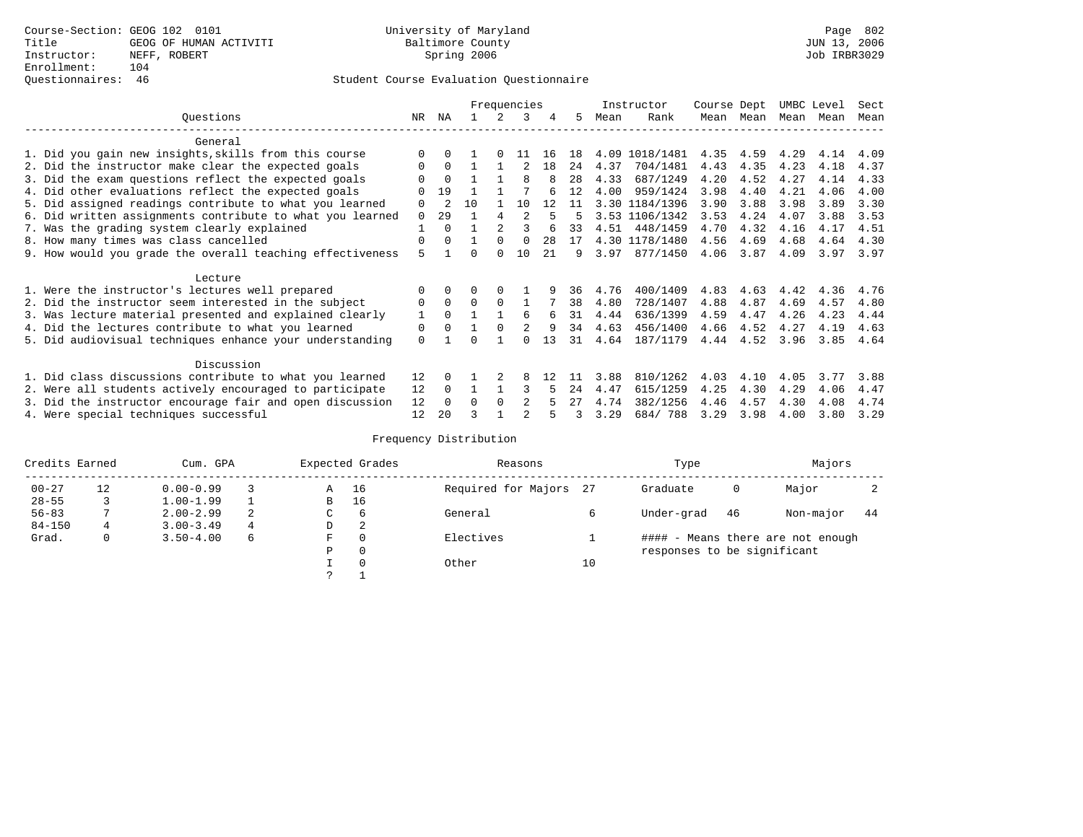### Questionnaires: 46 Student Course Evaluation Questionnaire

|           |                                                           | Frequencies |                |              |                | Instructor     | Course Dept |     | UMBC Level |                | Sect |           |           |      |      |
|-----------|-----------------------------------------------------------|-------------|----------------|--------------|----------------|----------------|-------------|-----|------------|----------------|------|-----------|-----------|------|------|
| Ouestions |                                                           | NR          | ΝA             |              | 2              | 3              | 4           | .5  | Mean       | Rank           |      | Mean Mean | Mean Mean |      | Mean |
|           | General                                                   |             |                |              |                |                |             |     |            |                |      |           |           |      |      |
|           | 1. Did you gain new insights, skills from this course     | $\Omega$    | $\Omega$       |              | $\Omega$       | 11             | 16          | 18  |            | 4.09 1018/1481 | 4.35 | 4.59      | 4.29      | 4.14 | 4.09 |
|           | 2. Did the instructor make clear the expected goals       | 0           | $\Omega$       |              |                |                | 18          | 24  | 4.37       | 704/1481       | 4.43 | 4.35      | 4.23      | 4.18 | 4.37 |
|           | 3. Did the exam questions reflect the expected goals      |             | $\Omega$       |              |                | 8              |             | 28  | 4.33       | 687/1249       | 4.20 | 4.52      | 4.27      | 4.14 | 4.33 |
|           | 4. Did other evaluations reflect the expected goals       | U           | 19             |              |                |                |             | 12  | 4.00       | 959/1424       | 3.98 | 4.40      | 4.21      | 4.06 | 4.00 |
|           | 5. Did assigned readings contribute to what you learned   | 0           | $\mathfrak{D}$ | 10           |                | 10             | 12          | 11  |            | 3.30 1184/1396 | 3.90 | 3.88      | 3.98      | 3.89 | 3.30 |
|           | 6. Did written assignments contribute to what you learned | $\Omega$    | 29             |              | 4              | 2              | 5           | 5   |            | 3.53 1106/1342 | 3.53 | 4.24      | 4.07      | 3.88 | 3.53 |
|           | 7. Was the grading system clearly explained               |             | $\Omega$       |              | $\mathfrak{D}$ | 3              | 6           | 33  |            | 4.51 448/1459  | 4.70 | 4.32      | 4.16      | 4.17 | 4.51 |
|           | 8. How many times was class cancelled                     | 0           | $\cap$         | $\mathbf{1}$ | $\Omega$       | $\Omega$       | 28          | 17  |            | 4.30 1178/1480 | 4.56 | 4.69      | 4.68      | 4.64 | 4.30 |
|           | 9. How would you grade the overall teaching effectiveness | 5           |                | U            | $\Omega$       | 10             | 2.1         | 9   | 3.97       | 877/1450       | 4.06 | 3.87      | 4.09      | 3.97 | 3.97 |
|           | Lecture                                                   |             |                |              |                |                |             |     |            |                |      |           |           |      |      |
|           | 1. Were the instructor's lectures well prepared           |             |                |              |                |                |             | 36  | 4.76       | 400/1409       | 4.83 | 4.63      | 4.42      | 4.36 | 4.76 |
|           | 2. Did the instructor seem interested in the subject      | 0           | $\Omega$       | $\Omega$     | $\Omega$       |                |             | 38  | 4.80       | 728/1407       | 4.88 | 4.87      | 4.69      | 4.57 | 4.80 |
|           | 3. Was lecture material presented and explained clearly   |             | $\Omega$       |              |                | 6              | 6           | 31  | 4.44       | 636/1399       | 4.59 | 4.47      | 4.26      | 4.23 | 4.44 |
|           | 4. Did the lectures contribute to what you learned        | $\mathbf 0$ | $\Omega$       |              | $\Omega$       | 2              | 9           | 34  | 4.63       | 456/1400       | 4.66 | 4.52      | 4.27      | 4.19 | 4.63 |
|           | 5. Did audiovisual techniques enhance your understanding  | 0           |                |              |                |                | 13          | 31  | 4.64       | 187/1179       | 4.44 | 4.52      | 3.96      | 3.85 | 4.64 |
|           | Discussion                                                |             |                |              |                |                |             |     |            |                |      |           |           |      |      |
|           | 1. Did class discussions contribute to what you learned   | 12          |                |              |                |                | 12          | 11  | 3.88       | 810/1262       | 4.03 | 4.10      | 4.05      | 3.77 | 3.88 |
|           | 2. Were all students actively encouraged to participate   | 12          | $\Omega$       |              |                |                | 5           | 2.4 | 4.47       | 615/1259       | 4.25 | 4.30      | 4.29      | 4.06 | 4.47 |
|           | 3. Did the instructor encourage fair and open discussion  | 12          | $\Omega$       | U            | $\Omega$       | $\mathfrak{D}$ |             | 27  | 4.74       | 382/1256       | 4.46 | 4.57      | 4.30      | 4.08 | 4.74 |
|           | 4. Were special techniques successful                     | 12          | 20             |              |                |                |             |     | 3.29       | 684/788        | 3.29 | 3.98      | 4.00      | 3.80 | 3.29 |

| Credits Earned |    | Cum. GPA      |   |   | Expected Grades | Reasons                |    | Type                        | Majors |                                   |    |
|----------------|----|---------------|---|---|-----------------|------------------------|----|-----------------------------|--------|-----------------------------------|----|
| $00 - 27$      | 12 | $0.00 - 0.99$ |   | Α | 16              | Required for Majors 27 |    | Graduate                    | 0      | Major                             |    |
| $28 - 55$      | 3  | $1.00 - 1.99$ |   | B | 16              |                        |    |                             |        |                                   |    |
| $56 - 83$      |    | $2.00 - 2.99$ | 2 | C | 6               | General                |    | Under-grad                  | 46     | Non-major                         | 44 |
| $84 - 150$     | 4  | $3.00 - 3.49$ | 4 | D | 2               |                        |    |                             |        |                                   |    |
| Grad.          | 0  | $3.50 - 4.00$ | 6 | F | 0               | Electives              |    |                             |        | #### - Means there are not enough |    |
|                |    |               |   | Ρ | 0               |                        |    | responses to be significant |        |                                   |    |
|                |    |               |   |   | $\Omega$        | Other                  | 10 |                             |        |                                   |    |
|                |    |               |   | っ |                 |                        |    |                             |        |                                   |    |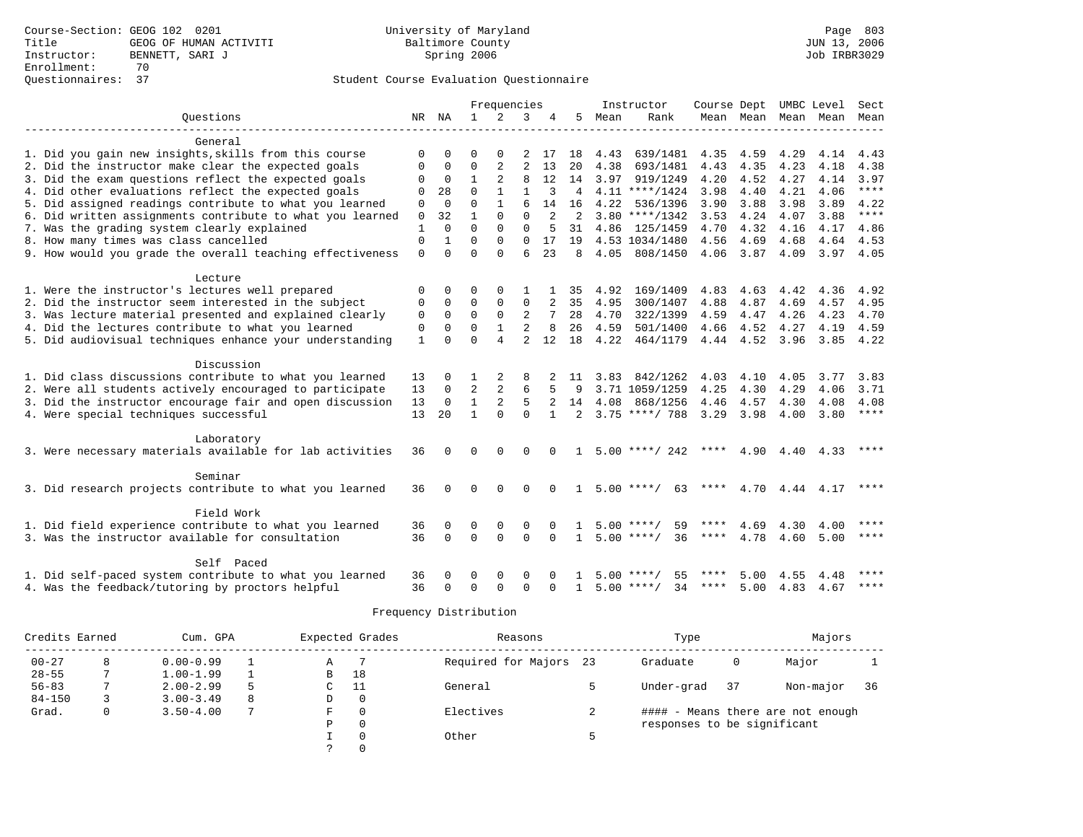|                                                           | Frequencies  |              |                      |                | Instructor     |          |                |      | Course Dept UMBC Level             | Sect        |           |                     |                           |         |
|-----------------------------------------------------------|--------------|--------------|----------------------|----------------|----------------|----------|----------------|------|------------------------------------|-------------|-----------|---------------------|---------------------------|---------|
| Ouestions                                                 | NR           | NA           | $\mathbf{1}$         | 2              | 3              |          | 5              | Mean | Rank                               |             |           | Mean Mean Mean Mean |                           | Mean    |
|                                                           |              |              |                      |                |                |          |                |      |                                    |             |           |                     |                           |         |
| General                                                   |              |              |                      |                |                |          |                |      |                                    |             |           |                     |                           |         |
| 1. Did you gain new insights, skills from this course     | $\Omega$     | 0            | $\Omega$             |                | 2              | 17       | 18             | 4.43 | 639/1481                           | 4.35        | 4.59      | 4.29                | 4.14                      | 4.43    |
| 2. Did the instructor make clear the expected goals       | 0            | $\mathbf 0$  | $\mathbf 0$          | $\overline{a}$ | $\overline{2}$ | 13       | 20             | 4.38 | 693/1481                           | 4.43        | 4.35      | 4.23                | 4.18                      | 4.38    |
| 3. Did the exam questions reflect the expected goals      | $\mathbf 0$  | $\mathbf 0$  | $\mathbf{1}$         | 2              | 8              | 12       | 14             | 3.97 | 919/1249                           | 4.20        | 4.52      | 4.27                | 4.14                      | 3.97    |
| 4. Did other evaluations reflect the expected goals       | $\Omega$     | 28           | $\Omega$             | $\mathbf{1}$   | $\mathbf{1}$   | 3        | $\overline{4}$ |      | $4.11$ ****/1424                   | 3.98        | 4.40      | 4.21                | 4.06                      | $***$   |
| 5. Did assigned readings contribute to what you learned   | $\mathbf{0}$ | $\Omega$     | $\Omega$             |                |                | 14       | 16             | 4.22 | 536/1396                           | 3.90        | 3.88      | 3.98                | 3.89                      | 4.22    |
| 6. Did written assignments contribute to what you learned | $\mathbf 0$  | 32           | $\mathbf{1}$         | $\Omega$       | $\Omega$       | 2        | 2              |      | $3.80$ ****/1342                   | 3.53        | 4.24      | 4.07                | 3.88                      | $***$   |
| 7. Was the grading system clearly explained               | $\mathbf{1}$ | $\Omega$     | $\Omega$             | $\Omega$       | $\Omega$       |          | 31             |      | 4.86 125/1459                      | 4.70        | 4.32      | 4.16                | 4.17                      | 4.86    |
| 8. How many times was class cancelled                     | $\mathbf 0$  | 1            | $\Omega$             | $\Omega$       | $\Omega$       | 17       | 19             |      | 4.53 1034/1480                     | 4.56        | 4.69      | 4.68                | 4.64                      | 4.53    |
| 9. How would you grade the overall teaching effectiveness | $\mathbf 0$  | $\Omega$     | $\Omega$             | $\Omega$       | 6              | 23       | 8              | 4.05 | 808/1450                           | 4.06        | 3.87      | 4.09                | 3.97                      | 4.05    |
|                                                           |              |              |                      |                |                |          |                |      |                                    |             |           |                     |                           |         |
| Lecture                                                   |              |              |                      |                |                |          |                |      |                                    |             |           |                     |                           |         |
| 1. Were the instructor's lectures well prepared           | $\Omega$     | $\Omega$     | $\Omega$             | $\Omega$       |                |          | 35             | 4.92 | 169/1409                           | 4.83        | 4.63      | 4.42                | 4.36                      | 4.92    |
| 2. Did the instructor seem interested in the subject      | 0            | $\mathbf 0$  | $\mathbf 0$          | 0              | 0              |          | 35             | 4.95 | 300/1407                           | 4.88        | 4.87      | 4.69                | 4.57                      | 4.95    |
| 3. Was lecture material presented and explained clearly   | $\Omega$     | $\Omega$     | $\Omega$             | $\Omega$       | 2              |          | 28             | 4.70 | 322/1399                           | 4.59        | 4.47      | 4.26                | 4.23                      | 4.70    |
| 4. Did the lectures contribute to what you learned        | 0            | $\Omega$     | $\mathbf 0$          | $\mathbf{1}$   | 2              | 8        | 26             | 4.59 | 501/1400                           | 4.66        | 4.52      | 4.27                | 4.19                      | 4.59    |
| 5. Did audiovisual techniques enhance your understanding  | $\mathbf{1}$ | $\Omega$     | $\Omega$             | $\overline{4}$ | $\overline{a}$ | 12       | 18             | 4.22 | 464/1179                           |             | 4.44 4.52 | 3.96                | 3.85                      | 4.22    |
|                                                           |              |              |                      |                |                |          |                |      |                                    |             |           |                     |                           |         |
| Discussion                                                |              |              |                      |                |                |          |                |      |                                    |             |           |                     |                           |         |
| 1. Did class discussions contribute to what you learned   | 13           | 0            |                      | 2              |                |          | 11             |      | $3.83$ $842/1262$                  | 4.03        | 4.10      | 4.05                | 3.77                      | 3.83    |
| 2. Were all students actively encouraged to participate   | 13           | $\mathbf{0}$ | $\overline{2}$       | 2              |                |          | 9              |      | 3.71 1059/1259                     | 4.25        | 4.30      | 4.29                | 4.06                      | 3.71    |
| 3. Did the instructor encourage fair and open discussion  | 13           | $\Omega$     | $\mathbf{1}$         | 2              | 5              |          | 14             | 4.08 | 868/1256                           | 4.46        | 4.57      | 4.30                | 4.08                      | 4.08    |
| 4. Were special techniques successful                     | 13           | 20           | $\mathbf{1}$         | $\Omega$       | $\Omega$       |          | $\overline{2}$ |      | $3.75$ ****/ 788                   | 3.29        | 3.98      | 4.00                | 3.80                      | $***$   |
|                                                           |              |              |                      |                |                |          |                |      |                                    |             |           |                     |                           |         |
| Laboratory                                                |              |              |                      |                |                |          |                |      |                                    |             |           |                     |                           |         |
| 3. Were necessary materials available for lab activities  | 36           | $\Omega$     | $\Omega$             | $\Omega$       | $\Omega$       | $\Omega$ | 1.             |      | $5.00$ ****/ 242                   | ****        |           |                     | $4.90$ $4.40$ $4.33$ **** |         |
|                                                           |              |              |                      |                |                |          |                |      |                                    |             |           |                     |                           |         |
| Seminar                                                   |              |              |                      |                |                |          |                |      |                                    |             |           |                     |                           |         |
| 3. Did research projects contribute to what you learned   | 36           | $\Omega$     | $\Omega$             | $\Omega$       | $\Omega$       |          | $\mathbf{1}$   |      | $5.00$ ****/<br>63                 | ****        | 4.70      | 4.44                | 4.17                      | * * * * |
|                                                           |              |              |                      |                |                |          |                |      |                                    |             |           |                     |                           |         |
| Field Work                                                |              |              |                      |                |                |          |                |      |                                    | $***$ * * * |           |                     |                           | ****    |
| 1. Did field experience contribute to what you learned    | 36<br>36     | $\Omega$     | $\Omega$<br>$\Omega$ | 0<br>$\Omega$  | $\Omega$       |          |                |      | $5.00$ ****/<br>59<br>$5.00$ ****/ | ****        | 4.69      | 4.30                | 4.00                      | ****    |
| 3. Was the instructor available for consultation          |              | $\Omega$     |                      |                | $\Omega$       | $\Omega$ | $\mathbf{1}$   |      | 36                                 |             | 4.78      | 4.60                | 5.00                      |         |
| Self Paced                                                |              |              |                      |                |                |          |                |      |                                    |             |           |                     |                           |         |
| 1. Did self-paced system contribute to what you learned   | 36           | 0            | $\Omega$             | $\Omega$       | $\Omega$       |          |                | 5.00 | 55<br>****/                        |             | 5.00      | 4.55                | 4.48                      |         |
| 4. Was the feedback/tutoring by proctors helpful          | 36           | $\Omega$     | $\Omega$             | $\Omega$       | $\Omega$       | $\Omega$ | $\mathbf{1}$   |      | $5.00$ ****/<br>34                 | ****        | 5.00      | 4.83                | 4.67                      | $***$ * |
|                                                           |              |              |                      |                |                |          |                |      |                                    |             |           |                     |                           |         |

| Credits Earned |   | Cum. GPA      |   |    | Expected Grades | Reasons                | Type                        | Majors |                                   |    |
|----------------|---|---------------|---|----|-----------------|------------------------|-----------------------------|--------|-----------------------------------|----|
| $00 - 27$      | 8 | $0.00 - 0.99$ |   | Α  |                 | Required for Majors 23 | Graduate                    | 0      | Major                             |    |
| $28 - 55$      |   | $1.00 - 1.99$ |   | В  | 18              |                        |                             |        |                                   |    |
| $56 - 83$      |   | $2.00 - 2.99$ |   | C. | - 11            | General                | Under-grad                  | 37     | Non-major                         | 36 |
| $84 - 150$     |   | $3.00 - 3.49$ | 8 | D  | 0               |                        |                             |        |                                   |    |
| Grad.          | 0 | $3.50 - 4.00$ |   | F  | $\Omega$        | Electives              |                             |        | #### - Means there are not enough |    |
|                |   |               |   | P  | $\Omega$        |                        | responses to be significant |        |                                   |    |
|                |   |               |   |    | $\Omega$        | Other                  |                             |        |                                   |    |
|                |   |               |   |    |                 |                        |                             |        |                                   |    |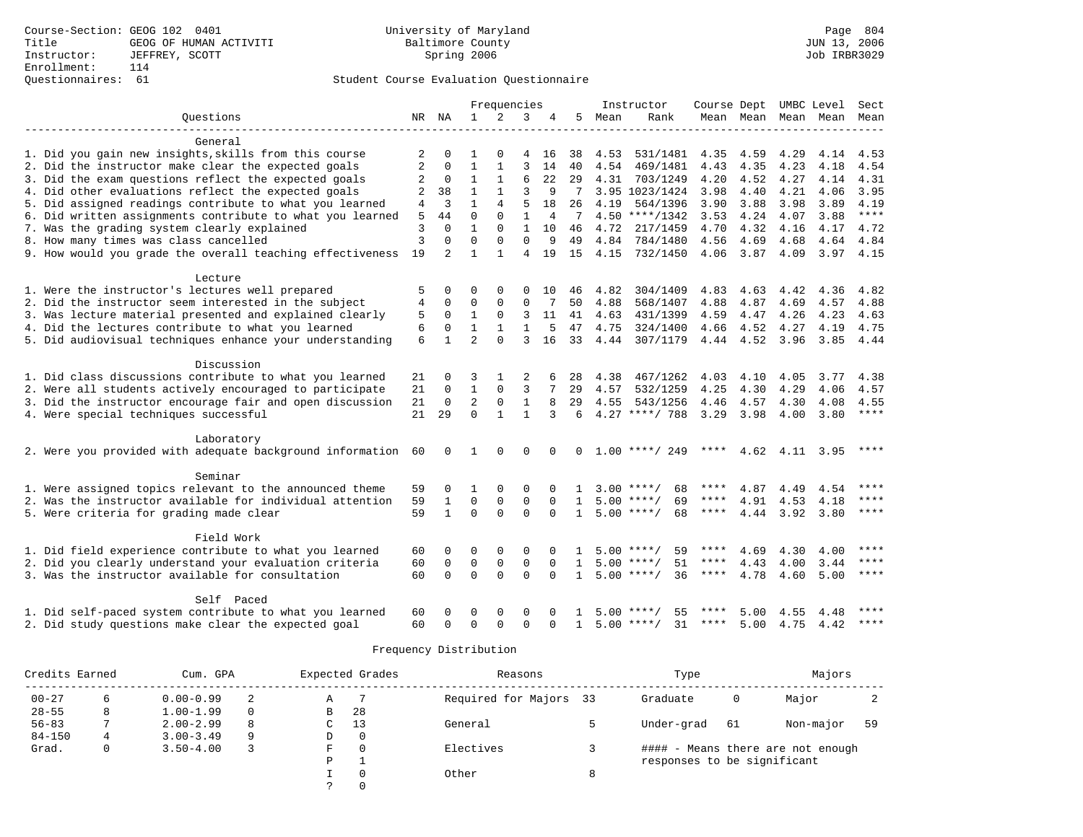### Questionnaires: 61 Student Course Evaluation Questionnaire

| Frequencies<br>Instructor<br>Course Dept UMBC Level                                                                                                                                                 | Sect        |
|-----------------------------------------------------------------------------------------------------------------------------------------------------------------------------------------------------|-------------|
| Ouestions<br>$\mathbf{1}$<br>2<br>3<br>NR NA<br>4<br>5<br>Mean<br>Rank<br>Mean Mean<br>Mean<br>Mean                                                                                                 | Mean        |
| General                                                                                                                                                                                             |             |
| 1. Did you gain new insights, skills from this course<br>2<br>531/1481<br>$\Omega$<br>$\Omega$<br>4<br>16<br>38<br>4.53<br>4.35<br>4.59<br>4.29<br>4.14                                             | 4.53        |
| 2. Did the instructor make clear the expected goals<br>2<br>$\mathbf{1}$<br>3<br>$\Omega$<br>14<br>4.23<br>40<br>4.54<br>469/1481<br>4.43<br>4.35<br>4.18                                           | 4.54        |
| 3. Did the exam questions reflect the expected goals<br>0<br>$\mathbf{1}$<br>1<br>6<br>22<br>29<br>4.31<br>4.20<br>4.52<br>4.27<br>4.14<br>2<br>703/1249                                            | 4.31        |
| 4. Did other evaluations reflect the expected goals<br>$\mathbf{1}$<br>3<br>3.95 1023/1424<br>4.21<br>4.06<br>2<br>38<br>$\mathbf{1}$<br>9<br>3.98<br>4.40                                          | 3.95        |
| 5. Did assigned readings contribute to what you learned<br>$\mathbf{1}$<br>$\overline{4}$<br>5<br>26<br>3<br>18<br>4.19<br>564/1396<br>3.90<br>3.88<br>3.98<br>3.89<br>4                            | 4.19        |
| 6. Did written assignments contribute to what you learned<br>44<br>$\Omega$<br>$\Omega$<br>$\mathbf{1}$<br>$4.50$ ****/1342<br>4.24<br>3.88<br>5<br>4<br>7<br>3.53<br>4.07                          | $***$       |
| 7. Was the grading system clearly explained<br>3<br>$\Omega$<br>$\mathbf{1}$<br>10<br>4.72<br>4.70<br>4.32<br>$\Omega$<br>$\mathbf{1}$<br>46<br>217/1459<br>4.16<br>4.17                            | 4.72        |
| 3<br>$\Omega$<br>$\Omega$<br>8. How many times was class cancelled<br>$\Omega$<br>$\Omega$<br>9<br>49<br>4.84<br>784/1480<br>4.56<br>4.69<br>4.68<br>4.64                                           | 4.84        |
| 9. How would you grade the overall teaching effectiveness<br>19<br>2<br>$\mathbf{1}$<br>1<br>4<br>19<br>1.5<br>4.15<br>732/1450<br>4.06<br>3.87<br>4.09                                             | $3.97$ 4.15 |
|                                                                                                                                                                                                     |             |
| Lecture                                                                                                                                                                                             |             |
| 1. Were the instructor's lectures well prepared<br>4.83<br>5<br>$\Omega$<br>$\Omega$<br>4.82<br>304/1409<br>4.63<br>4.42<br>4.36<br>$\Omega$<br>$\Omega$<br>10<br>46                                | 4.82        |
| 2. Did the instructor seem interested in the subject<br>4<br>0<br>0<br>0<br>50<br>4.88<br>568/1407<br>4.88<br>4.87<br>4.69<br>4.57<br>0<br>7                                                        | 4.88        |
| 3. Was lecture material presented and explained clearly<br>$\Omega$<br>5<br>1<br>0<br>3<br>11<br>41<br>4.63<br>431/1399<br>4.59<br>4.47<br>4.26<br>4.23                                             | 4.63        |
| 4. Did the lectures contribute to what you learned<br>6<br>$\mathbf 0$<br>$\mathbf{1}$<br>$\mathbf{1}$<br>4.75<br>324/1400<br>4.66<br>4.52<br>4.27<br>$\mathbf{1}$<br>5<br>47<br>4.19               | 4.75        |
| $\overline{a}$<br>5. Did audiovisual techniques enhance your understanding<br>6<br>$\Omega$<br>3<br>307/1179<br>4.44 4.52<br>$\mathbf{1}$<br>16<br>33<br>4.44<br>3.96<br>3.85                       | 4.44        |
| Discussion                                                                                                                                                                                          |             |
| 1. Did class discussions contribute to what you learned<br>$\Omega$<br>3<br>2<br>4.38<br>467/1262<br>4.03<br>4.10<br>4.05<br>3.77<br>21<br>28                                                       | 4.38        |
| 2. Were all students actively encouraged to participate<br>$\mathbf{1}$<br>21<br>$\mathbf 0$<br>$\Omega$<br>3<br>7<br>29<br>4.57<br>532/1259<br>4.25<br>4.30<br>4.29<br>4.06                        | 4.57        |
| 3. Did the instructor encourage fair and open discussion<br>$\overline{a}$<br>21<br>$\overline{0}$<br>$\mathbf 0$<br>$\mathbf{1}$<br>8<br>29<br>4.55<br>543/1256<br>4.46<br>4.57<br>4.30<br>4.08    | 4.55        |
| 4. Were special techniques successful<br>$\Omega$<br>$4.27$ ****/ 788<br>21<br>29<br>$\mathbf{1}$<br>$\mathbf{1}$<br>3<br>6<br>3.29<br>3.98<br>4.00<br>3.80                                         | ****        |
|                                                                                                                                                                                                     |             |
| Laboratory                                                                                                                                                                                          |             |
| 2. Were you provided with adequate background information 60<br>$1.00$ ****/ 249<br>$\Omega$<br>$\mathbf{1}$<br>$\Omega$<br>$\Omega$<br>$\Omega$<br>****<br>4.62 4.11 3.95<br>$\Omega$              | ****        |
| Seminar                                                                                                                                                                                             |             |
| 1. Were assigned topics relevant to the announced theme<br>59<br>$3.00$ ****/<br>68<br>4.87<br>4.49<br>$\Omega$<br>1<br>$\Omega$<br>$\Omega$<br>4.54                                                | ****        |
| 2. Was the instructor available for individual attention<br>$\mathbf 0$<br>$\mathbf{0}$<br>$\mathbf 0$<br>$5.00$ ****/<br>4.91<br>59<br>1<br>69<br>****<br>4.53<br>4.18<br>$\Omega$<br>$\mathbf{1}$ | ****        |
| $\Omega$<br>$\Omega$<br>5. Were criteria for grading made clear<br>$\mathbf{1}$<br>$\Omega$<br>$5.00$ ****/<br>68<br>59<br>****<br>4.44<br>3.92<br>3.80<br>$\mathbf{1}$                             | ****        |
|                                                                                                                                                                                                     |             |
| Field Work                                                                                                                                                                                          |             |
| 1. Did field experience contribute to what you learned<br>$\Omega$<br>$\mathbf 0$<br>59<br>****<br>4.69<br>4.30<br>60<br>$\Omega$<br>$5.00$ ****/<br>4.00                                           | ****        |
| 2. Did you clearly understand your evaluation criteria<br>$\Omega$<br>$\Omega$<br>$\Omega$<br>$5.00$ ****/<br>51<br>4.43<br>4.00<br>3.44<br>60<br>$\mathbf 0$<br>$\Omega$<br>****                   | ****        |
| $\Omega$<br>3. Was the instructor available for consultation<br>$\Omega$<br>$\Omega$<br>$\Omega$<br>$1, 5, 00$ ****/<br>36<br>$***$ * * *<br>60<br>4.78<br>4.60<br>5.00<br>$\Omega$                 | ****        |
| Self Paced                                                                                                                                                                                          |             |
| 1. Did self-paced system contribute to what you learned<br>60<br>$\Omega$<br>55<br>5.00<br>4.55<br>$\Omega$<br>$\Omega$<br>$\Omega$<br>5.00<br>****/<br>4.48                                        | ****        |
| 2. Did study questions make clear the expected goal<br>31<br>****<br>5.00 4.75 4.42<br>60<br>$\Omega$<br>$\Omega$<br>$\Omega$<br>$\Omega$<br>$\mathbf{1}$<br>$5.00$ ****/<br>$\Omega$               | ****        |

| Credits Earned |   | Cum. GPA      |          |   | Expected Grades | Reasons             |    | Type                        | Majors |                                   |    |
|----------------|---|---------------|----------|---|-----------------|---------------------|----|-----------------------------|--------|-----------------------------------|----|
| $00 - 27$      |   | $0.00 - 0.99$ |          | А |                 | Required for Majors | 33 | Graduate                    | 0      | Major                             |    |
| $28 - 55$      | 8 | $1.00 - 1.99$ | $\Omega$ | В | 28              |                     |    |                             |        |                                   |    |
| $56 - 83$      |   | $2.00 - 2.99$ | 8        | C | 13              | General             |    | Under-grad                  | 61     | Non-major                         | 59 |
| $84 - 150$     | 4 | $3.00 - 3.49$ | 9        | D | $\Omega$        |                     |    |                             |        |                                   |    |
| Grad.          |   | $3.50 - 4.00$ |          | F | $\Omega$        | Electives           |    |                             |        | #### - Means there are not enough |    |
|                |   |               |          | P |                 |                     |    | responses to be significant |        |                                   |    |
|                |   |               |          |   | $\Omega$        | Other               |    |                             |        |                                   |    |
|                |   |               |          |   |                 |                     |    |                             |        |                                   |    |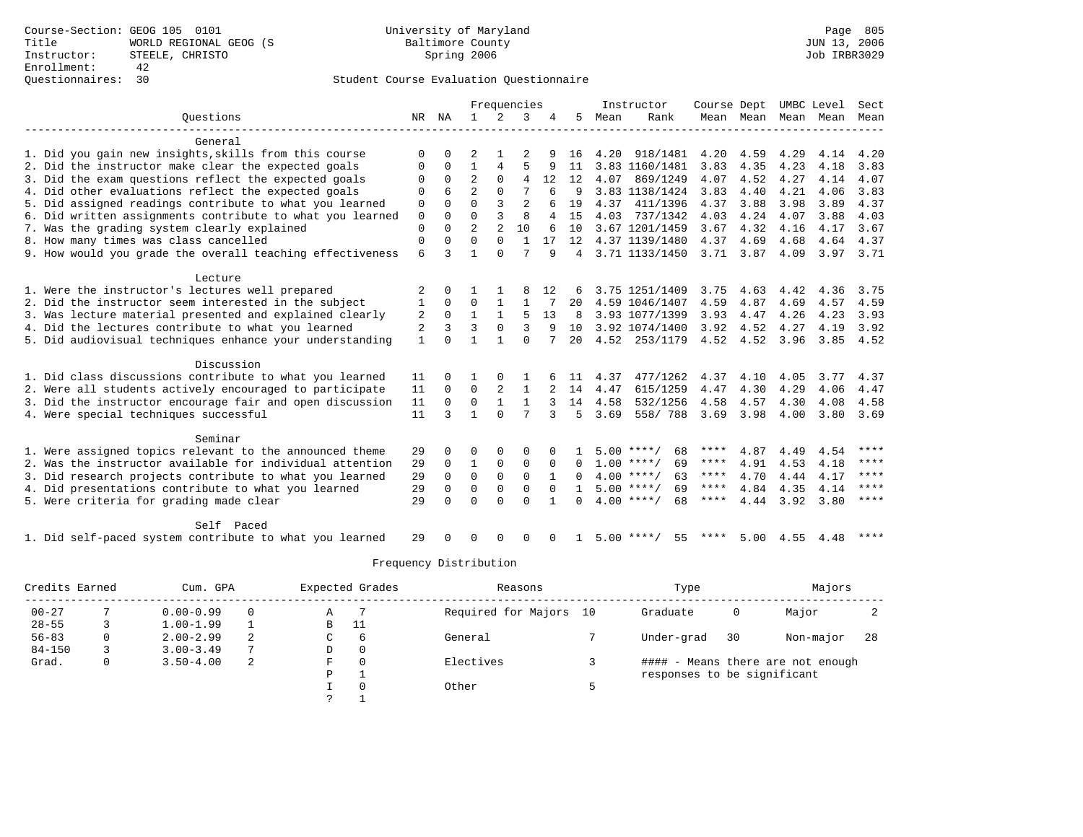### Questionnaires: 30 Student Course Evaluation Questionnaire

|                                                           |                |          | Frequencies    |                | Instructor     |          | Course Dept  |      | UMBC Level         |      | Sect           |      |      |             |
|-----------------------------------------------------------|----------------|----------|----------------|----------------|----------------|----------|--------------|------|--------------------|------|----------------|------|------|-------------|
| Ouestions                                                 | NR             | NA       | $\mathbf{1}$   | 2              | 3              |          | 5            | Mean | Rank               |      | Mean Mean Mean |      | Mean | Mean        |
|                                                           |                |          |                |                |                |          |              |      |                    |      |                |      |      |             |
| General                                                   |                |          |                |                |                |          |              |      |                    |      |                |      |      |             |
| 1. Did you gain new insights, skills from this course     | $\Omega$       |          |                |                |                |          | 16           | 4.20 | 918/1481           | 4.20 | 4.59           | 4.29 | 4.14 | 4.20        |
| 2. Did the instructor make clear the expected goals       | O              | $\Omega$ |                | 4              | 5              |          | 11           |      | 3.83 1160/1481     | 3.83 | 4.35           | 4.23 | 4.18 | 3.83        |
| 3. Did the exam questions reflect the expected goals      | $\Omega$       | $\Omega$ | $\overline{a}$ | $\Omega$       | 4              | 12       | 12           | 4.07 | 869/1249           | 4.07 | 4.52           | 4.27 | 4.14 | 4.07        |
| 4. Did other evaluations reflect the expected goals       | $\Omega$       | 6        | $\overline{a}$ | $\Omega$       |                | 6        | 9            |      | 3.83 1138/1424     | 3.83 | 4.40           | 4.21 | 4.06 | 3.83        |
| 5. Did assigned readings contribute to what you learned   | $\mathbf 0$    | $\Omega$ | $\Omega$       |                | $\overline{a}$ |          | 19           | 4.37 | 411/1396           | 4.37 | 3.88           | 3.98 | 3.89 | 4.37        |
| 6. Did written assignments contribute to what you learned | $\mathbf 0$    | $\Omega$ | $\Omega$       | ζ              | 8              | 4        | 15           | 4.03 | 737/1342           | 4.03 | 4.24           | 4.07 | 3.88 | 4.03        |
| 7. Was the grading system clearly explained               | 0              | $\Omega$ | $\overline{a}$ | $\overline{2}$ | 10             | 6        | 10           |      | 3.67 1201/1459     | 3.67 | 4.32           | 4.16 | 4.17 | 3.67        |
| 8. How many times was class cancelled                     | $\mathbf 0$    | $\Omega$ | $\Omega$       | $\Omega$       | $\mathbf{1}$   | 17       | 12           |      | 4.37 1139/1480     | 4.37 | 4.69           | 4.68 | 4.64 | 4.37        |
| 9. How would you grade the overall teaching effectiveness | 6              | ς        | $\mathbf{1}$   | $\Omega$       | 7              | 9        | 4            |      | 3.71 1133/1450     | 3.71 | 3.87           | 4.09 | 3.97 | 3.71        |
| Lecture                                                   |                |          |                |                |                |          |              |      |                    |      |                |      |      |             |
| 1. Were the instructor's lectures well prepared           | 2              | $\Omega$ |                |                |                | 12       |              |      | 3.75 1251/1409     | 3.75 | 4.63           | 4.42 | 4.36 | 3.75        |
| 2. Did the instructor seem interested in the subject      | 1              | $\Omega$ | $\Omega$       |                | 1              |          | 20           |      | 4.59 1046/1407     | 4.59 | 4.87           | 4.69 | 4.57 | 4.59        |
| 3. Was lecture material presented and explained clearly   | 2              | $\Omega$ | $\mathbf{1}$   |                | .5             | 13       | 8            |      | 3.93 1077/1399     | 3.93 | 4.47           | 4.26 | 4.23 | 3.93        |
| 4. Did the lectures contribute to what you learned        | $\overline{2}$ | 3        | 3              | $\Omega$       | 3              | 9        | 10           |      | 3.92 1074/1400     | 3.92 | 4.52           | 4.27 | 4.19 | 3.92        |
| 5. Did audiovisual techniques enhance your understanding  | $\mathbf{1}$   |          |                |                | $\cap$         |          | 20           |      | 4.52 253/1179      |      | 4.52 4.52 3.96 |      | 3.85 | 4.52        |
|                                                           |                |          |                |                |                |          |              |      |                    |      |                |      |      |             |
| Discussion                                                |                |          |                |                |                |          |              |      |                    |      |                |      |      |             |
| 1. Did class discussions contribute to what you learned   | 11             | $\Omega$ |                |                |                |          | 11           | 4.37 | 477/1262           | 4.37 | 4.10           | 4.05 | 3.77 | 4.37        |
| 2. Were all students actively encouraged to participate   | 11             | $\Omega$ | $\Omega$       | $\mathfrak{D}$ | $\mathbf{1}$   |          | 14           | 4.47 | 615/1259           | 4.47 | 4.30           | 4.29 | 4.06 | 4.47        |
| 3. Did the instructor encourage fair and open discussion  | 11             | $\Omega$ | $\Omega$       | $\mathbf{1}$   | $\mathbf{1}$   | 3        | 14           | 4.58 | 532/1256           | 4.58 | 4.57           | 4.30 | 4.08 | 4.58        |
| 4. Were special techniques successful                     | 11             | 3        | $\mathbf{1}$   | $\Omega$       | 7              | 3        | 5            | 3.69 | 558/788            | 3.69 | 3.98           | 4.00 | 3.80 | 3.69        |
| Seminar                                                   |                |          |                |                |                |          |              |      |                    |      |                |      |      |             |
| 1. Were assigned topics relevant to the announced theme   | 29             | $\Omega$ | $\Omega$       | $\Omega$       | $\Omega$       |          |              |      | 68<br>$5.00$ ****/ | **** | 4.87           | 4.49 | 4.54 | ****        |
| 2. Was the instructor available for individual attention  | 29             | $\Omega$ | $\mathbf{1}$   | 0              | $\Omega$       | $\Omega$ | $\Omega$     |      | $1.00$ ****/<br>69 | **** | 4.91           | 4.53 | 4.18 | $***$ * * * |
| 3. Did research projects contribute to what you learned   | 29             | $\Omega$ | $\Omega$       | $\Omega$       | $\Omega$       |          |              |      | $4.00$ ****/<br>63 | **** | 4.70           | 4.44 | 4.17 | ****        |
| 4. Did presentations contribute to what you learned       | 29             | $\Omega$ | $\Omega$       | $\Omega$       | $\Omega$       |          | $\mathbf{1}$ |      | $5.00$ ****/<br>69 | **** | 4.84           | 4.35 | 4.14 | ****        |
| 5. Were criteria for grading made clear                   | 29             | $\cap$   | $\Omega$       | $\Omega$       | $\Omega$       |          | $\Omega$     |      | $4.00$ ****/<br>68 | **** | 4.44           | 3.92 | 3.80 | $***$ * * * |
|                                                           |                |          |                |                |                |          |              |      |                    |      |                |      |      |             |
| Self Paced                                                |                |          |                |                |                |          |              |      |                    |      |                |      |      |             |
| 1. Did self-paced system contribute to what you learned   | 29             |          | ∩              | <sup>0</sup>   | $\Omega$       | 0        |              |      | 55<br>$5.00$ ****/ | **** | 5.00           | 4.55 | 4.48 | ****        |

| Credits Earned | Cum. GPA |               |   |               | Expected Grades | Reasons             |    | Type                        |    | Majors                            |    |
|----------------|----------|---------------|---|---------------|-----------------|---------------------|----|-----------------------------|----|-----------------------------------|----|
| $00 - 27$      |          | $0.00 - 0.99$ | 0 | Α             |                 | Required for Majors | 10 | Graduate                    | 0  | Major                             |    |
| $28 - 55$      |          | $1.00 - 1.99$ |   | В             | -11             |                     |    |                             |    |                                   |    |
| $56 - 83$      | 0        | $2.00 - 2.99$ | 2 | C             | -6              | General             |    | Under-grad                  | 30 | Non-major                         | 28 |
| $84 - 150$     |          | $3.00 - 3.49$ | 7 | D             | $\Omega$        |                     |    |                             |    |                                   |    |
| Grad.          | 0        | $3.50 - 4.00$ | 2 | F             |                 | Electives           |    |                             |    | #### - Means there are not enough |    |
|                |          |               |   | Ρ             |                 |                     |    | responses to be significant |    |                                   |    |
|                |          |               |   |               |                 | Other               |    |                             |    |                                   |    |
|                |          |               |   | $\mathcal{P}$ |                 |                     |    |                             |    |                                   |    |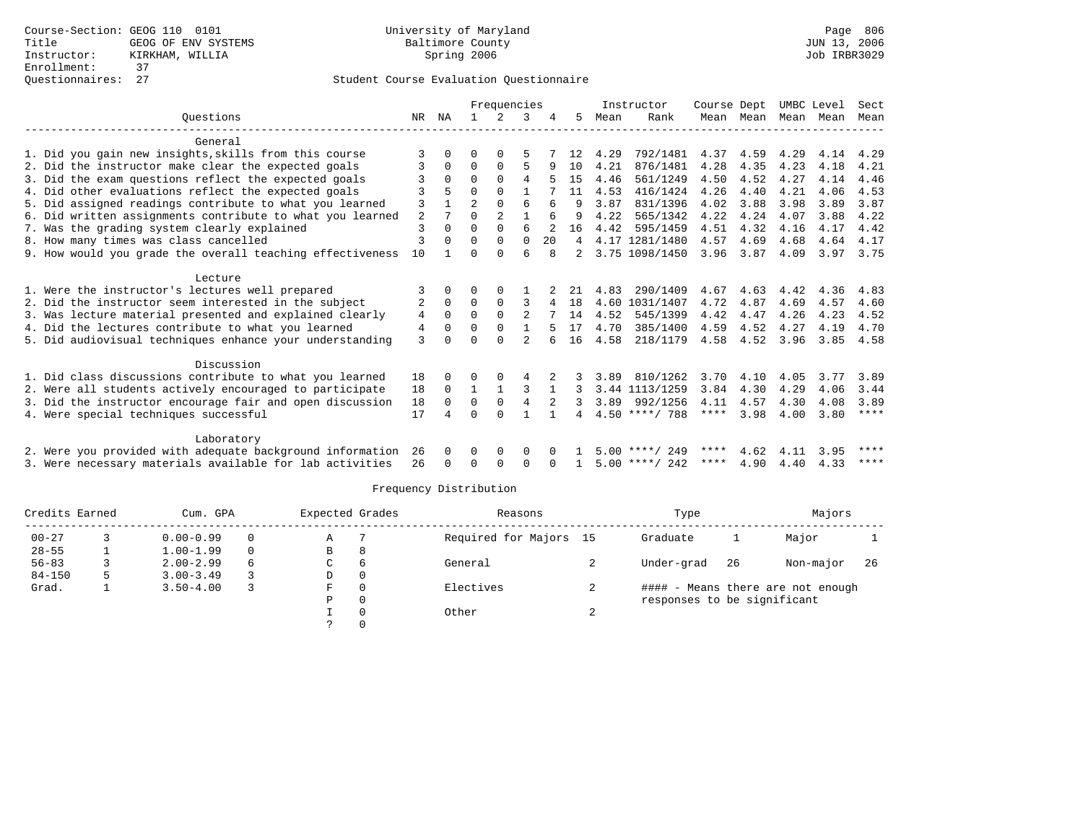|                                                           |        |          | Frequencies    |                |               |    | Instructor | Course Dept |                  | UMBC Level |           | Sect      |      |             |
|-----------------------------------------------------------|--------|----------|----------------|----------------|---------------|----|------------|-------------|------------------|------------|-----------|-----------|------|-------------|
| Ouestions                                                 | NR.    | ΝA       |                | 2              | 3             |    | 5          | Mean        | Rank             |            | Mean Mean | Mean Mean |      | Mean        |
|                                                           |        |          |                |                |               |    |            |             |                  |            |           |           |      |             |
| General                                                   |        |          |                |                |               |    |            |             |                  |            |           |           |      |             |
| 1. Did you gain new insights, skills from this course     | 3      |          |                |                | 5             |    |            | 4.29        | 792/1481         | 4.37       | 4.59      | 4.29      | 4.14 | 4.29        |
| 2. Did the instructor make clear the expected goals       |        | 0        | $\Omega$       | $\Omega$       | 5             | 9  | 10         | 4.21        | 876/1481         | 4.28       | 4.35      | 4.23      | 4.18 | 4.21        |
| 3. Did the exam questions reflect the expected goals      |        | $\Omega$ | $\Omega$       | $\Omega$       | 4             |    | 15         | 4.46        | 561/1249         | 4.50       | 4.52      | 4.27      | 4.14 | 4.46        |
| 4. Did other evaluations reflect the expected goals       |        | 5        | 0              | $\Omega$       |               |    | 11         | 4.53        | 416/1424         | 4.26       | 4.40      | 4.21      | 4.06 | 4.53        |
| 5. Did assigned readings contribute to what you learned   | 3      |          | $\overline{a}$ | $\Omega$       | 6             | 6  | 9          | 3.87        | 831/1396         | 4.02       | 3.88      | 3.98      | 3.89 | 3.87        |
| 6. Did written assignments contribute to what you learned | 2      |          | U              | $\overline{2}$ | $\mathbf{1}$  |    |            | 4.22        | 565/1342         | 4.22       | 4.24      | 4.07      | 3.88 | 4.22        |
| 7. Was the grading system clearly explained               | 3      | 0        | $\Omega$       | $\Omega$       | 6             | 2  | 16         | 4.42        | 595/1459         | 4.51       | 4.32      | 4.16      | 4.17 | 4.42        |
| 8. How many times was class cancelled                     | 3      | $\Omega$ | 0              | $\Omega$       | $\Omega$      | 20 | 4          | 4.17        | 1281/1480        | 4.57       | 4.69      | 4.68      | 4.64 | 4.17        |
| 9. How would you grade the overall teaching effectiveness | 10     |          |                |                | б             |    |            |             | 3.75 1098/1450   | 3.96       | 3.87      | 4.09      | 3.97 | 3.75        |
| Lecture                                                   |        |          |                |                |               |    |            |             |                  |            |           |           |      |             |
| 1. Were the instructor's lectures well prepared           | 3      | 0        | U              | $\Omega$       |               |    | 21         | 4.83        | 290/1409         | 4.67       | 4.63      | 4.42      | 4.36 | 4.83        |
| 2. Did the instructor seem interested in the subject      | 2      | $\Omega$ | $\Omega$       | $\Omega$       | 3             | 4  | 18         |             | 4.60 1031/1407   | 4.72       | 4.87      | 4.69      | 4.57 | 4.60        |
| 3. Was lecture material presented and explained clearly   |        | $\Omega$ | $\Omega$       | $\mathbf{0}$   | 2             |    | 14         | 4.52        | 545/1399         | 4.42       | 4.47      | 4.26      | 4.23 | 4.52        |
| 4. Did the lectures contribute to what you learned        | 4<br>4 | $\Omega$ | $\Omega$       | $\Omega$       |               |    | 17         | 4.70        | 385/1400         | 4.59       | 4.52      | 4.27      | 4.19 | 4.70        |
|                                                           |        |          |                | $\cap$         | $\mathcal{D}$ |    |            |             |                  |            |           |           |      |             |
| 5. Did audiovisual techniques enhance your understanding  | 3      |          |                |                |               |    | 16         | 4.58        | 218/1179         | 4.58       | 4.52      | 3.96      | 3.85 | 4.58        |
| Discussion                                                |        |          |                |                |               |    |            |             |                  |            |           |           |      |             |
| 1. Did class discussions contribute to what you learned   | 18     | 0        | U              |                |               |    |            | 3.89        | 810/1262         | 3.70       | 4.10      | 4.05      | 3.77 | 3.89        |
| 2. Were all students actively encouraged to participate   | 18     | $\Omega$ | $\mathbf{1}$   |                | 3             |    |            |             | 3.44 1113/1259   | 3.84       | 4.30      | 4.29      | 4.06 | 3.44        |
| 3. Did the instructor encourage fair and open discussion  | 18     | $\Omega$ | $\Omega$       | 0              | 4             | 2  |            |             | 3.89 992/1256    | 4.11       | 4.57      | 4.30      | 4.08 | 3.89        |
| 4. Were special techniques successful                     | 17     | 4        | U              | $\Omega$       |               |    |            |             | $4.50$ ****/ 788 | ****       | 3.98      | 4.00      | 3.80 | ****        |
|                                                           |        |          |                |                |               |    |            |             |                  |            |           |           |      |             |
| Laboratory                                                |        |          |                |                |               |    |            |             |                  |            |           |           |      |             |
| 2. Were you provided with adequate background information | 26     | $\Omega$ | 0              | 0              | 0             |    |            |             | $5.00$ ****/ 249 | ****       | 4.62      | 4.11      | 3.95 | $***$ * * * |
| 3. Were necessary materials available for lab activities  | 26     | $\Omega$ | <sup>0</sup>   | 0              | 0             |    |            |             | $5.00$ ****/ 242 | ****       | 4.90      | 4.40      | 4.33 | $***$ * * * |
|                                                           |        |          |                |                |               |    |            |             |                  |            |           |           |      |             |

| Credits Earned | Cum. GPA      |          | Expected Grades |    | Reasons                |            | Type                        |    | Majors                            |    |  |
|----------------|---------------|----------|-----------------|----|------------------------|------------|-----------------------------|----|-----------------------------------|----|--|
| $00 - 27$      | $0.00 - 0.99$ | $\Omega$ | Α               |    | Required for Majors 15 |            | Graduate                    |    | Major                             |    |  |
| $28 - 55$      | $1.00 - 1.99$ | $\Omega$ | В               | 8  |                        |            |                             |    |                                   |    |  |
| $56 - 83$      | $2.00 - 2.99$ | 6        | C               | -6 | General                |            | Under-grad                  | 26 | Non-major                         | 26 |  |
| $84 - 150$     | $3.00 - 3.49$ |          | D               |    |                        |            |                             |    |                                   |    |  |
| Grad.          | $3.50 - 4.00$ |          | F               |    | Electives              | ∠          |                             |    | #### - Means there are not enough |    |  |
|                |               |          | Ρ               |    |                        |            | responses to be significant |    |                                   |    |  |
|                |               |          |                 |    | Other                  | $\epsilon$ |                             |    |                                   |    |  |
|                |               |          |                 |    |                        |            |                             |    |                                   |    |  |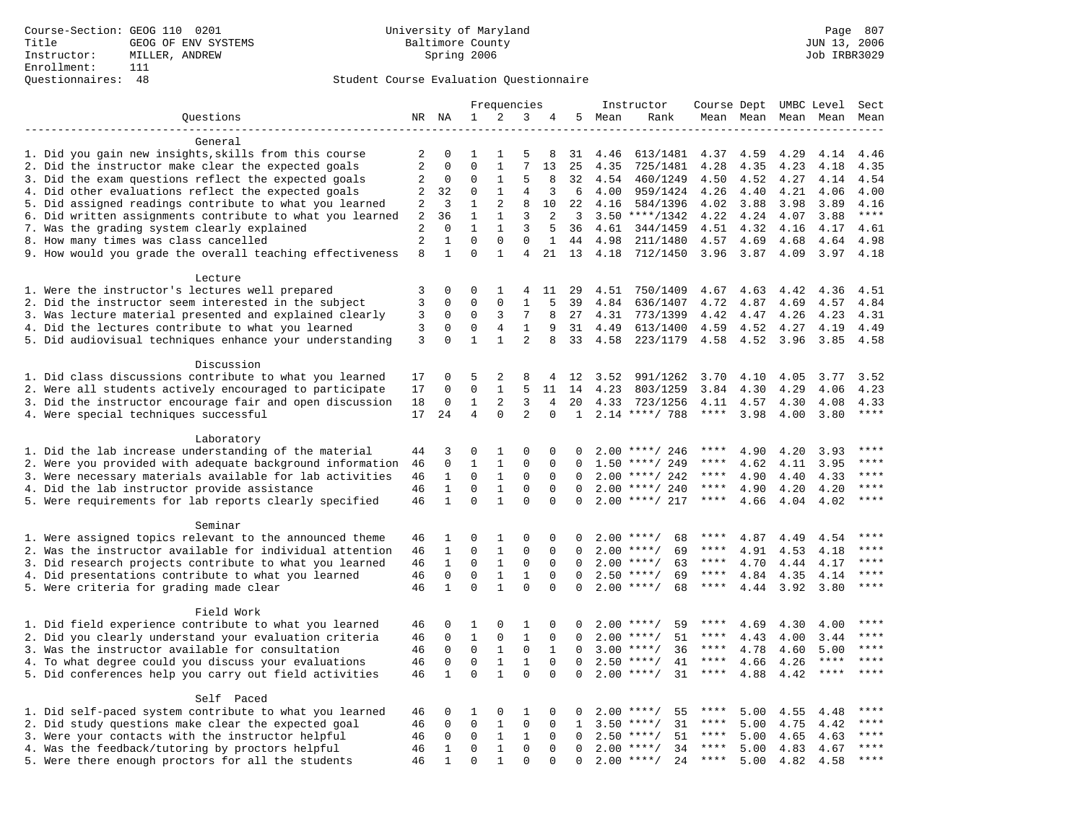### Questionnaires: 48 Student Course Evaluation Questionnaire

|                                                                                                               |                |              |              |              | Frequencies    |                |              |              | Instructor           | Course Dept UMBC Level |              |      |              | Sect                   |
|---------------------------------------------------------------------------------------------------------------|----------------|--------------|--------------|--------------|----------------|----------------|--------------|--------------|----------------------|------------------------|--------------|------|--------------|------------------------|
| Questions                                                                                                     | NR NA          |              | $\mathbf{1}$ | 2            | 3              | 4              |              | 5 Mean       | Rank                 |                        | Mean Mean    |      | Mean Mean    | Mean                   |
|                                                                                                               |                |              |              |              |                |                |              |              |                      |                        |              |      |              |                        |
| General                                                                                                       |                |              |              |              |                |                |              |              |                      |                        |              |      |              |                        |
| 1. Did you gain new insights, skills from this course                                                         | 2              | 0            | 1            | 1            | 5              | 8              | 31           | 4.46         | 613/1481             | 4.37                   | 4.59         | 4.29 | 4.14         | 4.46                   |
| 2. Did the instructor make clear the expected goals                                                           | $\overline{2}$ | $\Omega$     | $\Omega$     | $\mathbf{1}$ | 7              | 13             | 25           | 4.35         | 725/1481             | 4.28                   | 4.35         | 4.23 | 4.18         | 4.35                   |
| 3. Did the exam questions reflect the expected goals                                                          | 2              | 0            | $\Omega$     | $\mathbf{1}$ | 5              | 8              | 32           | 4.54         | 460/1249             | 4.50                   | 4.52         | 4.27 | 4.14         | 4.54                   |
| 4. Did other evaluations reflect the expected goals                                                           | 2              | 32           | $\Omega$     | $\mathbf{1}$ | 4              | 3              | 6            | 4.00         | 959/1424             | 4.26                   | 4.40         | 4.21 | 4.06         | 4.00                   |
| 5. Did assigned readings contribute to what you learned                                                       | 2              | 3            | $\mathbf{1}$ | 2            | 8              | 10             | 22           | 4.16         | 584/1396             | 4.02                   | 3.88         | 3.98 | 3.89         | 4.16                   |
| 6. Did written assignments contribute to what you learned                                                     | $\overline{a}$ | 36           | $\mathbf{1}$ | $\mathbf{1}$ | 3              | $\overline{2}$ | 3            |              | $3.50$ ****/1342     | 4.22                   | 4.24         | 4.07 | 3.88         | $***$                  |
| 7. Was the grading system clearly explained                                                                   | 2              | $\Omega$     | $\mathbf{1}$ | $\mathbf{1}$ | 3              | 5              | 36           | 4.61         | 344/1459             | 4.51                   | 4.32         | 4.16 | 4.17         | 4.61                   |
| 8. How many times was class cancelled                                                                         | $\overline{2}$ | $\mathbf{1}$ | 0            | $\mathbf 0$  | $\mathbf 0$    | 1              | 44           | 4.98         | 211/1480             | 4.57                   | 4.69         | 4.68 | 4.64         | 4.98                   |
| 9. How would you grade the overall teaching effectiveness                                                     | 8              | $\mathbf{1}$ | $\Omega$     | $\mathbf{1}$ | 4              | 21             | 13           | 4.18         | 712/1450             | 3.96 3.87              |              | 4.09 | 3.97         | 4.18                   |
|                                                                                                               |                |              |              |              |                |                |              |              |                      |                        |              |      |              |                        |
| Lecture                                                                                                       |                | $\Omega$     | $\Omega$     | 1            | 4              |                |              | 4.51         | 750/1409             | 4.67                   | 4.63         | 4.42 | 4.36         | 4.51                   |
| 1. Were the instructor's lectures well prepared                                                               | 3<br>3         | $\mathbf 0$  | $\Omega$     | $\Omega$     | $\mathbf{1}$   | 11<br>5        | 29           |              |                      |                        | 4.87         | 4.69 |              | 4.84                   |
| 2. Did the instructor seem interested in the subject                                                          | 3              | $\mathbf 0$  | $\mathbf 0$  | 3            | 7              | 8              | 39<br>27     | 4.84<br>4.31 | 636/1407             | 4.72<br>4.42           |              | 4.26 | 4.57<br>4.23 | 4.31                   |
| 3. Was lecture material presented and explained clearly<br>4. Did the lectures contribute to what you learned | 3              | $\mathbf 0$  | $\mathbf{0}$ | 4            | $\mathbf{1}$   | 9              | 31           | 4.49         | 773/1399<br>613/1400 | 4.59                   | 4.47<br>4.52 | 4.27 | 4.19         | 4.49                   |
|                                                                                                               | 3              | $\Omega$     | $\mathbf{1}$ | $\mathbf{1}$ | $\mathfrak{D}$ | 8              | 33           | 4.58         |                      |                        |              |      |              | 4.58                   |
| 5. Did audiovisual techniques enhance your understanding                                                      |                |              |              |              |                |                |              |              | 223/1179             | 4.58                   | 4.52         | 3.96 | 3.85         |                        |
| Discussion                                                                                                    |                |              |              |              |                |                |              |              |                      |                        |              |      |              |                        |
| 1. Did class discussions contribute to what you learned                                                       | 17             | 0            | 5            | 2            | 8              | 4              | 12           | 3.52         | 991/1262             | 3.70                   | 4.10         | 4.05 | 3.77         | 3.52                   |
| 2. Were all students actively encouraged to participate                                                       | 17             | $\Omega$     | $\Omega$     | $\mathbf{1}$ | 5              | 11             | 14           | 4.23         | 803/1259             | 3.84                   | 4.30         | 4.29 | 4.06         | 4.23                   |
| 3. Did the instructor encourage fair and open discussion                                                      | 18             | 0            | $\mathbf{1}$ | 2            | 3              | 4              | 20           | 4.33         | 723/1256             | 4.11                   | 4.57         | 4.30 | 4.08         | 4.33                   |
| 4. Were special techniques successful                                                                         | 17             | 24           | 4            | $\Omega$     | 2              | 0              | $\mathbf{1}$ |              | $2.14$ ****/ 788     | $***$ * * *            | 3.98         | 4.00 | 3.80         | $\star\star\star\star$ |
|                                                                                                               |                |              |              |              |                |                |              |              |                      |                        |              |      |              |                        |
| Laboratory                                                                                                    |                |              |              |              |                |                |              |              |                      |                        |              |      |              |                        |
| 1. Did the lab increase understanding of the material                                                         | 44             | 3            | $\Omega$     | 1            | $\mathbf 0$    | 0              | O            |              | $2.00$ ****/ 246     | ****                   | 4.90         | 4.20 | 3.93         | ****                   |
| 2. Were you provided with adequate background information                                                     | 46             | 0            | 1            | 1            | $\Omega$       | $\Omega$       | 0            | 1.50         | ****/ 249            | ****                   | 4.62         | 4.11 | 3.95         | ****                   |
| 3. Were necessary materials available for lab activities                                                      | 46             | $\mathbf{1}$ | $\mathbf 0$  | $\mathbf{1}$ | $\mathbf 0$    | $\Omega$       | $\Omega$     |              | $2.00$ ****/ 242     | ****                   | 4.90         | 4.40 | 4.33         | ****                   |
| 4. Did the lab instructor provide assistance                                                                  | 46             | $\mathbf{1}$ | $\Omega$     | $\mathbf{1}$ | $\Omega$       | $\Omega$       | $\Omega$     |              | $2.00$ ****/ 240     | ****                   | 4.90         | 4.20 | 4.20         | ****                   |
| 5. Were requirements for lab reports clearly specified                                                        | 46             | $\mathbf{1}$ | $\mathbf 0$  | $\mathbf{1}$ | $\mathbf 0$    | $\mathbf 0$    | $\mathbf 0$  |              | $2.00$ ****/ 217     | $***$ * * *            | 4.66         | 4.04 | 4.02         | ****                   |
|                                                                                                               |                |              |              |              |                |                |              |              |                      |                        |              |      |              |                        |
| Seminar                                                                                                       |                |              |              |              |                |                |              |              |                      |                        |              |      |              |                        |
| 1. Were assigned topics relevant to the announced theme                                                       | 46             | 1            | $\Omega$     | 1            | $\Omega$       | $\Omega$       | 0            |              | $2.00$ ****/<br>68   | ****                   | 4.87         | 4.49 | 4.54         | $***$                  |
| 2. Was the instructor available for individual attention                                                      | 46             | $\mathbf{1}$ | 0            | $\mathbf{1}$ | $\mathbf 0$    | $\mathbf 0$    | $\Omega$     |              | $2.00$ ****/<br>69   | ****                   | 4.91         | 4.53 | 4.18         | ****                   |
| 3. Did research projects contribute to what you learned                                                       | 46             | $\mathbf{1}$ | $\mathbf 0$  | $\mathbf{1}$ | $\mathbf 0$    | $\mathbf 0$    | $\Omega$     |              | 63<br>$2.00$ ****/   | ****                   | 4.70         | 4.44 | 4.17         | ****                   |
| 4. Did presentations contribute to what you learned                                                           | 46             | $\mathbf 0$  | $\mathbf 0$  | $\mathbf{1}$ | $\mathbf{1}$   | $\Omega$       | $\Omega$     | 2.50         | $***$ /<br>69        | ****                   | 4.84         | 4.35 | 4.14         | $***$                  |
| 5. Were criteria for grading made clear                                                                       | 46             | $\mathbf{1}$ | $\Omega$     | $\mathbf{1}$ | $\Omega$       | $\Omega$       | $\Omega$     |              | $2.00$ ****/<br>68   | $***$ * * *            | 4.44         | 3.92 | 3.80         | $***$                  |
|                                                                                                               |                |              |              |              |                |                |              |              |                      |                        |              |      |              |                        |
| Field Work                                                                                                    |                |              |              |              |                |                |              |              |                      |                        |              |      |              |                        |
| 1. Did field experience contribute to what you learned                                                        | 46             | 0            | 1            | 0            | 1              | 0              | 0            |              | 59<br>$2.00$ ****/   | ****                   | 4.69         | 4.30 | 4.00         | ****                   |
| 2. Did you clearly understand your evaluation criteria                                                        | 46             | $\mathbf 0$  | $\mathbf{1}$ | $\mathbf 0$  | $\mathbf{1}$   | $\Omega$       | $\Omega$     |              | 51<br>$2.00$ ****/   | ****                   | 4.43         | 4.00 | 3.44         | ****                   |
| 3. Was the instructor available for consultation                                                              | 46             | $\mathbf 0$  | $\mathbf 0$  | $\mathbf{1}$ | $\mathbf 0$    | $\mathbf{1}$   | $\Omega$     |              | $3.00$ ****/<br>36   | ****                   | 4.78         | 4.60 | 5.00         | ****                   |
| 4. To what degree could you discuss your evaluations                                                          | 46             | $\mathbf 0$  | $\mathbf 0$  | $\mathbf{1}$ | $\mathbf{1}$   | $\Omega$       | $\Omega$     | 2.50         | $***/$<br>41         | $***$ * * *            | 4.66         | 4.26 | $***$ * * *  | ****                   |
| 5. Did conferences help you carry out field activities                                                        | 46             | $\mathbf{1}$ | 0            | $\mathbf{1}$ | $\Omega$       | $\Omega$       | $\Omega$     |              | $2.00$ ****/<br>31   | $***$ * * *            | 4.88         | 4.42 | ****         | ****                   |
|                                                                                                               |                |              |              |              |                |                |              |              |                      |                        |              |      |              |                        |
| Self Paced                                                                                                    |                |              |              |              |                |                |              |              |                      |                        |              |      |              |                        |
| 1. Did self-paced system contribute to what you learned                                                       | 46             | 0            | 1            | 0            | $\mathbf{1}$   | 0              | 0            | 2.00         | ****/<br>55          |                        | 5.00         | 4.55 | 4.48         | $***$ * * *            |
| 2. Did study questions make clear the expected goal                                                           | 46             | 0            | $\mathbf 0$  | $\mathbf{1}$ | $\mathbf 0$    | $\mathbf 0$    | 1            | 3.50         | $***/$<br>31         | ****                   | 5.00         | 4.75 | 4.42         | $***$                  |
| 3. Were your contacts with the instructor helpful                                                             | 46             | $\Omega$     | 0            | 1            | 1              | $\Omega$       | $\Omega$     | 2.50         | $***$ /<br>51        | ****                   | 5.00         | 4.65 | 4.63         | ****                   |
| 4. Was the feedback/tutoring by proctors helpful                                                              | 46             | 1            | $\mathbf{0}$ | $\mathbf{1}$ | $\mathbf 0$    | $\Omega$       | $\Omega$     |              | $2.00$ ****/<br>34   | ****                   | 5.00         | 4.83 | 4.67         | $***$                  |
| 5. Were there enough proctors for all the students                                                            | 46             | $\mathbf{1}$ | $\Omega$     | $\mathbf{1}$ | $\Omega$       | $\Omega$       | $\Omega$     |              | $2.00$ ****/<br>24   | $***$ * * *            | 5.00         | 4.82 | 4.58         | $***$                  |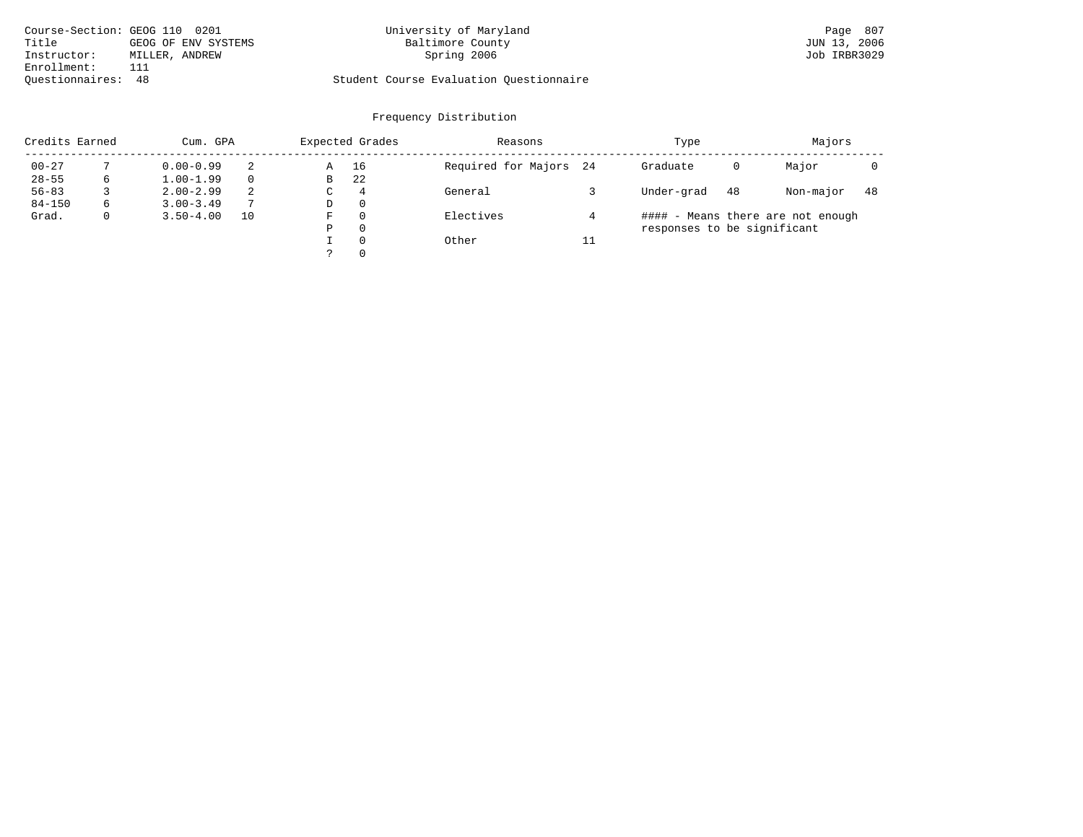| Course-Section: GEOG 110 0201 |                     | University of Maryland                  | Page 807     |
|-------------------------------|---------------------|-----------------------------------------|--------------|
| Title                         | GEOG OF ENV SYSTEMS | Baltimore County                        | JUN 13, 2006 |
| Instructor:                   | MILLER, ANDREW      | Spring 2006                             | Job IRBR3029 |
| Enrollment:                   |                     |                                         |              |
| Ouestionnaires: 48            |                     | Student Course Evaluation Questionnaire |              |

# University of Maryland Baltimore County (Baltimore County Page 807)<br>Baltimore County (Baltimore County 13, 2006

# Questionnaires: 48 Student Course Evaluation Questionnaire

| Credits Earned | Cum. GPA     |               |               |   | Expected Grades | Reasons                |    | Type                        | Majors |                                   |    |
|----------------|--------------|---------------|---------------|---|-----------------|------------------------|----|-----------------------------|--------|-----------------------------------|----|
| $00 - 27$      |              | $0.00 - 0.99$ |               | Α | 16              | Required for Majors 24 |    | Graduate                    | 0      | Major                             |    |
| $28 - 55$      | 6            | $1.00 - 1.99$ |               | В | 22              |                        |    |                             |        |                                   |    |
| $56 - 83$      |              | $2.00 - 2.99$ | 2             | C | $\overline{4}$  | General                |    | Under-grad                  | 48     | Non-major                         | 48 |
| $84 - 150$     | 6            | $3.00 - 3.49$ | $\mathcal{L}$ | D | $\Omega$        |                        |    |                             |        |                                   |    |
| Grad.          | $\mathbf{0}$ | $3.50 - 4.00$ | 10            | F | $\Omega$        | Electives              |    |                             |        | #### - Means there are not enough |    |
|                |              |               |               | Ρ | $\Omega$        |                        |    | responses to be significant |        |                                   |    |
|                |              |               |               |   | $\Omega$        | Other                  | 11 |                             |        |                                   |    |
|                |              |               |               |   | $\Omega$        |                        |    |                             |        |                                   |    |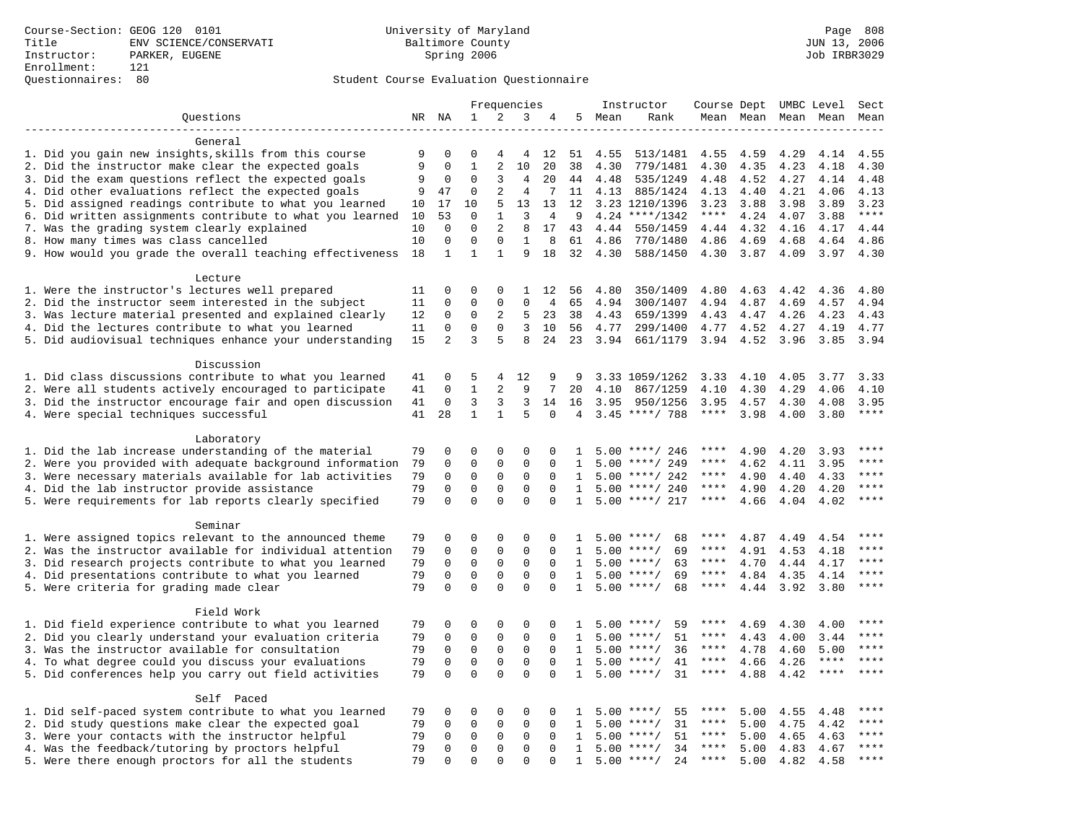### Questionnaires: 80 Student Course Evaluation Questionnaire

|                                                                                                        |          |                             |                             |                             | Frequencies             |                      |                              |              | Instructor                          | Course Dept UMBC Level |              |              |              | Sect                 |
|--------------------------------------------------------------------------------------------------------|----------|-----------------------------|-----------------------------|-----------------------------|-------------------------|----------------------|------------------------------|--------------|-------------------------------------|------------------------|--------------|--------------|--------------|----------------------|
| Questions                                                                                              |          | NR NA                       | $\mathbf 1$                 | 2                           | 3                       | 4                    |                              | 5 Mean       | Rank                                |                        | Mean Mean    |              | Mean Mean    | Mean                 |
|                                                                                                        |          |                             |                             |                             |                         |                      |                              |              |                                     |                        |              |              |              |                      |
| General                                                                                                |          |                             |                             |                             |                         |                      |                              |              |                                     |                        |              |              |              |                      |
| 1. Did you gain new insights, skills from this course                                                  | 9        | 0                           | $\Omega$                    | 4                           | 4                       | 12                   | 51                           | 4.55         | 513/1481                            | 4.55                   | 4.59         | 4.29         | 4.14         | 4.55                 |
| 2. Did the instructor make clear the expected goals                                                    | 9        | $\mathbf 0$                 | $\mathbf{1}$                | 2                           | 10                      | 20                   | 38                           | 4.30         | 779/1481                            | 4.30                   | 4.35         | 4.23         | 4.18         | 4.30                 |
| 3. Did the exam questions reflect the expected goals                                                   | 9        | 0                           | $\Omega$                    | 3                           | 4                       | 20                   | 44                           | 4.48         | 535/1249                            | 4.48                   | 4.52         | 4.27         | 4.14         | 4.48                 |
| 4. Did other evaluations reflect the expected goals                                                    | 9        | 47                          | $\mathbf 0$                 | 2                           | 4                       | 7                    | 11                           | 4.13         | 885/1424                            | 4.13                   | 4.40         | 4.21         | 4.06         | 4.13                 |
| 5. Did assigned readings contribute to what you learned                                                | 10       | 17                          | 10                          | 5                           | 13                      | 13                   | 12                           |              | 3.23 1210/1396                      | 3.23                   | 3.88         | 3.98         | 3.89         | 3.23                 |
| 6. Did written assignments contribute to what you learned                                              | 10       | 53                          | $\mathbf 0$                 | $\mathbf{1}$                | $\overline{3}$          | 4                    | 9                            |              | $4.24$ ****/1342                    | $***$ * * *            | 4.24         | 4.07         | 3.88         | $***$                |
| 7. Was the grading system clearly explained                                                            | 10       | $\Omega$                    | $\Omega$                    | $\overline{c}$              | 8                       | 17                   | 43                           | 4.44         | 550/1459                            | 4.44                   | 4.32         | 4.16         | 4.17         | 4.44                 |
| 8. How many times was class cancelled                                                                  | 10<br>18 | $\mathbf 0$<br>$\mathbf{1}$ | $\mathbf 0$<br>$\mathbf{1}$ | $\mathbf 0$<br>$\mathbf{1}$ | $\mathbf{1}$<br>9       | 8<br>18              | 61<br>32                     | 4.86<br>4.30 | 770/1480<br>588/1450                | 4.86<br>4.30           | 4.69<br>3.87 | 4.68<br>4.09 | 4.64<br>3.97 | 4.86<br>4.30         |
| 9. How would you grade the overall teaching effectiveness                                              |          |                             |                             |                             |                         |                      |                              |              |                                     |                        |              |              |              |                      |
| Lecture                                                                                                |          |                             |                             |                             |                         |                      |                              |              |                                     |                        |              |              |              |                      |
| 1. Were the instructor's lectures well prepared                                                        | 11       | $\Omega$                    | $\Omega$                    | 0                           | $\mathbf{1}$            | 12                   | 56                           | 4.80         | 350/1409                            | 4.80                   | 4.63         | 4.42         | 4.36         | 4.80                 |
| 2. Did the instructor seem interested in the subject                                                   | 11       | 0                           | 0                           | $\mathbf{0}$                | 0                       | 4                    | 65                           | 4.94         | 300/1407                            | 4.94                   | 4.87         | 4.69         | 4.57         | 4.94                 |
| 3. Was lecture material presented and explained clearly                                                | 12       | 0                           | $\mathbf 0$                 | 2                           | 5                       | 23                   | 38                           | 4.43         | 659/1399                            | 4.43                   | 4.47         | 4.26         | 4.23         | 4.43                 |
| 4. Did the lectures contribute to what you learned                                                     | 11       | $\Omega$                    | $\Omega$                    | $\Omega$                    | 3                       | 10                   | 56                           | 4.77         | 299/1400                            | 4.77                   | 4.52         | 4.27         | 4.19         | 4.77                 |
| 5. Did audiovisual techniques enhance your understanding                                               | 15       | $\overline{a}$              | 3                           | 5                           | 8                       | 24                   | 23                           | 3.94         | 661/1179                            | 3.94                   | 4.52         | 3.96         | 3.85         | 3.94                 |
|                                                                                                        |          |                             |                             |                             |                         |                      |                              |              |                                     |                        |              |              |              |                      |
| Discussion                                                                                             |          |                             |                             |                             |                         |                      |                              |              |                                     |                        |              |              |              |                      |
| 1. Did class discussions contribute to what you learned                                                | 41       | 0                           | 5                           | 4                           | 12                      | 9                    | 9                            |              | 3.33 1059/1262                      | 3.33                   | 4.10         | 4.05         | 3.77         | 3.33                 |
| 2. Were all students actively encouraged to participate                                                | 41       | $\mathbf 0$                 | $\mathbf{1}$                | 2                           | 9                       | 7                    | 20                           | 4.10         | 867/1259                            | 4.10                   | 4.30         | 4.29         | 4.06         | 4.10                 |
| 3. Did the instructor encourage fair and open discussion                                               | 41       | 0                           | 3                           | 3                           | 3                       | 14                   | 16                           | 3.95         | 950/1256                            | 3.95                   | 4.57         | 4.30         | 4.08         | 3.95                 |
| 4. Were special techniques successful                                                                  | 41       | 28                          | $\mathbf{1}$                | $\mathbf{1}$                | 5                       | $\Omega$             | 4                            |              | $3.45$ ****/ 788                    | $***$ * * *            | 3.98         | 4.00         | 3.80         | $***$                |
|                                                                                                        |          |                             |                             |                             |                         |                      |                              |              |                                     |                        |              |              |              |                      |
| Laboratory                                                                                             |          |                             |                             |                             |                         |                      |                              |              |                                     |                        |              |              |              |                      |
| 1. Did the lab increase understanding of the material                                                  | 79       | $\Omega$                    | $\Omega$                    | $\Omega$                    | $\Omega$                | $\Omega$             | $\mathbf{1}$                 |              | $5.00$ ****/ 246                    | ****                   | 4.90         | 4.20         | 3.93         |                      |
| 2. Were you provided with adequate background information                                              | 79       | $\mathsf 0$                 | $\mathbf 0$                 | $\mathsf 0$                 | $\mathbf 0$             | 0                    | 1                            |              | $5.00$ ****/ 249                    | ****                   | 4.62         | 4.11         | 3.95         | $***$ * * *<br>$***$ |
| 3. Were necessary materials available for lab activities                                               | 79       | $\mathbf 0$                 | $\mathbf 0$                 | $\mathsf 0$                 | $\mathbf 0$             | $\mathbf 0$          | $\mathbf{1}$                 |              | $5.00$ ****/ 242                    | ****                   | 4.90         | 4.40         | 4.33         | $***$                |
| 4. Did the lab instructor provide assistance                                                           | 79       | $\mathbf 0$                 | $\mathbf 0$<br>$\Omega$     | 0<br>$\Omega$               | $\mathbf 0$<br>$\Omega$ | $\Omega$             | $\mathbf{1}$                 |              | $5.00$ ****/ 240                    | ****<br>****           | 4.90         | 4.20         | 4.20         | ****                 |
| 5. Were requirements for lab reports clearly specified                                                 | 79       | $\mathbf 0$                 |                             |                             |                         | $\Omega$             | $\mathbf{1}$                 |              | $5.00$ ****/ 217                    |                        | 4.66         | 4.04         | 4.02         |                      |
| Seminar                                                                                                |          |                             |                             |                             |                         |                      |                              |              |                                     |                        |              |              |              |                      |
| 1. Were assigned topics relevant to the announced theme                                                | 79       | 0                           | 0                           | $\Omega$                    | $\Omega$                | $\Omega$             | $\mathbf{1}$                 |              | $5.00$ ****/<br>68                  | ****                   | 4.87         | 4.49         | 4.54         | ****                 |
| 2. Was the instructor available for individual attention                                               | 79       | $\mathbf 0$                 | $\mathbf 0$                 | $\mathbf{0}$                | $\mathbf 0$             | $\Omega$             | $\mathbf{1}$                 |              | 69<br>$5.00$ ****/                  | ****                   | 4.91         | 4.53         | 4.18         | ****                 |
| 3. Did research projects contribute to what you learned                                                | 79       | $\mathbf 0$                 | $\mathsf 0$                 | $\mathbf 0$                 | $\mathbf 0$             | $\mathbf 0$          | 1                            |              | $5.00$ ****/<br>63                  | $***$ * *              | 4.70         | 4.44         | 4.17         | ****                 |
| 4. Did presentations contribute to what you learned                                                    | 79       | $\mathbf 0$                 | $\mathsf 0$                 | $\mathbf 0$                 | $\mathbf 0$             | $\mathbf 0$          | $\mathbf{1}$                 |              | $5.00$ ****/<br>69                  | $***$ * * *            | 4.84         | 4.35         | 4.14         | $***$ * * *          |
| 5. Were criteria for grading made clear                                                                | 79       | $\Omega$                    | $\Omega$                    | $\Omega$                    | $\Omega$                | $\Omega$             | $\mathbf{1}$                 |              | $5.00$ ****/<br>68                  | $***$ * * *            | 4.44         | 3.92         | 3.80         | ****                 |
|                                                                                                        |          |                             |                             |                             |                         |                      |                              |              |                                     |                        |              |              |              |                      |
| Field Work                                                                                             |          |                             |                             |                             |                         |                      |                              |              |                                     |                        |              |              |              |                      |
| 1. Did field experience contribute to what you learned                                                 | 79       | 0                           | 0                           | 0                           | 0                       | 0                    | 1                            |              | $5.00$ ****/<br>59                  | ****                   | 4.69         | 4.30         | 4.00         | $* * * *$            |
| 2. Did you clearly understand your evaluation criteria                                                 | 79       | $\mathbf 0$                 | $\mathbf 0$                 | $\mathbf 0$                 | $\mathbf 0$             | $\Omega$             | $\mathbf{1}$                 |              | 51<br>$5.00$ ****/                  | ****                   | 4.43         | 4.00         | 3.44         | ****                 |
| 3. Was the instructor available for consultation                                                       | 79       | $\mathbf 0$                 | $\mathbf 0$                 | $\mathbf{0}$                | $\mathbf 0$             | $\Omega$             | $\mathbf{1}$                 |              | $5.00$ ****/<br>36                  | ****                   | 4.78         | 4.60         | 5.00         | ****                 |
| 4. To what degree could you discuss your evaluations                                                   | 79       | $\mathbf 0$                 | $\mathbf 0$                 | $\mathbf 0$                 | $\mathbf 0$             | $\Omega$             | $\mathbf{1}$                 |              | $5.00$ ****/<br>41                  | $***$ * * *            | 4.66         | 4.26         | $***$ * * *  | ****                 |
| 5. Did conferences help you carry out field activities                                                 | 79       | $\Omega$                    | $\Omega$                    | $\Omega$                    | $\Omega$                | $\Omega$             | $\mathbf{1}$                 |              | 31<br>$5.00$ ****/                  | $***$ * * *            | 4.88         | 4.42         | ****         | $***$                |
|                                                                                                        |          |                             |                             |                             |                         |                      |                              |              |                                     |                        |              |              |              |                      |
| Self Paced                                                                                             |          |                             |                             |                             |                         |                      |                              |              |                                     |                        |              |              |              | ****                 |
| 1. Did self-paced system contribute to what you learned                                                | 79       | 0                           | 0                           | 0                           | $\mathbf 0$             | $\Omega$             | $\mathbf{1}$                 |              | $5.00$ ****/<br>55                  | ****                   | 5.00         | 4.55         | 4.48         | $***$                |
| 2. Did study questions make clear the expected goal                                                    | 79       | $\mathbf 0$                 | $\mathbf 0$                 | 0                           | $\mathbf 0$             | $\mathbf 0$          | 1                            |              | 31<br>$5.00$ ****/                  | ****<br>****           | 5.00         | 4.75         | 4.42         | ****                 |
| 3. Were your contacts with the instructor helpful                                                      | 79<br>79 | $\mathbf 0$<br>$\Omega$     | 0<br>$\mathbf 0$            | 0<br>$\mathbf{0}$           | 0<br>$\Omega$           | $\Omega$<br>$\Omega$ | $\mathbf{1}$<br>$\mathbf{1}$ | 5.00         | $***$ /<br>51<br>$5.00$ ****/<br>34 | ****                   | 5.00<br>5.00 | 4.65         | 4.63<br>4.67 | $***$                |
| 4. Was the feedback/tutoring by proctors helpful<br>5. Were there enough proctors for all the students | 79       | $\Omega$                    | $\Omega$                    | $\Omega$                    | $\Omega$                | $\Omega$             | $\mathbf{1}$                 |              | $5.00$ ****/<br>24                  | $***$ * * *            | 5.00         | 4.83<br>4.82 | 4.58         | $***$                |
|                                                                                                        |          |                             |                             |                             |                         |                      |                              |              |                                     |                        |              |              |              |                      |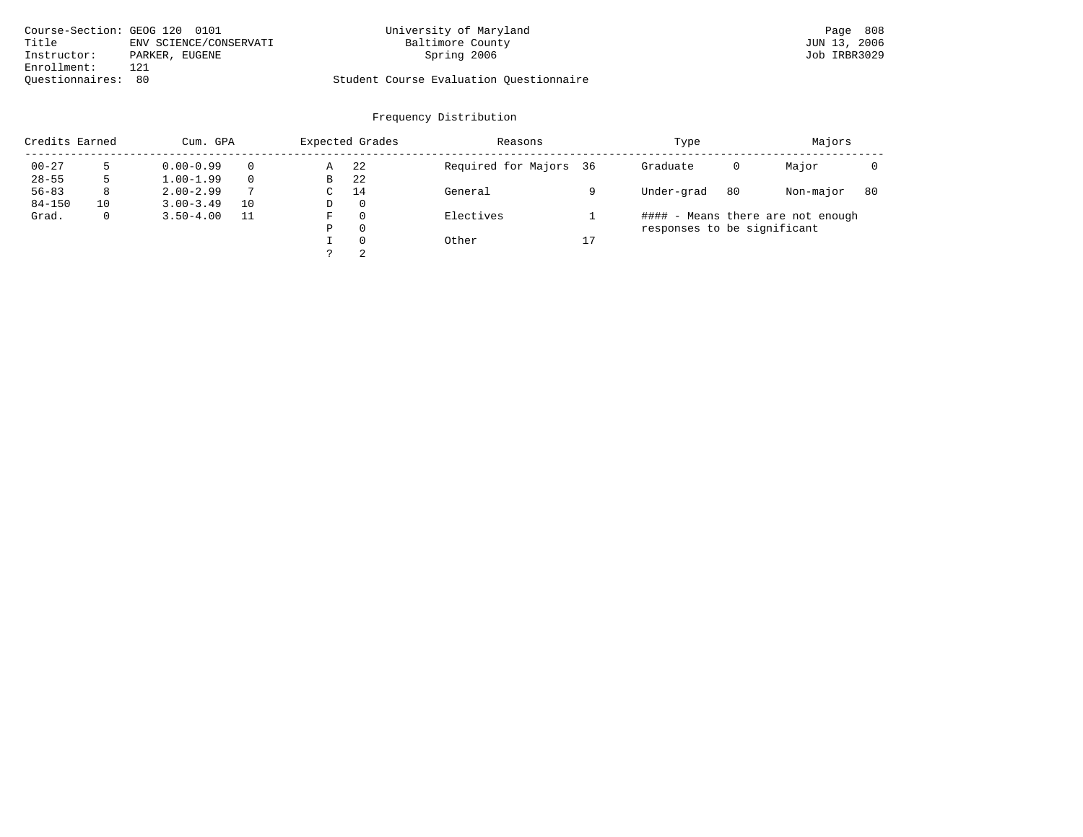|                    | Course-Section: GEOG 120 0101 | University of Maryland                  | Page 808     |
|--------------------|-------------------------------|-----------------------------------------|--------------|
| Title              | ENV SCIENCE/CONSERVATI        | Baltimore County                        | JUN 13, 2006 |
| Instructor:        | PARKER, EUGENE                | Spring 2006                             | Job IRBR3029 |
| Enrollment:        | 121                           |                                         |              |
| Ouestionnaires: 80 |                               | Student Course Evaluation Questionnaire |              |

### Frequency Distribution

| Credits Earned |    | Cum. GPA      |          |   | Expected Grades | Reasons                |    | Type                        |    | Majors                            |    |
|----------------|----|---------------|----------|---|-----------------|------------------------|----|-----------------------------|----|-----------------------------------|----|
| $00 - 27$      | 5  | $0.00 - 0.99$ | $\Omega$ | Α | 22              | Required for Majors 36 |    | Graduate                    | 0  | Major                             |    |
| $28 - 55$      | 5  | $1.00 - 1.99$ | $\Omega$ | В | 22              |                        |    |                             |    |                                   |    |
| $56 - 83$      | 8  | $2.00 - 2.99$ | 7        | C | 14              | General                |    | Under-grad                  | 80 | Non-major                         | 80 |
| $84 - 150$     | 10 | $3.00 - 3.49$ | 10       | D | 0               |                        |    |                             |    |                                   |    |
| Grad.          | 0  | $3.50 - 4.00$ |          | F | 0               | Electives              |    |                             |    | #### - Means there are not enough |    |
|                |    |               |          | Р | $\Omega$        |                        |    | responses to be significant |    |                                   |    |
|                |    |               |          |   | $\Omega$        | Other                  | 17 |                             |    |                                   |    |
|                |    |               |          |   | 2               |                        |    |                             |    |                                   |    |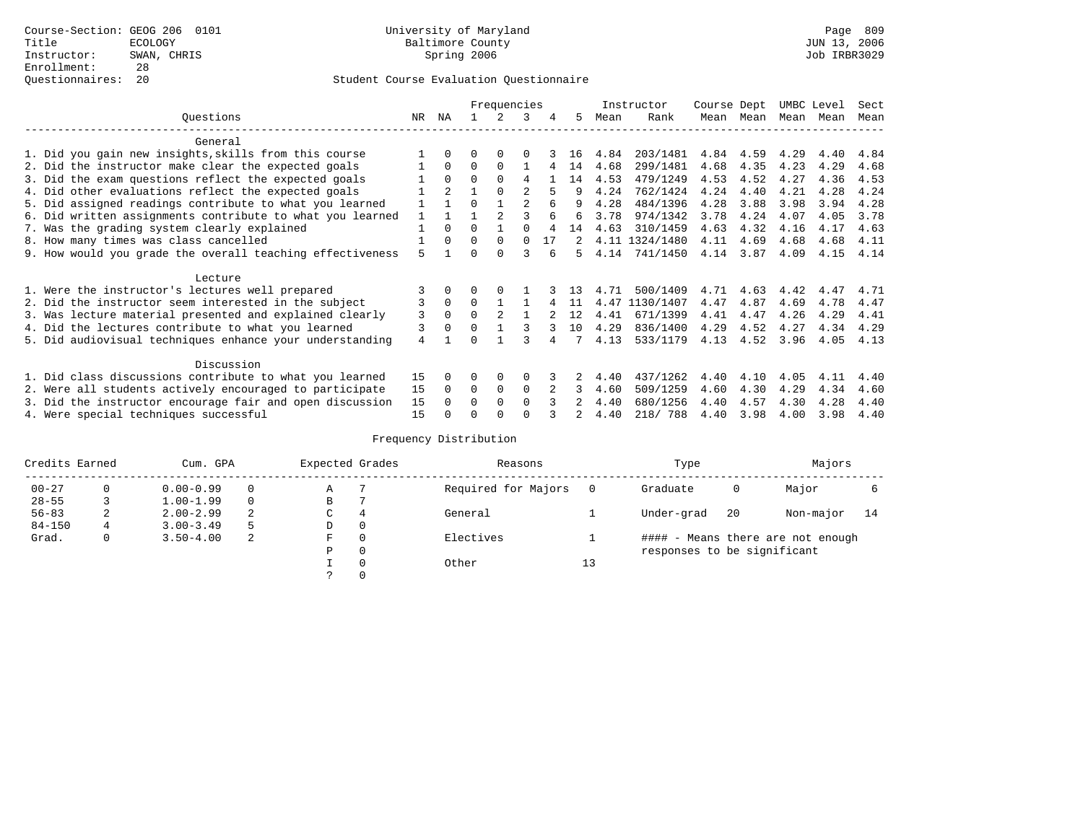|                                                           |     |                | Frequencies |          |                | Instructor | Course Dept |      | UMBC Level     |      | Sect      |      |      |      |
|-----------------------------------------------------------|-----|----------------|-------------|----------|----------------|------------|-------------|------|----------------|------|-----------|------|------|------|
| Ouestions                                                 | NR. | ΝA             |             | 2        | 3              |            | 5.          | Mean | Rank           |      | Mean Mean | Mean | Mean | Mean |
| General                                                   |     |                |             |          |                |            |             |      |                |      |           |      |      |      |
| 1. Did you gain new insights, skills from this course     |     |                | O           | $\Omega$ | $\Omega$       |            | 16          | 4.84 | 203/1481       | 4.84 | 4.59      | 4.29 | 4.40 | 4.84 |
| 2. Did the instructor make clear the expected goals       |     | 0              | $\Omega$    | $\Omega$ |                |            | 14          | 4.68 | 299/1481       | 4.68 | 4.35      | 4.23 | 4.29 | 4.68 |
| 3. Did the exam questions reflect the expected goals      |     |                | $\Omega$    | $\Omega$ | 4              |            | 14          | 4.53 | 479/1249       | 4.53 | 4.52      | 4.27 | 4.36 | 4.53 |
| 4. Did other evaluations reflect the expected goals       |     | $\overline{2}$ |             | $\Omega$ |                |            | q           | 4.24 | 762/1424       | 4.24 | 4.40      | 4.21 | 4.28 | 4.24 |
| 5. Did assigned readings contribute to what you learned   |     |                | $\Omega$    |          | $\mathfrak{D}$ | 6          |             | 4.28 | 484/1396       | 4.28 | 3.88      | 3.98 | 3.94 | 4.28 |
| 6. Did written assignments contribute to what you learned |     |                |             |          |                |            | 6           | 3.78 | 974/1342       | 3.78 | 4.24      | 4.07 | 4.05 | 3.78 |
| 7. Was the grading system clearly explained               |     | $\Omega$       | $\Omega$    |          |                |            | 14          | 4.63 | 310/1459       | 4.63 | 4.32      | 4.16 | 4.17 | 4.63 |
| 8. How many times was class cancelled                     |     | 0              | $\Omega$    | 0        | $\Omega$       | 17         |             |      | 4.11 1324/1480 | 4.11 | 4.69      | 4.68 | 4.68 | 4.11 |
| 9. How would you grade the overall teaching effectiveness |     |                | U           | ∩        | 3              |            | 5           | 4.14 | 741/1450       | 4.14 | 3.87      | 4.09 | 4.15 | 4.14 |
| Lecture                                                   |     |                |             |          |                |            |             |      |                |      |           |      |      |      |
| 1. Were the instructor's lectures well prepared           |     |                |             |          |                |            |             | 4.71 | 500/1409       | 4.71 | 4.63      | 4.42 | 4.47 | 4.71 |
| 2. Did the instructor seem interested in the subject      | 3   | $\Omega$       | $\Omega$    |          |                |            | -11         | 4.47 | 1130/1407      | 4.47 | 4.87      | 4.69 | 4.78 | 4.47 |
| 3. Was lecture material presented and explained clearly   | 3   | $\Omega$       | $\Omega$    |          |                |            | 12          | 4.41 | 671/1399       | 4.41 | 4.47      | 4.26 | 4.29 | 4.41 |
| 4. Did the lectures contribute to what you learned        | 3   |                | $\Omega$    |          |                |            | 10          | 4.29 | 836/1400       | 4.29 | 4.52      | 4.27 | 4.34 | 4.29 |
| 5. Did audiovisual techniques enhance your understanding  | 4   |                | $\cap$      |          |                |            |             | 4.13 | 533/1179       | 4.13 | 4.52      | 3.96 | 4.05 | 4.13 |
| Discussion                                                |     |                |             |          |                |            |             |      |                |      |           |      |      |      |
| 1. Did class discussions contribute to what you learned   | 15  |                | O           | $\Omega$ | $\Omega$       |            |             | 4.40 | 437/1262       | 4.40 | 4.10      | 4.05 | 4.11 | 4.40 |
| 2. Were all students actively encouraged to participate   | 15  | $\Omega$       | $\Omega$    | 0        | $\Omega$       |            | 3           | 4.60 | 509/1259       | 4.60 | 4.30      | 4.29 | 4.34 | 4.60 |
| 3. Did the instructor encourage fair and open discussion  | 15  |                | O           | $\Omega$ | $\Omega$       |            |             | 4.40 | 680/1256       | 4.40 | 4.57      | 4.30 | 4.28 | 4.40 |
| 4. Were special techniques successful                     | 15  |                |             |          |                |            |             | 4.40 | 218/ 788       | 4.40 | 3.98      | 4.00 | 3.98 | 4.40 |

| Credits Earned |             | Cum. GPA      |    | Expected Grades |          | Reasons             |          | Type                        |     | Majors                            |    |
|----------------|-------------|---------------|----|-----------------|----------|---------------------|----------|-----------------------------|-----|-----------------------------------|----|
| $00 - 27$      | $\Omega$    | $0.00 - 0.99$ |    | Α               |          | Required for Majors | $\Omega$ | Graduate                    | 0   | Major                             |    |
| $28 - 55$      | 3           | $1.00 - 1.99$ |    | В               |          |                     |          |                             |     |                                   |    |
| $56 - 83$      | 2           | $2.00 - 2.99$ | 2  | $\sim$<br>J     | 4        | General             |          | Under-grad                  | -20 | Non-major                         | 14 |
| $84 - 150$     | $4^{\circ}$ | $3.00 - 3.49$ | .5 | D               | 0        |                     |          |                             |     |                                   |    |
| Grad.          | 0           | $3.50 - 4.00$ | 2  | F               | 0        | Electives           |          |                             |     | #### - Means there are not enough |    |
|                |             |               |    | Ρ               | 0        |                     |          | responses to be significant |     |                                   |    |
|                |             |               |    |                 | $\Omega$ | Other               | 13       |                             |     |                                   |    |
|                |             |               |    |                 |          |                     |          |                             |     |                                   |    |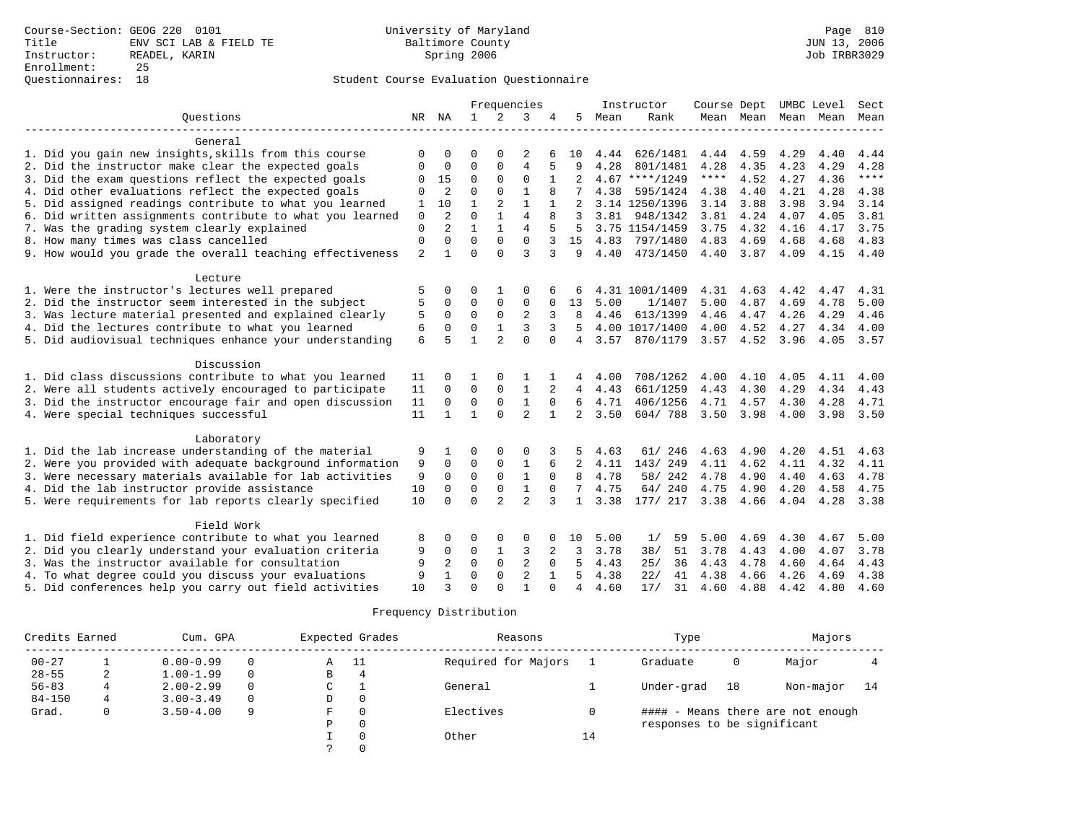### Questionnaires: 18 Student Course Evaluation Questionnaire

|                                                                                                                      |               |                |              |                | Frequencies    |              |                 |      | Instructor                   | Course Dept |                  | UMBC Level   |           | Sect         |
|----------------------------------------------------------------------------------------------------------------------|---------------|----------------|--------------|----------------|----------------|--------------|-----------------|------|------------------------------|-------------|------------------|--------------|-----------|--------------|
| Ouestions                                                                                                            | NR            | NA             | $\mathbf{1}$ | 2              | 3              | 4            | .5              | Mean | Rank                         |             | Mean Mean Mean   |              | Mean      | Mean         |
| General                                                                                                              |               |                |              |                |                |              |                 |      | ____________________________ |             |                  |              |           |              |
| 1. Did you gain new insights, skills from this course                                                                | O             | 0              | O            | <sup>0</sup>   | 2              |              | 10              | 4.44 | 626/1481                     | 4.44        | 4.59             | 4.29         | 4.40      | 4.44         |
| 2. Did the instructor make clear the expected goals                                                                  | 0             | 0              | 0            | 0              | $\overline{4}$ |              | 9               | 4.28 | 801/1481                     | 4.28        | 4.35             | 4.23         | 4.29      | 4.28         |
| 3. Did the exam questions reflect the expected goals                                                                 |               | 15             | 0            | $\mathbf{0}$   | $\mathbf 0$    |              | 2               |      | $4.67$ ****/1249             | $***$ * * * | 4.52             | 4.27         | 4.36      | $***$        |
| 4. Did other evaluations reflect the expected goals                                                                  | 0             | $\overline{2}$ | $\Omega$     | $\Omega$       | $\mathbf{1}$   | 8            |                 | 4.38 | 595/1424                     | 4.38        | 4.40             | 4.21         | 4.28      | 4.38         |
|                                                                                                                      | $\Omega$      | 10             | $\mathbf{1}$ | 2              | $\mathbf{1}$   |              | 2               |      | 3.14 1250/1396               | 3.14        | 3.88             | 3.98         | 3.94      | 3.14         |
| 5. Did assigned readings contribute to what you learned<br>6. Did written assignments contribute to what you learned | 1             | $\overline{a}$ | $\Omega$     |                | $\overline{4}$ |              |                 | 3.81 | 948/1342                     | 3.81        |                  | 4.07         | 4.05      | 3.81         |
|                                                                                                                      | $\mathbf 0$   | $\overline{a}$ | $\mathbf{1}$ |                | 4              |              | 3               |      | 3.75 1154/1459               | 3.75        | 4.24<br>4.32     |              | 4.17      |              |
| 7. Was the grading system clearly explained<br>8. How many times was class cancelled                                 | 0<br>$\Omega$ | $\Omega$       | $\Omega$     | $\Omega$       | $\Omega$       | 3            | 5<br>15         |      | 797/1480                     | 4.83        | 4.69             | 4.16<br>4.68 | 4.68      | 3.75<br>4.83 |
|                                                                                                                      |               | $\mathbf{1}$   | $\cap$       | $\cap$         | ζ              | 3            | 9               | 4.83 |                              |             |                  |              |           |              |
| 9. How would you grade the overall teaching effectiveness                                                            | 2             |                |              |                |                |              |                 | 4.40 | 473/1450                     | 4.40        | 3.87             | 4.09         | 4.15      | 4.40         |
| Lecture                                                                                                              |               |                |              |                |                |              |                 |      |                              |             |                  |              |           |              |
| 1. Were the instructor's lectures well prepared                                                                      | 5             |                | $\Omega$     |                | 0              |              |                 |      | 4.31 1001/1409               | 4.31        | 4.63             | 4.42         | 4.47      | 4.31         |
| 2. Did the instructor seem interested in the subject                                                                 | 5             | 0              | $\mathbf 0$  | 0              | $\Omega$       | 0            | 13              | 5.00 | 1/1407                       | 5.00        | 4.87             | 4.69         | 4.78      | 5.00         |
| 3. Was lecture material presented and explained clearly                                                              | 5             | 0              | $\mathbf 0$  | $\mathbf 0$    | 2              | 3            | 8               | 4.46 | 613/1399                     | 4.46        | 4.47             | 4.26         | 4.29      | 4.46         |
| 4. Did the lectures contribute to what you learned                                                                   | 6             | $\Omega$       | $\mathbf 0$  |                | 3              |              | .5              |      | 4.00 1017/1400               | 4.00        | 4.52             | 4.27         | 4.34      | 4.00         |
| 5. Did audiovisual techniques enhance your understanding                                                             | 6             | 5              | $\mathbf{1}$ | $\overline{a}$ | $\Omega$       | $\Omega$     | $\overline{4}$  | 3.57 | 870/1179                     |             | $3.57$ 4.52 3.96 |              | 4.05 3.57 |              |
| Discussion                                                                                                           |               |                |              |                |                |              |                 |      |                              |             |                  |              |           |              |
| 1. Did class discussions contribute to what you learned                                                              | 11            | $\Omega$       |              | 0              |                |              | 4               | 4.00 | 708/1262                     | 4.00        | 4.10             | 4.05         | 4.11      | 4.00         |
| 2. Were all students actively encouraged to participate                                                              | 11            | $\mathbf 0$    | $\Omega$     | $\mathbf{0}$   | $\mathbf{1}$   | 2            | $4\overline{ }$ | 4.43 | 661/1259                     | 4.43        | 4.30             | 4.29         | 4.34      | 4.43         |
| 3. Did the instructor encourage fair and open discussion                                                             | 11            | $\Omega$       | $\Omega$     | $\Omega$       | $\mathbf{1}$   | $\Omega$     | 6               | 4.71 | 406/1256                     | 4.71 4.57   |                  | 4.30         | 4.28      | 4.71         |
| 4. Were special techniques successful                                                                                | 11            | $\mathbf{1}$   | $\mathbf{1}$ | $\Omega$       | $\mathfrak{D}$ | $\mathbf{1}$ | $\overline{2}$  | 3.50 | 604/788                      | 3.50        | 3.98             | 4.00         | 3.98      | 3.50         |
|                                                                                                                      |               |                |              |                |                |              |                 |      |                              |             |                  |              |           |              |
| Laboratory                                                                                                           |               |                |              |                |                |              |                 |      |                              |             |                  |              |           |              |
| 1. Did the lab increase understanding of the material                                                                | 9             |                | $\Omega$     |                | $\Omega$       |              | 5               | 4.63 | 61/ 246                      | 4.63        | 4.90             | 4.20         | 4.51      | 4.63         |
| 2. Were you provided with adequate background information                                                            | 9             | $\Omega$       | $\Omega$     | $\mathbf 0$    | 1              | 6            | $\overline{2}$  | 4.11 | 143/249                      | 4.11        | 4.62             | 4.11         | 4.32      | 4.11         |
| 3. Were necessary materials available for lab activities                                                             | 9             | $\Omega$       | $\Omega$     | $\Omega$       | $\mathbf{1}$   | $\Omega$     | R               | 4.78 | 58/ 242                      | 4.78        | 4.90             | 4.40         | 4.63      | 4.78         |
| 4. Did the lab instructor provide assistance                                                                         | 10            | $\Omega$       | $\mathbf 0$  | $\mathbf{0}$   | $\mathbf{1}$   | $\Omega$     | 7               | 4.75 | 64/240                       | 4.75        | 4.90             | 4.20         | 4.58      | 4.75         |
| 5. Were requirements for lab reports clearly specified                                                               | 10            | $\Omega$       | $\Omega$     | $\overline{a}$ | $\overline{a}$ | 3            | $\mathbf{1}$    | 3.38 | 177/ 217                     | 3.38        | 4.66             | 4.04         | 4.28      | 3.38         |
| Field Work                                                                                                           |               |                |              |                |                |              |                 |      |                              |             |                  |              |           |              |
| 1. Did field experience contribute to what you learned                                                               | 8             | $\Omega$       | $\Omega$     | $\mathbf 0$    | $\Omega$       | $\Omega$     | 10              | 5.00 | 1/<br>59                     | 5.00        | 4.69             | 4.30         | 4.67      | 5.00         |
| 2. Did you clearly understand your evaluation criteria                                                               | 9             | $\Omega$       | $\Omega$     |                | 3              | 2            | 3               | 3.78 | 38/<br>51                    | 3.78        | 4.43             | 4.00         | 4.07      | 3.78         |
| 3. Was the instructor available for consultation                                                                     | 9             | $\overline{2}$ | $\Omega$     | $\Omega$       | 2              | $\Omega$     | 5               | 4.43 | 36<br>25/                    | 4.43        | 4.78             | 4.60         | 4.64      | 4.43         |
| 4. To what degree could you discuss your evaluations                                                                 | 9             |                | $\Omega$     | $\Omega$       | $\overline{2}$ |              | 5               | 4.38 | 22/<br>41                    | 4.38        | 4.66             | 4.26         | 4.69      | 4.38         |
| 5. Did conferences help you carry out field activities                                                               | 10            | $\mathbf{z}$   | $\Omega$     | $\cap$         |                |              | 4               | 4.60 | 17/<br>31                    | 4.60        | 4.88             | 4.42         | 4.80      | 4.60         |

| Credits Earned |   | Cum. GPA      |                                                  |   | Expected Grades     | Reasons   |          | Type                        |       | Majors                            |    |
|----------------|---|---------------|--------------------------------------------------|---|---------------------|-----------|----------|-----------------------------|-------|-----------------------------------|----|
| $00 - 27$      |   | $0.00 - 0.99$ | - 11<br>Α<br>$1.00 - 1.99$<br>$\Omega$<br>В<br>4 |   | Required for Majors |           | Graduate | 0                           | Major |                                   |    |
| $28 - 55$      | 2 |               |                                                  |   |                     |           |          |                             |       |                                   |    |
| $56 - 83$      |   | $2.00 - 2.99$ | $\Omega$                                         | C |                     | General   |          | Under-grad                  | 18    | Non-major                         | 14 |
| $84 - 150$     | 4 | $3.00 - 3.49$ | $\Omega$                                         | D | 0                   |           |          |                             |       |                                   |    |
| Grad.          |   | $3.50 - 4.00$ | 9                                                | F | $\Omega$            | Electives |          |                             |       | #### - Means there are not enough |    |
|                |   |               |                                                  | Ρ | $\Omega$            |           |          | responses to be significant |       |                                   |    |
|                |   |               |                                                  |   | $\Omega$            | Other     | 14       |                             |       |                                   |    |
|                |   |               |                                                  |   | $\Omega$            |           |          |                             |       |                                   |    |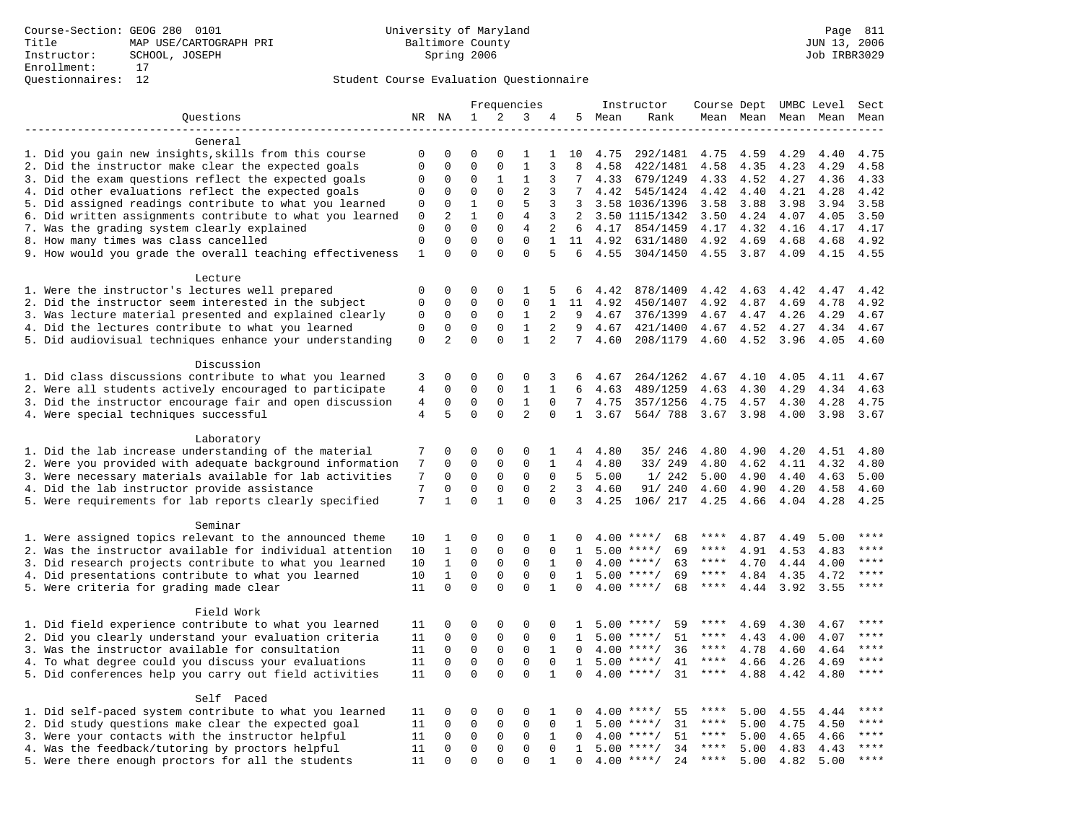|                                                           |                |                |              |              | Frequencies    |              |                 |      | Instructor         | Course Dept |      |      | UMBC Level | Sect        |
|-----------------------------------------------------------|----------------|----------------|--------------|--------------|----------------|--------------|-----------------|------|--------------------|-------------|------|------|------------|-------------|
| Questions                                                 | NR             | ΝA             | $\mathbf{1}$ | 2            | 3              | 4            | 5               | Mean | Rank               | Mean Mean   |      | Mean | Mean       | Mean        |
|                                                           |                |                |              |              |                |              |                 |      |                    |             |      |      |            |             |
| General                                                   |                |                |              |              |                |              |                 |      |                    |             |      |      |            |             |
| 1. Did you gain new insights, skills from this course     | 0              | 0              | $\Omega$     | 0            |                | 1            | 10              | 4.75 | 292/1481           | 4.75        | 4.59 | 4.29 | 4.40       | 4.75        |
| 2. Did the instructor make clear the expected goals       | $\mathbf 0$    | $\mathbf 0$    | $\Omega$     | $\mathbf{0}$ | $\mathbf{1}$   | 3            | 8               | 4.58 | 422/1481           | 4.58        | 4.35 | 4.23 | 4.29       | 4.58        |
| 3. Did the exam questions reflect the expected goals      | $\mathbf 0$    | $\mathbf 0$    | 0            | 1            | 1              | 3            | 7               | 4.33 | 679/1249           | 4.33        | 4.52 | 4.27 | 4.36       | 4.33        |
| 4. Did other evaluations reflect the expected goals       | $\mathbf 0$    | $\mathbf 0$    | $\mathbf 0$  | $\mathbf{0}$ | $\overline{2}$ | 3            | 7               | 4.42 | 545/1424           | 4.42        | 4.40 | 4.21 | 4.28       | 4.42        |
| 5. Did assigned readings contribute to what you learned   | 0              | $\mathbf 0$    | $\mathbf{1}$ | $\mathbf{0}$ | 5              | 3            | 3               |      | 3.58 1036/1396     | 3.58        | 3.88 | 3.98 | 3.94       | 3.58        |
| 6. Did written assignments contribute to what you learned | $\mathbf{0}$   | 2              | $\mathbf{1}$ | $\Omega$     | 4              | 3            | 2               |      | 3.50 1115/1342     | 3.50        | 4.24 | 4.07 | 4.05       | 3.50        |
| 7. Was the grading system clearly explained               | $\mathbf{0}$   | $\mathbf 0$    | $\mathbf 0$  | $\mathbf 0$  | $\overline{4}$ | 2            | 6               |      | 4.17 854/1459      | 4.17        | 4.32 | 4.16 | 4.17       | 4.17        |
| 8. How many times was class cancelled                     | $\mathbf 0$    | $\mathbf{0}$   | $\mathbf 0$  | $\mathbf{0}$ | $\mathbf{0}$   | $\mathbf{1}$ | 11              | 4.92 | 631/1480           | 4.92        | 4.69 | 4.68 | 4.68       | 4.92        |
| 9. How would you grade the overall teaching effectiveness | 1              | $\Omega$       | $\mathbf 0$  | $\Omega$     | $\Omega$       | 5            | 6               | 4.55 | 304/1450           | 4.55        | 3.87 | 4.09 | 4.15       | 4.55        |
|                                                           |                |                |              |              |                |              |                 |      |                    |             |      |      |            |             |
| Lecture                                                   |                |                |              |              |                |              |                 |      |                    |             |      |      |            |             |
| 1. Were the instructor's lectures well prepared           | $\mathbf 0$    | $\mathbf 0$    | 0            | 0            | 1              | 5            | 6               | 4.42 | 878/1409           | 4.42        | 4.63 | 4.42 | 4.47       | 4.42        |
| 2. Did the instructor seem interested in the subject      | $\mathbf 0$    | $\mathbf 0$    | $\mathbf 0$  | 0            | $\mathbf 0$    | $\mathbf{1}$ | 11              | 4.92 | 450/1407           | 4.92        | 4.87 | 4.69 | 4.78       | 4.92        |
| 3. Was lecture material presented and explained clearly   | $\mathbf 0$    | $\mathbf 0$    | $\mathbf 0$  | $\mathbf 0$  | 1              | 2            | 9               | 4.67 | 376/1399           | 4.67        | 4.47 | 4.26 | 4.29       | 4.67        |
| 4. Did the lectures contribute to what you learned        | $\mathbf 0$    | $\mathbf 0$    | $\mathbf 0$  | $\mathsf 0$  | $\mathbf{1}$   | 2            | 9               | 4.67 | 421/1400           | 4.67        | 4.52 | 4.27 | 4.34       | 4.67        |
| 5. Did audiovisual techniques enhance your understanding  | $\mathsf 0$    | $\overline{a}$ | $\mathbf 0$  | $\mathbf 0$  | $\mathbf{1}$   | 2            | $7\overline{ }$ | 4.60 | 208/1179           | 4.60        | 4.52 | 3.96 | 4.05       | 4.60        |
|                                                           |                |                |              |              |                |              |                 |      |                    |             |      |      |            |             |
| Discussion                                                |                |                |              |              |                |              |                 |      |                    |             |      |      |            |             |
| 1. Did class discussions contribute to what you learned   | 3              | $\mathbf 0$    | 0            | 0            | 0              | 3            | 6               | 4.67 | 264/1262           | 4.67        | 4.10 | 4.05 | 4.11       | 4.67        |
| 2. Were all students actively encouraged to participate   | $\overline{4}$ | $\mathbf 0$    | $\mathbf 0$  | $\mathbf 0$  | $\mathbf{1}$   | $\mathbf{1}$ | 6               | 4.63 | 489/1259           | 4.63        | 4.30 | 4.29 | 4.34       | 4.63        |
| 3. Did the instructor encourage fair and open discussion  | $\overline{4}$ | $\mathbf{0}$   | $\mathbf 0$  | $\mathbf{0}$ | $\mathbf{1}$   | $\Omega$     | 7               | 4.75 | 357/1256           | 4.75        | 4.57 | 4.30 | 4.28       | 4.75        |
| 4. Were special techniques successful                     | $\overline{4}$ | 5              | $\Omega$     | $\Omega$     | $\overline{2}$ | $\Omega$     | $\mathbf{1}$    | 3.67 | 564/788            | 3.67        | 3.98 | 4.00 | 3.98       | 3.67        |
|                                                           |                |                |              |              |                |              |                 |      |                    |             |      |      |            |             |
| Laboratory                                                |                |                |              |              |                |              |                 |      |                    |             |      |      |            |             |
| 1. Did the lab increase understanding of the material     | 7              | 0              | 0            | 0            | 0              | 1            | 4               | 4.80 | 35/ 246            | 4.80        | 4.90 | 4.20 | 4.51       | 4.80        |
| 2. Were you provided with adequate background information | 7              | $\mathbf 0$    | $\mathbf 0$  | $\mathbf 0$  | $\mathbf 0$    | 1            | 4               | 4.80 | 33/ 249            | 4.80        | 4.62 | 4.11 | 4.32       | 4.80        |
| 3. Were necessary materials available for lab activities  | 7              | $\mathbf 0$    | $\mathbf 0$  | 0            | 0              | $\mathbf 0$  | 5               | 5.00 | 1/242              | 5.00        | 4.90 | 4.40 | 4.63       | 5.00        |
| 4. Did the lab instructor provide assistance              | 7              | $\mathbf 0$    | $\mathbf 0$  | $\mathbf 0$  | $\mathbf 0$    | 2            | $\mathbf{3}$    | 4.60 | 91/ 240            | 4.60        | 4.90 | 4.20 | 4.58       | 4.60        |
| 5. Were requirements for lab reports clearly specified    | 7              | $\mathbf{1}$   | $\Omega$     | $\mathbf{1}$ | $\Omega$       | $\Omega$     | 3               | 4.25 | 106/ 217           | 4.25        | 4.66 | 4.04 | 4.28       | 4.25        |
| Seminar                                                   |                |                |              |              |                |              |                 |      |                    |             |      |      |            |             |
| 1. Were assigned topics relevant to the announced theme   | 10             | 1              | 0            | 0            | $\Omega$       | 1            | 0               |      | $4.00$ ****/<br>68 | ****        | 4.87 | 4.49 | 5.00       | ****        |
| 2. Was the instructor available for individual attention  | 10             | $\mathbf{1}$   | $\mathbf 0$  | $\mathbf 0$  | $\mathbf 0$    | $\mathbf 0$  | 1               | 5.00 | $***/$<br>69       | ****        | 4.91 | 4.53 | 4.83       | ****        |
| 3. Did research projects contribute to what you learned   | 10             | $\mathbf{1}$   | $\mathbf 0$  | $\mathbf{0}$ | $\mathbf 0$    | 1            | $\Omega$        |      | $4.00$ ****/<br>63 | $***$ * *   | 4.70 | 4.44 | 4.00       | $***$       |
| 4. Did presentations contribute to what you learned       | 10             | $\mathbf{1}$   | $\mathbf 0$  | $\mathbf 0$  | $\mathbf 0$    | $\Omega$     | 1               | 5.00 | $***/$<br>69       | $***$ * * * | 4.84 | 4.35 | 4.72       | $***$       |
| 5. Were criteria for grading made clear                   | 11             | $\Omega$       | $\Omega$     | $\Omega$     | $\Omega$       | $\mathbf{1}$ | $\Omega$        |      | $4.00$ ****/<br>68 | $***$ * *   | 4.44 | 3.92 | 3.55       | ****        |
|                                                           |                |                |              |              |                |              |                 |      |                    |             |      |      |            |             |
| Field Work                                                |                |                |              |              |                |              |                 |      |                    |             |      |      |            |             |
| 1. Did field experience contribute to what you learned    | 11             | $\mathbf 0$    | 0            | 0            | 0              | 0            | 1               |      | $5.00$ ****/<br>59 |             | 4.69 | 4.30 | 4.67       | ****        |
| 2. Did you clearly understand your evaluation criteria    | 11             | $\mathbf 0$    | $\mathbf 0$  | $\mathbf 0$  | $\mathbf{0}$   | 0            | 1               | 5.00 | 51<br>$***$ /      | ****        | 4.43 | 4.00 | 4.07       | $***$ * * * |
| 3. Was the instructor available for consultation          | 11             | $\mathbf 0$    | $\mathbf 0$  | $\mathsf 0$  | $\mathbf 0$    | $\mathbf{1}$ | $\mathbf 0$     |      | $4.00$ ****/<br>36 | ****        | 4.78 | 4.60 | 4.64       | ****        |
| 4. To what degree could you discuss your evaluations      | 11             | $\mathbf 0$    | $\mathbf 0$  | $\mathbf{0}$ | $\mathbf 0$    | $\mathbf 0$  | $\mathbf{1}$    |      | $5.00$ ****/<br>41 | $***$ * *   | 4.66 | 4.26 | 4.69       | $***$       |
| 5. Did conferences help you carry out field activities    | 11             | $\Omega$       | $\Omega$     | $\Omega$     | $\Omega$       | $\mathbf{1}$ | $\Omega$        | 4.00 | 31<br>$***$ /      | $***$ * * * | 4.88 | 4.42 | 4.80       | $***$       |
|                                                           |                |                |              |              |                |              |                 |      |                    |             |      |      |            |             |
| Self Paced                                                |                |                |              |              |                |              |                 |      |                    |             |      |      |            |             |
| 1. Did self-paced system contribute to what you learned   | 11             | 0              | 0            | $\mathsf 0$  | 0              | 1            | 0               |      | 55<br>$4.00$ ****/ | ****        | 5.00 | 4.55 | 4.44       | $***$ * * * |
| 2. Did study questions make clear the expected goal       | 11             | 0              | 0            | $\mathbf 0$  | $\mathbf 0$    | $\mathbf 0$  | $\mathbf{1}$    | 5.00 | $***/$<br>31       | ****        | 5.00 | 4.75 | 4.50       | ****        |
| 3. Were your contacts with the instructor helpful         | 11             | $\mathbf 0$    | $\mathbf 0$  | $\mathbf 0$  | $\mathbf 0$    | 1            | $\Omega$        | 4.00 | 51<br>$***$ /      | ****        | 5.00 | 4.65 | 4.66       | ****        |
| 4. Was the feedback/tutoring by proctors helpful          | 11             | $\mathbf 0$    | $\mathbf 0$  | $\mathbf 0$  | $\mathbf 0$    | $\mathbf 0$  | $\mathbf{1}$    | 5.00 | $***/$<br>34       | ****        | 5.00 | 4.83 | 4.43       | * * * *     |
| 5. Were there enough proctors for all the students        | 11             | $\mathbf{0}$   | $\Omega$     | $\Omega$     | $\Omega$       | 1            | $\Omega$        |      | $4.00$ ****/<br>24 | $***$ * * * | 5.00 | 4.82 | 5.00       | ****        |
|                                                           |                |                |              |              |                |              |                 |      |                    |             |      |      |            |             |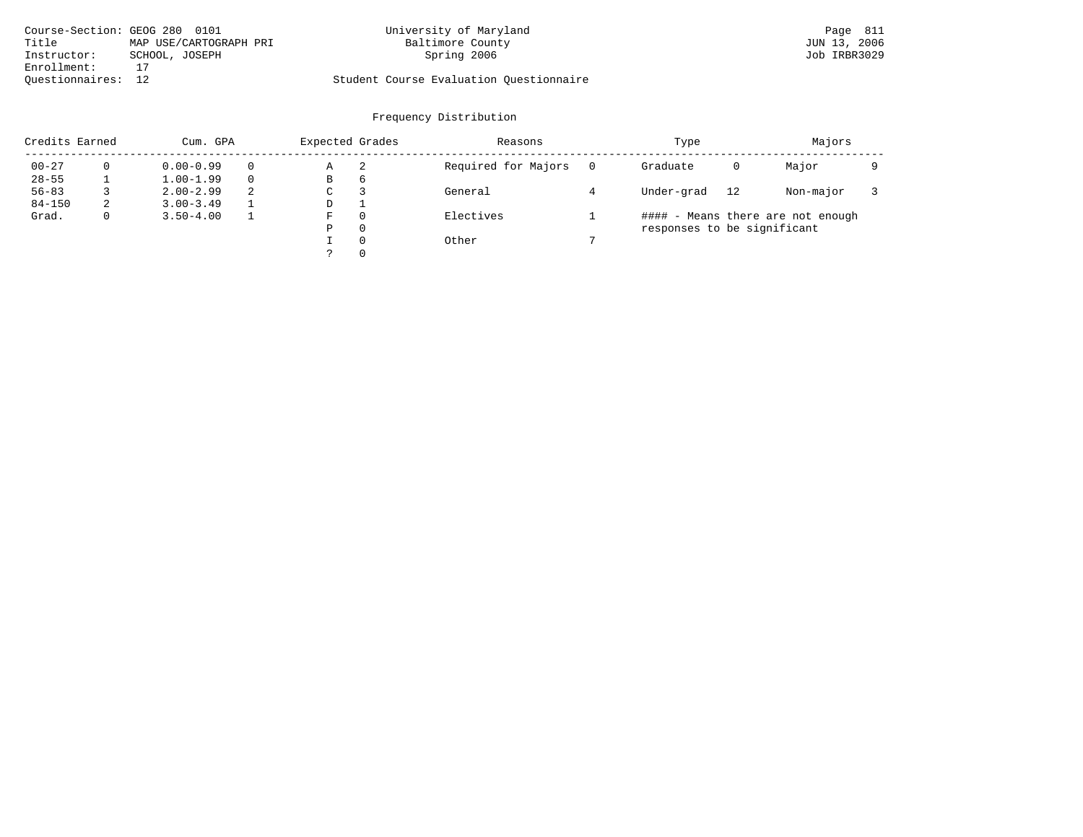| Course-Section: GEOG 280 0101 |                        | University of Maryland                  | Page 811     |
|-------------------------------|------------------------|-----------------------------------------|--------------|
| Title                         | MAP USE/CARTOGRAPH PRI | Baltimore County                        | JUN 13, 2006 |
| Instructor:                   | SCHOOL, JOSEPH         | Spring 2006                             | Job IRBR3029 |
| Enrollment:                   |                        |                                         |              |
| Ouestionnaires: 12            |                        | Student Course Evaluation Questionnaire |              |

| Credits Earned |   | Cum. GPA      |          | Expected Grades |          | Reasons             | Type                        |    | Majors                            |  |
|----------------|---|---------------|----------|-----------------|----------|---------------------|-----------------------------|----|-----------------------------------|--|
| $00 - 27$      |   | $0.00 - 0.99$ | $\Omega$ | Α               | 2        | Required for Majors | Graduate                    | 0  | Major                             |  |
| $28 - 55$      |   | $1.00 - 1.99$ | $\Omega$ | B               | 6        |                     |                             |    |                                   |  |
| $56 - 83$      |   | $2.00 - 2.99$ | 2        | C               |          | General             | Under-grad                  | 12 | Non-major                         |  |
| $84 - 150$     | z | $3.00 - 3.49$ |          | D               |          |                     |                             |    |                                   |  |
| Grad.          |   | $3.50 - 4.00$ |          | F               | $\Omega$ | Electives           |                             |    | #### - Means there are not enough |  |
|                |   |               |          | Ρ               | 0        |                     | responses to be significant |    |                                   |  |
|                |   |               |          |                 | $\Omega$ | Other               |                             |    |                                   |  |
|                |   |               |          |                 | $\Omega$ |                     |                             |    |                                   |  |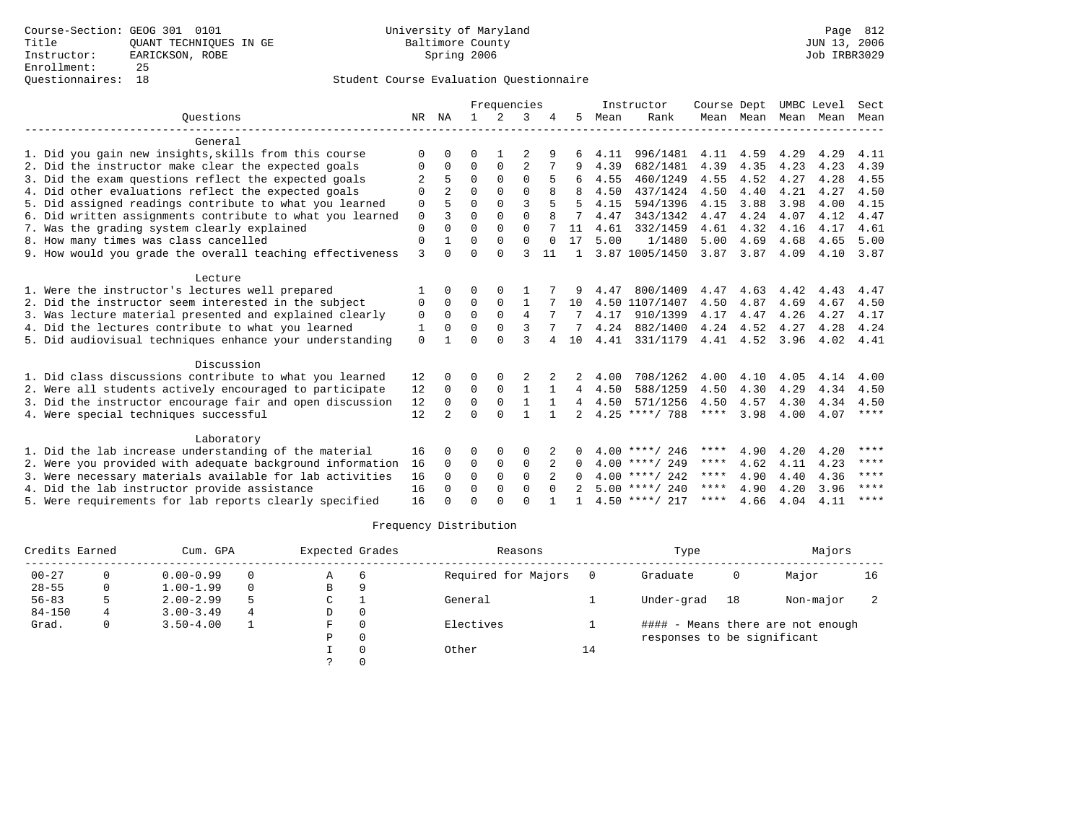|                                                           |             |                |              | Frequencies   |                |          |               |      | Instructor       | Course Dept |           | UMBC Level |      | Sect        |
|-----------------------------------------------------------|-------------|----------------|--------------|---------------|----------------|----------|---------------|------|------------------|-------------|-----------|------------|------|-------------|
| Ouestions                                                 |             | NR NA          | $\mathbf{1}$ | $\mathcal{L}$ | 3              |          | 5.            | Mean | Rank             |             | Mean Mean | Mean       | Mean | Mean        |
| General                                                   |             |                |              |               |                |          |               |      |                  |             |           |            |      |             |
| 1. Did you gain new insights, skills from this course     | $\Omega$    | 0              | 0            |               |                | 9        |               | 4.11 | 996/1481         | 4.11        | 4.59      | 4.29       | 4.29 | 4.11        |
| 2. Did the instructor make clear the expected goals       | 0           | $\Omega$       | 0            | 0             | $\overline{2}$ |          |               | 4.39 | 682/1481         | 4.39        | 4.35      | 4.23       | 4.23 | 4.39        |
| 3. Did the exam questions reflect the expected goals      |             |                | $\Omega$     | $\Omega$      | $\Omega$       |          | 6             | 4.55 | 460/1249         | 4.55        | 4.52      | 4.27       | 4.28 | 4.55        |
| 4. Did other evaluations reflect the expected goals       | $\Omega$    | $\overline{a}$ | $\Omega$     | $\Omega$      | $\Omega$       |          | R             | 4.50 | 437/1424         | 4.50        | 4.40      | 4.21       | 4.27 | 4.50        |
| 5. Did assigned readings contribute to what you learned   | 0           | 5              | $\Omega$     | $\Omega$      | 3              |          | 5             | 4.15 | 594/1396         | 4.15        | 3.88      | 3.98       | 4.00 | 4.15        |
| 6. Did written assignments contribute to what you learned | $\mathbf 0$ | 3              | $\Omega$     | $\Omega$      | $\Omega$       | 8        |               | 4.47 | 343/1342         | 4.47        | 4.24      | 4.07       | 4.12 | 4.47        |
| 7. Was the grading system clearly explained               | $\Omega$    |                | $\Omega$     | $\Omega$      | $\Omega$       |          | 11            | 4.61 | 332/1459         | 4.61        | 4.32      | 4.16       | 4.17 | 4.61        |
| 8. How many times was class cancelled                     | 0           |                | $\Omega$     | $\Omega$      | $\mathbf 0$    | $\Omega$ | 17            | 5.00 | 1/1480           | 5.00        | 4.69      | 4.68       | 4.65 | 5.00        |
| 9. How would you grade the overall teaching effectiveness | 3           | 0              | $\Omega$     | $\cap$        | ζ              | 11       |               |      | 3.87 1005/1450   | 3.87        | 3.87      | 4.09       | 4.10 | 3.87        |
| Lecture                                                   |             |                |              |               |                |          |               |      |                  |             |           |            |      |             |
| 1. Were the instructor's lectures well prepared           |             | 0              | O            | $\Omega$      |                |          |               | 4.47 | 800/1409         | 4.47        | 4.63      | 4.42       | 4.43 | 4.47        |
| 2. Did the instructor seem interested in the subject      | 0           | $\Omega$       | $\Omega$     | $\Omega$      | $\mathbf{1}$   |          | 10            |      | 4.50 1107/1407   | 4.50        | 4.87      | 4.69       | 4.67 | 4.50        |
| 3. Was lecture material presented and explained clearly   | 0           | $\Omega$       | $\Omega$     | $\Omega$      | 4              |          |               | 4.17 | 910/1399         | 4.17        | 4.47      | 4.26       | 4.27 | 4.17        |
| 4. Did the lectures contribute to what you learned        | 1           | O              | O            | $\Omega$      |                |          |               | 4.24 | 882/1400         | 4.24        | 4.52      | 4.27       | 4.28 | 4.24        |
| 5. Did audiovisual techniques enhance your understanding  | $\Omega$    |                | $\Omega$     | $\cap$        | ζ              | 4        | 10            | 4.41 | 331/1179         | 4.41        | 4.52      | 3.96       | 4.02 | 4.41        |
| Discussion                                                |             |                |              |               |                |          |               |      |                  |             |           |            |      |             |
| 1. Did class discussions contribute to what you learned   | 12          | 0              | 0            |               |                |          | 2             | 4.00 | 708/1262         | 4.00        | 4.10      | 4.05       | 4.14 | 4.00        |
| 2. Were all students actively encouraged to participate   | 12          | $\Omega$       | $\Omega$     | $\Omega$      | $\mathbf{1}$   |          | 4             | 4.50 | 588/1259         | 4.50        | 4.30      | 4.29       | 4.34 | 4.50        |
| 3. Did the instructor encourage fair and open discussion  | 12          | 0              | 0            | $\mathbf 0$   | 1              |          | 4             | 4.50 | 571/1256         | 4.50        | 4.57      | 4.30       | 4.34 | 4.50        |
| 4. Were special techniques successful                     | 12          | $\mathfrak{D}$ | $\Omega$     | $\cap$        | 1              |          | $\mathcal{L}$ |      | $4.25$ ****/ 788 | ****        | 3.98      | 4.00       | 4.07 | $***$ * * * |
| Laboratory                                                |             |                |              |               |                |          |               |      |                  |             |           |            |      |             |
| 1. Did the lab increase understanding of the material     | 16          | 0              | O            | $\Omega$      | $\Omega$       | 2        | 0             |      | $4.00$ ****/ 246 | ****        | 4.90      | 4.20       | 4.20 | ****        |
| 2. Were you provided with adequate background information | 16          | $\Omega$       | 0            | $\mathbf 0$   | $\mathbf 0$    |          | 0             |      | $4.00$ ****/ 249 | ****        | 4.62      | 4.11       | 4.23 | $***$ * * * |
| 3. Were necessary materials available for lab activities  | 16          | $\Omega$       | $\Omega$     | $\Omega$      | $\Omega$       |          | 0             |      | $4.00$ ****/ 242 | ****        | 4.90      | 4.40       | 4.36 | $***$ * * * |
| 4. Did the lab instructor provide assistance              | 16          | $\Omega$       | $\mathbf 0$  | 0             | $\mathbf 0$    | $\Omega$ |               |      | $5.00$ ****/ 240 | ****        | 4.90      | 4.20       | 3.96 | ****        |
| 5. Were requirements for lab reports clearly specified    | 16          | U              | $\Omega$     |               | $\cap$         |          |               |      | $4.50$ ****/ 217 | ****        | 4.66      | 4.04       | 4.11 | ****        |

| Credits Earned |   | Cum. GPA      |          | Expected Grades |     | Reasons             |    | Type                        |    | Majors                            |    |
|----------------|---|---------------|----------|-----------------|-----|---------------------|----|-----------------------------|----|-----------------------------------|----|
| $00 - 27$      |   | $0.00 - 0.99$ | $\Omega$ | Α               | - 6 | Required for Majors |    | Graduate                    | 0  | Major                             | 16 |
| $28 - 55$      | 0 | $1.00 - 1.99$ | $\Omega$ | В               | 9   |                     |    |                             |    |                                   |    |
| $56 - 83$      |   | $2.00 - 2.99$ |          | C               |     | General             |    | Under-grad                  | 18 | Non-major                         |    |
| $84 - 150$     |   | $3.00 - 3.49$ | 4        | D               |     |                     |    |                             |    |                                   |    |
| Grad.          | 0 | $3.50 - 4.00$ |          | F               |     | Electives           |    |                             |    | #### - Means there are not enough |    |
|                |   |               |          | P               |     |                     |    | responses to be significant |    |                                   |    |
|                |   |               |          |                 |     | Other               | 14 |                             |    |                                   |    |
|                |   |               |          |                 |     |                     |    |                             |    |                                   |    |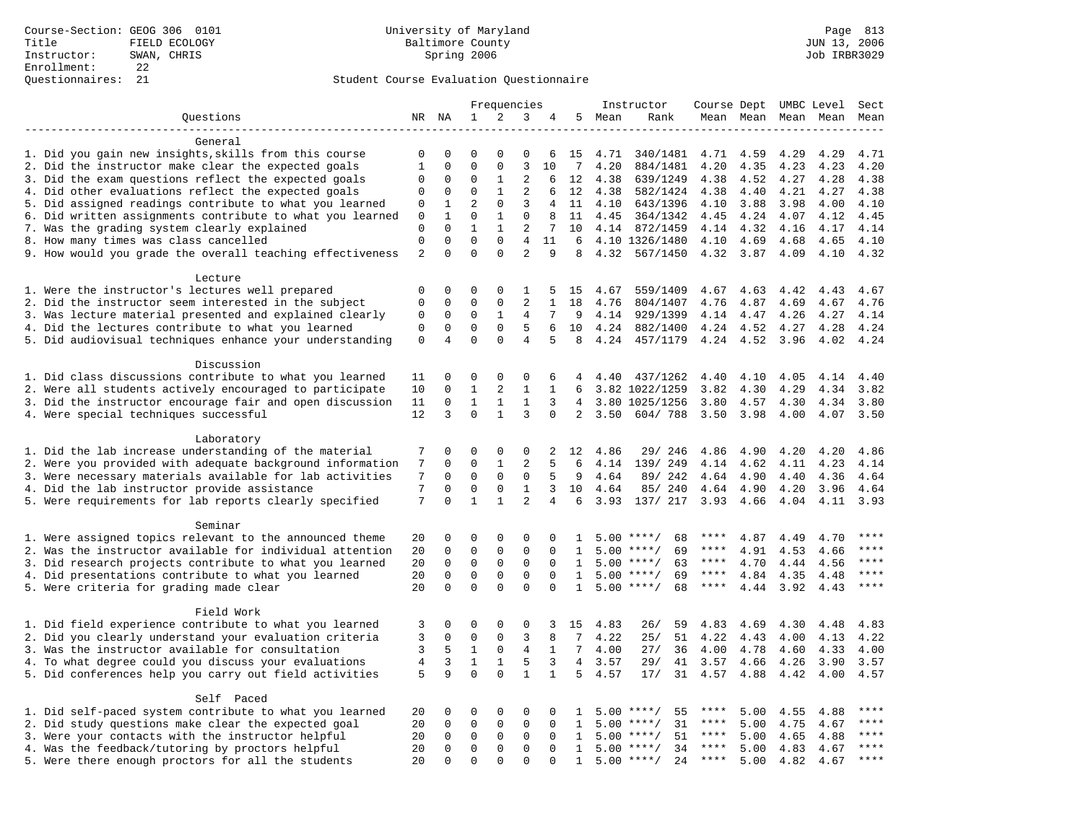|                                                           | Frequencies    |                     |                              |                         | Instructor     |                |                 | Course Dept |                          |                            | UMBC Level | Sect |           |              |
|-----------------------------------------------------------|----------------|---------------------|------------------------------|-------------------------|----------------|----------------|-----------------|-------------|--------------------------|----------------------------|------------|------|-----------|--------------|
| Questions                                                 |                | NR NA               | 1                            | 2                       | 3              | 4              | 5               | Mean        | Rank                     |                            | Mean Mean  |      | Mean Mean | Mean         |
|                                                           |                |                     |                              |                         |                |                |                 |             |                          |                            |            |      |           |              |
| General                                                   |                |                     |                              |                         |                |                |                 |             |                          |                            |            |      |           |              |
| 1. Did you gain new insights, skills from this course     | 0              | 0                   | $\Omega$                     | $\Omega$                | $\Omega$       | 6              | 15              | 4.71        | 340/1481                 | 4.71                       | 4.59       | 4.29 | 4.29      | 4.71         |
| 2. Did the instructor make clear the expected goals       | $\mathbf{1}$   | $\mathbf 0$         | $\mathbf 0$                  | $\mathbf 0$             | 3              | 10             | 7               | 4.20        | 884/1481                 | 4.20                       | 4.35       | 4.23 | 4.23      | 4.20         |
| 3. Did the exam questions reflect the expected goals      | 0              | 0                   | $\mathbf 0$                  | 1                       | 2              | 6              | 12              | 4.38        | 639/1249                 | 4.38                       | 4.52       | 4.27 | 4.28      | 4.38         |
| 4. Did other evaluations reflect the expected goals       | $\mathbf 0$    | 0                   | $\mathbf{0}$                 | $\mathbf{1}$            | 2              | 6              | 12              | 4.38        | 582/1424                 | 4.38                       | 4.40       | 4.21 | 4.27      | 4.38         |
| 5. Did assigned readings contribute to what you learned   | $\mathbf 0$    | $\mathbf{1}$        | $\overline{2}$               | $\mathbf 0$             | 3              | 4              | 11              | 4.10        | 643/1396                 | 4.10                       | 3.88       | 3.98 | 4.00      | 4.10         |
| 6. Did written assignments contribute to what you learned | $\mathbf 0$    | $\mathbf{1}$        | $\mathbf{0}$                 | $\mathbf{1}$            | $\mathbf{0}$   | 8              | 11              | 4.45        | 364/1342                 | 4.45                       | 4.24       | 4.07 | 4.12      | 4.45         |
| 7. Was the grading system clearly explained               | $\overline{0}$ | $\Omega$            | $\mathbf{1}$                 | $\mathbf{1}$            | 2              | 7              | 10              |             | 4.14 872/1459            | 4.14                       | 4.32       | 4.16 | 4.17      | 4.14         |
| 8. How many times was class cancelled                     | $\mathbf 0$    | $\Omega$            | $\Omega$                     | $\Omega$                | 4              | 11             | 6               |             | 4.10 1326/1480           | 4.10                       | 4.69       | 4.68 | 4.65      | 4.10         |
| 9. How would you grade the overall teaching effectiveness | $\overline{2}$ | $\Omega$            | $\Omega$                     | $\Omega$                | $\overline{a}$ | 9              | 8               | 4.32        | 567/1450                 | 4.32                       | 3.87       | 4.09 | 4.10      | 4.32         |
| Lecture                                                   |                |                     |                              |                         |                |                |                 |             |                          |                            |            |      |           |              |
| 1. Were the instructor's lectures well prepared           | $\mathbf 0$    | 0                   | $\mathbf 0$                  | $\mathbf 0$             | 1              | 5              | 15              | 4.67        | 559/1409                 | 4.67                       | 4.63       | 4.42 | 4.43      | 4.67         |
| 2. Did the instructor seem interested in the subject      | $\mathbf 0$    | $\mathbf 0$         | $\mathbf{0}$                 | $\mathbf 0$             | 2              | 1              | 18              | 4.76        | 804/1407                 | 4.76                       | 4.87       | 4.69 | 4.67      | 4.76         |
| 3. Was lecture material presented and explained clearly   | 0              | 0                   | $\mathbf 0$                  | 1                       | 4              | 7              | 9               | 4.14        | 929/1399                 | 4.14                       | 4.47       | 4.26 | 4.27      | 4.14         |
| 4. Did the lectures contribute to what you learned        | $\mathsf 0$    | $\Omega$            | $\mathbf 0$                  | $\Omega$                | 5              | 6              | 10              | 4.24        | 882/1400                 | 4.24                       | 4.52       | 4.27 | 4.28      | 4.24         |
| 5. Did audiovisual techniques enhance your understanding  | $\mathbf 0$    | $\overline{4}$      | $\Omega$                     | $\Omega$                | $\overline{4}$ | 5              | 8               | 4.24        | 457/1179                 | 4.24                       | 4.52       | 3.96 | 4.02      | 4.24         |
|                                                           |                |                     |                              |                         |                |                |                 |             |                          |                            |            |      |           |              |
| Discussion                                                |                |                     |                              |                         |                |                |                 |             |                          |                            |            |      |           |              |
| 1. Did class discussions contribute to what you learned   | 11             | 0                   | $\mathbf{0}$                 | $\mathbf 0$             | 0              | 6              | 4               | 4.40        | 437/1262                 | 4.40                       | 4.10       | 4.05 | 4.14      | 4.40         |
| 2. Were all students actively encouraged to participate   | 10             | $\mathbf 0$         | $\mathbf 1$                  | $\mathbf{2}$            | $\mathbf{1}$   | 1              | $6\overline{6}$ |             | 3.82 1022/1259           | 3.82                       | 4.30       | 4.29 | 4.34      | 3.82         |
| 3. Did the instructor encourage fair and open discussion  | 11             | $\mathbf 0$         | $\mathbf{1}$                 | $\mathbf{1}$            | $\mathbf{1}$   | 3              | 4               |             | 3.80 1025/1256           | 3.80                       | 4.57       | 4.30 | 4.34      | 3.80         |
| 4. Were special techniques successful                     | 12             | 3                   | $\Omega$                     | $\mathbf{1}$            | 3              | $\Omega$       | 2               | 3.50        | 604/788                  | 3.50                       | 3.98       | 4.00 | 4.07      | 3.50         |
|                                                           |                |                     |                              |                         |                |                |                 |             |                          |                            |            |      |           |              |
| Laboratory                                                |                |                     |                              |                         |                |                |                 |             |                          |                            |            |      |           |              |
| 1. Did the lab increase understanding of the material     | 7              | 0                   | $\mathbf 0$                  | $\mathsf 0$             | 0              | 2              | 12              | 4.86        | 29/ 246                  | 4.86                       | 4.90       | 4.20 | 4.20      | 4.86         |
| 2. Were you provided with adequate background information | 7              | 0                   | $\mathbf{0}$                 | 1                       | $\overline{2}$ | 5              | 6               | 4.14        | 139/ 249                 | 4.14                       | 4.62       | 4.11 | 4.23      | 4.14         |
| 3. Were necessary materials available for lab activities  | 7              | 0                   | $\mathbf{0}$                 | $\mathbf 0$             | 0              | 5              | 9               | 4.64        | 89/ 242                  | 4.64                       | 4.90       | 4.40 | 4.36      | 4.64         |
| 4. Did the lab instructor provide assistance              | 7              | $\Omega$            | $\mathbf{0}$                 | $\mathbf 0$             | $\mathbf{1}$   | 3              | 10              | 4.64        | 85/240                   | 4.64                       | 4.90       | 4.20 | 3.96      | 4.64         |
| 5. Were requirements for lab reports clearly specified    | 7              | $\mathbf 0$         | $\mathbf{1}$                 | $\mathbf{1}$            | $\overline{2}$ | $\overline{4}$ | 6               | 3.93        | 137/ 217                 | 3.93                       | 4.66       | 4.04 | 4.11      | 3.93         |
|                                                           |                |                     |                              |                         |                |                |                 |             |                          |                            |            |      |           |              |
| Seminar                                                   |                |                     |                              |                         |                |                |                 |             |                          |                            |            |      |           |              |
| 1. Were assigned topics relevant to the announced theme   | 20             | 0                   | $\mathbf{0}$                 | $\mathbf 0$             | 0              | 0              | 1               |             | $5.00$ ****/<br>68       | ****                       | 4.87       | 4.49 | 4.70      | ****         |
| 2. Was the instructor available for individual attention  | 20             | $\mathbf 0$         | $\mathbf 0$                  | $\mathbf 0$             | $\mathbf{0}$   | $\mathbf 0$    | $\mathbf{1}$    | 5.00        | 69<br>$***/$             | ****                       | 4.91       | 4.53 | 4.66      | ****<br>**** |
| 3. Did research projects contribute to what you learned   | 20             | $\mathbf 0$         | $\mathbf 0$                  | $\mathsf 0$             | $\mathsf 0$    | $\mathbf 0$    | 1               | 5.00        | $***$ /<br>63<br>$***$ / | $***$ * * *<br>$***$ * * * | 4.70       | 4.44 | 4.56      | ****         |
| 4. Did presentations contribute to what you learned       | 20             | $\mathbf 0$         | $\mathbf{0}$<br>$\mathbf{0}$ | $\mathbf 0$<br>$\Omega$ | 0<br>$\Omega$  | $\Omega$       | 1               | 5.00        | 69                       | ****                       | 4.84       | 4.35 | 4.48      | ****         |
| 5. Were criteria for grading made clear                   | 20             | $\mathbf 0$         |                              |                         |                | $\Omega$       | $\mathbf{1}$    |             | $5.00$ ****/<br>68       |                            | 4.44       | 3.92 | 4.43      |              |
| Field Work                                                |                |                     |                              |                         |                |                |                 |             |                          |                            |            |      |           |              |
| 1. Did field experience contribute to what you learned    | 3              | 0                   | $\mathbf 0$                  | $\mathbf 0$             | 0              | 3              | 15              | 4.83        | 59<br>26/                | 4.83                       | 4.69       | 4.30 | 4.48      | 4.83         |
| 2. Did you clearly understand your evaluation criteria    | 3              | $\mathbf 0$         | $\mathbf 0$                  | $\mathbf 0$             | 3              | 8              | $7\phantom{.0}$ | 4.22        | 25/<br>51                | 4.22                       | 4.43       | 4.00 | 4.13      | 4.22         |
| 3. Was the instructor available for consultation          | 3              | 5                   | $\mathbf{1}$                 | $\mathbf 0$             | 4              | $\mathbf{1}$   | $7^{\circ}$     | 4.00        | 27/<br>36                | 4.00                       | 4.78       | 4.60 | 4.33      | 4.00         |
| 4. To what degree could you discuss your evaluations      | $\overline{4}$ | 3                   | $\mathbf{1}$                 | $\mathbf{1}$            | 5              | 3              | $\overline{4}$  | 3.57        | 29/<br>41                | 3.57                       | 4.66       | 4.26 | 3.90      | 3.57         |
| 5. Did conferences help you carry out field activities    | 5              | 9                   | $\Omega$                     | $\Omega$                | $\mathbf{1}$   | $\mathbf{1}$   | 5               | 4.57        | 17/<br>31                | 4.57                       | 4.88       | 4.42 | 4.00      | 4.57         |
|                                                           |                |                     |                              |                         |                |                |                 |             |                          |                            |            |      |           |              |
| Self Paced                                                |                |                     |                              |                         |                |                |                 |             |                          |                            |            |      |           |              |
| 1. Did self-paced system contribute to what you learned   | 20             | 0                   | $\mathbf 0$                  | $\mathbf 0$             | 0              | $\mathbf 0$    | 1               | 5.00        | $***$ /<br>55            | ****                       | 5.00       | 4.55 | 4.88      | ****         |
| 2. Did study questions make clear the expected goal       | 20             | $\Omega$            | $\mathbf 0$                  | $\mathbf 0$             | $\mathbf{0}$   | $\Omega$       | $\mathbf{1}$    | 5.00        | $***/$<br>31             | $***$ * * *                | 5.00       | 4.75 | 4.67      | ****         |
| 3. Were your contacts with the instructor helpful         | 20             | $\mathsf{O}\xspace$ | $\mathsf 0$                  | $\mathbf 0$             | $\mathsf 0$    | $\mathbf 0$    | 1               | 5.00        | 51<br>$***$ /            | $***$ * *                  | 5.00       | 4.65 | 4.88      | ****         |
| 4. Was the feedback/tutoring by proctors helpful          | 20             | $\mathbf 0$         | $\mathbf 0$                  | $\mathsf 0$             | $\mathbf 0$    | $\mathbf 0$    | $\mathbf{1}$    | 5.00        | $***/$<br>34             | $***$ * * *                | 5.00       | 4.83 | 4.67      | ****         |
| 5. Were there enough proctors for all the students        | 20             | $\Omega$            | $\mathbf{0}$                 | $\Omega$                | $\Omega$       | $\Omega$       | $\mathbf{1}$    |             | $5.00$ ****/<br>24       | $***$ * * *                | 5.00       | 4.82 | 4.67      | ****         |
|                                                           |                |                     |                              |                         |                |                |                 |             |                          |                            |            |      |           |              |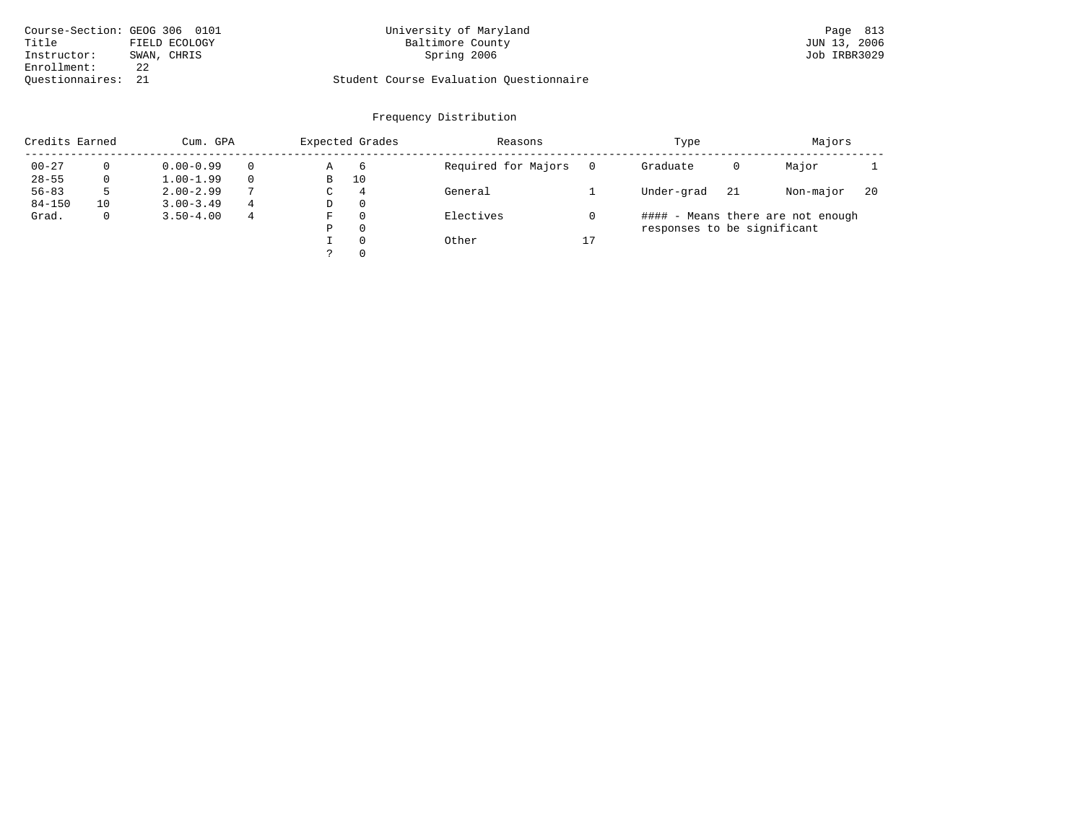| Course-Section: GEOG 306 0101 |               | University of Maryland                  | Page 813     |
|-------------------------------|---------------|-----------------------------------------|--------------|
| Title                         | FIELD ECOLOGY | Baltimore County                        | JUN 13, 2006 |
| Instructor:                   | SWAN, CHRIS   | Spring 2006                             | Job IRBR3029 |
| Enrollment:                   | 2.2           |                                         |              |
| Ouestionnaires:               |               | Student Course Evaluation Questionnaire |              |

# University of Maryland Baltimore County County and Baltimore County Bage 813

# Student Course Evaluation Questionnaire

| Credits Earned |              | Cum. GPA      |               |   | Expected Grades | Reasons             |    | Type                        |    | Majors                            |    |
|----------------|--------------|---------------|---------------|---|-----------------|---------------------|----|-----------------------------|----|-----------------------------------|----|
| $00 - 27$      |              | $0.00 - 0.99$ |               | Α | 6               | Required for Majors |    | Graduate                    | 0  | Major                             |    |
| $28 - 55$      | $\mathbf{0}$ | $1.00 - 1.99$ |               | в | 10              |                     |    |                             |    |                                   |    |
| $56 - 83$      | 5            | $2.00 - 2.99$ | $\mathcal{L}$ | C | $\overline{4}$  | General             |    | Under-grad                  | 21 | Non-major                         | 20 |
| $84 - 150$     | 10           | $3.00 - 3.49$ | 4             | D | $\Omega$        |                     |    |                             |    |                                   |    |
| Grad.          | $\mathbf{0}$ | $3.50 - 4.00$ | 4             | F | $\Omega$        | Electives           |    |                             |    | #### - Means there are not enough |    |
|                |              |               |               | Ρ | $\Omega$        |                     |    | responses to be significant |    |                                   |    |
|                |              |               |               |   | $\Omega$        | Other               | 17 |                             |    |                                   |    |
|                |              |               |               |   | $\Omega$        |                     |    |                             |    |                                   |    |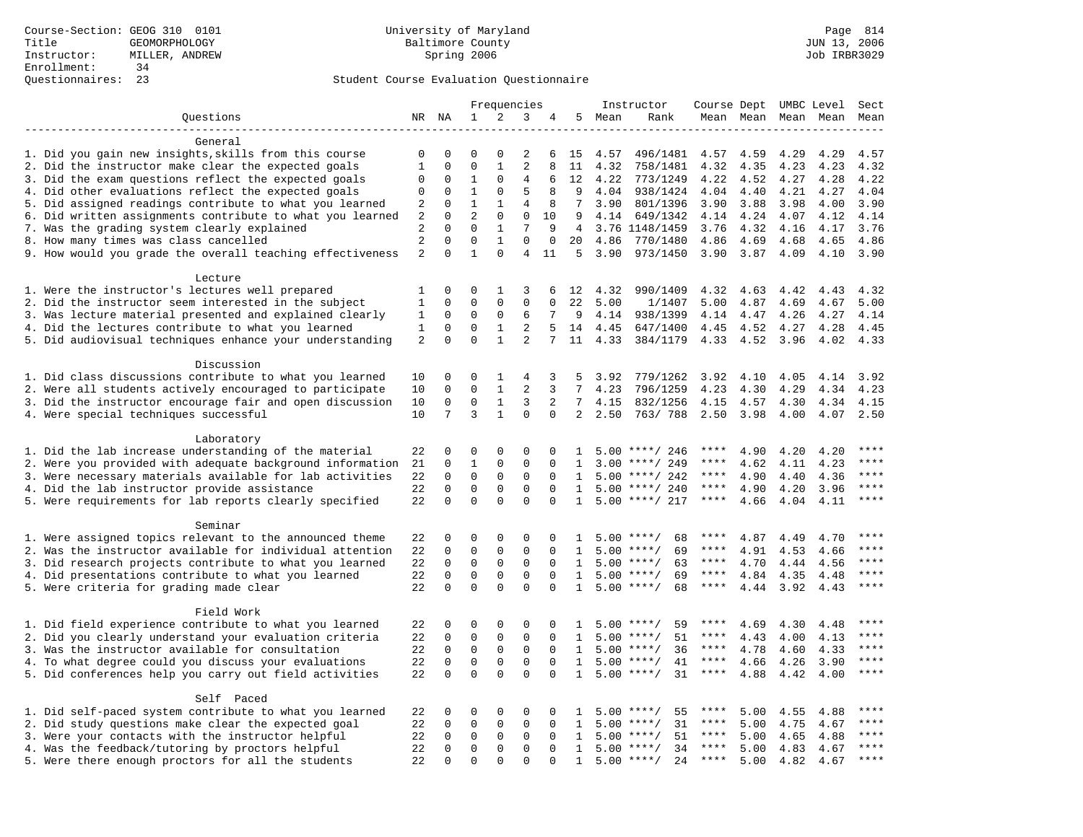### Questionnaires: 23 Student Course Evaluation Questionnaire

|                                                           |                |             |                |              | Frequencies    |             |                |        | Instructor         | Course Dept UMBC Level |      |                     |      | Sect        |
|-----------------------------------------------------------|----------------|-------------|----------------|--------------|----------------|-------------|----------------|--------|--------------------|------------------------|------|---------------------|------|-------------|
| Questions                                                 |                | NR NA       | 1              | 2            | 3              | 4           |                | 5 Mean | Rank               |                        |      | Mean Mean Mean Mean |      | Mean        |
| -------------------                                       |                |             |                |              |                |             |                |        |                    |                        |      |                     |      |             |
| General                                                   |                |             |                |              |                |             |                |        |                    |                        |      |                     |      |             |
| 1. Did you gain new insights, skills from this course     | 0              | 0           | $\Omega$       | $\Omega$     | 2              | 6           | 15             | 4.57   | 496/1481           | 4.57                   | 4.59 | 4.29                | 4.29 | 4.57        |
| 2. Did the instructor make clear the expected goals       | $\mathbf{1}$   | $\mathbf 0$ | $\Omega$       | $\mathbf{1}$ | $\overline{a}$ | 8           | 11             | 4.32   | 758/1481           | 4.32                   | 4.35 | 4.23                | 4.23 | 4.32        |
| 3. Did the exam questions reflect the expected goals      | 0              | $\mathbf 0$ | $\mathbf{1}$   | $\Omega$     | 4              | 6           | 12             | 4.22   | 773/1249           | 4.22                   | 4.52 | 4.27                | 4.28 | 4.22        |
| 4. Did other evaluations reflect the expected goals       | 0              | $\Omega$    | $\mathbf{1}$   | $\Omega$     | 5              | 8           | 9              | 4.04   | 938/1424           | 4.04                   | 4.40 | 4.21                | 4.27 | 4.04        |
| 5. Did assigned readings contribute to what you learned   | 2              | $\mathbf 0$ | $\mathbf{1}$   | $\mathbf{1}$ | $\overline{4}$ | 8           | 7              | 3.90   | 801/1396           | 3.90                   | 3.88 | 3.98                | 4.00 | 3.90        |
| 6. Did written assignments contribute to what you learned | 2              | $\mathbf 0$ | $\overline{a}$ | $\mathbf{0}$ | $\mathbf 0$    | 10          | 9              | 4.14   | 649/1342           | 4.14                   | 4.24 | 4.07                | 4.12 | 4.14        |
| 7. Was the grading system clearly explained               | 2              | $\Omega$    | $\Omega$       | $\mathbf{1}$ | 7              | 9           | $\overline{4}$ |        | 3.76 1148/1459     | 3.76                   | 4.32 | 4.16                | 4.17 | 3.76        |
| 8. How many times was class cancelled                     | $\overline{2}$ | $\mathbf 0$ | $\mathbf 0$    | $\mathbf{1}$ | $\mathbf 0$    | $\mathbf 0$ | 20             | 4.86   | 770/1480           | 4.86                   | 4.69 | 4.68                | 4.65 | 4.86        |
| 9. How would you grade the overall teaching effectiveness | 2              | $\Omega$    | $\mathbf{1}$   | $\Omega$     | 4              | 11          | 5              | 3.90   | 973/1450           | 3.90                   | 3.87 | 4.09                | 4.10 | 3.90        |
| Lecture                                                   |                |             |                |              |                |             |                |        |                    |                        |      |                     |      |             |
| 1. Were the instructor's lectures well prepared           | 1              | $\Omega$    | $\Omega$       | 1            | 3              | 6           | 12             | 4.32   | 990/1409           | 4.32                   | 4.63 | 4.42                | 4.43 | 4.32        |
| 2. Did the instructor seem interested in the subject      | $\mathbf 1$    | $\mathsf 0$ | $\Omega$       | $\Omega$     | 0              | $\Omega$    | 22             | 5.00   | 1/1407             | 5.00                   | 4.87 | 4.69                | 4.67 | 5.00        |
| 3. Was lecture material presented and explained clearly   | 1              | 0           | $\mathbf 0$    | 0            | 6              | 7           | 9              | 4.14   | 938/1399           | 4.14                   | 4.47 | 4.26                | 4.27 | 4.14        |
| 4. Did the lectures contribute to what you learned        | $\mathbf{1}$   | $\mathbf 0$ | $\mathbf 0$    | $\mathbf{1}$ | 2              | 5           | 14             | 4.45   | 647/1400           | 4.45                   | 4.52 | 4.27                | 4.28 | 4.45        |
| 5. Did audiovisual techniques enhance your understanding  | 2              | $\Omega$    | $\Omega$       | $\mathbf{1}$ | $\overline{2}$ | 7           | 11             | 4.33   | 384/1179           | 4.33                   | 4.52 | 3.96                | 4.02 | 4.33        |
|                                                           |                |             |                |              |                |             |                |        |                    |                        |      |                     |      |             |
| Discussion                                                |                |             |                |              |                |             |                |        |                    |                        |      |                     |      |             |
| 1. Did class discussions contribute to what you learned   | 10             | 0           | 0              | 1            | 4              | 3           | 5              | 3.92   | 779/1262           | 3.92                   | 4.10 | 4.05                | 4.14 | 3.92        |
| 2. Were all students actively encouraged to participate   | 10             | $\Omega$    | $\Omega$       | $\mathbf{1}$ | $\overline{a}$ | 3           | 7              | 4.23   | 796/1259           | 4.23                   | 4.30 | 4.29                | 4.34 | 4.23        |
| 3. Did the instructor encourage fair and open discussion  | 10             | $\mathsf 0$ | $\mathbf 0$    | $\mathbf{1}$ | 3              | 2           | 7              | 4.15   | 832/1256           | 4.15                   | 4.57 | 4.30                | 4.34 | 4.15        |
| 4. Were special techniques successful                     | 10             | 7           | 3              | $\mathbf{1}$ | $\mathbf 0$    | $\Omega$    | $\overline{2}$ | 2.50   | 763/788            | 2.50                   | 3.98 | 4.00                | 4.07 | 2.50        |
|                                                           |                |             |                |              |                |             |                |        |                    |                        |      |                     |      |             |
| Laboratory                                                |                |             |                |              |                |             |                |        |                    |                        |      |                     |      |             |
| 1. Did the lab increase understanding of the material     | 22             | 0           | 0              | $\mathbf 0$  | $\Omega$       | 0           | $\mathbf{1}$   |        | $5.00$ ****/ 246   | ****                   | 4.90 | 4.20                | 4.20 | ****        |
| 2. Were you provided with adequate background information | 21             | 0           | 1              | $\mathbf 0$  | $\mathbf 0$    | $\Omega$    | 1              | 3.00   | ****/ 249          | ****                   | 4.62 | 4.11                | 4.23 | ****        |
| 3. Were necessary materials available for lab activities  | 22             | $\mathbf 0$ | $\mathbf 0$    | $\mathbf 0$  | $\mathbf 0$    | $\Omega$    | $\mathbf{1}$   |        | $5.00$ ****/ 242   | ****                   | 4.90 | 4.40                | 4.36 | $***$       |
| 4. Did the lab instructor provide assistance              | 22             | $\Omega$    | $\Omega$       | $\Omega$     | $\Omega$       | $\Omega$    | $\mathbf{1}$   |        | $5.00$ ****/ 240   | ****                   | 4.90 | 4.20                | 3.96 | ****        |
| 5. Were requirements for lab reports clearly specified    | 22             | $\mathbf 0$ | $\mathbf 0$    | $\mathbf 0$  | $\mathbf 0$    | $\Omega$    | $\mathbf{1}$   |        | $5.00$ ****/ 217   | $***$ * * *            | 4.66 | 4.04                | 4.11 | ****        |
|                                                           |                |             |                |              |                |             |                |        |                    |                        |      |                     |      |             |
| Seminar                                                   |                |             |                |              |                |             |                |        |                    |                        |      |                     |      |             |
| 1. Were assigned topics relevant to the announced theme   | 22             | 0           | 0              | $\mathbf 0$  | $\mathbf 0$    | $\Omega$    | -1.            |        | $5.00$ ****/<br>68 | ****                   | 4.87 | 4.49                | 4.70 | ****        |
| 2. Was the instructor available for individual attention  | 22             | 0           | $\mathbf 0$    | 0            | $\mathbf 0$    | $\mathbf 0$ | 1              |        | $5.00$ ****/<br>69 | ****                   | 4.91 | 4.53                | 4.66 | ****        |
| 3. Did research projects contribute to what you learned   | 22             | $\mathbf 0$ | $\mathbf 0$    | $\mathbf 0$  | $\mathbf 0$    | $\Omega$    | $\mathbf{1}$   |        | $5.00$ ****/<br>63 | ****                   | 4.70 | 4.44                | 4.56 | ****        |
| 4. Did presentations contribute to what you learned       | 22             | $\mathbf 0$ | $\mathbf 0$    | $\mathbf 0$  | $\mathbf 0$    | $\Omega$    | $\mathbf{1}$   |        | $5.00$ ****/<br>69 | ****                   | 4.84 | 4.35                | 4.48 | $***$       |
| 5. Were criteria for grading made clear                   | 22             | $\Omega$    | $\Omega$       | $\Omega$     | $\Omega$       | $\Omega$    | $\mathbf{1}$   |        | $5.00$ ****/<br>68 | $***$ * * *            | 4.44 | 3.92                | 4.43 | ****        |
|                                                           |                |             |                |              |                |             |                |        |                    |                        |      |                     |      |             |
| Field Work                                                |                |             |                |              |                |             |                |        |                    | ****                   |      |                     |      | ****        |
| 1. Did field experience contribute to what you learned    | 22             | 0           | 0              | 0            | $\mathbf 0$    | 0           | 1              |        | 59<br>$5.00$ ****/ |                        | 4.69 | 4.30                | 4.48 | $***$ * * * |
| 2. Did you clearly understand your evaluation criteria    | 22             | $\mathbf 0$ | $\mathbf 0$    | $\mathbf 0$  | $\mathbf 0$    | $\Omega$    | $\mathbf{1}$   |        | 51<br>$5.00$ ****/ | ****                   | 4.43 | 4.00                | 4.13 | ****        |
| 3. Was the instructor available for consultation          | 22             | $\mathbf 0$ | $\mathbf 0$    | $\mathbf{0}$ | $\mathbf 0$    | $\Omega$    | $\mathbf{1}$   |        | 36<br>$5.00$ ****/ | ****                   | 4.78 | 4.60                | 4.33 | ****        |
| 4. To what degree could you discuss your evaluations      | 22             | $\mathbf 0$ | $\mathbf 0$    | $\mathbf 0$  | $\mathbf 0$    | $\Omega$    | $\mathbf{1}$   |        | $5.00$ ****/<br>41 | $***$ * * *            | 4.66 | 4.26                | 3.90 | $***$       |
| 5. Did conferences help you carry out field activities    | 22             | $\Omega$    | $\Omega$       | $\Omega$     | $\Omega$       | $\Omega$    | $\mathbf{1}$   |        | $5.00$ ****/<br>31 | $***$ * * *            | 4.88 | 4.42                | 4.00 |             |
| Self Paced                                                |                |             |                |              |                |             |                |        |                    |                        |      |                     |      |             |
| 1. Did self-paced system contribute to what you learned   | 22             | 0           | 0              | 0            | 0              | 0           | $\mathbf{1}$   |        | $5.00$ ****/<br>55 |                        | 5.00 | 4.55                | 4.88 | $***$ * * * |
| 2. Did study questions make clear the expected goal       | 22             | $\mathbf 0$ | $\mathbf 0$    | 0            | $\mathbf 0$    | $\mathbf 0$ | 1              |        | $5.00$ ****/<br>31 | ****                   | 5.00 | 4.75                | 4.67 | $***$       |
| 3. Were your contacts with the instructor helpful         | 22             | $\mathbf 0$ | 0              | 0            | 0              | $\Omega$    | $\mathbf{1}$   | 5.00   | $***$ /<br>51      | ****                   | 5.00 | 4.65                | 4.88 | ****        |
| 4. Was the feedback/tutoring by proctors helpful          | 22             | $\Omega$    | $\mathbf 0$    | $\mathbf{0}$ | $\Omega$       | $\Omega$    | $\mathbf{1}$   |        | $5.00$ ****/<br>34 | ****                   | 5.00 | 4.83                | 4.67 | $***$       |
| 5. Were there enough proctors for all the students        | 22             | $\Omega$    | $\Omega$       | $\Omega$     | $\Omega$       | $\Omega$    | $\mathbf{1}$   |        | $5.00$ ****/<br>24 | $***$ * * *            | 5.00 | 4.82                | 4.67 | $***$       |
|                                                           |                |             |                |              |                |             |                |        |                    |                        |      |                     |      |             |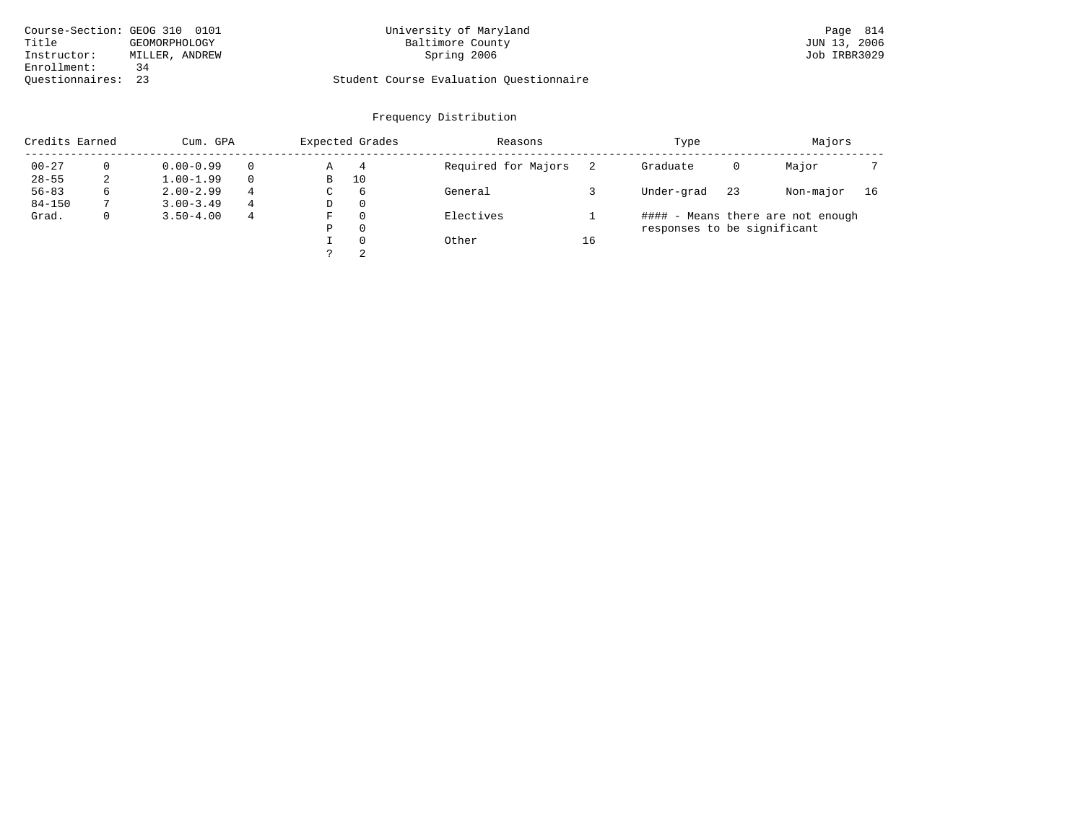| Course-Section: GEOG 310 0101 |                | University of Maryland                  | Page 814     |
|-------------------------------|----------------|-----------------------------------------|--------------|
| Title                         | GEOMORPHOLOGY  | Baltimore County                        | JUN 13, 2006 |
| Instructor:                   | MILLER, ANDREW | Spring 2006                             | Job IRBR3029 |
| Enrollment:                   |                |                                         |              |
| Ouestionnaires: 23            |                | Student Course Evaluation Questionnaire |              |

# University of Maryland Baltimore County County (Except 2006) 2006 2014 2010 2010 2011 2012 2016 2016 2017 2018

# Questionnaires: 23 Student Course Evaluation Questionnaire

| Credits Earned |   | Cum. GPA      |   | Expected Grades |          | Reasons             |    | Type                        |    | Majors                            |    |
|----------------|---|---------------|---|-----------------|----------|---------------------|----|-----------------------------|----|-----------------------------------|----|
| $00 - 27$      |   | $0.00 - 0.99$ |   | Α               | 4        | Required for Majors |    | Graduate                    | 0  | Major                             |    |
| $28 - 55$      | 2 | $1.00 - 1.99$ |   | В               | 10       |                     |    |                             |    |                                   |    |
| $56 - 83$      | 6 | $2.00 - 2.99$ | 4 | C               | 6        | General             |    | Under-grad                  | 23 | Non-major                         | 16 |
| $84 - 150$     |   | $3.00 - 3.49$ | 4 | D               | $\Omega$ |                     |    |                             |    |                                   |    |
| Grad.          | 0 | $3.50 - 4.00$ | 4 | F               | $\Omega$ | Electives           |    |                             |    | #### - Means there are not enough |    |
|                |   |               |   | Ρ               | $\Omega$ |                     |    | responses to be significant |    |                                   |    |
|                |   |               |   |                 | $\Omega$ | Other               | 16 |                             |    |                                   |    |
|                |   |               |   |                 | 2        |                     |    |                             |    |                                   |    |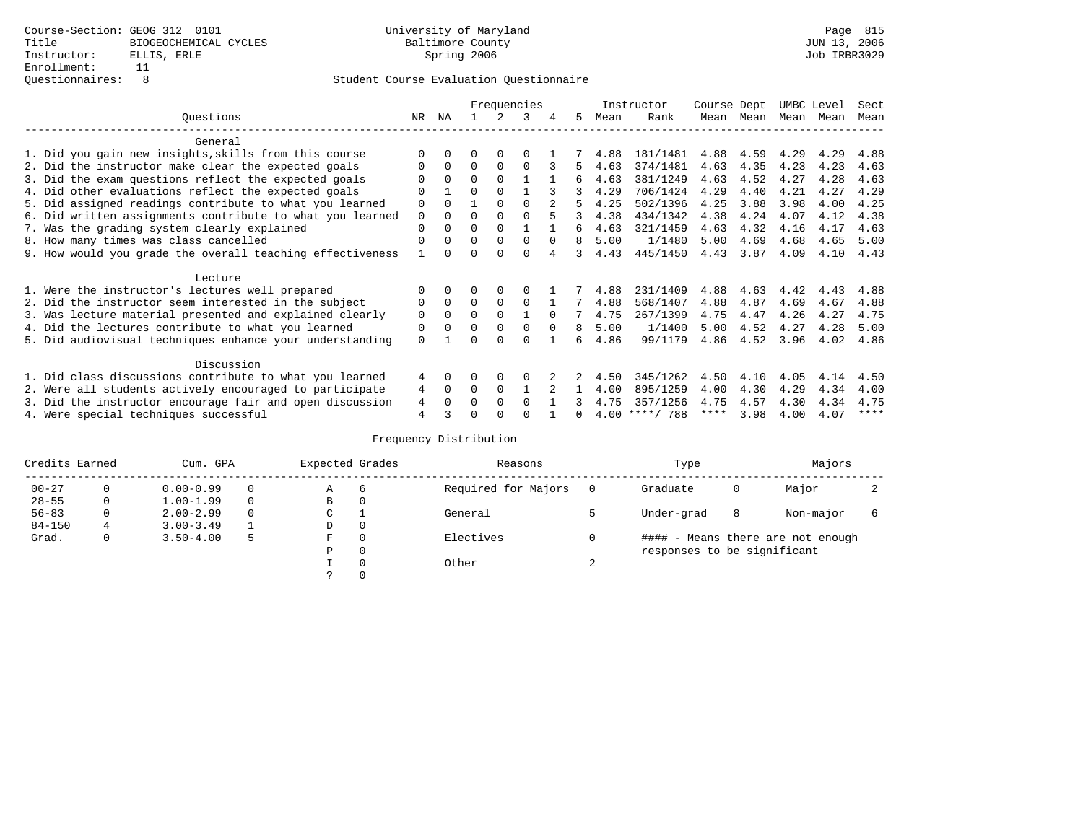|                                                           |             |          |          |          | Frequencies |          |    |      | Instructor       | Course Dept |      | UMBC Level |      | Sect |
|-----------------------------------------------------------|-------------|----------|----------|----------|-------------|----------|----|------|------------------|-------------|------|------------|------|------|
| Questions                                                 | NR          | ΝA       |          |          |             | 4        | 5  | Mean | Rank             | Mean        | Mean | Mean       | Mean | Mean |
| General                                                   |             |          |          |          |             |          |    |      |                  |             |      |            |      |      |
| 1. Did you gain new insights, skills from this course     |             |          | 0        | $\Omega$ |             |          |    | 4.88 | 181/1481         | 4.88        | 4.59 | 4.29       | 4.29 | 4.88 |
| 2. Did the instructor make clear the expected goals       |             | $\Omega$ | $\Omega$ | $\Omega$ | $\Omega$    |          | 5. | 4.63 | 374/1481         | 4.63        | 4.35 | 4.23       | 4.23 | 4.63 |
| 3. Did the exam questions reflect the expected goals      |             | $\Omega$ | 0        | $\Omega$ |             |          | б. | 4.63 | 381/1249         | 4.63        | 4.52 | 4.27       | 4.28 | 4.63 |
| 4. Did other evaluations reflect the expected goals       | $\Omega$    |          | $\Omega$ | $\Omega$ |             |          | 3  | 4.29 | 706/1424         | 4.29        | 4.40 | 4.21       | 4.27 | 4.29 |
| 5. Did assigned readings contribute to what you learned   | $\mathbf 0$ | $\cap$   |          | $\Omega$ |             |          | 5  | 4.25 | 502/1396         | 4.25        | 3.88 | 3.98       | 4.00 | 4.25 |
| 6. Did written assignments contribute to what you learned | 0           | $\Omega$ | O        |          |             |          | 3  | 4.38 | 434/1342         | 4.38        | 4.24 | 4.07       | 4.12 | 4.38 |
| 7. Was the grading system clearly explained               | $\Omega$    |          | 0        | $\Omega$ |             |          | 6  | 4.63 | 321/1459         | 4.63        | 4.32 | 4.16       | 4.17 | 4.63 |
| 8. How many times was class cancelled                     | $\Omega$    | $\Omega$ | 0        | $\Omega$ | $\Omega$    | $\Omega$ | 8  | 5.00 | 1/1480           | 5.00        | 4.69 | 4.68       | 4.65 | 5.00 |
| 9. How would you grade the overall teaching effectiveness |             |          |          |          | U           |          | २  | 4.43 | 445/1450         | 4.43        | 3.87 | 4.09       | 4.10 | 4.43 |
| Lecture                                                   |             |          |          |          |             |          |    |      |                  |             |      |            |      |      |
| 1. Were the instructor's lectures well prepared           |             |          |          |          |             |          |    | 4.88 | 231/1409         | 4.88        | 4.63 | 4.42       | 4.43 | 4.88 |
| 2. Did the instructor seem interested in the subject      | 0           | $\Omega$ | $\Omega$ | $\Omega$ | $\Omega$    |          |    | 4.88 | 568/1407         | 4.88        | 4.87 | 4.69       | 4.67 | 4.88 |
| 3. Was lecture material presented and explained clearly   | 0           | $\Omega$ | 0        |          |             | $\Omega$ |    | 4.75 | 267/1399         | 4.75        | 4.47 | 4.26       | 4.27 | 4.75 |
| 4. Did the lectures contribute to what you learned        | 0           |          | 0        | $\Omega$ |             | $\Omega$ | 8  | 5.00 | 1/1400           | 5.00        | 4.52 | 4.27       | 4.28 | 5.00 |
| 5. Did audiovisual techniques enhance your understanding  | $\Omega$    |          |          |          | $\cap$      |          | 6  | 4.86 | 99/1179          | 4.86        | 4.52 | 3.96       | 4.02 | 4.86 |
| Discussion                                                |             |          |          |          |             |          |    |      |                  |             |      |            |      |      |
| 1. Did class discussions contribute to what you learned   | 4           | 0        | 0        | $\Omega$ |             |          |    | 4.50 | 345/1262         | 4.50        | 4.10 | 4.05       | 4.14 | 4.50 |
| 2. Were all students actively encouraged to participate   | 4           | $\Omega$ | $\Omega$ | $\Omega$ |             |          |    | 4.00 | 895/1259         | 4.00        | 4.30 | 4.29       | 4.34 | 4.00 |
| 3. Did the instructor encourage fair and open discussion  | 4           | $\Omega$ | 0        | $\Omega$ | $\Omega$    |          |    | 4.75 | 357/1256         | 4.75        | 4.57 | 4.30       | 4.34 | 4.75 |
| 4. Were special techniques successful                     | 4           |          |          |          |             |          |    |      | $4.00$ ****/ 788 | ****        | 3.98 | 4.00       | 4.07 | **** |

| Credits Earned |          | Cum. GPA      |   | Expected Grades |          | Reasons             |          | Type                        |   | Majors                            |  |
|----------------|----------|---------------|---|-----------------|----------|---------------------|----------|-----------------------------|---|-----------------------------------|--|
| $00 - 27$      | $\Omega$ | $0.00 - 0.99$ |   | Α               | 6        | Required for Majors | $\Omega$ | Graduate                    | 0 | Major                             |  |
| $28 - 55$      | 0        | $1.00 - 1.99$ |   | B               | 0        |                     |          |                             |   |                                   |  |
| $56 - 83$      | $\Omega$ | $2.00 - 2.99$ |   | C               |          | General             |          | Under-grad                  | 8 | Non-major                         |  |
| $84 - 150$     | 4        | $3.00 - 3.49$ |   | D               | 0        |                     |          |                             |   |                                   |  |
| Grad.          | 0        | $3.50 - 4.00$ | 5 | F               | $\Omega$ | Electives           | 0        |                             |   | #### - Means there are not enough |  |
|                |          |               |   | Ρ               | 0        |                     |          | responses to be significant |   |                                   |  |
|                |          |               |   |                 | 0        | Other               | $\sim$   |                             |   |                                   |  |
|                |          |               |   | $\mathcal{L}$   |          |                     |          |                             |   |                                   |  |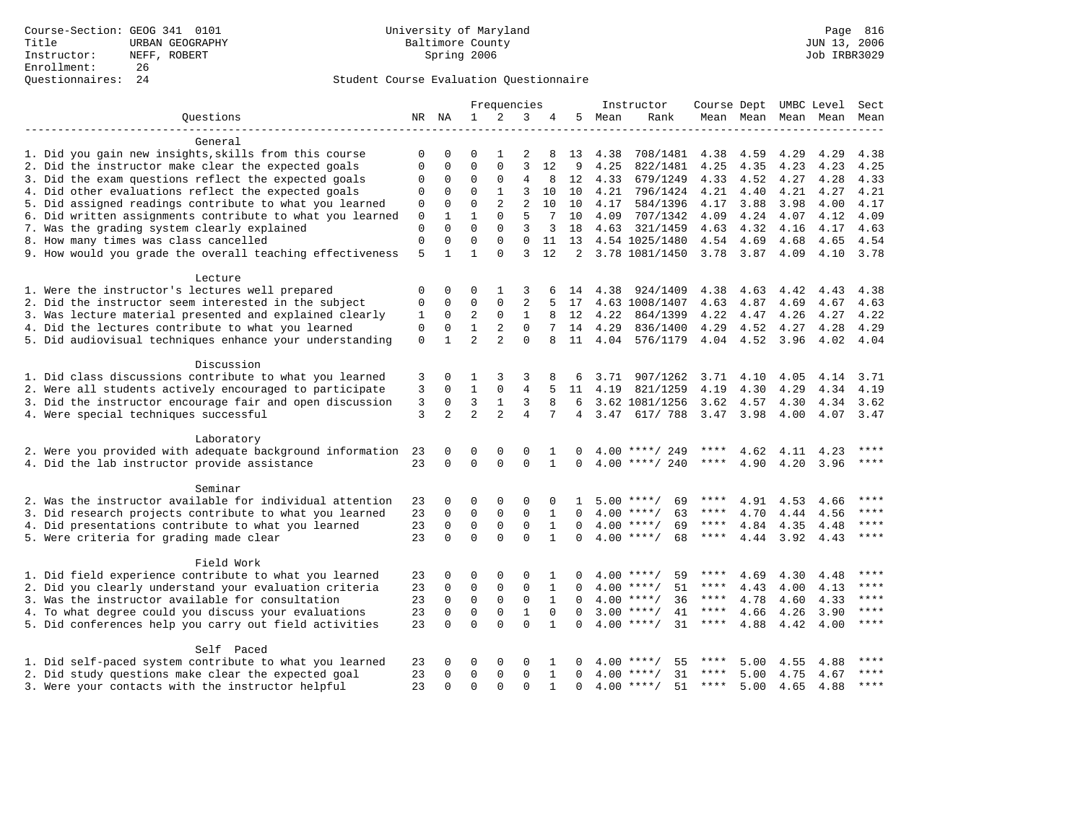|                                                           |              |                |                | Frequencies    |                |              |                 |      | Instructor         | Course Dept UMBC Level |               |           |                          | Sect        |
|-----------------------------------------------------------|--------------|----------------|----------------|----------------|----------------|--------------|-----------------|------|--------------------|------------------------|---------------|-----------|--------------------------|-------------|
| Questions                                                 |              | NR NA          | $\mathbf{1}$   | 2              | 3              | 4            | 5               | Mean | Rank               |                        |               |           | Mean Mean Mean Mean Mean |             |
|                                                           |              |                |                |                |                |              |                 |      |                    |                        |               |           |                          |             |
| General                                                   |              |                |                |                |                |              |                 |      |                    |                        |               |           |                          |             |
| 1. Did you gain new insights, skills from this course     | 0            | $\Omega$       | $\Omega$       |                | 2              | 8            | 13              | 4.38 | 708/1481           | 4.38                   | 4.59          | 4.29      | 4.29                     | 4.38        |
| 2. Did the instructor make clear the expected goals       | $\Omega$     | 0              | $\Omega$       | 0              | 3              | 12           | 9               | 4.25 | 822/1481           | 4.25                   | 4.35          | 4.23      | 4.23                     | 4.25        |
| 3. Did the exam questions reflect the expected goals      | 0            | 0              | $\Omega$       | 0              | $\overline{4}$ | 8            | 12              | 4.33 | 679/1249           | 4.33                   | 4.52          | 4.27      | 4.28                     | 4.33        |
| 4. Did other evaluations reflect the expected goals       | $\Omega$     | 0              | $\Omega$       | $\mathbf{1}$   | 3              | 10           | 10              | 4.21 | 796/1424           | 4.21                   | 4.40          | 4.21      | 4.27                     | 4.21        |
| 5. Did assigned readings contribute to what you learned   | $\mathbf 0$  | $\Omega$       | $\Omega$       | $\overline{a}$ | $\overline{a}$ | 10           | 10              | 4.17 | 584/1396           | 4.17                   | 3.88          | 3.98      | 4.00                     | 4.17        |
| 6. Did written assignments contribute to what you learned | $\mathbf{0}$ | $\mathbf{1}$   | 1              | $\Omega$       | 5              | 7            | 10              | 4.09 | 707/1342           | 4.09                   | 4.24          | 4.07      | 4.12                     | 4.09        |
| 7. Was the grading system clearly explained               | $\Omega$     | $\Omega$       | $\Omega$       | $\Omega$       | 3              | 3            | 18              | 4.63 | 321/1459           | 4.63                   | 4.32          | 4.16      | 4.17                     | 4.63        |
| 8. How many times was class cancelled                     | $\mathsf 0$  | 0              | $\Omega$       | $\Omega$       | $\Omega$       | 11           | 13              |      | 4.54 1025/1480     | 4.54                   | 4.69          | 4.68      | 4.65                     | 4.54        |
| 9. How would you grade the overall teaching effectiveness | 5            | $\mathbf{1}$   | 1              | $\Omega$       | 3              | 12           |                 |      | 2 3.78 1081/1450   | 3.78 3.87              |               | 4.09      | 4.10 3.78                |             |
| Lecture                                                   |              |                |                |                |                |              |                 |      |                    |                        |               |           |                          |             |
| 1. Were the instructor's lectures well prepared           | 0            | 0              | 0              | 1              | 3              |              | 14              | 4.38 | 924/1409           | 4.38                   | 4.63          | 4.42      | 4.43                     | 4.38        |
| 2. Did the instructor seem interested in the subject      | $\Omega$     | 0              | $\mathbf{0}$   | 0              | $\overline{2}$ | 5            | 17              |      | 4.63 1008/1407     | 4.63                   | 4.87          | 4.69      | 4.67                     | 4.63        |
| 3. Was lecture material presented and explained clearly   | 1            | $\mathbf 0$    | 2              | 0              | $\mathbf{1}$   | 8            | 12              | 4.22 | 864/1399           | 4.22                   | 4.47          | 4.26      | 4.27                     | 4.22        |
| 4. Did the lectures contribute to what you learned        | $\mathbf 0$  | $\Omega$       | $\mathbf{1}$   | $\overline{2}$ | $\Omega$       |              | 14              | 4.29 | 836/1400           | 4.29                   | 4.52          | 4.27      | 4.28                     | 4.29        |
| 5. Did audiovisual techniques enhance your understanding  | $\mathbf 0$  | $\mathbf{1}$   | $\overline{a}$ | $\overline{a}$ | $\Omega$       |              | 11              | 4.04 | 576/1179           |                        | $4.04$ $4.52$ | 3.96      | 4.02                     | 4.04        |
|                                                           |              |                |                |                |                |              |                 |      |                    |                        |               |           |                          |             |
| Discussion                                                |              |                |                |                |                |              |                 |      |                    |                        |               |           |                          |             |
| 1. Did class discussions contribute to what you learned   | 3            | 0              | 1              | 3              | 3              | 8            | 6               | 3.71 | 907/1262           | 3.71                   | 4.10          | 4.05      | 4.14                     | 3.71        |
| 2. Were all students actively encouraged to participate   | 3            | $\Omega$       | $\mathbf{1}$   | 0              | 4              | 5            | 11              | 4.19 | 821/1259           | 4.19                   | 4.30          | 4.29      | 4.34                     | 4.19        |
| 3. Did the instructor encourage fair and open discussion  | 3            | $\mathbf 0$    | 3              | $\mathbf{1}$   | 3              | 8            | 6               |      | 3.62 1081/1256     | 3.62                   | 4.57          | 4.30      | 4.34                     | 3.62        |
| 4. Were special techniques successful                     | 3            | $\overline{2}$ | $\overline{a}$ | $\overline{a}$ | $\overline{4}$ | 7            | $4\overline{ }$ |      | 3.47 617/788       | 3.47 3.98              |               | 4.00      | 4.07                     | 3.47        |
| Laboratory                                                |              |                |                |                |                |              |                 |      |                    |                        |               |           |                          |             |
| 2. Were you provided with adequate background information | 23           | 0              | 0              | $\Omega$       | $\mathbf 0$    |              |                 | 4.00 | ****/ 249          |                        | 4.62          | 4.11      | 4.23                     | ****        |
| 4. Did the lab instructor provide assistance              | 23           | $\Omega$       | $\Omega$       | $\Omega$       | $\Omega$       | 1            | $\Omega$        |      | $4.00$ ****/ 240   | ****                   | 4.90          | 4.20      | 3.96                     | ****        |
|                                                           |              |                |                |                |                |              |                 |      |                    |                        |               |           |                          |             |
| Seminar                                                   |              |                |                |                |                |              |                 |      |                    |                        |               |           |                          |             |
| 2. Was the instructor available for individual attention  | 23           | 0              | $\Omega$       | $\Omega$       | $\Omega$       | 0            | 1               |      | $5.00$ ****/<br>69 |                        | 4.91          | 4.53      | 4.66                     |             |
| 3. Did research projects contribute to what you learned   | 23           | $\Omega$       | $\mathbf 0$    | $\mathbf 0$    | $\mathbf 0$    | $\mathbf{1}$ | $\Omega$        |      | $4.00$ ****/<br>63 | $***$ * *              | 4.70          | 4.44      | 4.56                     |             |
| 4. Did presentations contribute to what you learned       | 23           | 0              | $\mathbf 0$    | $\Omega$       | $\Omega$       | $\mathbf{1}$ | $\Omega$        |      | $4.00$ ****/<br>69 | $***$ * * *            | 4.84          | 4.35      | 4.48                     | ****        |
| 5. Were criteria for grading made clear                   | 23           | $\Omega$       | $\Omega$       | $\cap$         | $\Omega$       | $\mathbf{1}$ | $\Omega$        |      | $4.00$ ****/<br>68 | ****                   | 4.44          | 3.92 4.43 |                          | $***$       |
| Field Work                                                |              |                |                |                |                |              |                 |      |                    |                        |               |           |                          |             |
| 1. Did field experience contribute to what you learned    | 23           | 0              | $\Omega$       | $\Omega$       | $\Omega$       | 1            | <sup>0</sup>    |      | $4.00$ ****/<br>59 | ****                   | 4.69          | 4.30      | 4.48                     | $***$ + + + |
| 2. Did you clearly understand your evaluation criteria    | 23           | $\mathbf 0$    | $\mathbf 0$    | 0              | $\mathbf 0$    | $\mathbf{1}$ | $\Omega$        |      | 51<br>$4.00$ ****/ | ****                   | 4.43          | 4.00      | 4.13                     | ****        |
| 3. Was the instructor available for consultation          | 23           | $\Omega$       | $\Omega$       | $\mathbf 0$    | $\mathbf 0$    | $\mathbf{1}$ | $\Omega$        |      | 36<br>$4.00$ ****/ | ****                   | 4.78          | 4.60      | 4.33                     | ****        |
| 4. To what degree could you discuss your evaluations      | 23           | $\mathbf 0$    | $\mathbf 0$    | $\mathbf 0$    | $\mathbf{1}$   | $\mathbf 0$  | $\Omega$        |      | $3.00$ ****/<br>41 | $***$ * * *            | 4.66          | 4.26      | 3.90                     | $***$       |
| 5. Did conferences help you carry out field activities    | 23           | $\Omega$       | $\Omega$       | $\Omega$       | $\Omega$       | $\mathbf{1}$ | $\Omega$        |      | 31<br>$4.00$ ****/ | $***$ * * *            | 4.88          | 4.42      | 4.00                     | ****        |
|                                                           |              |                |                |                |                |              |                 |      |                    |                        |               |           |                          |             |
| Self Paced                                                |              |                |                |                |                |              |                 |      |                    |                        |               |           |                          |             |
| 1. Did self-paced system contribute to what you learned   | 23           | 0              | 0              | $\Omega$       | 0              |              | $^{\circ}$      | 4.00 | 55<br>****/        |                        | 5.00          | 4.55      | 4.88                     |             |
| 2. Did study questions make clear the expected goal       | 23           | $\Omega$       | $\Omega$       | $\Omega$       | $\Omega$       | $\mathbf{1}$ | $\Omega$        |      | $4.00$ ****/<br>31 | $***$ * * *            | 5.00          | 4.75      | 4.67                     | $***$       |
| 3. Were your contacts with the instructor helpful         | 23           | $\Omega$       | $\Omega$       | $\Omega$       | $\Omega$       | $\mathbf{1}$ | $\Omega$        |      | $4.00$ ****/<br>51 | ****                   | 5.00          | 4.65      | 4.88                     | $***$       |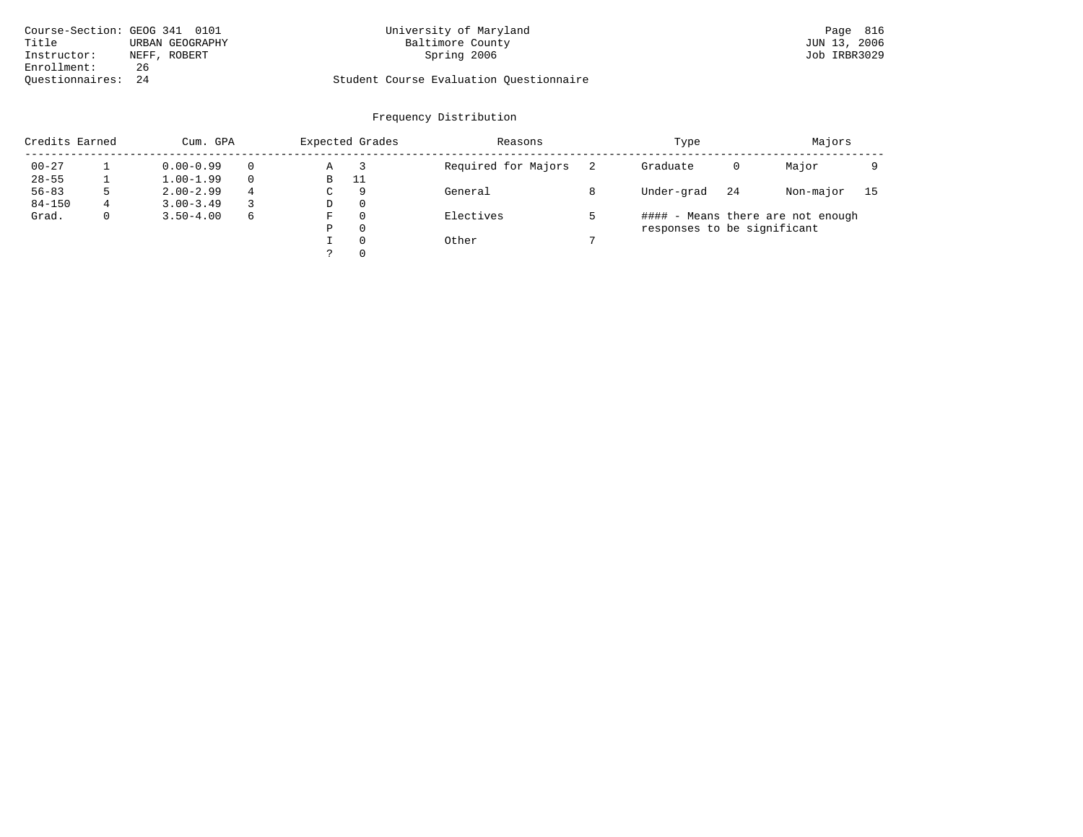| Course-Section: GEOG 341 0101 |                 | University of Maryland                  | Page 816     |
|-------------------------------|-----------------|-----------------------------------------|--------------|
| Title                         | URBAN GEOGRAPHY | Baltimore County                        | JUN 13, 2006 |
| Instructor:                   | NEFF, ROBERT    | Spring 2006                             | Job IRBR3029 |
| Enrollment:                   | 26              |                                         |              |
| Ouestionnaires: 24            |                 | Student Course Evaluation Questionnaire |              |

# University of Maryland Baltimore County County and Baltimore County Bage 816

# Questionnaires: 24 Student Course Evaluation Questionnaire

| Credits Earned |              | Cum. GPA      |   |   | Expected Grades | Reasons             | Type                        |    | Majors                            |    |
|----------------|--------------|---------------|---|---|-----------------|---------------------|-----------------------------|----|-----------------------------------|----|
| $00 - 27$      |              | $0.00 - 0.99$ |   | Α |                 | Required for Majors | Graduate                    | 0  | Major                             |    |
| $28 - 55$      |              | $1.00 - 1.99$ |   | В | 11              |                     |                             |    |                                   |    |
| $56 - 83$      |              | $2.00 - 2.99$ | 4 | C | 9               | General             | Under-grad                  | 24 | Non-major                         | 15 |
| $84 - 150$     |              | $3.00 - 3.49$ |   | D | $\Omega$        |                     |                             |    |                                   |    |
| Grad.          | $\mathbf{0}$ | $3.50 - 4.00$ | 6 | F | $\Omega$        | Electives           |                             |    | #### - Means there are not enough |    |
|                |              |               |   | Ρ | $\Omega$        |                     | responses to be significant |    |                                   |    |
|                |              |               |   |   | $\Omega$        | Other               |                             |    |                                   |    |
|                |              |               |   |   | $\Omega$        |                     |                             |    |                                   |    |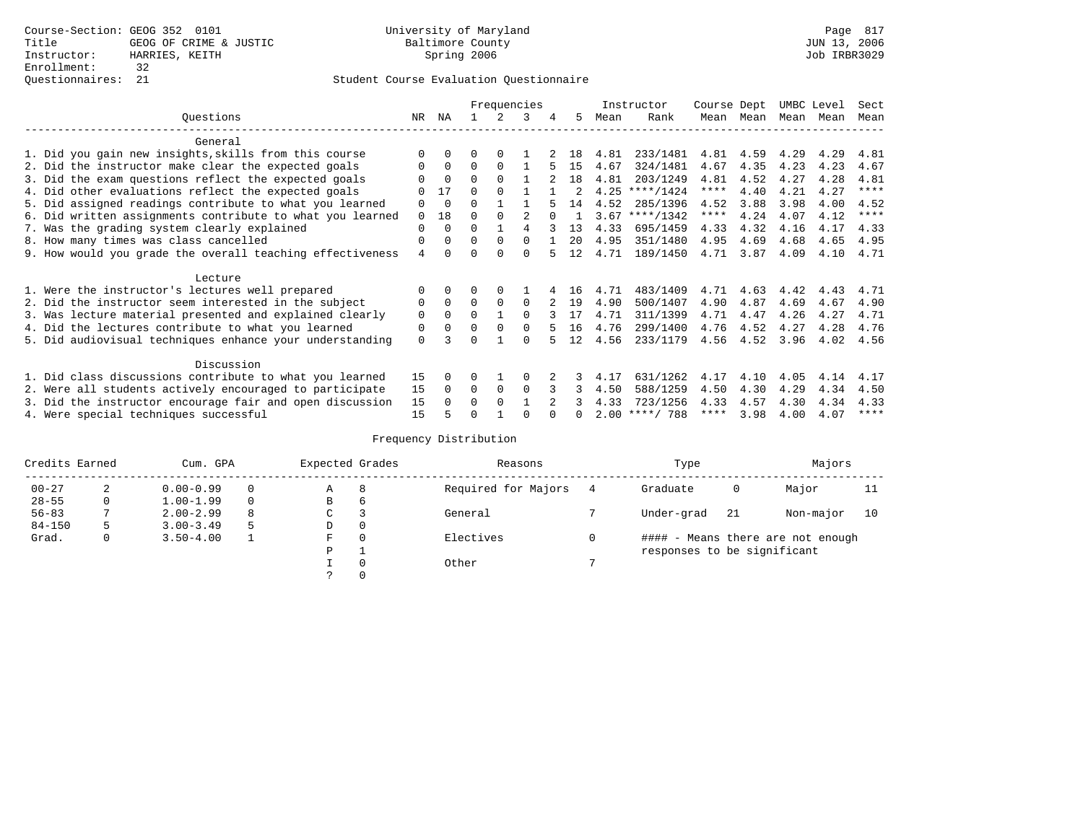### Questionnaires: 21 Student Course Evaluation Questionnaire

|                                                           |          |             |          |          | Frequencies |          |    |      | Instructor       | Course Dept |           | UMBC Level |      | Sect        |
|-----------------------------------------------------------|----------|-------------|----------|----------|-------------|----------|----|------|------------------|-------------|-----------|------------|------|-------------|
| Ouestions                                                 | NR       | ΝA          |          | 2.       | 3           | 4        | 5. | Mean | Rank             |             | Mean Mean | Mean Mean  |      | Mean        |
| General                                                   |          |             |          |          |             |          |    |      |                  |             |           |            |      |             |
| 1. Did you gain new insights, skills from this course     | $\Omega$ | $\Omega$    | $\Omega$ | $\Omega$ |             |          | 18 | 4.81 | 233/1481         | 4.81        | 4.59      | 4.29       | 4.29 | 4.81        |
| 2. Did the instructor make clear the expected goals       | O        | $\Omega$    | $\Omega$ | $\Omega$ |             | 5        | 15 | 4.67 | 324/1481         | 4.67        | 4.35      | 4.23       | 4.23 | 4.67        |
| 3. Did the exam questions reflect the expected goals      |          | $\Omega$    | $\Omega$ | $\Omega$ |             |          | 18 | 4.81 | 203/1249         | 4.81        | 4.52      | 4.27       | 4.28 | 4.81        |
| 4. Did other evaluations reflect the expected goals       |          | 17          | U        | $\Omega$ |             |          |    | 4.25 | $***/1424$       | $***$ * *   | 4.40      | 4.21       | 4.27 | ****        |
| 5. Did assigned readings contribute to what you learned   | 0        | $\Omega$    | 0        |          |             |          | 14 | 4.52 | 285/1396         | 4.52        | 3.88      | 3.98       | 4.00 | 4.52        |
| 6. Did written assignments contribute to what you learned | $\Omega$ | 18          | U        | $\Omega$ |             | $\Omega$ |    |      | $3.67$ ****/1342 | $***$ * *   | 4.24      | 4.07       | 4.12 | $***$ * * * |
| 7. Was the grading system clearly explained               | $\Omega$ | $\Omega$    | 0        |          | 4           |          | 13 | 4.33 | 695/1459         | 4.33        | 4.32      | 4.16       | 4.17 | 4.33        |
| 8. How many times was class cancelled                     | 0        | $\Omega$    | $\Omega$ | $\Omega$ | $\Omega$    |          | 20 | 4.95 | 351/1480         | 4.95        | 4.69      | 4.68       | 4.65 | 4.95        |
| 9. How would you grade the overall teaching effectiveness | 4        | $\cap$      | U        | $\cap$   | 0           |          | 12 | 4.71 | 189/1450         | 4.71        | 3.87      | 4.09       | 4.10 | 4.71        |
| Lecture                                                   |          |             |          |          |             |          |    |      |                  |             |           |            |      |             |
| 1. Were the instructor's lectures well prepared           | $\Omega$ | $\Omega$    |          |          |             |          | 16 | 4.71 | 483/1409         | 4.71        | 4.63      | 4.42       | 4.43 | 4.71        |
| 2. Did the instructor seem interested in the subject      | 0        | $\mathbf 0$ | $\Omega$ | $\Omega$ | $\Omega$    |          | 19 | 4.90 | 500/1407         | 4.90        | 4.87      | 4.69       | 4.67 | 4.90        |
| 3. Was lecture material presented and explained clearly   | 0        | $\Omega$    | 0        |          | 0           |          | 17 | 4.71 | 311/1399         | 4.71        | 4.47      | 4.26       | 4.27 | 4.71        |
| 4. Did the lectures contribute to what you learned        | 0        | $\Omega$    | $\Omega$ | $\Omega$ | 0           |          | 16 | 4.76 | 299/1400         | 4.76        | 4.52      | 4.27       | 4.28 | 4.76        |
| 5. Did audiovisual techniques enhance your understanding  | $\Omega$ |             |          |          |             |          | 12 | 4.56 | 233/1179         | 4.56        | 4.52      | 3.96       | 4.02 | 4.56        |
| Discussion                                                |          |             |          |          |             |          |    |      |                  |             |           |            |      |             |
| 1. Did class discussions contribute to what you learned   | 15       | $\Omega$    | 0        |          |             |          |    | 4.17 | 631/1262         | 4.17        | 4.10      | 4.05       | 4.14 | 4.17        |
| 2. Were all students actively encouraged to participate   | 15       | $\Omega$    | $\Omega$ | $\Omega$ | $\Omega$    |          |    | 4.50 | 588/1259         | 4.50        | 4.30      | 4.29       | 4.34 | 4.50        |
| 3. Did the instructor encourage fair and open discussion  | 15       | $\Omega$    | 0        | $\Omega$ |             |          |    | 4.33 | 723/1256         | 4.33        | 4.57      | 4.30       | 4.34 | 4.33        |
| 4. Were special techniques successful                     | 15       |             |          |          |             |          |    |      | $2.00$ ****/ 788 | $***$ * * * | 3.98      | 4.00       | 4.07 | ****        |

| Credits Earned |   | Cum. GPA      |    | Expected Grades |          | Reasons             |   | Type                        |     | Majors                            |    |
|----------------|---|---------------|----|-----------------|----------|---------------------|---|-----------------------------|-----|-----------------------------------|----|
| $00 - 27$      | 2 | $0.00 - 0.99$ |    | А               | 8        | Required for Majors | 4 | Graduate                    | 0   | Major                             | 11 |
| $28 - 55$      | 0 | $1.00 - 1.99$ |    | В               | 6        |                     |   |                             |     |                                   |    |
| $56 - 83$      |   | $2.00 - 2.99$ | 8  | $\sim$<br>◡     |          | General             |   | Under-grad                  | -21 | Non-major                         | 10 |
| $84 - 150$     | 5 | $3.00 - 3.49$ | .5 | D               | 0        |                     |   |                             |     |                                   |    |
| Grad.          | 0 | $3.50 - 4.00$ |    | F               | 0        | Electives           | 0 |                             |     | #### - Means there are not enough |    |
|                |   |               |    | Ρ               |          |                     |   | responses to be significant |     |                                   |    |
|                |   |               |    |                 | $\Omega$ | Other               |   |                             |     |                                   |    |
|                |   |               |    |                 |          |                     |   |                             |     |                                   |    |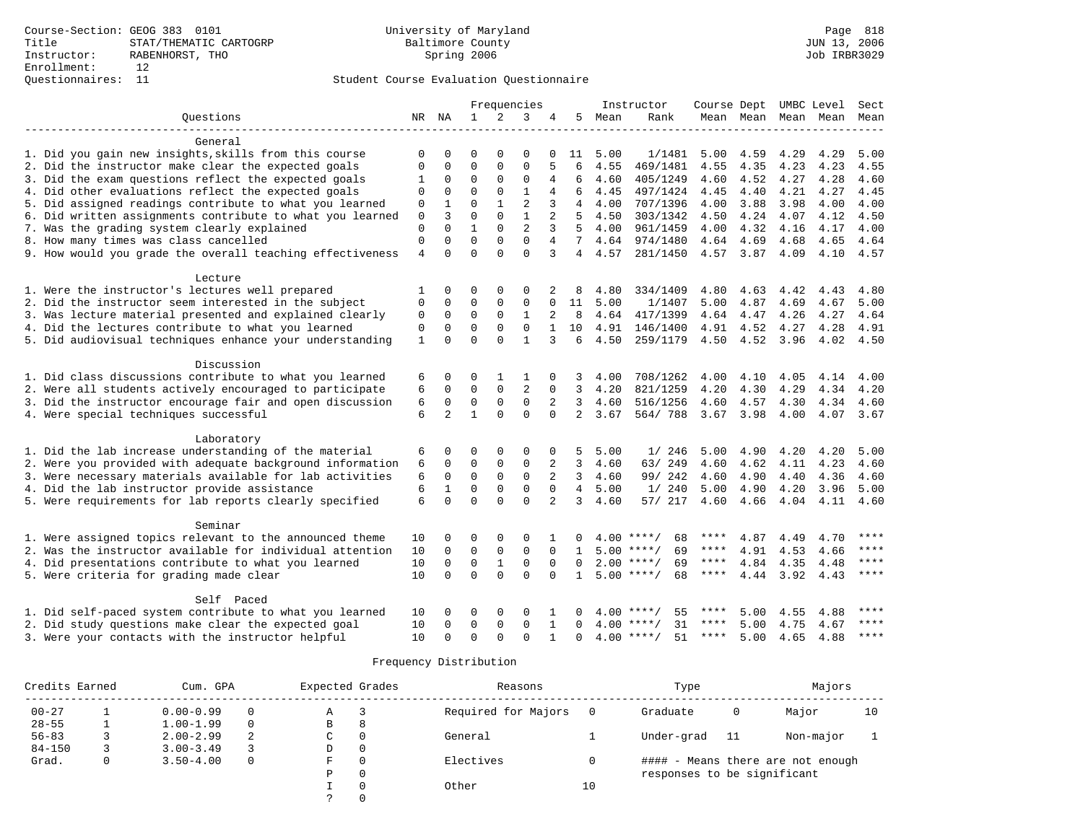|                                                           |              |                |              |              | Frequencies    |                |                |      | Instructor         | Course Dept UMBC Level |                     |      |           | Sect        |
|-----------------------------------------------------------|--------------|----------------|--------------|--------------|----------------|----------------|----------------|------|--------------------|------------------------|---------------------|------|-----------|-------------|
| Questions                                                 |              | NR NA          | $\mathbf{1}$ | 2            | 3              | 4              | 5              | Mean | Rank               |                        | Mean Mean Mean Mean |      |           | Mean        |
| General                                                   |              |                |              |              |                |                |                |      |                    |                        |                     |      |           |             |
| 1. Did you gain new insights, skills from this course     | $\mathbf 0$  | $\Omega$       | $\Omega$     | $\Omega$     | 0              | $\Omega$       | 11             | 5.00 | 1/1481             | 5.00                   | 4.59                | 4.29 | 4.29      | 5.00        |
| 2. Did the instructor make clear the expected goals       | O            | $\Omega$       | $\Omega$     | $\Omega$     | $\Omega$       | 5              | 6              | 4.55 | 469/1481           | 4.55                   | 4.35                | 4.23 | 4.23      | 4.55        |
| 3. Did the exam questions reflect the expected goals      | 1            | $\mathbf 0$    | $\mathbf 0$  | $\Omega$     | $\mathbf 0$    | 4              | 6              | 4.60 | 405/1249           | 4.60                   | 4.52                | 4.27 | 4.28      | 4.60        |
| 4. Did other evaluations reflect the expected goals       | $\mathbf 0$  | 0              | $\Omega$     | $\Omega$     | $\mathbf{1}$   | 4              | 6              | 4.45 | 497/1424           | 4.45                   | 4.40                | 4.21 | 4.27      | 4.45        |
| 5. Did assigned readings contribute to what you learned   | $\mathbf 0$  | $\mathbf 1$    | $\Omega$     | $\mathbf{1}$ | $\overline{2}$ | 3              | 4              | 4.00 | 707/1396           | 4.00                   | 3.88                | 3.98 | 4.00      | 4.00        |
| 6. Did written assignments contribute to what you learned | $\mathbf 0$  | 3              | $\mathbf 0$  | $\Omega$     | $\mathbf{1}$   | 2              | 5              | 4.50 | 303/1342           | 4.50                   | 4.24                | 4.07 | 4.12      | 4.50        |
| 7. Was the grading system clearly explained               | $\mathbf{0}$ | $\Omega$       | $\mathbf{1}$ | $\Omega$     | $\overline{a}$ | 3              | 5              | 4.00 | 961/1459           | 4.00                   | 4.32                | 4.16 | 4.17      | 4.00        |
| 8. How many times was class cancelled                     | $\mathbf{0}$ | $\Omega$       | $\Omega$     | $\Omega$     | $\Omega$       | 4              | 7              | 4.64 | 974/1480           | 4.64                   | 4.69                | 4.68 | 4.65      | 4.64        |
| 9. How would you grade the overall teaching effectiveness | 4            | $\Omega$       | $\Omega$     | $\Omega$     | $\Omega$       | 3              | 4              | 4.57 | 281/1450           |                        | 4.57 3.87           | 4.09 | 4.10      | 4.57        |
| Lecture                                                   |              |                |              |              |                |                |                |      |                    |                        |                     |      |           |             |
| 1. Were the instructor's lectures well prepared           | 1            | 0              | 0            | 0            | 0              |                | 8              | 4.80 | 334/1409           | 4.80                   | 4.63                | 4.42 | 4.43      | 4.80        |
| 2. Did the instructor seem interested in the subject      | $\mathbf{0}$ | $\Omega$       | $\Omega$     | $\Omega$     | $\mathbf 0$    | $\Omega$       | 11             | 5.00 | 1/1407             | 5.00                   | 4.87                | 4.69 | 4.67      | 5.00        |
| 3. Was lecture material presented and explained clearly   | $\mathbf{0}$ | $\mathbf 0$    | $\mathbf 0$  | $\Omega$     | $\mathbf{1}$   | $\overline{2}$ | 8              | 4.64 | 417/1399           | 4.64                   | 4.47                | 4.26 | 4.27      | 4.64        |
| 4. Did the lectures contribute to what you learned        | $\mathbf{0}$ | $\mathbf 0$    | $\Omega$     | $\Omega$     | $\Omega$       |                | 10             | 4.91 | 146/1400           | 4.91                   | 4.52                | 4.27 | 4.28      | 4.91        |
| 5. Did audiovisual techniques enhance your understanding  | $\mathbf{1}$ | $\Omega$       | $\Omega$     | $\Omega$     | $\mathbf{1}$   | 3              | 6              | 4.50 | 259/1179           |                        | 4.50 4.52           | 3.96 | 4.02      | 4.50        |
| Discussion                                                |              |                |              |              |                |                |                |      |                    |                        |                     |      |           |             |
| 1. Did class discussions contribute to what you learned   | 6            | $\Omega$       | $\Omega$     | 1            | 1              | $\Omega$       | 3              | 4.00 | 708/1262           | 4.00                   | 4.10                | 4.05 | 4.14      | 4.00        |
| 2. Were all students actively encouraged to participate   | 6            | $\mathbf 0$    | $\mathbf 0$  | $\mathbf 0$  | $\overline{2}$ | $\Omega$       | 3              | 4.20 | 821/1259           | 4.20                   | 4.30                | 4.29 | 4.34      | 4.20        |
| 3. Did the instructor encourage fair and open discussion  | 6            | $\mathbf 0$    | 0            | $\mathbf 0$  | $\mathbf 0$    | 2              | 3              | 4.60 | 516/1256           | 4.60                   | 4.57                | 4.30 | 4.34      | 4.60        |
| 4. Were special techniques successful                     | 6            | $\overline{a}$ | $\mathbf{1}$ | $\Omega$     | $\Omega$       | $\Omega$       | $\overline{2}$ | 3.67 | 564/788            | 3.67 3.98              |                     | 4.00 |           | 4.07 3.67   |
|                                                           |              |                |              |              |                |                |                |      |                    |                        |                     |      |           |             |
| Laboratory                                                |              |                |              |              |                |                |                |      |                    |                        |                     |      |           |             |
| 1. Did the lab increase understanding of the material     | 6            | $\Omega$       | $\Omega$     | $\Omega$     | $\mathbf 0$    | $\Omega$       | 5              | 5.00 | 1/246              | 5.00                   | 4.90                | 4.20 | 4.20      | 5.00        |
| 2. Were you provided with adequate background information | 6            | $\Omega$       | $\Omega$     | $\mathbf 0$  | $\Omega$       | 2              | 3              | 4.60 | 63/249             | 4.60                   | 4.62                | 4.11 | 4.23      | 4.60        |
| 3. Were necessary materials available for lab activities  | 6            | $\mathbf 0$    | $\mathbf 0$  | $\mathbf 0$  | $\mathbf 0$    | 2              | 3              | 4.60 | 99/ 242            | 4.60                   | 4.90                | 4.40 | 4.36      | 4.60        |
| 4. Did the lab instructor provide assistance              | 6            | $\mathbf{1}$   | $\mathbf 0$  | $\mathbf 0$  | $\mathbf 0$    | $\Omega$       | $\overline{4}$ | 5.00 | 1/240              | 5.00                   | 4.90                | 4.20 | 3.96      | 5.00        |
| 5. Were requirements for lab reports clearly specified    | 6            | $\Omega$       | $\Omega$     | $\Omega$     | $\Omega$       | 2              | 3              | 4.60 | 57/ 217            | 4.60                   | 4.66                | 4.04 | 4.11 4.60 |             |
| Seminar                                                   |              |                |              |              |                |                |                |      |                    |                        |                     |      |           |             |
| 1. Were assigned topics relevant to the announced theme   | 10           | 0              | 0            | $\mathbf 0$  | $\mathbf 0$    |                |                |      | $4.00$ ****/<br>68 | ****                   | 4.87                | 4.49 | 4.70      | ****        |
| 2. Was the instructor available for individual attention  | 10           | $\mathbf 0$    | $\mathbf 0$  | $\mathsf 0$  | $\mathbf 0$    | $\Omega$       | 1              |      | 69<br>$5.00$ ****/ | ****                   | 4.91                | 4.53 | 4.66      | ****        |
| 4. Did presentations contribute to what you learned       | 10           | $\mathbf 0$    | $\mathsf 0$  | $\mathbf{1}$ | $\mathsf 0$    | $\Omega$       | $\Omega$       |      | $2.00$ ****/<br>69 | $***$ * * *            | 4.84                | 4.35 | 4.48      | ****        |
| 5. Were criteria for grading made clear                   | 10           | $\Omega$       | $\Omega$     | $\Omega$     | $\Omega$       | $\Omega$       | $\mathbf{1}$   |      | $5.00$ ****/<br>68 | $***$ * *              | 4.44                | 3.92 | 4.43      | $***$ * * * |
| Self Paced                                                |              |                |              |              |                |                |                |      |                    |                        |                     |      |           |             |
| 1. Did self-paced system contribute to what you learned   | 10           | O              | 0            | $\Omega$     | O              |                |                | 4.00 | ****<br>55         |                        | 5.00                | 4.55 | 4.88      | ****        |
| 2. Did study questions make clear the expected goal       | 10           | $\Omega$       | $\mathbf 0$  | $\Omega$     | $\Omega$       | 1              | U              | 4.00 | 31<br>****/        | ****                   | 5.00                | 4.75 | 4.67      | $***$       |
| 3. Were your contacts with the instructor helpful         | 10           | $\cap$         | $\Omega$     | $\Omega$     | $\Omega$       | 1              | $\cap$         | 4.00 | $***$ /<br>51      | ****                   | 5.00                | 4.65 | 4.88      | ****        |

| Credits Earned |   | Cum. GPA      |   | Expected Grades |          | Reasons             |    | Type                        |    | Majors                            |    |
|----------------|---|---------------|---|-----------------|----------|---------------------|----|-----------------------------|----|-----------------------------------|----|
| $00 - 27$      |   | $0.00 - 0.99$ |   | Α               | 3        | Required for Majors |    | Graduate                    | 0  | Major                             | 10 |
| $28 - 55$      |   | $1.00 - 1.99$ |   | В               | 8        |                     |    |                             |    |                                   |    |
| $56 - 83$      |   | $2.00 - 2.99$ | 2 | C               | $\Omega$ | General             |    | Under-grad                  | 11 | Non-major                         |    |
| $84 - 150$     |   | $3.00 - 3.49$ |   | D               | 0        |                     |    |                             |    |                                   |    |
| Grad.          | 0 | $3.50 - 4.00$ |   | F               | $\Omega$ | Electives           |    |                             |    | #### - Means there are not enough |    |
|                |   |               |   | Ρ               | 0        |                     |    | responses to be significant |    |                                   |    |
|                |   |               |   |                 | 0        | Other               | 10 |                             |    |                                   |    |
|                |   |               |   | っ               |          |                     |    |                             |    |                                   |    |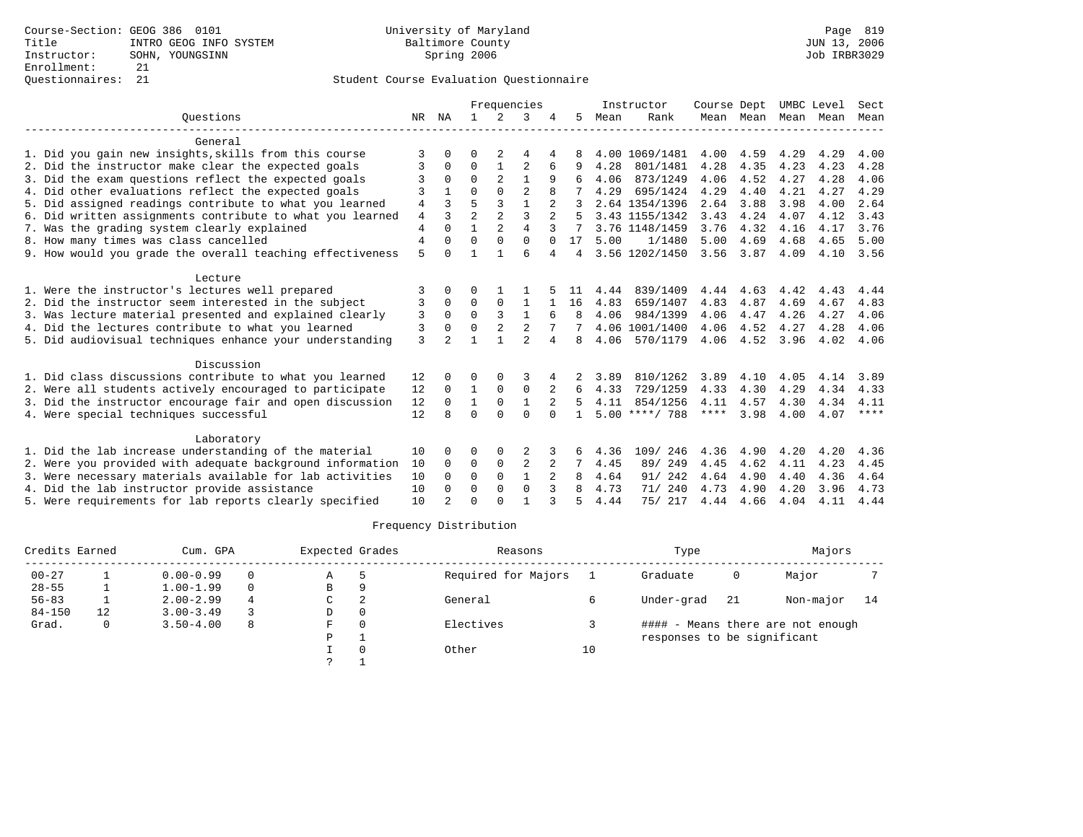|                                                           |                |                |                |                | Frequencies    |                |              |      | Instructor       | Course Dept |           | UMBC Level |      | Sect        |
|-----------------------------------------------------------|----------------|----------------|----------------|----------------|----------------|----------------|--------------|------|------------------|-------------|-----------|------------|------|-------------|
| Ouestions                                                 |                | NR NA          | $\mathbf{1}$   | 2              | 3              |                | 5            | Mean | Rank             |             | Mean Mean | Mean       | Mean | Mean        |
| General                                                   |                |                |                |                |                |                |              |      |                  |             |           |            |      |             |
| 1. Did you gain new insights, skills from this course     | 3              | 0              | 0              | 2              | 4              | 4              | 8            |      | 4.00 1069/1481   | 4.00        | 4.59      | 4.29       | 4.29 | 4.00        |
| 2. Did the instructor make clear the expected goals       | 3              | 0              | $\Omega$       | 1              | $\overline{2}$ | 6              |              | 4.28 | 801/1481         | 4.28        | 4.35      | 4.23       | 4.23 | 4.28        |
| 3. Did the exam questions reflect the expected goals      |                |                | $\Omega$       |                | 1              | 9              |              | 4.06 | 873/1249         | 4.06        | 4.52      | 4.27       | 4.28 | 4.06        |
| 4. Did other evaluations reflect the expected goals       | 3              |                | $\Omega$       | $\Omega$       | $\overline{2}$ | 8              |              | 4.29 | 695/1424         | 4.29        | 4.40      | 4.21       | 4.27 | 4.29        |
| 5. Did assigned readings contribute to what you learned   | $\overline{4}$ | 3              | 5              | 3              | $\mathbf{1}$   | 2              |              |      | 2.64 1354/1396   | 2.64        | 3.88      | 3.98       | 4.00 | 2.64        |
| 6. Did written assignments contribute to what you learned | $\overline{4}$ | ζ              | $\overline{a}$ | $\mathfrak{D}$ | $\mathbf{3}$   | $\mathfrak{D}$ |              |      | 3.43 1155/1342   | 3.43        | 4.24      | 4.07       | 4.12 | 3.43        |
| 7. Was the grading system clearly explained               | $\overline{4}$ | $\Omega$       | 1              | $\mathfrak{D}$ | $\overline{4}$ | 3              |              |      | 3.76 1148/1459   | 3.76        | 4.32      | 4.16       | 4.17 | 3.76        |
| 8. How many times was class cancelled                     | $\overline{4}$ | 0              | $\Omega$       | $\Omega$       | $\Omega$       | $\Omega$       | 17           | 5.00 | 1/1480           | 5.00        | 4.69      | 4.68       | 4.65 | 5.00        |
| 9. How would you grade the overall teaching effectiveness | 5              | O              |                |                | 6              | 4              | 4            |      | 3.56 1202/1450   | 3.56        | 3.87      | 4.09       | 4.10 | 3.56        |
| Lecture                                                   |                |                |                |                |                |                |              |      |                  |             |           |            |      |             |
| 1. Were the instructor's lectures well prepared           | 3              | 0              | U              |                |                |                |              | 4.44 | 839/1409         | 4.44        | 4.63      | 4.42       | 4.43 | 4.44        |
| 2. Did the instructor seem interested in the subject      | 3              | 0              | 0              | $\Omega$       | 1              |                | 16           | 4.83 | 659/1407         | 4.83        | 4.87      | 4.69       | 4.67 | 4.83        |
| 3. Was lecture material presented and explained clearly   | 3              | $\Omega$       | $\Omega$       | 3              | $\mathbf{1}$   |                | $\mathsf{R}$ | 4.06 | 984/1399         | 4.06        | 4.47      | 4.26       | 4.27 | 4.06        |
| 4. Did the lectures contribute to what you learned        | 3              | 0              | $\Omega$       | 2              | 2              |                |              |      | 4.06 1001/1400   | 4.06        | 4.52      | 4.27       | 4.28 | 4.06        |
| 5. Did audiovisual techniques enhance your understanding  | 3              | $\mathfrak{D}$ |                |                | $\mathfrak{D}$ | 4              | 8            | 4.06 | 570/1179         | 4.06        | 4.52      | 3.96       | 4.02 | 4.06        |
| Discussion                                                |                |                |                |                |                |                |              |      |                  |             |           |            |      |             |
| 1. Did class discussions contribute to what you learned   | 12             |                | O              |                |                |                |              | 3.89 | 810/1262         | 3.89        | 4.10      | 4.05       | 4.14 | 3.89        |
| 2. Were all students actively encouraged to participate   | 12             | $\Omega$       | 1              | $\Omega$       | $\Omega$       | 2              | 6            | 4.33 | 729/1259         | 4.33        | 4.30      | 4.29       | 4.34 | 4.33        |
| 3. Did the instructor encourage fair and open discussion  | 12             | $\Omega$       | 1              | $\mathbf 0$    | $\mathbf{1}$   |                | 5            | 4.11 | 854/1256         | 4.11        | 4.57      | 4.30       | 4.34 | 4.11        |
| 4. Were special techniques successful                     | 12             |                | $\Omega$       | $\cap$         | $\Omega$       | $\cap$         | $\mathbf{1}$ |      | $5.00$ ****/ 788 | ****        | 3.98      | 4.00       | 4.07 | $***$ * * * |
| Laboratory                                                |                |                |                |                |                |                |              |      |                  |             |           |            |      |             |
| 1. Did the lab increase understanding of the material     | 10             |                | 0              | 0              |                |                | 6            | 4.36 | 246<br>109/      | 4.36        | 4.90      | 4.20       | 4.20 | 4.36        |
| 2. Were you provided with adequate background information | 10             | $\Omega$       | 0              | $\mathbf 0$    | 2              | 2              | 7            | 4.45 | 89/ 249          | 4.45        | 4.62      | 4.11       | 4.23 | 4.45        |
| 3. Were necessary materials available for lab activities  | 10             | 0              | $\Omega$       | $\Omega$       | $\mathbf{1}$   |                | 8            | 4.64 | 91/ 242          | 4.64        | 4.90      | 4.40       | 4.36 | 4.64        |
| 4. Did the lab instructor provide assistance              | 10             | $\Omega$       | $\Omega$       | $\Omega$       | $\Omega$       | 3              | я            | 4.73 | 240<br>71/       | 4.73        | 4.90      | 4.20       | 3.96 | 4.73        |
| 5. Were requirements for lab reports clearly specified    | 10             |                | $\Omega$       | $\cap$         |                |                |              | 4.44 | 75/ 217          | 4.44        | 4.66      | 4.04       | 4.11 | 4.44        |

| Credits Earned |    | Cum. GPA      |   | Expected Grades |          | Reasons             |    | Type                        |     | Majors                            |      |
|----------------|----|---------------|---|-----------------|----------|---------------------|----|-----------------------------|-----|-----------------------------------|------|
| $00 - 27$      |    | $0.00 - 0.99$ |   | Α               |          | Required for Majors |    | Graduate                    | 0   | Major                             |      |
| $28 - 55$      |    | $1.00 - 1.99$ | 0 | В               | O        |                     |    |                             |     |                                   |      |
| $56 - 83$      |    | $2.00 - 2.99$ | 4 | C               | 2        | General             |    | Under-grad                  | -21 | Non-major                         | - 14 |
| $84 - 150$     | 12 | $3.00 - 3.49$ |   | D               | $\Omega$ |                     |    |                             |     |                                   |      |
| Grad.          | 0  | $3.50 - 4.00$ | 8 | F.              | $\Omega$ | Electives           |    |                             |     | #### - Means there are not enough |      |
|                |    |               |   | P               |          |                     |    | responses to be significant |     |                                   |      |
|                |    |               |   |                 |          | Other               | 10 |                             |     |                                   |      |
|                |    |               |   | $\mathcal{L}$   |          |                     |    |                             |     |                                   |      |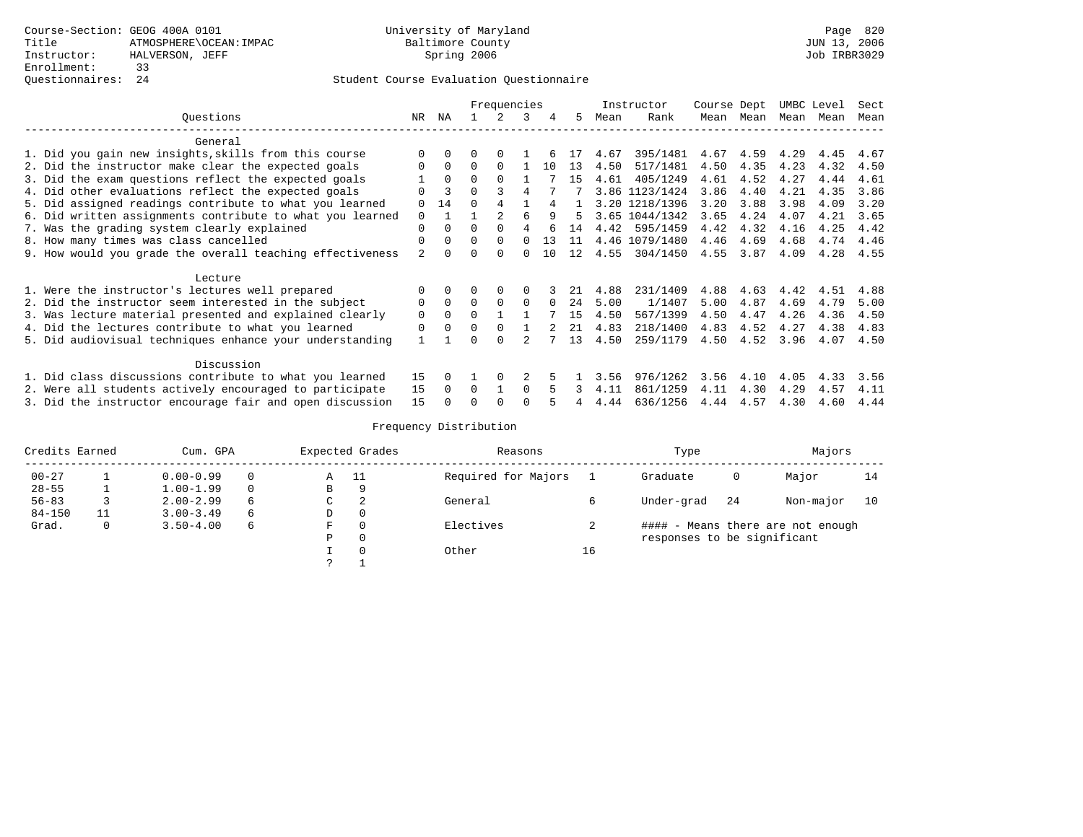### Questionnaires: 24 Student Course Evaluation Questionnaire

|                                                           |          |              |              | Frequencies  |          |          |     |      | Instructor     | Course Dept |           |      | UMBC Level | Sect |
|-----------------------------------------------------------|----------|--------------|--------------|--------------|----------|----------|-----|------|----------------|-------------|-----------|------|------------|------|
| Ouestions                                                 | NR.      | NA           |              |              | 3        |          | .5  | Mean | Rank           |             | Mean Mean | Mean | Mean       | Mean |
| General                                                   |          |              |              |              |          |          |     |      |                |             |           |      |            |      |
| 1. Did you gain new insights, skills from this course     | $\Omega$ |              |              |              |          |          | 17  | 4.67 | 395/1481       | 4.67        | 4.59      | 4.29 | 4.45       | 4.67 |
| 2. Did the instructor make clear the expected goals       | $\Omega$ | $\Omega$     | $\Omega$     | $\Omega$     |          | 10       | 13  | 4.50 | 517/1481       | 4.50        | 4.35      | 4.23 | 4.32       | 4.50 |
| 3. Did the exam questions reflect the expected goals      |          | $\Omega$     | $\Omega$     |              |          |          | 15  | 4.61 | 405/1249       | 4.61        | 4.52      | 4.27 | 4.44       | 4.61 |
| 4. Did other evaluations reflect the expected goals       | $\Omega$ | 3            | $\Omega$     |              |          |          |     |      | 3.86 1123/1424 | 3.86        | 4.40      | 4.21 | 4.35       | 3.86 |
| 5. Did assigned readings contribute to what you learned   | $\Omega$ | 14           | $\Omega$     |              |          |          |     |      | 3.20 1218/1396 | 3.20        | 3.88      | 3.98 | 4.09       | 3.20 |
| 6. Did written assignments contribute to what you learned | $\Omega$ |              |              |              |          |          |     |      | 3.65 1044/1342 | 3.65        | 4.24      | 4.07 | 4.21       | 3.65 |
| 7. Was the grading system clearly explained               | $\Omega$ | $\Omega$     | $\Omega$     |              |          |          | 14  | 4.42 | 595/1459       | 4.42        | 4.32      | 4.16 | 4.25       | 4.42 |
| 8. How many times was class cancelled                     | $\Omega$ | $\Omega$     | $\Omega$     | $\Omega$     | $\cap$   | 13       | 11  |      | 4.46 1079/1480 | 4.46        | 4.69      | 4.68 | 4.74       | 4.46 |
| 9. How would you grade the overall teaching effectiveness | 2        |              | O            |              |          | 10       | 12  | 4.55 | 304/1450       | 4.55        | 3.87      | 4.09 | 4.28       | 4.55 |
| Lecture                                                   |          |              |              |              |          |          |     |      |                |             |           |      |            |      |
| 1. Were the instructor's lectures well prepared           |          |              |              | 0            | 0        |          | 21  | 4.88 | 231/1409       | 4.88        | 4.63      | 4.42 | 4.51       | 4.88 |
| 2. Did the instructor seem interested in the subject      | 0        | $\Omega$     | $\Omega$     |              | $\Omega$ | $\Omega$ | 2.4 | 5.00 | 1/1407         | 5.00        | 4.87      | 4.69 | 4.79       | 5.00 |
| 3. Was lecture material presented and explained clearly   | 0        | $\Omega$     | $\Omega$     |              |          |          | 15  | 4.50 | 567/1399       | 4.50        | 4.47      | 4.26 | 4.36       | 4.50 |
| 4. Did the lectures contribute to what you learned        | 0        |              | 0            |              |          | 2        | 21  | 4.83 | 218/1400       | 4.83        | 4.52      | 4.27 | 4.38       | 4.83 |
| 5. Did audiovisual techniques enhance your understanding  |          |              | U            | <sup>n</sup> |          |          | 13  | 4.50 | 259/1179       | 4.50        | 4.52      | 3.96 | 4.07       | 4.50 |
| Discussion                                                |          |              |              |              |          |          |     |      |                |             |           |      |            |      |
| 1. Did class discussions contribute to what you learned   | 15       |              |              | 0            |          |          |     | 3.56 | 976/1262       | 3.56        | 4.10      | 4.05 | 4.33       | 3.56 |
| 2. Were all students actively encouraged to participate   | 15       | <sup>n</sup> | <sup>0</sup> |              | $\cap$   |          |     | 4.11 | 861/1259       | 4.11        | 4.30      | 4.29 | 4.57       | 4.11 |
| 3. Did the instructor encourage fair and open discussion  | 15       |              |              |              |          |          |     | 4.44 | 636/1256       | 4.44        | 4.57      | 4.30 | 4.60       | 4.44 |

| Credits Earned |   | Cum. GPA      |          |   | Expected Grades | Reasons             |    | Type                        |     | Majors                            |    |
|----------------|---|---------------|----------|---|-----------------|---------------------|----|-----------------------------|-----|-----------------------------------|----|
| $00 - 27$      |   | $0.00 - 0.99$ | $\Omega$ | Α | - 11            | Required for Majors |    | Graduate                    | 0   | Major                             | 14 |
| $28 - 55$      |   | $1.00 - 1.99$ | $\Omega$ | B | 9               |                     |    |                             |     |                                   |    |
| $56 - 83$      |   | $2.00 - 2.99$ | 6        | C | 2               | General             |    | Under-grad                  | -24 | Non-major                         | 10 |
| $84 - 150$     |   | $3.00 - 3.49$ | 6        | D |                 |                     |    |                             |     |                                   |    |
| Grad.          | 0 | $3.50 - 4.00$ | 6        | F |                 | Electives           | ∠  |                             |     | #### - Means there are not enough |    |
|                |   |               |          | P |                 |                     |    | responses to be significant |     |                                   |    |
|                |   |               |          |   |                 | Other               | 16 |                             |     |                                   |    |
|                |   |               |          |   |                 |                     |    |                             |     |                                   |    |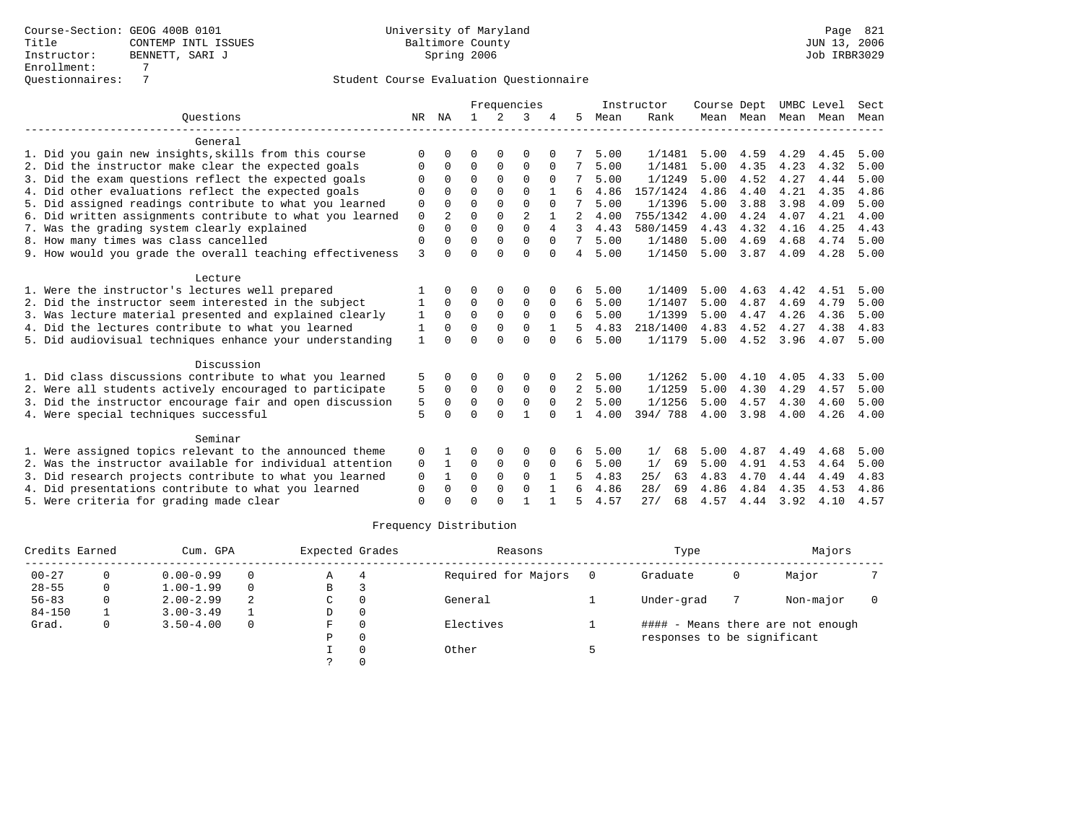|                                                           |              |                |             |              | Frequencies    |             |               |      | Instructor | Course Dept |                     | UMBC Level |      | Sect |
|-----------------------------------------------------------|--------------|----------------|-------------|--------------|----------------|-------------|---------------|------|------------|-------------|---------------------|------------|------|------|
| Ouestions                                                 | NR           | NA             |             | 2            | 3              |             | 5             | Mean | Rank       |             | Mean Mean Mean Mean |            |      | Mean |
| General                                                   |              |                |             |              |                |             |               |      |            |             |                     |            |      |      |
| 1. Did you gain new insights, skills from this course     | ∩            |                | ∩           |              | $\Omega$       |             |               | 5.00 | 1/1481     | 5.00        | 4.59                | 4.29       | 4.45 | 5.00 |
| 2. Did the instructor make clear the expected goals       | O            | $\Omega$       | $\Omega$    | $\mathbf 0$  | $\mathbf 0$    |             |               | 5.00 | 1/1481     | 5.00        | 4.35                | 4.23       | 4.32 | 5.00 |
| 3. Did the exam questions reflect the expected goals      | O            | $\Omega$       | $\Omega$    | $\Omega$     | $\Omega$       | $\Omega$    |               | 5.00 | 1/1249     | 5.00        | 4.52                | 4.27       | 4.44 | 5.00 |
| 4. Did other evaluations reflect the expected goals       |              |                | $\Omega$    | $\Omega$     | $\Omega$       |             |               | 4.86 | 157/1424   | 4.86        | 4.40                | 4.21       | 4.35 | 4.86 |
| 5. Did assigned readings contribute to what you learned   | 0            | $\cap$         | $\Omega$    | $\Omega$     | $\Omega$       |             |               | 5.00 | 1/1396     | 5.00        | 3.88                | 3.98       | 4.09 | 5.00 |
| 6. Did written assignments contribute to what you learned | $\mathbf 0$  | $\overline{a}$ | $\Omega$    | $\Omega$     | $\overline{2}$ |             |               | 4.00 | 755/1342   | 4.00        | 4.24                | 4.07       | 4.21 | 4.00 |
| 7. Was the grading system clearly explained               | $\Omega$     | $\cap$         | $\Omega$    | $\Omega$     | $\cap$         | 4           | $\mathcal{L}$ | 4.43 | 580/1459   | 4.43        | 4.32                | 4.16       | 4.25 | 4.43 |
| 8. How many times was class cancelled                     | $\Omega$     |                | $\Omega$    | $\Omega$     | $\Omega$       |             | 7             | 5.00 | 1/1480     | 5.00        | 4.69                | 4.68       | 4.74 | 5.00 |
| 9. How would you grade the overall teaching effectiveness | 3            | $\cap$         | $\Omega$    | $\cap$       | $\Omega$       | $\cap$      | 4             | 5.00 | 1/1450     | 5.00        | 3.87                | 4.09       | 4.28 | 5.00 |
| Lecture                                                   |              |                |             |              |                |             |               |      |            |             |                     |            |      |      |
| 1. Were the instructor's lectures well prepared           |              |                |             |              |                |             |               | 5.00 | 1/1409     | 5.00        | 4.63                | 4.42       | 4.51 | 5.00 |
| 2. Did the instructor seem interested in the subject      | 1            | $\Omega$       | $\Omega$    | $\Omega$     | $\Omega$       | $\Omega$    | 6             | 5.00 | 1/1407     | 5.00        | 4.87                | 4.69       | 4.79 | 5.00 |
| 3. Was lecture material presented and explained clearly   | 1            | $\Omega$       | $\mathbf 0$ | $\mathbf 0$  | $\mathbf 0$    | $\mathbf 0$ | 6             | 5.00 | 1/1399     | 5.00        | 4.47                | 4.26       | 4.36 | 5.00 |
| 4. Did the lectures contribute to what you learned        | 1            | $\Omega$       | $\Omega$    | $\Omega$     | $\Omega$       |             | 5             | 4.83 | 218/1400   | 4.83        | 4.52                | 4.27       | 4.38 | 4.83 |
| 5. Did audiovisual techniques enhance your understanding  | $\mathbf{1}$ |                | $\Omega$    | $\cap$       | $\Omega$       | $\Omega$    | 6             | 5.00 | 1/1179     | 5.00        | 4.52                | 3.96       | 4.07 | 5.00 |
| Discussion                                                |              |                |             |              |                |             |               |      |            |             |                     |            |      |      |
| 1. Did class discussions contribute to what you learned   | 5            |                | ∩           | $\Omega$     | $\Omega$       |             | 2             | 5.00 | 1/1262     | 5.00        | 4.10                | 4.05       | 4.33 | 5.00 |
| 2. Were all students actively encouraged to participate   | 5            | $\Omega$       | $\Omega$    | $\mathbf{0}$ | $\Omega$       | $\Omega$    | 2             | 5.00 | 1/1259     | 5.00        | 4.30                | 4.29       | 4.57 | 5.00 |
| 3. Did the instructor encourage fair and open discussion  | 5            | $\Omega$       | $\Omega$    | $\Omega$     | $\Omega$       | $\Omega$    | 2             | 5.00 | 1/1256     | 5.00        | 4.57                | 4.30       | 4.60 | 5.00 |
| 4. Were special techniques successful                     | 5            | $\Omega$       | $\Omega$    | $\Omega$     |                | $\Omega$    |               | 4.00 | 394/788    | 4.00        | 3.98                | 4.00       | 4.26 | 4.00 |
| Seminar                                                   |              |                |             |              |                |             |               |      |            |             |                     |            |      |      |
| 1. Were assigned topics relevant to the announced theme   | 0            |                | ∩           | $\Omega$     | $\Omega$       |             | 6             | 5.00 | 1/<br>68   | 5.00        | 4.87                | 4.49       | 4.68 | 5.00 |
| 2. Was the instructor available for individual attention  | $\mathbf 0$  |                | $\Omega$    | $\mathbf 0$  | $\mathbf 0$    | $\Omega$    | 6             | 5.00 | 1/<br>69   | 5.00        | 4.91                | 4.53       | 4.64 | 5.00 |
| 3. Did research projects contribute to what you learned   | $\Omega$     |                | $\Omega$    | $\Omega$     | $\Omega$       |             | 5             | 4.83 | 25/<br>63  | 4.83        | 4.70                | 4.44       | 4.49 | 4.83 |
| 4. Did presentations contribute to what you learned       | $\Omega$     | $\Omega$       | $\Omega$    | $\Omega$     | $\Omega$       |             |               | 4.86 | 28/<br>69  | 4.86        | 4.84                | 4.35       | 4.53 | 4.86 |
| 5. Were criteria for grading made clear                   | $\Omega$     |                | $\cap$      | $\cap$       |                |             | 5             | 4.57 | 27/<br>68  | 4.57        | 4.44 3.92           |            | 4.10 | 4.57 |

| Credits Earned |              | Cum. GPA      |              | Expected Grades |          | Reasons             |     | Type                        |   | Majors                            |  |
|----------------|--------------|---------------|--------------|-----------------|----------|---------------------|-----|-----------------------------|---|-----------------------------------|--|
| $00 - 27$      | 0            | $0.00 - 0.99$ | $\mathbf{0}$ | Α               | 4        | Required for Majors | - 0 | Graduate                    | 0 | Major                             |  |
| $28 - 55$      | $\mathbf{0}$ | $1.00 - 1.99$ | $\Omega$     | В               |          |                     |     |                             |   |                                   |  |
| $56 - 83$      | 0            | $2.00 - 2.99$ | 2            | C               | 0        | General             |     | Under-grad                  |   | Non-major                         |  |
| $84 - 150$     |              | $3.00 - 3.49$ |              | D               | 0        |                     |     |                             |   |                                   |  |
| Grad.          | 0            | $3.50 - 4.00$ | $\Omega$     | F.              | $\Omega$ | Electives           |     |                             |   | #### - Means there are not enough |  |
|                |              |               |              | Ρ               | 0        |                     |     | responses to be significant |   |                                   |  |
|                |              |               |              |                 | $\Omega$ | Other               |     |                             |   |                                   |  |
|                |              |               |              |                 |          |                     |     |                             |   |                                   |  |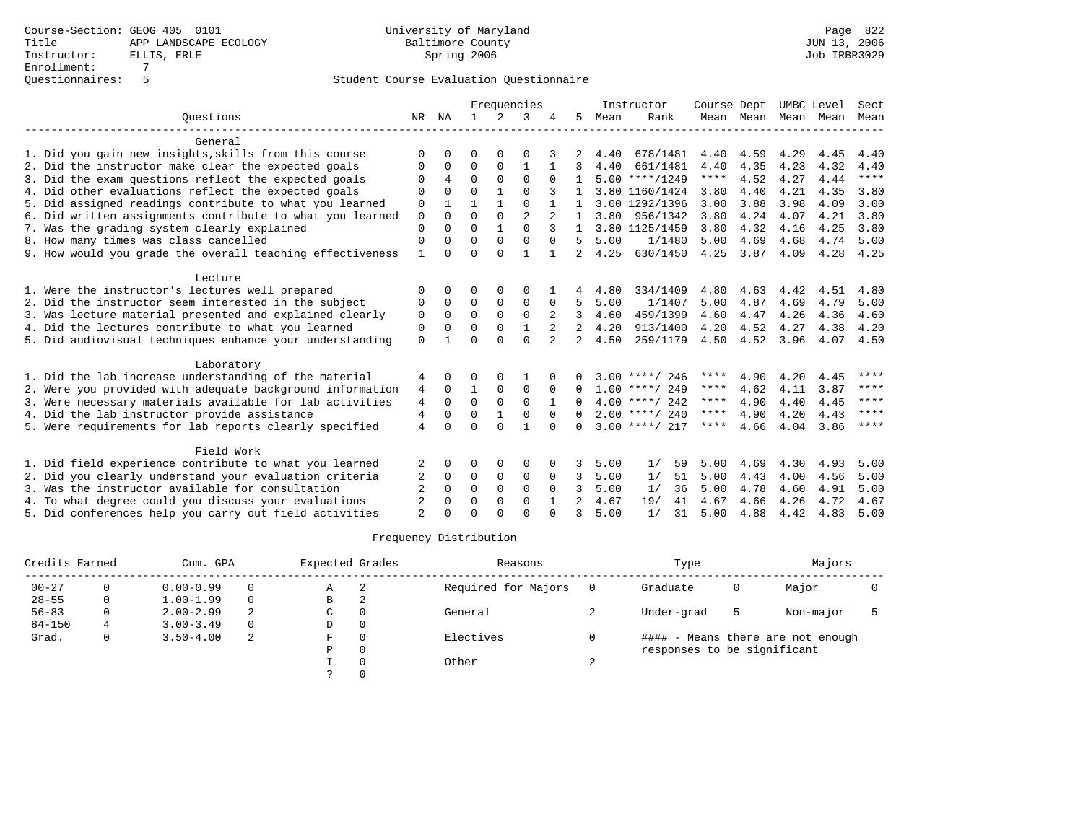|                                                           |                |              |              |              | Frequencies    |                |                |      | Instructor       | Course Dept |                | UMBC Level |      | Sect        |
|-----------------------------------------------------------|----------------|--------------|--------------|--------------|----------------|----------------|----------------|------|------------------|-------------|----------------|------------|------|-------------|
| Ouestions                                                 | NR             | NA           | $\mathbf{1}$ | 2            | 3              |                | .5             | Mean | Rank             |             | Mean Mean Mean |            | Mean | Mean        |
| General                                                   |                |              |              |              |                |                |                |      |                  |             |                |            |      |             |
| 1. Did you gain new insights, skills from this course     | ∩              |              | $\Omega$     |              | O              |                |                | 4.40 | 678/1481         | 4.40        | 4.59           | 4.29       | 4.45 | 4.40        |
| 2. Did the instructor make clear the expected goals       | O              | $\Omega$     | $\Omega$     | 0            |                |                |                | 4.40 | 661/1481         | 4.40        | 4.35           | 4.23       | 4.32 | 4.40        |
| 3. Did the exam questions reflect the expected goals      | $\Omega$       | 4            | $\Omega$     | $\Omega$     | $\Omega$       |                |                |      | $5.00$ ****/1249 | $***$ * * * | 4.52           | 4.27       | 4.44 | $***$       |
| 4. Did other evaluations reflect the expected goals       |                |              | $\Omega$     |              | $\cap$         |                |                |      | 3.80 1160/1424   | 3.80        | 4.40           | 4.21       | 4.35 | 3.80        |
| 5. Did assigned readings contribute to what you learned   | $\mathbf 0$    |              |              |              | $\Omega$       |                | $\mathbf{1}$   |      | 3.00 1292/1396   | 3.00        | 3.88           | 3.98       | 4.09 | 3.00        |
| 6. Did written assignments contribute to what you learned | $\mathbf 0$    | $\Omega$     | $\Omega$     | $\Omega$     | $\overline{2}$ |                | $\mathbf{1}$   | 3.80 | 956/1342         | 3.80        | 4.24           | 4.07       | 4.21 | 3.80        |
| 7. Was the grading system clearly explained               | $\Omega$       | $\Omega$     | $\Omega$     |              | $\Omega$       | $\mathcal{L}$  | $\mathbf{1}$   |      | 3.80 1125/1459   | 3.80        | 4.32           | 4.16       | 4.25 | 3.80        |
| 8. How many times was class cancelled                     | $\Omega$       | $\cap$       | $\Omega$     | $\Omega$     | $\Omega$       | $\cap$         | 5              | 5.00 | 1/1480           | 5.00        | 4.69           | 4.68       | 4.74 | 5.00        |
| 9. How would you grade the overall teaching effectiveness | 1              |              | $\Omega$     | $\cap$       | 1              |                | 2              | 4.25 | 630/1450         | 4.25        | 3.87           | 4.09       | 4.28 | 4.25        |
| Lecture                                                   |                |              |              |              |                |                |                |      |                  |             |                |            |      |             |
| 1. Were the instructor's lectures well prepared           | ∩              | <sup>0</sup> | O            | <sup>0</sup> | O              |                |                | 4.80 | 334/1409         | 4.80        | 4.63           | 4.42       | 4.51 | 4.80        |
| 2. Did the instructor seem interested in the subject      | $\Omega$       | $\Omega$     | $\Omega$     | $\Omega$     | $\Omega$       | 0              | 5              | 5.00 | 1/1407           | 5.00        | 4.87           | 4.69       | 4.79 | 5.00        |
| 3. Was lecture material presented and explained clearly   | 0              | $\Omega$     | $\Omega$     | $\Omega$     | $\Omega$       | 2              | 3              | 4.60 | 459/1399         | 4.60        | 4.47           | 4.26       | 4.36 | 4.60        |
| 4. Did the lectures contribute to what you learned        | 0              | $\Omega$     | $\Omega$     | $\Omega$     | $\mathbf{1}$   | $\overline{2}$ | 2              | 4.20 | 913/1400         | 4.20        | 4.52           | 4.27       | 4.38 | 4.20        |
| 5. Did audiovisual techniques enhance your understanding  | $\Omega$       |              | $\Omega$     | $\Omega$     | $\Omega$       | 2              | 2              | 4.50 | 259/1179         | 4.50        | 4.52           | 3.96       | 4.07 | 4.50        |
| Laboratory                                                |                |              |              |              |                |                |                |      |                  |             |                |            |      |             |
| 1. Did the lab increase understanding of the material     | 4              | $\Omega$     | ∩            |              |                |                |                |      | $3.00$ ****/ 246 | ****        | 4.90           | 4.20       | 4.45 | ****        |
| 2. Were you provided with adequate background information | 4              | $\Omega$     | $\mathbf{1}$ | $\Omega$     | $\Omega$       | $\Omega$       | $\Omega$       |      | $1.00$ ****/ 249 | ****        | 4.62           | 4.11       | 3.87 | $***$ * * * |
| 3. Were necessary materials available for lab activities  | 4              | $\Omega$     | $\Omega$     | $\Omega$     | $\Omega$       |                |                |      | $4.00$ ****/ 242 | $***$ * * * | 4.90           | 4.40       | 4.45 | $***$ * * * |
| 4. Did the lab instructor provide assistance              | 4              | $\Omega$     | $\Omega$     |              | $\cap$         | $\Omega$       |                |      | $2.00$ ****/ 240 | ****        | 4.90           | 4.20       | 4.43 | ****        |
| 5. Were requirements for lab reports clearly specified    | $\overline{4}$ |              | $\Omega$     | $\cap$       |                |                | $\cap$         |      | $3.00$ ****/ 217 | $***$ * * * | 4.66           | 4.04       | 3.86 | $***$ *     |
| Field Work                                                |                |              |              |              |                |                |                |      |                  |             |                |            |      |             |
| 1. Did field experience contribute to what you learned    | 2              | 0            | O            | $\Omega$     | O              | 0              | 3              | 5.00 | 59<br>1/         | 5.00        | 4.69           | 4.30       | 4.93 | 5.00        |
| 2. Did you clearly understand your evaluation criteria    |                | $\Omega$     | $\Omega$     | $\Omega$     | 0              | $\Omega$       | 3              | 5.00 | 1/<br>51         | 5.00        | 4.43           | 4.00       | 4.56 | 5.00        |
| 3. Was the instructor available for consultation          |                | <sup>0</sup> | $\Omega$     | $\Omega$     | $\Omega$       | $\Omega$       | 3              | 5.00 | 1/<br>36         | 5.00        | 4.78           | 4.60       | 4.91 | 5.00        |
| 4. To what degree could you discuss your evaluations      | $\overline{2}$ | $\cap$       | $\Omega$     | $\Omega$     | $\Omega$       |                | $\overline{2}$ | 4.67 | 19/<br>41        | 4.67        | 4.66           | 4.26       | 4.72 | 4.67        |
| 5. Did conferences help you carry out field activities    | $\overline{a}$ |              |              |              | $\cap$         |                | 3              | 5.00 | 1/<br>31         | 5.00        | 4.88           | 4.42       | 4.83 | 5.00        |

| Credits Earned |   | Cum. GPA      |          | Expected Grades |          | Reasons             |   | Type                        |   | Majors                            |  |
|----------------|---|---------------|----------|-----------------|----------|---------------------|---|-----------------------------|---|-----------------------------------|--|
| $00 - 27$      |   | $0.00 - 0.99$ | $\Omega$ | Α               | 2        | Required for Majors |   | Graduate                    | 0 | Major                             |  |
| $28 - 55$      | 0 | $1.00 - 1.99$ | $\Omega$ | В               | 2        |                     |   |                             |   |                                   |  |
| $56 - 83$      | 0 | $2.00 - 2.99$ | 2        | C               | 0        | General             |   | Under-grad                  |   | Non-major                         |  |
| $84 - 150$     |   | $3.00 - 3.49$ | $\Omega$ | D               | 0        |                     |   |                             |   |                                   |  |
| Grad.          | 0 | $3.50 - 4.00$ | -2.      | F               | $\Omega$ | Electives           |   |                             |   | #### - Means there are not enough |  |
|                |   |               |          | P               | 0        |                     |   | responses to be significant |   |                                   |  |
|                |   |               |          |                 | $\Omega$ | Other               | A |                             |   |                                   |  |
|                |   |               |          |                 |          |                     |   |                             |   |                                   |  |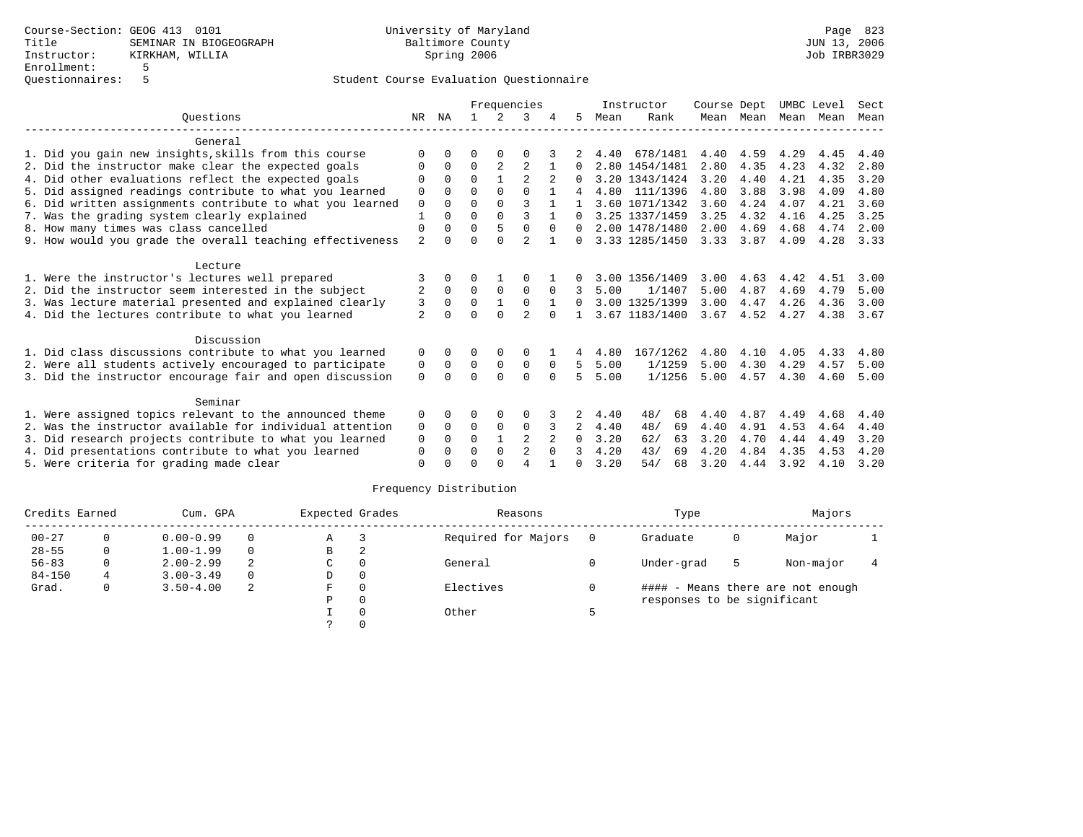|                                                           | Frequencies<br>Instructor |          |               | Course Dept    |                |          | UMBC Level   | Sect |                |      |                  |                     |      |      |
|-----------------------------------------------------------|---------------------------|----------|---------------|----------------|----------------|----------|--------------|------|----------------|------|------------------|---------------------|------|------|
| Ouestions                                                 | NR                        | ΝA       | $\mathbf{1}$  | 2              | 3              |          | 5.           | Mean | Rank           |      |                  | Mean Mean Mean Mean |      | Mean |
| General                                                   |                           |          |               |                |                |          |              |      |                |      |                  |                     |      |      |
| 1. Did you gain new insights, skills from this course     | $\Omega$                  | $\Omega$ | U             | $\Omega$       |                |          |              | 4.40 | 678/1481       | 4.40 | 4.59             | 4.29                | 4.45 | 4.40 |
| 2. Did the instructor make clear the expected goals       | $\Omega$                  | $\Omega$ | $\Omega$      | $\overline{a}$ | 2              |          | $\Omega$     |      | 2.80 1454/1481 | 2.80 | 4.35             | 4.23                | 4.32 | 2.80 |
| 4. Did other evaluations reflect the expected goals       | $\Omega$                  | $\Omega$ | $\Omega$      |                |                |          |              |      | 3.20 1343/1424 | 3.20 | 4.40             | 4.21                | 4.35 | 3.20 |
| 5. Did assigned readings contribute to what you learned   |                           |          | $\Omega$      | $\Omega$       | $\cap$         |          |              |      | 4.80 111/1396  | 4.80 | 3.88             | 3.98                | 4.09 | 4.80 |
| 6. Did written assignments contribute to what you learned |                           |          | $\Omega$      | $\Omega$       | 3              |          |              |      | 3.60 1071/1342 | 3.60 | 4.24             | 4.07                | 4.21 | 3.60 |
| 7. Was the grading system clearly explained               |                           |          | $\Omega$      | $\Omega$       | ς              |          | $\Omega$     |      | 3.25 1337/1459 | 3.25 | 4.32             | 4.16                | 4.25 | 3.25 |
| 8. How many times was class cancelled                     | $\mathbf 0$               | $\Omega$ | $\Omega$      | 5              | $\Omega$       | $\Omega$ | $\Omega$     |      | 2.00 1478/1480 | 2.00 | 4.69             | 4.68                | 4.74 | 2.00 |
| 9. How would you grade the overall teaching effectiveness | $\overline{a}$            | 0        | $\Omega$      | $\cap$         | $\overline{a}$ |          |              |      | 3.33 1285/1450 | 3.33 | 3.87             | 4.09                | 4.28 | 3.33 |
| Lecture                                                   |                           |          |               |                |                |          |              |      |                |      |                  |                     |      |      |
| 1. Were the instructor's lectures well prepared           | 3                         | 0        | 0             |                | 0              |          |              |      | 3.00 1356/1409 | 3.00 | 4.63             | 4.42                | 4.51 | 3.00 |
| 2. Did the instructor seem interested in the subject      | $\overline{a}$            | $\Omega$ | $\Omega$      | $\Omega$       | $\Omega$       | $\Omega$ | 3            | 5.00 | 1/1407         | 5.00 | 4.87             | 4.69                | 4.79 | 5.00 |
| 3. Was lecture material presented and explained clearly   | 3                         | $\Omega$ | $\mathbf 0$   | $\mathbf{1}$   | $\mathbf 0$    |          | $\Omega$     |      | 3.00 1325/1399 | 3.00 | 4.47             | 4.26                | 4.36 | 3.00 |
| 4. Did the lectures contribute to what you learned        | $\overline{a}$            |          | $\Omega$      | $\Omega$       |                |          | $\mathbf{1}$ |      | 3.67 1183/1400 |      | $3.67$ 4.52 4.27 |                     | 4.38 | 3.67 |
| Discussion                                                |                           |          |               |                |                |          |              |      |                |      |                  |                     |      |      |
| 1. Did class discussions contribute to what you learned   | 0                         | 0        |               | 0              | 0              |          | 4            | 4.80 | 167/1262       | 4.80 | 4.10             | 4.05                | 4.33 | 4.80 |
| 2. Were all students actively encouraged to participate   | 0                         | $\Omega$ | 0<br>$\Omega$ | $\mathbf 0$    | $\mathbf 0$    | $\Omega$ | .5           | 5.00 | 1/1259         | 5.00 | 4.30             | 4.29                | 4.57 | 5.00 |
| 3. Did the instructor encourage fair and open discussion  | $\Omega$                  | $\Omega$ | $\Omega$      | $\Omega$       | $\Omega$       | $\Omega$ | 5            | 5.00 | 1/1256         | 5.00 | 4.57             | 4.30                | 4.60 | 5.00 |
|                                                           |                           |          |               |                |                |          |              |      |                |      |                  |                     |      |      |
| Seminar                                                   |                           |          |               |                |                |          |              |      |                |      |                  |                     |      |      |
| 1. Were assigned topics relevant to the announced theme   | 0                         | $\Omega$ | 0             | $\Omega$       | $\Omega$       |          |              | 4.40 | 48/<br>68      | 4.40 | 4.87             | 4.49                | 4.68 | 4.40 |
| 2. Was the instructor available for individual attention  | $\mathbf 0$               | $\Omega$ | 0             | $\mathbf 0$    | $\mathbf 0$    |          | 2            | 4.40 | 48/<br>69      | 4.40 | 4.91             | 4.53                | 4.64 | 4.40 |
| 3. Did research projects contribute to what you learned   | $\Omega$                  | $\Omega$ | $\Omega$      | $\mathbf{1}$   | $\overline{2}$ |          | $\Omega$     | 3.20 | 62/<br>63      | 3.20 | 4.70             | 4.44                | 4.49 | 3.20 |
| 4. Did presentations contribute to what you learned       | 0                         | $\Omega$ | $\Omega$      | $\Omega$       | $\overline{2}$ | $\Omega$ | 3            | 4.20 | 43/<br>69      | 4.20 | 4.84             | 4.35                | 4.53 | 4.20 |
| 5. Were criteria for grading made clear                   | $\Omega$                  |          | $\cap$        | $\cap$         |                |          | 0            | 3.20 | 54/<br>68      | 3.20 | 4.44             | 3.92                | 4.10 | 3.20 |

| Credits Earned |          | Cum. GPA      |          | Expected Grades |              | Reasons             | Type                        |   | Majors                            |  |
|----------------|----------|---------------|----------|-----------------|--------------|---------------------|-----------------------------|---|-----------------------------------|--|
| $00 - 27$      |          | $0.00 - 0.99$ | $\Omega$ | Α               |              | Required for Majors | Graduate                    | 0 | Major                             |  |
| $28 - 55$      | 0        | $1.00 - 1.99$ | $\Omega$ | В               | 2            |                     |                             |   |                                   |  |
| $56 - 83$      | $\Omega$ | $2.00 - 2.99$ | 2        | C               | 0            | General             | Under-grad                  | 5 | Non-major                         |  |
| $84 - 150$     | 4        | $3.00 - 3.49$ | $\Omega$ | D               | $\mathbf{0}$ |                     |                             |   |                                   |  |
| Grad.          | 0        | $3.50 - 4.00$ | -2       | F               | $\Omega$     | Electives           |                             |   | #### - Means there are not enough |  |
|                |          |               |          | Ρ               | 0            |                     | responses to be significant |   |                                   |  |
|                |          |               |          |                 | $\Omega$     | Other               |                             |   |                                   |  |
|                |          |               |          | $\mathcal{L}$   | $\Omega$     |                     |                             |   |                                   |  |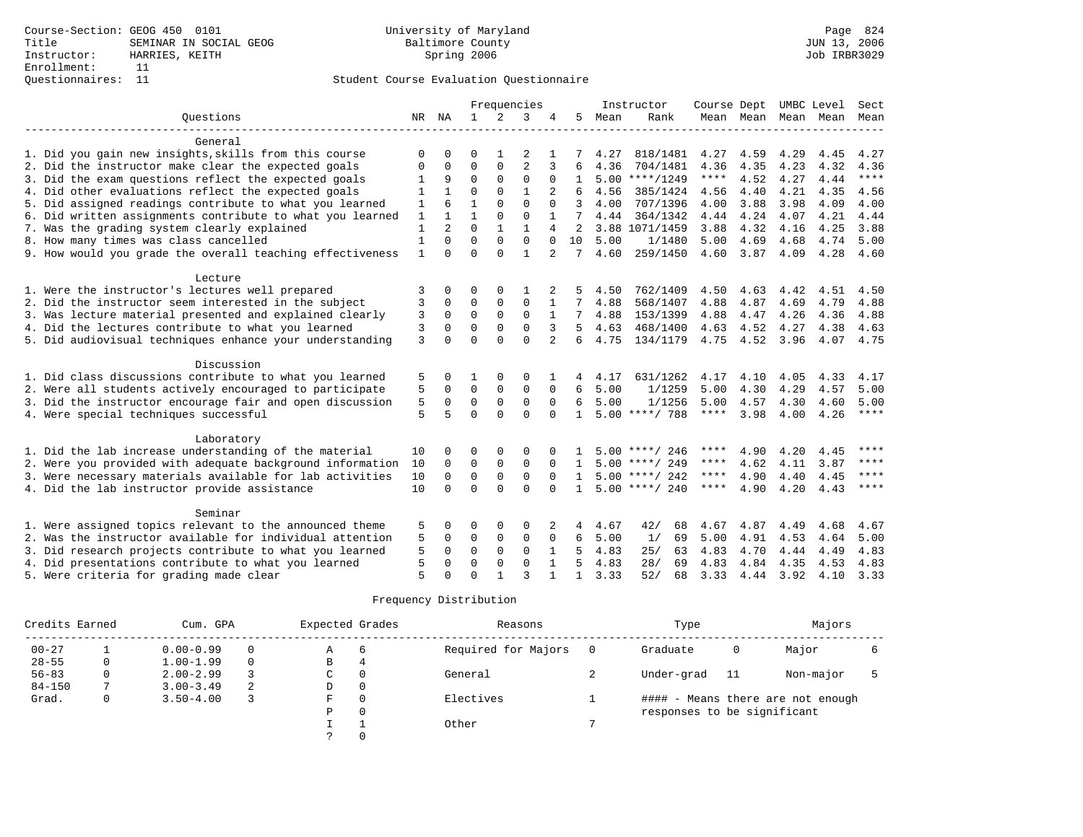| Ouestions<br>2<br>NR NA<br>$\mathbf{1}$<br>3<br>5<br>Rank<br>Mean<br>Mean Mean Mean Mean<br>Mean<br>General<br>1. Did you gain new insights, skills from this course<br>2<br>4.27<br>818/1481<br>4.27<br>4.59<br>4.29<br>4.45<br>4.27<br>∩<br>0<br>U<br>$\overline{a}$<br>$\Omega$<br>0<br>2. Did the instructor make clear the expected goals<br>$\Omega$<br>3<br>4.36<br>704/1481<br>4.36<br>4.35<br>4.23<br>4.32<br>4.36<br>$\Omega$<br>6<br>$\Omega$<br>$\mathbf 0$<br>****<br>4.52<br>$***$<br>3. Did the exam questions reflect the expected goals<br>9<br>0<br>$5.00$ ****/1249<br>4.27<br>4.44<br>0<br>1<br>$\mathbf{1}$<br>4. Did other evaluations reflect the expected goals<br>$\Omega$<br>$\Omega$<br>4.21<br>4.35<br>1<br>2<br>4.56<br>385/1424<br>4.56<br>4.40<br>4.56<br>1<br>$\mathbf 0$<br>1<br>$\Omega$<br>4.00<br>5. Did assigned readings contribute to what you learned<br>$\mathbf{1}$<br>707/1396<br>4.00<br>3.88<br>3.98<br>4.09<br>$\Omega$<br>4.00<br>$\mathbf{1}$<br>$\mathbf 0$<br>$\mathbf{1}$<br>$\Omega$<br>4.24<br>4.21<br>6. Did written assignments contribute to what you learned<br>364/1342<br>4.07<br>4.44<br>4.44<br>4.44<br>$\mathbf{1}$<br>2<br>$\Omega$<br>1<br>$\mathbf{1}$<br>7. Was the grading system clearly explained<br>3.88 1071/1459<br>3.88<br>4.32<br>4.25<br>3.88<br>4<br>2<br>4.16<br>$\mathbf{1}$<br>$\Omega$<br>$\Omega$<br>$\mathbf 0$<br>8. How many times was class cancelled<br>$\Omega$<br>10<br>5.00<br>1/1480<br>5.00<br>4.69<br>4.68<br>4.74<br>5.00<br>$\Omega$<br>$\mathbf{1}$<br>9. How would you grade the overall teaching effectiveness<br>$\mathbf{1}$<br>$\Omega$<br>$\Omega$<br>$\overline{2}$<br>4.60<br>259/1450<br>4.60<br>3.87<br>4.09<br>4.28<br>4.60<br>$\Omega$<br>7<br>Lecture<br>1. Were the instructor's lectures well prepared<br>3<br>$\Omega$<br>762/1409<br>0<br>$\Omega$<br>4.50<br>4.50<br>4.63<br>4.42<br>4.51<br>4.50<br>$\Omega$<br>2. Did the instructor seem interested in the subject<br>$\Omega$<br>$\Omega$<br>$\Omega$<br>4.88<br>568/1407<br>4.88<br>4.87<br>4.69<br>4.79<br>4.88<br>3<br>3. Was lecture material presented and explained clearly<br>$\Omega$<br>$\Omega$<br>0<br>$\Omega$<br>4.88<br>3<br>1<br>7<br>4.88<br>153/1399<br>4.47<br>4.26<br>4.36<br>4.88<br>4. Did the lectures contribute to what you learned<br>$\Omega$<br>0<br>$\Omega$<br>3<br>$\Omega$<br>3<br>5<br>4.63<br>468/1400<br>4.63<br>4.52<br>4.27<br>4.38<br>4.63<br>3<br>$\Omega$<br>$\Omega$<br>5. Did audiovisual techniques enhance your understanding<br>$\Omega$<br>$\overline{2}$<br>4.75<br>134/1179<br>4.75<br>4.52<br>3.96<br>4.07<br>4.75<br>$\Omega$<br>6<br>Discussion<br>1. Did class discussions contribute to what you learned<br>5<br>$\Omega$<br>631/1262<br>4.17<br>4.10<br>4.05<br>4.33<br>4.17<br>0<br>$\Omega$<br>4.17<br>5<br>$\Omega$<br>$\mathbf 0$<br>2. Were all students actively encouraged to participate<br>$\Omega$<br>5.00<br>1/1259<br>5.00<br>4.30<br>4.29<br>4.57<br>5.00<br>0<br>$\Omega$<br>6<br>5<br>$\mathbf 0$<br>$\mathbf 0$<br>1/1256<br>3. Did the instructor encourage fair and open discussion<br>0<br>5.00<br>5.00<br>4.57<br>4.30<br>4.60<br>5.00<br>0<br>$\Omega$<br>6<br>$***$ * * * |
|---------------------------------------------------------------------------------------------------------------------------------------------------------------------------------------------------------------------------------------------------------------------------------------------------------------------------------------------------------------------------------------------------------------------------------------------------------------------------------------------------------------------------------------------------------------------------------------------------------------------------------------------------------------------------------------------------------------------------------------------------------------------------------------------------------------------------------------------------------------------------------------------------------------------------------------------------------------------------------------------------------------------------------------------------------------------------------------------------------------------------------------------------------------------------------------------------------------------------------------------------------------------------------------------------------------------------------------------------------------------------------------------------------------------------------------------------------------------------------------------------------------------------------------------------------------------------------------------------------------------------------------------------------------------------------------------------------------------------------------------------------------------------------------------------------------------------------------------------------------------------------------------------------------------------------------------------------------------------------------------------------------------------------------------------------------------------------------------------------------------------------------------------------------------------------------------------------------------------------------------------------------------------------------------------------------------------------------------------------------------------------------------------------------------------------------------------------------------------------------------------------------------------------------------------------------------------------------------------------------------------------------------------------------------------------------------------------------------------------------------------------------------------------------------------------------------------------------------------------------------------------------------------------------------------------------------------------------------------------------------------------------------------------------------------------------------------------------------------------------------------------------------------------------------------------------------------------------------------|
|                                                                                                                                                                                                                                                                                                                                                                                                                                                                                                                                                                                                                                                                                                                                                                                                                                                                                                                                                                                                                                                                                                                                                                                                                                                                                                                                                                                                                                                                                                                                                                                                                                                                                                                                                                                                                                                                                                                                                                                                                                                                                                                                                                                                                                                                                                                                                                                                                                                                                                                                                                                                                                                                                                                                                                                                                                                                                                                                                                                                                                                                                                                                                                                                                           |
|                                                                                                                                                                                                                                                                                                                                                                                                                                                                                                                                                                                                                                                                                                                                                                                                                                                                                                                                                                                                                                                                                                                                                                                                                                                                                                                                                                                                                                                                                                                                                                                                                                                                                                                                                                                                                                                                                                                                                                                                                                                                                                                                                                                                                                                                                                                                                                                                                                                                                                                                                                                                                                                                                                                                                                                                                                                                                                                                                                                                                                                                                                                                                                                                                           |
|                                                                                                                                                                                                                                                                                                                                                                                                                                                                                                                                                                                                                                                                                                                                                                                                                                                                                                                                                                                                                                                                                                                                                                                                                                                                                                                                                                                                                                                                                                                                                                                                                                                                                                                                                                                                                                                                                                                                                                                                                                                                                                                                                                                                                                                                                                                                                                                                                                                                                                                                                                                                                                                                                                                                                                                                                                                                                                                                                                                                                                                                                                                                                                                                                           |
|                                                                                                                                                                                                                                                                                                                                                                                                                                                                                                                                                                                                                                                                                                                                                                                                                                                                                                                                                                                                                                                                                                                                                                                                                                                                                                                                                                                                                                                                                                                                                                                                                                                                                                                                                                                                                                                                                                                                                                                                                                                                                                                                                                                                                                                                                                                                                                                                                                                                                                                                                                                                                                                                                                                                                                                                                                                                                                                                                                                                                                                                                                                                                                                                                           |
|                                                                                                                                                                                                                                                                                                                                                                                                                                                                                                                                                                                                                                                                                                                                                                                                                                                                                                                                                                                                                                                                                                                                                                                                                                                                                                                                                                                                                                                                                                                                                                                                                                                                                                                                                                                                                                                                                                                                                                                                                                                                                                                                                                                                                                                                                                                                                                                                                                                                                                                                                                                                                                                                                                                                                                                                                                                                                                                                                                                                                                                                                                                                                                                                                           |
|                                                                                                                                                                                                                                                                                                                                                                                                                                                                                                                                                                                                                                                                                                                                                                                                                                                                                                                                                                                                                                                                                                                                                                                                                                                                                                                                                                                                                                                                                                                                                                                                                                                                                                                                                                                                                                                                                                                                                                                                                                                                                                                                                                                                                                                                                                                                                                                                                                                                                                                                                                                                                                                                                                                                                                                                                                                                                                                                                                                                                                                                                                                                                                                                                           |
|                                                                                                                                                                                                                                                                                                                                                                                                                                                                                                                                                                                                                                                                                                                                                                                                                                                                                                                                                                                                                                                                                                                                                                                                                                                                                                                                                                                                                                                                                                                                                                                                                                                                                                                                                                                                                                                                                                                                                                                                                                                                                                                                                                                                                                                                                                                                                                                                                                                                                                                                                                                                                                                                                                                                                                                                                                                                                                                                                                                                                                                                                                                                                                                                                           |
|                                                                                                                                                                                                                                                                                                                                                                                                                                                                                                                                                                                                                                                                                                                                                                                                                                                                                                                                                                                                                                                                                                                                                                                                                                                                                                                                                                                                                                                                                                                                                                                                                                                                                                                                                                                                                                                                                                                                                                                                                                                                                                                                                                                                                                                                                                                                                                                                                                                                                                                                                                                                                                                                                                                                                                                                                                                                                                                                                                                                                                                                                                                                                                                                                           |
|                                                                                                                                                                                                                                                                                                                                                                                                                                                                                                                                                                                                                                                                                                                                                                                                                                                                                                                                                                                                                                                                                                                                                                                                                                                                                                                                                                                                                                                                                                                                                                                                                                                                                                                                                                                                                                                                                                                                                                                                                                                                                                                                                                                                                                                                                                                                                                                                                                                                                                                                                                                                                                                                                                                                                                                                                                                                                                                                                                                                                                                                                                                                                                                                                           |
|                                                                                                                                                                                                                                                                                                                                                                                                                                                                                                                                                                                                                                                                                                                                                                                                                                                                                                                                                                                                                                                                                                                                                                                                                                                                                                                                                                                                                                                                                                                                                                                                                                                                                                                                                                                                                                                                                                                                                                                                                                                                                                                                                                                                                                                                                                                                                                                                                                                                                                                                                                                                                                                                                                                                                                                                                                                                                                                                                                                                                                                                                                                                                                                                                           |
|                                                                                                                                                                                                                                                                                                                                                                                                                                                                                                                                                                                                                                                                                                                                                                                                                                                                                                                                                                                                                                                                                                                                                                                                                                                                                                                                                                                                                                                                                                                                                                                                                                                                                                                                                                                                                                                                                                                                                                                                                                                                                                                                                                                                                                                                                                                                                                                                                                                                                                                                                                                                                                                                                                                                                                                                                                                                                                                                                                                                                                                                                                                                                                                                                           |
|                                                                                                                                                                                                                                                                                                                                                                                                                                                                                                                                                                                                                                                                                                                                                                                                                                                                                                                                                                                                                                                                                                                                                                                                                                                                                                                                                                                                                                                                                                                                                                                                                                                                                                                                                                                                                                                                                                                                                                                                                                                                                                                                                                                                                                                                                                                                                                                                                                                                                                                                                                                                                                                                                                                                                                                                                                                                                                                                                                                                                                                                                                                                                                                                                           |
|                                                                                                                                                                                                                                                                                                                                                                                                                                                                                                                                                                                                                                                                                                                                                                                                                                                                                                                                                                                                                                                                                                                                                                                                                                                                                                                                                                                                                                                                                                                                                                                                                                                                                                                                                                                                                                                                                                                                                                                                                                                                                                                                                                                                                                                                                                                                                                                                                                                                                                                                                                                                                                                                                                                                                                                                                                                                                                                                                                                                                                                                                                                                                                                                                           |
|                                                                                                                                                                                                                                                                                                                                                                                                                                                                                                                                                                                                                                                                                                                                                                                                                                                                                                                                                                                                                                                                                                                                                                                                                                                                                                                                                                                                                                                                                                                                                                                                                                                                                                                                                                                                                                                                                                                                                                                                                                                                                                                                                                                                                                                                                                                                                                                                                                                                                                                                                                                                                                                                                                                                                                                                                                                                                                                                                                                                                                                                                                                                                                                                                           |
|                                                                                                                                                                                                                                                                                                                                                                                                                                                                                                                                                                                                                                                                                                                                                                                                                                                                                                                                                                                                                                                                                                                                                                                                                                                                                                                                                                                                                                                                                                                                                                                                                                                                                                                                                                                                                                                                                                                                                                                                                                                                                                                                                                                                                                                                                                                                                                                                                                                                                                                                                                                                                                                                                                                                                                                                                                                                                                                                                                                                                                                                                                                                                                                                                           |
|                                                                                                                                                                                                                                                                                                                                                                                                                                                                                                                                                                                                                                                                                                                                                                                                                                                                                                                                                                                                                                                                                                                                                                                                                                                                                                                                                                                                                                                                                                                                                                                                                                                                                                                                                                                                                                                                                                                                                                                                                                                                                                                                                                                                                                                                                                                                                                                                                                                                                                                                                                                                                                                                                                                                                                                                                                                                                                                                                                                                                                                                                                                                                                                                                           |
|                                                                                                                                                                                                                                                                                                                                                                                                                                                                                                                                                                                                                                                                                                                                                                                                                                                                                                                                                                                                                                                                                                                                                                                                                                                                                                                                                                                                                                                                                                                                                                                                                                                                                                                                                                                                                                                                                                                                                                                                                                                                                                                                                                                                                                                                                                                                                                                                                                                                                                                                                                                                                                                                                                                                                                                                                                                                                                                                                                                                                                                                                                                                                                                                                           |
|                                                                                                                                                                                                                                                                                                                                                                                                                                                                                                                                                                                                                                                                                                                                                                                                                                                                                                                                                                                                                                                                                                                                                                                                                                                                                                                                                                                                                                                                                                                                                                                                                                                                                                                                                                                                                                                                                                                                                                                                                                                                                                                                                                                                                                                                                                                                                                                                                                                                                                                                                                                                                                                                                                                                                                                                                                                                                                                                                                                                                                                                                                                                                                                                                           |
|                                                                                                                                                                                                                                                                                                                                                                                                                                                                                                                                                                                                                                                                                                                                                                                                                                                                                                                                                                                                                                                                                                                                                                                                                                                                                                                                                                                                                                                                                                                                                                                                                                                                                                                                                                                                                                                                                                                                                                                                                                                                                                                                                                                                                                                                                                                                                                                                                                                                                                                                                                                                                                                                                                                                                                                                                                                                                                                                                                                                                                                                                                                                                                                                                           |
|                                                                                                                                                                                                                                                                                                                                                                                                                                                                                                                                                                                                                                                                                                                                                                                                                                                                                                                                                                                                                                                                                                                                                                                                                                                                                                                                                                                                                                                                                                                                                                                                                                                                                                                                                                                                                                                                                                                                                                                                                                                                                                                                                                                                                                                                                                                                                                                                                                                                                                                                                                                                                                                                                                                                                                                                                                                                                                                                                                                                                                                                                                                                                                                                                           |
|                                                                                                                                                                                                                                                                                                                                                                                                                                                                                                                                                                                                                                                                                                                                                                                                                                                                                                                                                                                                                                                                                                                                                                                                                                                                                                                                                                                                                                                                                                                                                                                                                                                                                                                                                                                                                                                                                                                                                                                                                                                                                                                                                                                                                                                                                                                                                                                                                                                                                                                                                                                                                                                                                                                                                                                                                                                                                                                                                                                                                                                                                                                                                                                                                           |
|                                                                                                                                                                                                                                                                                                                                                                                                                                                                                                                                                                                                                                                                                                                                                                                                                                                                                                                                                                                                                                                                                                                                                                                                                                                                                                                                                                                                                                                                                                                                                                                                                                                                                                                                                                                                                                                                                                                                                                                                                                                                                                                                                                                                                                                                                                                                                                                                                                                                                                                                                                                                                                                                                                                                                                                                                                                                                                                                                                                                                                                                                                                                                                                                                           |
|                                                                                                                                                                                                                                                                                                                                                                                                                                                                                                                                                                                                                                                                                                                                                                                                                                                                                                                                                                                                                                                                                                                                                                                                                                                                                                                                                                                                                                                                                                                                                                                                                                                                                                                                                                                                                                                                                                                                                                                                                                                                                                                                                                                                                                                                                                                                                                                                                                                                                                                                                                                                                                                                                                                                                                                                                                                                                                                                                                                                                                                                                                                                                                                                                           |
|                                                                                                                                                                                                                                                                                                                                                                                                                                                                                                                                                                                                                                                                                                                                                                                                                                                                                                                                                                                                                                                                                                                                                                                                                                                                                                                                                                                                                                                                                                                                                                                                                                                                                                                                                                                                                                                                                                                                                                                                                                                                                                                                                                                                                                                                                                                                                                                                                                                                                                                                                                                                                                                                                                                                                                                                                                                                                                                                                                                                                                                                                                                                                                                                                           |
| 4. Were special techniques successful<br>5<br>$\Omega$<br>$\Omega$<br>$\Omega$<br>$5.00$ ****/ 788<br>$***$ * * *<br>3.98<br>4.00<br>5<br>$\Omega$<br>4.26<br>$\mathbf{1}$                                                                                                                                                                                                                                                                                                                                                                                                                                                                                                                                                                                                                                                                                                                                                                                                                                                                                                                                                                                                                                                                                                                                                                                                                                                                                                                                                                                                                                                                                                                                                                                                                                                                                                                                                                                                                                                                                                                                                                                                                                                                                                                                                                                                                                                                                                                                                                                                                                                                                                                                                                                                                                                                                                                                                                                                                                                                                                                                                                                                                                                |
| Laboratory                                                                                                                                                                                                                                                                                                                                                                                                                                                                                                                                                                                                                                                                                                                                                                                                                                                                                                                                                                                                                                                                                                                                                                                                                                                                                                                                                                                                                                                                                                                                                                                                                                                                                                                                                                                                                                                                                                                                                                                                                                                                                                                                                                                                                                                                                                                                                                                                                                                                                                                                                                                                                                                                                                                                                                                                                                                                                                                                                                                                                                                                                                                                                                                                                |
| 1. Did the lab increase understanding of the material<br>****<br>10<br>$\Omega$<br>0<br>****<br>4.90<br>4.20<br>4.45<br>0<br>0<br>$5.00$ ****/ 246                                                                                                                                                                                                                                                                                                                                                                                                                                                                                                                                                                                                                                                                                                                                                                                                                                                                                                                                                                                                                                                                                                                                                                                                                                                                                                                                                                                                                                                                                                                                                                                                                                                                                                                                                                                                                                                                                                                                                                                                                                                                                                                                                                                                                                                                                                                                                                                                                                                                                                                                                                                                                                                                                                                                                                                                                                                                                                                                                                                                                                                                        |
| $\mathbf 0$<br>0<br>****<br>2. Were you provided with adequate background information<br>10<br>$\Omega$<br>$\mathbf 0$<br>$5.00$ ****/ 249<br>****<br>4.62<br>4.11<br>3.87<br>$\Omega$                                                                                                                                                                                                                                                                                                                                                                                                                                                                                                                                                                                                                                                                                                                                                                                                                                                                                                                                                                                                                                                                                                                                                                                                                                                                                                                                                                                                                                                                                                                                                                                                                                                                                                                                                                                                                                                                                                                                                                                                                                                                                                                                                                                                                                                                                                                                                                                                                                                                                                                                                                                                                                                                                                                                                                                                                                                                                                                                                                                                                                    |
| $\mathbf 0$<br>$***$ * * *<br>3. Were necessary materials available for lab activities<br>10<br>$\Omega$<br>$\mathbf 0$<br>$\mathbf 0$<br>$5.00$ ****/ 242<br>$***$ * *<br>4.90<br>4.40<br>4.45<br>$\Omega$<br>$\mathbf{1}$                                                                                                                                                                                                                                                                                                                                                                                                                                                                                                                                                                                                                                                                                                                                                                                                                                                                                                                                                                                                                                                                                                                                                                                                                                                                                                                                                                                                                                                                                                                                                                                                                                                                                                                                                                                                                                                                                                                                                                                                                                                                                                                                                                                                                                                                                                                                                                                                                                                                                                                                                                                                                                                                                                                                                                                                                                                                                                                                                                                               |
| $\Omega$<br>$\Omega$<br>$\Omega$<br>$5.00$ ****/ 240<br>4.90<br>4.20<br>4.43<br>$***$ * * *<br>4. Did the lab instructor provide assistance<br>10<br>$\Omega$<br>$\Omega$<br>****<br>$\mathbf{1}$                                                                                                                                                                                                                                                                                                                                                                                                                                                                                                                                                                                                                                                                                                                                                                                                                                                                                                                                                                                                                                                                                                                                                                                                                                                                                                                                                                                                                                                                                                                                                                                                                                                                                                                                                                                                                                                                                                                                                                                                                                                                                                                                                                                                                                                                                                                                                                                                                                                                                                                                                                                                                                                                                                                                                                                                                                                                                                                                                                                                                         |
|                                                                                                                                                                                                                                                                                                                                                                                                                                                                                                                                                                                                                                                                                                                                                                                                                                                                                                                                                                                                                                                                                                                                                                                                                                                                                                                                                                                                                                                                                                                                                                                                                                                                                                                                                                                                                                                                                                                                                                                                                                                                                                                                                                                                                                                                                                                                                                                                                                                                                                                                                                                                                                                                                                                                                                                                                                                                                                                                                                                                                                                                                                                                                                                                                           |
| Seminar                                                                                                                                                                                                                                                                                                                                                                                                                                                                                                                                                                                                                                                                                                                                                                                                                                                                                                                                                                                                                                                                                                                                                                                                                                                                                                                                                                                                                                                                                                                                                                                                                                                                                                                                                                                                                                                                                                                                                                                                                                                                                                                                                                                                                                                                                                                                                                                                                                                                                                                                                                                                                                                                                                                                                                                                                                                                                                                                                                                                                                                                                                                                                                                                                   |
| 1. Were assigned topics relevant to the announced theme<br>5<br>$\Omega$<br>4.67<br>42/<br>68<br>4.67<br>4.87<br>4.49<br>4.68<br>4.67<br>0<br>0<br>0<br>2<br>4                                                                                                                                                                                                                                                                                                                                                                                                                                                                                                                                                                                                                                                                                                                                                                                                                                                                                                                                                                                                                                                                                                                                                                                                                                                                                                                                                                                                                                                                                                                                                                                                                                                                                                                                                                                                                                                                                                                                                                                                                                                                                                                                                                                                                                                                                                                                                                                                                                                                                                                                                                                                                                                                                                                                                                                                                                                                                                                                                                                                                                                            |
| 2. Was the instructor available for individual attention<br>5<br>0<br>0<br>$\mathbf 0$<br>6<br>1/<br>69<br>0<br>$\mathbf 0$<br>5.00<br>5.00<br>4.91<br>4.53<br>4.64<br>5.00                                                                                                                                                                                                                                                                                                                                                                                                                                                                                                                                                                                                                                                                                                                                                                                                                                                                                                                                                                                                                                                                                                                                                                                                                                                                                                                                                                                                                                                                                                                                                                                                                                                                                                                                                                                                                                                                                                                                                                                                                                                                                                                                                                                                                                                                                                                                                                                                                                                                                                                                                                                                                                                                                                                                                                                                                                                                                                                                                                                                                                               |
| 5<br>$\Omega$<br>3. Did research projects contribute to what you learned<br>$\Omega$<br>$\Omega$<br>5<br>25/<br>63<br>4.83<br>4.70<br>4.83<br>0<br>1<br>4.83<br>4.44<br>4.49                                                                                                                                                                                                                                                                                                                                                                                                                                                                                                                                                                                                                                                                                                                                                                                                                                                                                                                                                                                                                                                                                                                                                                                                                                                                                                                                                                                                                                                                                                                                                                                                                                                                                                                                                                                                                                                                                                                                                                                                                                                                                                                                                                                                                                                                                                                                                                                                                                                                                                                                                                                                                                                                                                                                                                                                                                                                                                                                                                                                                                              |
| $\Omega$<br>4. Did presentations contribute to what you learned<br>5<br>$\Omega$<br>$\Omega$<br>5<br>4.83<br>28/<br>69<br>4.83<br>4.83<br>$\mathbf{1}$<br>4.84<br>4.35<br>4.53<br>0                                                                                                                                                                                                                                                                                                                                                                                                                                                                                                                                                                                                                                                                                                                                                                                                                                                                                                                                                                                                                                                                                                                                                                                                                                                                                                                                                                                                                                                                                                                                                                                                                                                                                                                                                                                                                                                                                                                                                                                                                                                                                                                                                                                                                                                                                                                                                                                                                                                                                                                                                                                                                                                                                                                                                                                                                                                                                                                                                                                                                                       |
| 5<br>$\mathbf{3}$<br>$\Omega$<br>3.33<br>52/<br>3.33<br>5. Were criteria for grading made clear<br>1<br>68<br>4.44<br>3.92<br>4.10<br>3.33<br>$\Omega$<br>1                                                                                                                                                                                                                                                                                                                                                                                                                                                                                                                                                                                                                                                                                                                                                                                                                                                                                                                                                                                                                                                                                                                                                                                                                                                                                                                                                                                                                                                                                                                                                                                                                                                                                                                                                                                                                                                                                                                                                                                                                                                                                                                                                                                                                                                                                                                                                                                                                                                                                                                                                                                                                                                                                                                                                                                                                                                                                                                                                                                                                                                               |

| Credits Earned |   | Cum. GPA      |          | Expected Grades |    | Reasons             | Type                        |    | Majors                            |  |
|----------------|---|---------------|----------|-----------------|----|---------------------|-----------------------------|----|-----------------------------------|--|
| $00 - 27$      |   | $0.00 - 0.99$ | 0        | Α               | -6 | Required for Majors | Graduate                    | 0  | Major                             |  |
| $28 - 55$      | 0 | $1.00 - 1.99$ | $\Omega$ | В               |    |                     |                             |    |                                   |  |
| $56 - 83$      |   | $2.00 - 2.99$ |          | C               |    | General             | Under-grad                  | 11 | Non-major                         |  |
| $84 - 150$     |   | $3.00 - 3.49$ | 2        | D               |    |                     |                             |    |                                   |  |
| Grad.          | 0 | $3.50 - 4.00$ |          | F               |    | Electives           |                             |    | #### - Means there are not enough |  |
|                |   |               |          | Ρ               | 0  |                     | responses to be significant |    |                                   |  |
|                |   |               |          |                 |    | Other               |                             |    |                                   |  |
|                |   |               |          |                 |    |                     |                             |    |                                   |  |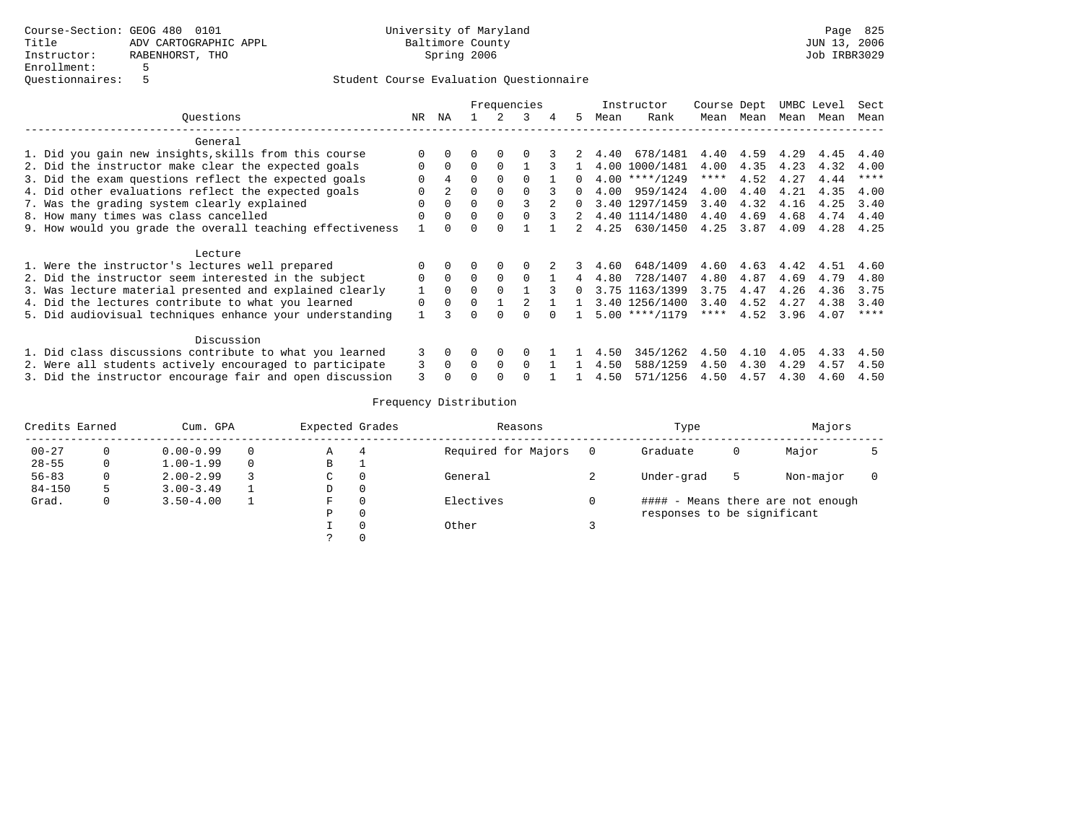|         |                                                           |              | Frequencies |          |              |                |   |               | Instructor | Course Dept      |      | UMBC Level |      | Sect |             |
|---------|-----------------------------------------------------------|--------------|-------------|----------|--------------|----------------|---|---------------|------------|------------------|------|------------|------|------|-------------|
|         | Questions                                                 | NR           | ΝA          |          |              |                | 4 | 5.            | Mean       | Rank             | Mean | Mean       | Mean | Mean | Mean        |
|         | General                                                   |              |             |          |              |                |   |               |            |                  |      |            |      |      |             |
|         | 1. Did you gain new insights, skills from this course     |              |             |          |              |                |   | 2             | 4.40       | 678/1481         | 4.40 | 4.59       | 4.29 | 4.45 | 4.40        |
|         | 2. Did the instructor make clear the expected goals       | $\Omega$     | $\Omega$    | $\Omega$ |              |                |   |               |            | 4.00 1000/1481   | 4.00 | 4.35       | 4.23 | 4.32 | 4.00        |
|         | 3. Did the exam questions reflect the expected goals      |              | 4           | $\Omega$ |              | $\Omega$       |   |               |            | $4.00$ ****/1249 | **** | 4.52       | 4.27 | 4.44 | $***$ * * * |
|         | 4. Did other evaluations reflect the expected goals       | 0            |             | $\Omega$ | $\Omega$     | 0              |   | $\Omega$      | 4.00       | 959/1424         | 4.00 | 4.40       | 4.21 | 4.35 | 4.00        |
|         | 7. Was the grading system clearly explained               | <sup>n</sup> | $\Omega$    | $\Omega$ | $\Omega$     |                |   | $\Omega$      |            | 3.40 1297/1459   | 3.40 | 4.32       | 4.16 | 4.25 | 3.40        |
|         | 8. How many times was class cancelled                     | O            | $\Omega$    | $\Omega$ | $\Omega$     |                |   |               | 4.40       | 1114/1480        | 4.40 | 4.69       | 4.68 | 4.74 | 4.40        |
|         | 9. How would you grade the overall teaching effectiveness |              |             | 0        |              |                |   | $2^{\circ}$   | 4.25       | 630/1450         | 4.25 | 3.87       | 4.09 | 4.28 | 4.25        |
| Lecture |                                                           |              |             |          |              |                |   |               |            |                  |      |            |      |      |             |
|         | 1. Were the instructor's lectures well prepared           | $\Omega$     | $\Omega$    | $\Omega$ | $\Omega$     |                | 2 | $\mathcal{L}$ | 4.60       | 648/1409         | 4.60 | 4.63       | 4.42 | 4.51 | 4.60        |
|         | 2. Did the instructor seem interested in the subject      | $\Omega$     | $\Omega$    | $\Omega$ | $\Omega$     | $\Omega$       |   | 4             | 4.80       | 728/1407         | 4.80 | 4.87       | 4.69 | 4.79 | 4.80        |
|         | 3. Was lecture material presented and explained clearly   |              | $\Omega$    | $\Omega$ |              |                | 3 | $\Omega$      |            | 3.75 1163/1399   | 3.75 | 4.47       | 4.26 | 4.36 | 3.75        |
|         | 4. Did the lectures contribute to what you learned        | $\Omega$     | $\Omega$    | $\Omega$ |              | $\mathfrak{D}$ |   |               |            | 3.40 1256/1400   | 3.40 | 4.52       | 4.27 | 4.38 | 3.40        |
|         | 5. Did audiovisual techniques enhance your understanding  |              | २           | 0        | <sup>n</sup> | <sup>n</sup>   |   |               |            | $5.00$ ****/1179 | **** | 4.52       | 3.96 | 4.07 | $***$ * * * |
|         | Discussion                                                |              |             |          |              |                |   |               |            |                  |      |            |      |      |             |
|         | 1. Did class discussions contribute to what you learned   | 3            |             |          | $\Omega$     |                |   |               | 4.50       | 345/1262         | 4.50 | 4.10       | 4.05 | 4.33 | 4.50        |
|         | 2. Were all students actively encouraged to participate   | 3            | $\Omega$    | $\Omega$ | $\Omega$     | $\Omega$       |   |               | 4.50       | 588/1259         | 4.50 | 4.30       | 4.29 | 4.57 | 4.50        |
|         | 3. Did the instructor encourage fair and open discussion  | 3            |             |          |              |                |   |               | 4.50       | 571/1256         | 4.50 | 4.57       | 4.30 | 4.60 | 4.50        |

| Credits Earned |              | Cum. GPA      |  |    | Expected Grades | Reasons             | Type                        |   | Majors                            |  |
|----------------|--------------|---------------|--|----|-----------------|---------------------|-----------------------------|---|-----------------------------------|--|
| $00 - 27$      |              | $0.00 - 0.99$ |  | Α  | 4               | Required for Majors | Graduate                    | 0 | Major                             |  |
| $28 - 55$      |              | $1.00 - 1.99$ |  | В  |                 |                     |                             |   |                                   |  |
| $56 - 83$      | 0            | $2.00 - 2.99$ |  | C. | $\Omega$        | General             | Under-grad                  | ל | Non-major                         |  |
| $84 - 150$     | 5            | $3.00 - 3.49$ |  | D  | 0               |                     |                             |   |                                   |  |
| Grad.          | $\mathbf{0}$ | $3.50 - 4.00$ |  | F  | $\Omega$        | Electives           |                             |   | #### - Means there are not enough |  |
|                |              |               |  | Ρ  | 0               |                     | responses to be significant |   |                                   |  |
|                |              |               |  |    | $\Omega$        | Other               |                             |   |                                   |  |
|                |              |               |  |    | $\Omega$        |                     |                             |   |                                   |  |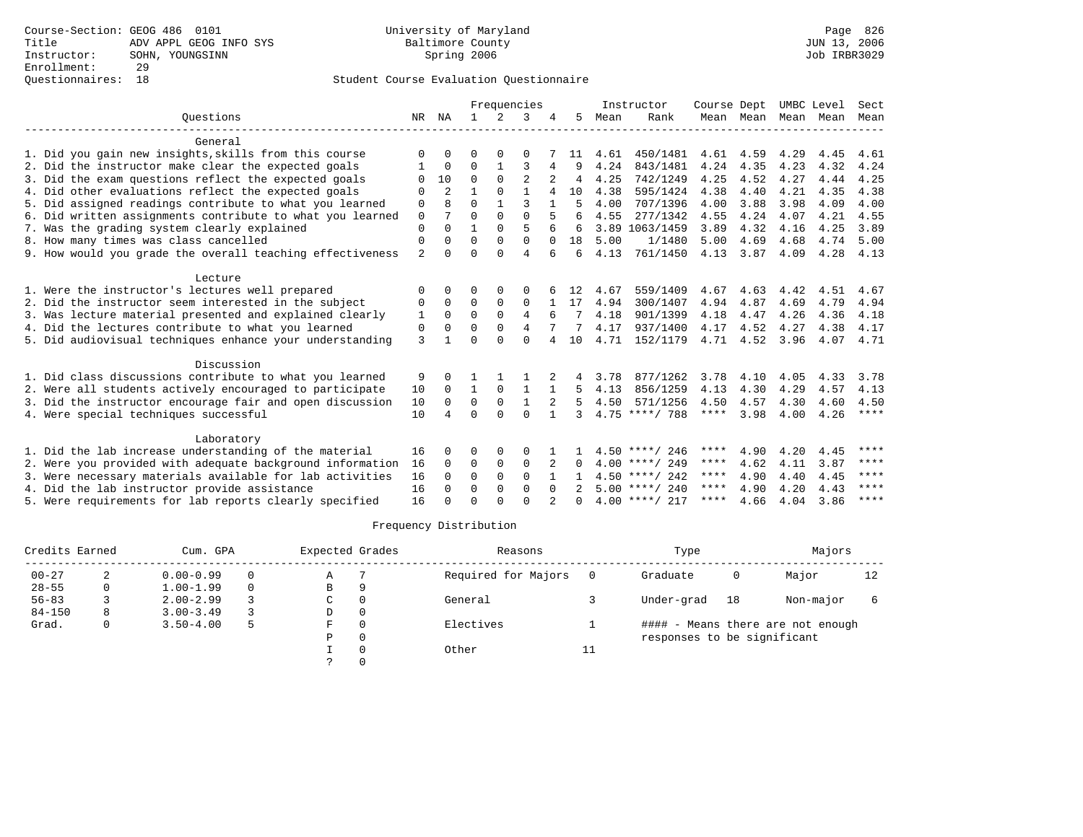|                                                           | Frequencies    |                |              |             | Instructor     | Course Dept  |               | UMBC Level |                  | Sect        |           |      |      |             |
|-----------------------------------------------------------|----------------|----------------|--------------|-------------|----------------|--------------|---------------|------------|------------------|-------------|-----------|------|------|-------------|
| Ouestions                                                 |                | NR NA          | $\mathbf{1}$ | 2           | 3              |              | 5.            | Mean       | Rank             |             | Mean Mean | Mean | Mean | Mean        |
| General                                                   |                |                |              |             |                |              |               |            |                  |             |           |      |      |             |
| 1. Did you gain new insights, skills from this course     | ∩              | 0              | O            | $\Omega$    | $\Omega$       |              | 11            | 4.61       | 450/1481         | 4.61        | 4.59      | 4.29 | 4.45 | 4.61        |
| 2. Did the instructor make clear the expected goals       |                | $\Omega$       | $\Omega$     | 1           | 3              | 4            |               | 4.24       | 843/1481         | 4.24        | 4.35      | 4.23 | 4.32 | 4.24        |
| 3. Did the exam questions reflect the expected goals      | $\Omega$       | 10             | $\Omega$     | $\Omega$    | $\overline{2}$ |              | 4             | 4.25       | 742/1249         | 4.25        | 4.52      | 4.27 | 4.44 | 4.25        |
| 4. Did other evaluations reflect the expected goals       | $\Omega$       | $\overline{a}$ | 1            | $\Omega$    | $\mathbf{1}$   | 4            | 10            | 4.38       | 595/1424         | 4.38        | 4.40      | 4.21 | 4.35 | 4.38        |
| 5. Did assigned readings contribute to what you learned   | $\mathbf 0$    |                | $\Omega$     |             | ζ              |              | 5             | 4.00       | 707/1396         | 4.00        | 3.88      | 3.98 | 4.09 | 4.00        |
| 6. Did written assignments contribute to what you learned | $\mathbf 0$    | 7              | $\Omega$     | $\Omega$    | $\Omega$       |              | 6             | 4.55       | 277/1342         | 4.55        | 4.24      | 4.07 | 4.21 | 4.55        |
| 7. Was the grading system clearly explained               | $\Omega$       | 0              | 1            | $\Omega$    | 5              |              | 6             |            | 3.89 1063/1459   | 3.89        | 4.32      | 4.16 | 4.25 | 3.89        |
| 8. How many times was class cancelled                     | 0              | 0              | $\Omega$     | $\Omega$    | $\Omega$       | $\Omega$     | 18            | 5.00       | 1/1480           | 5.00        | 4.69      | 4.68 | 4.74 | 5.00        |
| 9. How would you grade the overall teaching effectiveness | $\overline{2}$ | <sup>0</sup>   | $\Omega$     | $\Omega$    | $\overline{4}$ | 6            | 6             | 4.13       | 761/1450         | 4.13        | 3.87      | 4.09 | 4.28 | 4.13        |
| Lecture                                                   |                |                |              |             |                |              |               |            |                  |             |           |      |      |             |
| 1. Were the instructor's lectures well prepared           | $\Omega$       | <sup>0</sup>   | O            | $\Omega$    | $\Omega$       |              | 12            | 4.67       | 559/1409         | 4.67        | 4.63      | 4.42 | 4.51 | 4.67        |
| 2. Did the instructor seem interested in the subject      | 0              | $\Omega$       | $\Omega$     | 0           | 0              |              | 17            | 4.94       | 300/1407         | 4.94        | 4.87      | 4.69 | 4.79 | 4.94        |
| 3. Was lecture material presented and explained clearly   | 1              | $\Omega$       | $\Omega$     | $\Omega$    | 4              |              |               | 4.18       | 901/1399         | 4.18        | 4.47      | 4.26 | 4.36 | 4.18        |
| 4. Did the lectures contribute to what you learned        | 0              | O              | $\Omega$     | $\Omega$    | 4              |              |               | 4.17       | 937/1400         | 4.17        | 4.52      | 4.27 | 4.38 | 4.17        |
| 5. Did audiovisual techniques enhance your understanding  | 3              |                | $\Omega$     | $\cap$      | $\Omega$       | 4            | 10            | 4.71       | 152/1179         | 4.71        | 4.52      | 3.96 | 4.07 | 4.71        |
| Discussion                                                |                |                |              |             |                |              |               |            |                  |             |           |      |      |             |
| 1. Did class discussions contribute to what you learned   | 9              |                |              |             |                |              |               | 3.78       | 877/1262         | 3.78        | 4.10      | 4.05 | 4.33 | 3.78        |
| 2. Were all students actively encouraged to participate   | 10             | $\Omega$       | $\mathbf{1}$ | $\Omega$    | $\mathbf{1}$   | $\mathbf{1}$ | 5.            | 4.13       | 856/1259         | 4.13        | 4.30      | 4.29 | 4.57 | 4.13        |
| 3. Did the instructor encourage fair and open discussion  | 10             | $\Omega$       | $\mathbf 0$  | $\mathbf 0$ | $\mathbf{1}$   |              | 5             | 4.50       | 571/1256         | 4.50        | 4.57      | 4.30 | 4.60 | 4.50        |
| 4. Were special techniques successful                     | 10             | 4              | $\Omega$     | $\Omega$    | $\Omega$       | $\mathbf{1}$ | ζ             |            | $4.75$ ****/ 788 | ****        | 3.98      | 4.00 | 4.26 | $***$ * * * |
| Laboratory                                                |                |                |              |             |                |              |               |            |                  |             |           |      |      |             |
| 1. Did the lab increase understanding of the material     | 16             | 0              | 0            | 0           | 0              |              |               |            | $4.50$ ****/ 246 | ****        | 4.90      | 4.20 | 4.45 | ****        |
| 2. Were you provided with adequate background information | 16             | $\Omega$       | 0            | $\mathbf 0$ | $\mathbf 0$    | 2            | 0             |            | $4.00$ ****/ 249 | ****        | 4.62      | 4.11 | 3.87 | $* * * *$   |
| 3. Were necessary materials available for lab activities  | 16             | 0              | $\Omega$     | $\Omega$    | $\Omega$       |              |               |            | $4.50$ ****/ 242 | ****        | 4.90      | 4.40 | 4.45 | ****        |
| 4. Did the lab instructor provide assistance              | 16             | 0              | $\Omega$     | $\Omega$    | $\Omega$       | $\Omega$     | $\mathcal{D}$ |            | $5.00$ ****/ 240 | ****        | 4.90      | 4.20 | 4.43 | ****        |
| 5. Were requirements for lab reports clearly specified    | 16             |                | U            | ∩           | $\cap$         |              |               |            | $4.00$ ****/ 217 | $***$ * * * | 4.66      | 4.04 | 3.86 | ****        |

| Credits Earned |   | Cum. GPA      |   |   | Expected Grades | Reasons             |    | Type                        |    | Majors                            |    |
|----------------|---|---------------|---|---|-----------------|---------------------|----|-----------------------------|----|-----------------------------------|----|
| $00 - 27$      |   | $0.00 - 0.99$ |   | Α |                 | Required for Majors |    | Graduate                    | 0  | Major                             | 12 |
| $28 - 55$      | 0 | $1.00 - 1.99$ |   | B | O               |                     |    |                             |    |                                   |    |
| $56 - 83$      |   | $2.00 - 2.99$ |   | C | 0               | General             |    | Under-grad                  | 18 | Non-major                         |    |
| $84 - 150$     | 8 | $3.00 - 3.49$ |   | D | 0               |                     |    |                             |    |                                   |    |
| Grad.          | 0 | $3.50 - 4.00$ | 5 | F | $\Omega$        | Electives           |    |                             |    | #### - Means there are not enough |    |
|                |   |               |   | Ρ | 0               |                     |    | responses to be significant |    |                                   |    |
|                |   |               |   |   | $\Omega$        | Other               | ᆂᆂ |                             |    |                                   |    |
|                |   |               |   |   |                 |                     |    |                             |    |                                   |    |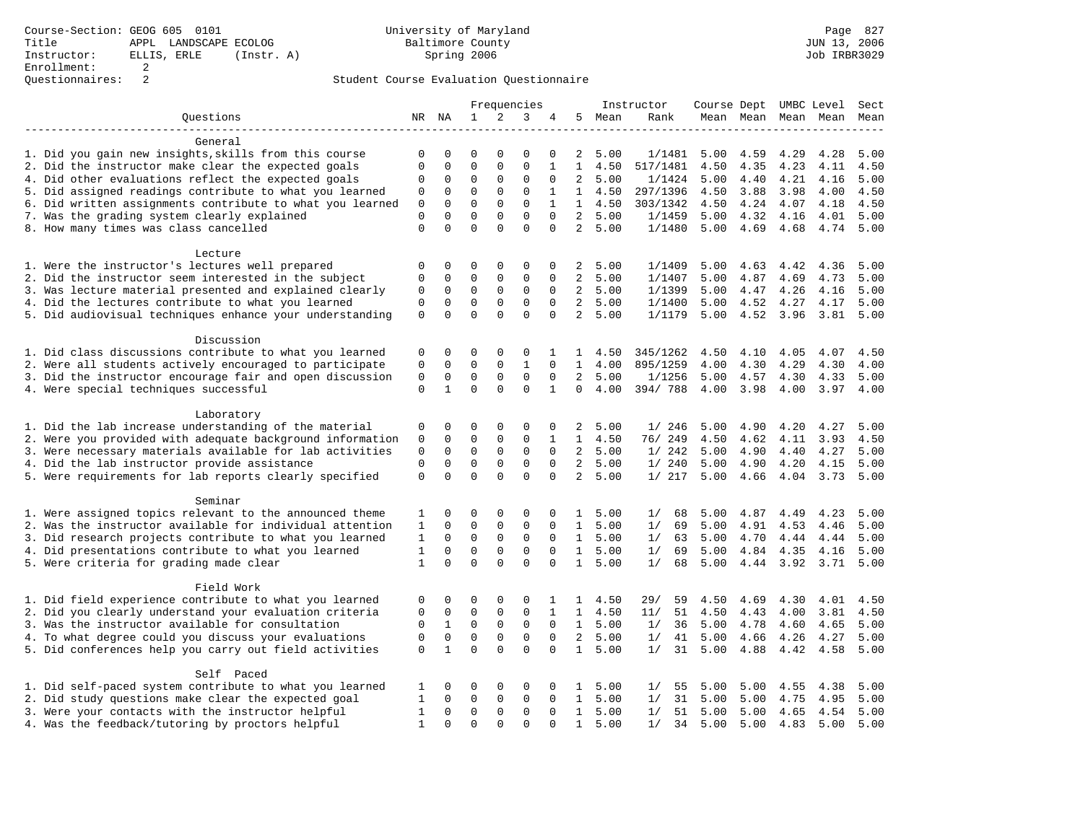|                                                           | Frequencies  |              | Instructor   |             |              |              |                |        | Course Dept UMBC Level | Sect |           |      |                     |      |
|-----------------------------------------------------------|--------------|--------------|--------------|-------------|--------------|--------------|----------------|--------|------------------------|------|-----------|------|---------------------|------|
| Questions                                                 |              | NR NA        | $\mathbf{1}$ | 2           | 3            | 4            |                | 5 Mean | Rank                   |      |           |      | Mean Mean Mean Mean | Mean |
| General                                                   |              |              |              |             |              |              |                |        |                        |      |           |      |                     |      |
| 1. Did you gain new insights, skills from this course     | 0            | 0            | 0            | 0           | 0            | 0            | 2              | 5.00   | 1/1481                 | 5.00 | 4.59      | 4.29 | 4.28                | 5.00 |
| 2. Did the instructor make clear the expected goals       | 0            | 0            | 0            | 0           | 0            | 1            | 1              | 4.50   | 517/1481               | 4.50 | 4.35      | 4.23 | 4.11                | 4.50 |
| 4. Did other evaluations reflect the expected goals       | 0            | 0            | 0            | 0           | 0            | $\Omega$     | $\overline{a}$ | 5.00   | 1/1424                 | 5.00 | 4.40      | 4.21 | 4.16                | 5.00 |
| 5. Did assigned readings contribute to what you learned   | 0            | 0            | 0            | 0           | 0            | 1            | $\mathbf{1}$   | 4.50   | 297/1396               | 4.50 | 3.88      | 3.98 | 4.00                | 4.50 |
| 6. Did written assignments contribute to what you learned | 0            | 0            | 0            | 0           | 0            | $\mathbf{1}$ | $\mathbf{1}$   | 4.50   | 303/1342               | 4.50 | 4.24      | 4.07 | 4.18                | 4.50 |
| 7. Was the grading system clearly explained               | 0            | 0            | 0            | 0           | 0            | $\Omega$     | $\overline{2}$ | 5.00   | 1/1459                 | 5.00 | 4.32      | 4.16 | 4.01                | 5.00 |
| 8. How many times was class cancelled                     | 0            | $\Omega$     | $\Omega$     | $\Omega$    | $\Omega$     | $\Omega$     | $\overline{2}$ | 5.00   | 1/1480                 | 5.00 | 4.69      | 4.68 | 4.74                | 5.00 |
|                                                           |              |              |              |             |              |              |                |        |                        |      |           |      |                     |      |
| Lecture                                                   |              |              |              |             |              |              |                |        |                        |      |           |      |                     |      |
| 1. Were the instructor's lectures well prepared           | 0            | 0            | 0            | 0           | 0            | 0            | 2              | 5.00   | 1/1409                 | 5.00 | 4.63      | 4.42 | 4.36                | 5.00 |
| 2. Did the instructor seem interested in the subject      | 0            | 0            | 0            | 0           | 0            | 0            | $\overline{2}$ | 5.00   | 1/1407                 | 5.00 | 4.87      | 4.69 | 4.73                | 5.00 |
| 3. Was lecture material presented and explained clearly   | 0            | 0            | 0            | 0           | 0            | 0            | $\overline{a}$ | 5.00   | 1/1399                 | 5.00 | 4.47      | 4.26 | 4.16                | 5.00 |
| 4. Did the lectures contribute to what you learned        | 0            | 0            | 0            | 0           | 0            | $\mathbf 0$  | 2              | 5.00   | 1/1400                 | 5.00 | 4.52      | 4.27 | 4.17                | 5.00 |
| 5. Did audiovisual techniques enhance your understanding  | 0            | 0            | 0            | $\Omega$    | 0            | 0            | $\overline{a}$ | 5.00   | 1/1179                 | 5.00 | 4.52 3.96 |      | 3.81                | 5.00 |
| Discussion                                                |              |              |              |             |              |              |                |        |                        |      |           |      |                     |      |
| 1. Did class discussions contribute to what you learned   | 0            | 0            | 0            | 0           | 0            | 1            | 1              | 4.50   | 345/1262               | 4.50 | 4.10      | 4.05 | 4.07                | 4.50 |
| 2. Were all students actively encouraged to participate   | 0            | $\mathbf 0$  | 0            | 0           | $\mathbf{1}$ | $\Omega$     | $\mathbf{1}$   | 4.00   | 895/1259               | 4.00 | 4.30      | 4.29 | 4.30                | 4.00 |
| 3. Did the instructor encourage fair and open discussion  | 0            | $\mathsf 0$  | 0            | 0           | 0            | 0            | 2              | 5.00   | 1/1256                 | 5.00 | 4.57      | 4.30 | 4.33                | 5.00 |
| 4. Were special techniques successful                     | 0            | $\mathbf{1}$ | 0            | $\Omega$    | $\Omega$     | $\mathbf{1}$ | $\Omega$       | 4.00   | 394/788                | 4.00 | 3.98      | 4.00 | 3.97                | 4.00 |
|                                                           |              |              |              |             |              |              |                |        |                        |      |           |      |                     |      |
| Laboratory                                                |              |              |              |             |              |              |                |        |                        |      |           |      |                     |      |
| 1. Did the lab increase understanding of the material     | 0            | 0            | 0            | 0           | 0            | 0            | 2              | 5.00   | 1/246                  | 5.00 | 4.90      | 4.20 | 4.27                | 5.00 |
| 2. Were you provided with adequate background information | 0            | 0            | 0            | 0           | 0            | 1            | $\mathbf{1}$   | 4.50   | 76/ 249                | 4.50 | 4.62      | 4.11 | 3.93                | 4.50 |
| 3. Were necessary materials available for lab activities  | 0            | 0            | 0            | $\mathbf 0$ | $\mathsf 0$  | $\mathbf 0$  | $\overline{2}$ | 5.00   | 1/242                  | 5.00 | 4.90      | 4.40 | 4.27                | 5.00 |
| 4. Did the lab instructor provide assistance              | 0            | 0            | 0            | 0           | 0            | $\Omega$     | $\overline{2}$ | 5.00   | 1/240                  | 5.00 | 4.90      | 4.20 | 4.15                | 5.00 |
| 5. Were requirements for lab reports clearly specified    | 0            | 0            | 0            | $\Omega$    | 0            | 0            | $\overline{a}$ | 5.00   | 1/217                  | 5.00 | 4.66      | 4.04 | 3.73                | 5.00 |
| Seminar                                                   |              |              |              |             |              |              |                |        |                        |      |           |      |                     |      |
| 1. Were assigned topics relevant to the announced theme   | 1            | 0            | 0            | 0           | 0            | 0            | $\mathbf{1}$   | 5.00   | 1/<br>68               | 5.00 | 4.87      | 4.49 | 4.23                | 5.00 |
| 2. Was the instructor available for individual attention  | 1            | 0            | 0            | 0           | 0            | 0            | $\mathbf{1}$   | 5.00   | 69<br>1/               | 5.00 | 4.91      | 4.53 | 4.46                | 5.00 |
| 3. Did research projects contribute to what you learned   | 1            | 0            | 0            | $\mathbf 0$ | 0            | $\mathbf 0$  | $\mathbf{1}$   | 5.00   | 63<br>1/               | 5.00 | 4.70      | 4.44 | 4.44                | 5.00 |
| 4. Did presentations contribute to what you learned       | 1            | 0            | $\Omega$     | 0           | 0            | $\Omega$     | 1              | 5.00   | 1/<br>69               | 5.00 | 4.84      | 4.35 | 4.16                | 5.00 |
| 5. Were criteria for grading made clear                   | 1            | $\Omega$     | $\Omega$     | $\Omega$    | $\Omega$     | $\Omega$     | $\mathbf{1}$   | 5.00   | 68<br>1/               | 5.00 | 4.44      | 3.92 | 3.71                | 5.00 |
|                                                           |              |              |              |             |              |              |                |        |                        |      |           |      |                     |      |
| Field Work                                                |              |              |              |             |              |              |                |        |                        |      |           |      |                     |      |
| 1. Did field experience contribute to what you learned    | 0            | 0            | 0            | 0           | 0            | 1            | $\mathbf{1}$   | 4.50   | 29/<br>59              | 4.50 | 4.69      | 4.30 | 4.01                | 4.50 |
| 2. Did you clearly understand your evaluation criteria    | 0            | 0            | 0            | 0           | 0            | 1            | $\mathbf{1}$   | 4.50   | 51<br>11/              | 4.50 | 4.43      | 4.00 | 3.81                | 4.50 |
| 3. Was the instructor available for consultation          | 0            | $\mathbf{1}$ | 0            | 0           | $\mathsf 0$  | 0            | $\mathbf{1}$   | 5.00   | 1/<br>36               | 5.00 | 4.78      | 4.60 | 4.65                | 5.00 |
| 4. To what degree could you discuss your evaluations      | 0            | $\mathbf 0$  | 0            | 0           | 0            | $\mathbf 0$  | $\overline{2}$ | 5.00   | 1/<br>41               | 5.00 | 4.66      | 4.26 | 4.27                | 5.00 |
| 5. Did conferences help you carry out field activities    | $\mathbf 0$  | $\mathbf{1}$ | $\Omega$     | $\Omega$    | $\Omega$     | $\Omega$     | $\mathbf{1}$   | 5.00   | 31<br>1/               | 5.00 | 4.88      | 4.42 | 4.58                | 5.00 |
| Self Paced                                                |              |              |              |             |              |              |                |        |                        |      |           |      |                     |      |
| 1. Did self-paced system contribute to what you learned   | 1            | 0            | 0            | 0           | 0            | 0            | 1              | 5.00   | 1/<br>55               | 5.00 | 5.00      | 4.55 | 4.38                | 5.00 |
| 2. Did study questions make clear the expected goal       | 1            | 0            | 0            | 0           | 0            | 0            | $\mathbf{1}$   | 5.00   | 31<br>1/               | 5.00 | 5.00      | 4.75 | 4.95                | 5.00 |
| 3. Were your contacts with the instructor helpful         | 1            | 0            | 0            | 0           | 0            | 0            | $\mathbf{1}$   | 5.00   | 1/<br>51               | 5.00 | 5.00      | 4.65 | 4.54                | 5.00 |
| 4. Was the feedback/tutoring by proctors helpful          | $\mathbf{1}$ | $\Omega$     | $\Omega$     | $\Omega$    | $\Omega$     | $\Omega$     | $\mathbf{1}$   | 5.00   | 1/<br>34               | 5.00 | 5.00      | 4.83 | 5.00                | 5.00 |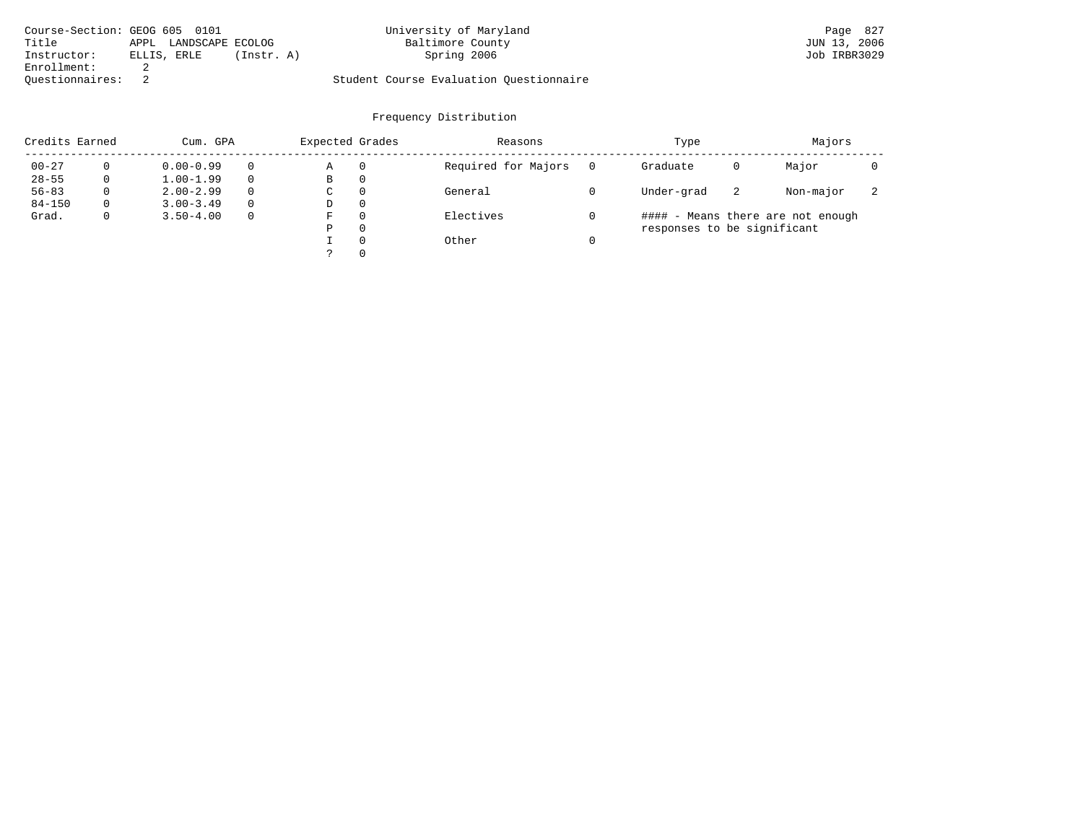| Course-Section: GEOG 605 0101 |                       |            | University of Maryland                  | Page 827     |
|-------------------------------|-----------------------|------------|-----------------------------------------|--------------|
| Title                         | APPL LANDSCAPE ECOLOG |            | Baltimore County                        | JUN 13, 2006 |
| Instructor:                   | ELLIS, ERLE           | (Instr. A) | Spring 2006                             | Job IRBR3029 |
| Enrollment:                   |                       |            |                                         |              |
| Ouestionnaires:               |                       |            | Student Course Evaluation Ouestionnaire |              |

| Credits Earned | Cum. GPA      |          | Expected Grades |          | Reasons             | Type                        |    | Majors                            |  |
|----------------|---------------|----------|-----------------|----------|---------------------|-----------------------------|----|-----------------------------------|--|
| $00 - 27$      | $0.00 - 0.99$ |          | Α               | 0        | Required for Majors | Graduate                    | 0  | Major                             |  |
| $28 - 55$      | $1.00 - 1.99$ | $\Omega$ | В               | 0        |                     |                             |    |                                   |  |
| $56 - 83$      | $2.00 - 2.99$ | $\Omega$ | C               | 0        | General             | Under-grad                  | -2 | Non-major                         |  |
| $84 - 150$     | $3.00 - 3.49$ | $\Omega$ | D               | 0        |                     |                             |    |                                   |  |
| Grad.          | $3.50 - 4.00$ | $\Omega$ | F               | $\Omega$ | Electives           |                             |    | #### - Means there are not enough |  |
|                |               |          | Ρ               | 0        |                     | responses to be significant |    |                                   |  |
|                |               |          |                 | $\Omega$ | Other               |                             |    |                                   |  |
|                |               |          |                 | $\Omega$ |                     |                             |    |                                   |  |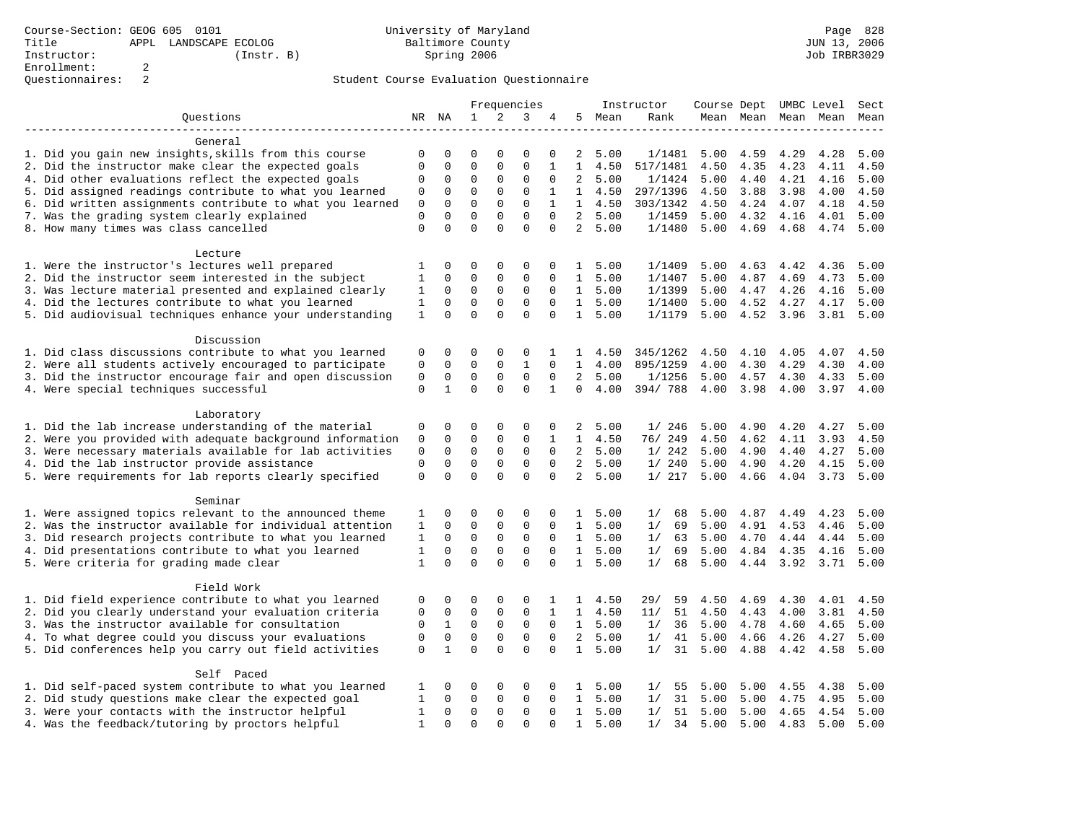|                                                           |              |              |              |              | Frequencies  |              |                |        | Instructor | Course Dept UMBC Level |           |      |                          | Sect |
|-----------------------------------------------------------|--------------|--------------|--------------|--------------|--------------|--------------|----------------|--------|------------|------------------------|-----------|------|--------------------------|------|
| Questions                                                 | NR NA        |              | $\mathbf{1}$ | 2            | 3            | 4            |                | 5 Mean | Rank       |                        |           |      | Mean Mean Mean Mean Mean |      |
|                                                           |              |              |              |              |              |              |                |        |            |                        |           |      |                          |      |
| General                                                   |              |              |              |              |              |              |                |        |            |                        |           |      |                          |      |
| 1. Did you gain new insights, skills from this course     | 0            | $\mathsf 0$  | $\mathsf 0$  | 0            | 0            | 0            | 2              | 5.00   | 1/1481     | 5.00                   | 4.59      | 4.29 | 4.28                     | 5.00 |
| 2. Did the instructor make clear the expected goals       | 0            | 0            | $\mathsf 0$  | $\mathsf 0$  | 0            | 1            | 1              | 4.50   | 517/1481   | 4.50                   | 4.35      | 4.23 | 4.11                     | 4.50 |
| 4. Did other evaluations reflect the expected goals       | $\Omega$     | 0            | 0            | 0            | 0            | $\mathbf 0$  | 2              | 5.00   | 1/1424     | 5.00                   | 4.40      | 4.21 | 4.16                     | 5.00 |
| 5. Did assigned readings contribute to what you learned   | 0            | $\mathbf 0$  | $\mathbf 0$  | $\mathbf{0}$ | 0            | 1            | $\mathbf{1}$   | 4.50   | 297/1396   | 4.50                   | 3.88      | 3.98 | 4.00                     | 4.50 |
| 6. Did written assignments contribute to what you learned | 0            | $\mathbf 0$  | $\mathbf 0$  | $\mathsf 0$  | $\mathbf 0$  | $\mathbf{1}$ | $\mathbf{1}$   | 4.50   | 303/1342   | 4.50                   | 4.24      | 4.07 | 4.18                     | 4.50 |
| 7. Was the grading system clearly explained               | $\mathbf 0$  | $\Omega$     | $\Omega$     | $\mathbf{0}$ | $\Omega$     | $\Omega$     | $\overline{2}$ | 5.00   | 1/1459     | 5.00                   | 4.32      | 4.16 | 4.01                     | 5.00 |
| 8. How many times was class cancelled                     | $\Omega$     | $\Omega$     | $\Omega$     | $\Omega$     | $\Omega$     | $\Omega$     | $\overline{2}$ | 5.00   | 1/1480     | 5.00                   | 4.69      | 4.68 | 4.74                     | 5.00 |
|                                                           |              |              |              |              |              |              |                |        |            |                        |           |      |                          |      |
| Lecture                                                   |              |              |              |              |              |              |                |        |            |                        |           |      |                          |      |
| 1. Were the instructor's lectures well prepared           | 1            | 0            | 0            | $\mathbf 0$  | 0            | 0            | $\mathbf{1}$   | 5.00   | 1/1409     | 5.00                   | 4.63      | 4.42 | 4.36                     | 5.00 |
| 2. Did the instructor seem interested in the subject      | 1            | 0            | 0            | 0            | 0            | 0            | $\mathbf{1}$   | 5.00   | 1/1407     | 5.00                   | 4.87      | 4.69 | 4.73                     | 5.00 |
| 3. Was lecture material presented and explained clearly   | 1            | $\mathbf 0$  | $\mathsf 0$  | $\mathsf 0$  | $\mathsf 0$  | 0            | $\mathbf{1}$   | 5.00   | 1/1399     | 5.00                   | 4.47      | 4.26 | 4.16                     | 5.00 |
| 4. Did the lectures contribute to what you learned        | 1            | $\mathbf 0$  | $\mathbf 0$  | $\mathbf{0}$ | 0            | $\Omega$     | 1              | 5.00   | 1/1400     | 5.00                   | 4.52      | 4.27 | 4.17                     | 5.00 |
| 5. Did audiovisual techniques enhance your understanding  | $\mathbf{1}$ | $\mathbf 0$  | $\mathbf 0$  | $\Omega$     | 0            | 0            | $\mathbf{1}$   | 5.00   | 1/1179     | 5.00                   | 4.52 3.96 |      | 3.81                     | 5.00 |
|                                                           |              |              |              |              |              |              |                |        |            |                        |           |      |                          |      |
| Discussion                                                |              |              |              |              |              |              |                |        |            |                        |           |      |                          |      |
| 1. Did class discussions contribute to what you learned   | 0            | 0            | 0            | $\mathbf 0$  | 0            | 1            | 1              | 4.50   | 345/1262   | 4.50                   | 4.10      | 4.05 | 4.07                     | 4.50 |
| 2. Were all students actively encouraged to participate   | 0            | $\mathbf 0$  | $\mathbf 0$  | $\mathsf 0$  | $\mathbf{1}$ | $\mathbf 0$  | $\mathbf{1}$   | 4.00   | 895/1259   | 4.00                   | 4.30      | 4.29 | 4.30                     | 4.00 |
| 3. Did the instructor encourage fair and open discussion  | 0            | $\mathbf 0$  | $\mathsf 0$  | $\mathsf 0$  | 0            | 0            | 2              | 5.00   | 1/1256     | 5.00                   | 4.57      | 4.30 | 4.33                     | 5.00 |
| 4. Were special techniques successful                     | $\mathbf 0$  | $\mathbf{1}$ | $\Omega$     | $\Omega$     | $\Omega$     | $\mathbf{1}$ | $\Omega$       | 4.00   | 394/788    | 4.00                   | 3.98      | 4.00 | 3.97                     | 4.00 |
|                                                           |              |              |              |              |              |              |                |        |            |                        |           |      |                          |      |
| Laboratory                                                |              |              |              |              |              |              |                |        |            |                        |           |      |                          |      |
| 1. Did the lab increase understanding of the material     | 0            | 0            | 0            | $\mathbf 0$  | 0            | 0            | 2              | 5.00   | 1/246      | 5.00                   | 4.90      | 4.20 | 4.27                     | 5.00 |
| 2. Were you provided with adequate background information | 0            | $\mathbf 0$  | 0            | $\mathbf 0$  | 0            | 1            | $\mathbf{1}$   | 4.50   | 76/ 249    | 4.50                   | 4.62      | 4.11 | 3.93                     | 4.50 |
| 3. Were necessary materials available for lab activities  | 0            | $\mathbf 0$  | $\mathsf 0$  | $\mathbf 0$  | $\mathbf 0$  | $\mathbf 0$  | $\overline{a}$ | 5.00   | 1/242      | 5.00                   | 4.90      | 4.40 | 4.27                     | 5.00 |
| 4. Did the lab instructor provide assistance              | 0            | $\mathsf 0$  | $\mathsf 0$  | $\mathsf 0$  | 0            | $\Omega$     | $\overline{a}$ | 5.00   | 1/240      | 5.00                   | 4.90      | 4.20 | 4.15                     | 5.00 |
| 5. Were requirements for lab reports clearly specified    | 0            | $\Omega$     | $\Omega$     | $\Omega$     | $\Omega$     | $\Omega$     | $\overline{2}$ | 5.00   | 1/217      | 5.00                   | 4.66      | 4.04 | 3.73                     | 5.00 |
|                                                           |              |              |              |              |              |              |                |        |            |                        |           |      |                          |      |
| Seminar                                                   |              |              |              |              |              |              |                |        |            |                        |           |      |                          |      |
| 1. Were assigned topics relevant to the announced theme   | 1            | 0            | 0            | $\mathbf 0$  | 0            | 0            | $\mathbf{1}$   | 5.00   | 1/<br>68   | 5.00                   | 4.87      | 4.49 | 4.23                     | 5.00 |
| 2. Was the instructor available for individual attention  | 1            | 0            | 0            | 0            | 0            | $\mathbf 0$  | $\mathbf{1}$   | 5.00   | 69<br>1/   | 5.00                   | 4.91      | 4.53 | 4.46                     | 5.00 |
| 3. Did research projects contribute to what you learned   | 1            | $\mathbf 0$  | $\mathbf 0$  | $\mathbf 0$  | $\mathbf 0$  | $\mathbf 0$  | $\mathbf{1}$   | 5.00   | 1/<br>63   | 5.00                   | 4.70      | 4.44 | 4.44                     | 5.00 |
| 4. Did presentations contribute to what you learned       | 1            | $\Omega$     | $\Omega$     | $\mathbf{0}$ | 0            | $\Omega$     | 1              | 5.00   | 1/<br>69   | 5.00                   | 4.84      | 4.35 | 4.16                     | 5.00 |
| 5. Were criteria for grading made clear                   | 1            | $\Omega$     | $\Omega$     | $\Omega$     | $\Omega$     | $\Omega$     | $\mathbf{1}$   | 5.00   | 1/<br>68   | 5.00                   | 4.44      | 3.92 | 3.71                     | 5.00 |
|                                                           |              |              |              |              |              |              |                |        |            |                        |           |      |                          |      |
| Field Work                                                |              |              |              |              |              |              |                |        |            |                        |           |      |                          |      |
| 1. Did field experience contribute to what you learned    | 0            | 0            | 0            | 0            | 0            | 1            | $\mathbf{1}$   | 4.50   | 29/<br>59  | 4.50                   | 4.69      | 4.30 | 4.01                     | 4.50 |
| 2. Did you clearly understand your evaluation criteria    | 0            | 0            | 0            | 0            | 0            | 1            | $\mathbf{1}$   | 4.50   | 51<br>11/  | 4.50                   | 4.43      | 4.00 | 3.81                     | 4.50 |
| 3. Was the instructor available for consultation          | 0            | $\mathbf{1}$ | $\mathsf 0$  | $\mathbf 0$  | $\mathbf 0$  | $\mathbf 0$  | $\mathbf{1}$   | 5.00   | 1/<br>36   | 5.00                   | 4.78      | 4.60 | 4.65                     | 5.00 |
| 4. To what degree could you discuss your evaluations      | $\mathbf 0$  | $\mathbf 0$  | $\mathbf 0$  | $\mathbf{0}$ | 0            | $\mathbf 0$  | $\overline{a}$ | 5.00   | 1/<br>41   | 5.00                   | 4.66      | 4.26 | 4.27                     | 5.00 |
| 5. Did conferences help you carry out field activities    | 0            | $\mathbf{1}$ | $\Omega$     | $\Omega$     | $\Omega$     | $\Omega$     | $\mathbf{1}$   | 5.00   | 1/<br>31   | 5.00                   | 4.88      | 4.42 | 4.58                     | 5.00 |
|                                                           |              |              |              |              |              |              |                |        |            |                        |           |      |                          |      |
| Self Paced                                                |              |              |              |              |              |              |                |        |            |                        |           |      |                          |      |
| 1. Did self-paced system contribute to what you learned   | 1            | 0            | 0            | 0            | 0            | 0            | $\mathbf{1}$   | 5.00   | 1/<br>55   | 5.00                   | 5.00      | 4.55 | 4.38                     | 5.00 |
| 2. Did study questions make clear the expected goal       | 1            | 0            | $\mathsf 0$  | $\mathsf 0$  | 0            | 0            | $\mathbf{1}$   | 5.00   | 31<br>1/   | 5.00                   | 5.00      | 4.75 | 4.95                     | 5.00 |
| 3. Were your contacts with the instructor helpful         | 1            | 0            | $\mathsf 0$  | 0            | 0            | 0            | $\mathbf{1}$   | 5.00   | 1/<br>51   | 5.00                   | 5.00      | 4.65 | 4.54                     | 5.00 |
| 4. Was the feedback/tutoring by proctors helpful          | $\mathbf{1}$ | $\Omega$     | $\Omega$     | $\Omega$     | $\Omega$     | $\Omega$     | $\mathbf{1}$   | 5.00   | 1/<br>34   | 5.00                   | 5.00      | 4.83 | 5.00                     | 5.00 |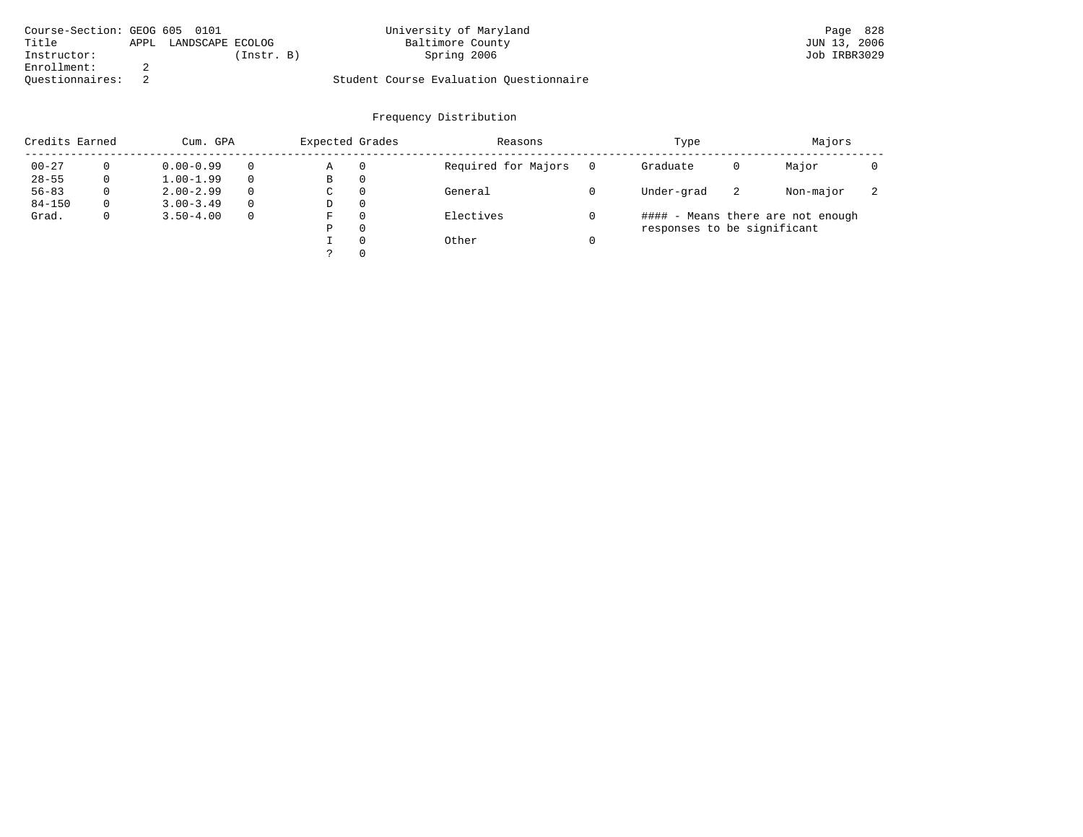| Course-Section: GEOG 605 0101 |      |                  |            | University of Maryland                  | Page 828     |
|-------------------------------|------|------------------|------------|-----------------------------------------|--------------|
| Title                         | APPL | LANDSCAPE ECOLOG |            | Baltimore County                        | JUN 13, 2006 |
| Instructor:                   |      |                  | (Instr. B) | Spring 2006                             | Job IRBR3029 |
| Enrollment:                   |      |                  |            |                                         |              |
| Ouestionnaires:               |      |                  |            | Student Course Evaluation Ouestionnaire |              |

| Credits Earned<br>Cum. GPA |              |               |          | Expected Grades |          | Reasons             | Type                        | Majors |                                   |   |
|----------------------------|--------------|---------------|----------|-----------------|----------|---------------------|-----------------------------|--------|-----------------------------------|---|
| $00 - 27$                  |              | $0.00 - 0.99$ |          | Α               | 0        | Required for Majors | Graduate                    | 0      | Major                             |   |
| $28 - 55$                  | 0            | $1.00 - 1.99$ |          | В               | 0        |                     |                             |        |                                   |   |
| $56 - 83$                  | 0            | $2.00 - 2.99$ | $\Omega$ | C.              | 0        | General             | Under-grad                  | -2     | Non-major                         | z |
| $84 - 150$                 | 0            | $3.00 - 3.49$ |          | D               | 0        |                     |                             |        |                                   |   |
| Grad.                      | $\mathbf{0}$ | $3.50 - 4.00$ | $\Omega$ | F               | $\Omega$ | Electives           |                             |        | #### - Means there are not enough |   |
|                            |              |               |          | P               | $\Omega$ |                     | responses to be significant |        |                                   |   |
|                            |              |               |          |                 | $\Omega$ | Other               |                             |        |                                   |   |
|                            |              |               |          |                 | $\Omega$ |                     |                             |        |                                   |   |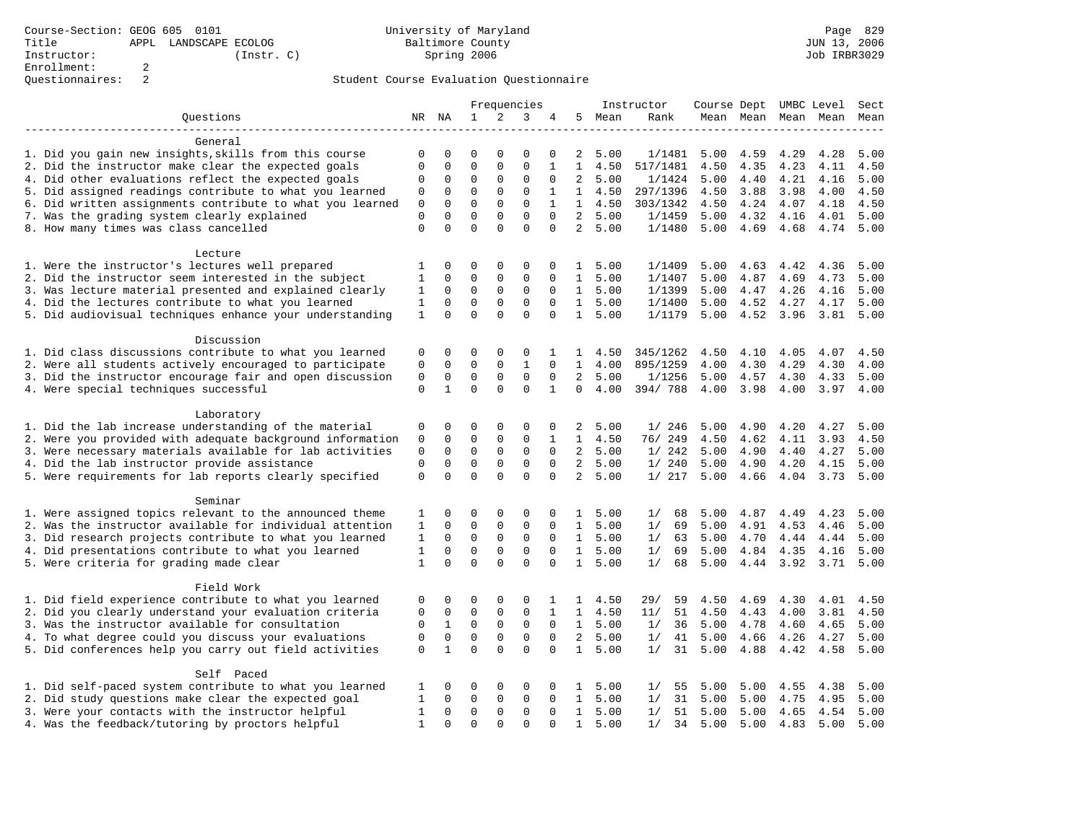# Questionnaires: 2 Student Course Evaluation Questionnaire

|                                                           |              |              |              |              | Frequencies  |              |                |        | Instructor | Course Dept UMBC Level |           |      |                          | Sect |
|-----------------------------------------------------------|--------------|--------------|--------------|--------------|--------------|--------------|----------------|--------|------------|------------------------|-----------|------|--------------------------|------|
| Questions                                                 | NR NA        |              | $\mathbf{1}$ | 2            | 3            | 4            |                | 5 Mean | Rank       |                        |           |      | Mean Mean Mean Mean Mean |      |
|                                                           |              |              |              |              |              |              |                |        |            |                        |           |      |                          |      |
| General                                                   |              |              |              |              |              |              |                |        |            |                        |           |      |                          |      |
| 1. Did you gain new insights, skills from this course     | 0            | $\mathsf 0$  | $\mathsf 0$  | 0            | 0            | 0            | 2              | 5.00   | 1/1481     | 5.00                   | 4.59      | 4.29 | 4.28                     | 5.00 |
| 2. Did the instructor make clear the expected goals       | 0            | 0            | $\mathsf 0$  | $\mathsf 0$  | 0            | 1            | 1              | 4.50   | 517/1481   | 4.50                   | 4.35      | 4.23 | 4.11                     | 4.50 |
| 4. Did other evaluations reflect the expected goals       | $\Omega$     | 0            | 0            | $\mathbf 0$  | 0            | $\mathbf 0$  | 2              | 5.00   | 1/1424     | 5.00                   | 4.40      | 4.21 | 4.16                     | 5.00 |
| 5. Did assigned readings contribute to what you learned   | 0            | $\mathbf 0$  | $\mathbf 0$  | $\mathbf{0}$ | 0            | 1            | $\mathbf{1}$   | 4.50   | 297/1396   | 4.50                   | 3.88      | 3.98 | 4.00                     | 4.50 |
| 6. Did written assignments contribute to what you learned | 0            | $\mathbf 0$  | $\mathbf 0$  | $\mathsf 0$  | $\mathbf 0$  | $\mathbf{1}$ | $\mathbf{1}$   | 4.50   | 303/1342   | 4.50                   | 4.24      | 4.07 | 4.18                     | 4.50 |
| 7. Was the grading system clearly explained               | $\mathbf 0$  | $\Omega$     | $\Omega$     | $\mathbf{0}$ | $\Omega$     | $\Omega$     | $\overline{2}$ | 5.00   | 1/1459     | 5.00                   | 4.32      | 4.16 | 4.01                     | 5.00 |
| 8. How many times was class cancelled                     | $\Omega$     | $\Omega$     | $\Omega$     | $\Omega$     | $\Omega$     | $\Omega$     | $\overline{2}$ | 5.00   | 1/1480     | 5.00                   | 4.69      | 4.68 | 4.74                     | 5.00 |
|                                                           |              |              |              |              |              |              |                |        |            |                        |           |      |                          |      |
| Lecture                                                   |              |              |              |              |              |              |                |        |            |                        |           |      |                          |      |
| 1. Were the instructor's lectures well prepared           | 1            | 0            | 0            | 0            | 0            | 0            | $\mathbf{1}$   | 5.00   | 1/1409     | 5.00                   | 4.63      | 4.42 | 4.36                     | 5.00 |
| 2. Did the instructor seem interested in the subject      | 1            | 0            | 0            | 0            | 0            | 0            | $\mathbf{1}$   | 5.00   | 1/1407     | 5.00                   | 4.87      | 4.69 | 4.73                     | 5.00 |
| 3. Was lecture material presented and explained clearly   | 1            | $\mathbf 0$  | $\mathsf 0$  | $\mathsf 0$  | $\mathsf 0$  | 0            | $\mathbf{1}$   | 5.00   | 1/1399     | 5.00                   | 4.47      | 4.26 | 4.16                     | 5.00 |
| 4. Did the lectures contribute to what you learned        | 1            | $\mathbf 0$  | $\mathbf 0$  | $\mathbf{0}$ | 0            | $\Omega$     | 1              | 5.00   | 1/1400     | 5.00                   | 4.52      | 4.27 | 4.17                     | 5.00 |
| 5. Did audiovisual techniques enhance your understanding  | $\mathbf{1}$ | $\mathbf 0$  | $\mathbf 0$  | $\Omega$     | 0            | 0            | $\mathbf{1}$   | 5.00   | 1/1179     | 5.00                   | 4.52 3.96 |      | 3.81                     | 5.00 |
|                                                           |              |              |              |              |              |              |                |        |            |                        |           |      |                          |      |
| Discussion                                                |              |              |              |              |              |              |                |        |            |                        |           |      |                          |      |
| 1. Did class discussions contribute to what you learned   | 0            | 0            | 0            | 0            | 0            | 1            | 1              | 4.50   | 345/1262   | 4.50                   | 4.10      | 4.05 | 4.07                     | 4.50 |
| 2. Were all students actively encouraged to participate   | 0            | $\mathbf 0$  | $\mathbf 0$  | $\mathsf 0$  | $\mathbf{1}$ | $\mathbf 0$  | $\mathbf{1}$   | 4.00   | 895/1259   | 4.00                   | 4.30      | 4.29 | 4.30                     | 4.00 |
| 3. Did the instructor encourage fair and open discussion  | 0            | $\mathbf 0$  | $\mathsf 0$  | $\mathsf 0$  | 0            | 0            | 2              | 5.00   | 1/1256     | 5.00                   | 4.57      | 4.30 | 4.33                     | 5.00 |
| 4. Were special techniques successful                     | $\mathbf 0$  | $\mathbf{1}$ | $\Omega$     | $\Omega$     | $\Omega$     | $\mathbf{1}$ | $\Omega$       | 4.00   | 394/788    | 4.00                   | 3.98      | 4.00 | 3.97                     | 4.00 |
|                                                           |              |              |              |              |              |              |                |        |            |                        |           |      |                          |      |
| Laboratory                                                |              |              |              |              |              |              |                |        |            |                        |           |      |                          |      |
| 1. Did the lab increase understanding of the material     | 0            | 0            | 0            | 0            | 0            | 0            | 2              | 5.00   | 1/246      | 5.00                   | 4.90      | 4.20 | 4.27                     | 5.00 |
| 2. Were you provided with adequate background information | 0            | $\mathbf 0$  | 0            | $\mathbf 0$  | 0            | 1            | $\mathbf{1}$   | 4.50   | 76/ 249    | 4.50                   | 4.62      | 4.11 | 3.93                     | 4.50 |
| 3. Were necessary materials available for lab activities  | 0            | $\mathbf 0$  | $\mathsf 0$  | $\mathbf 0$  | $\mathbf 0$  | $\mathbf 0$  | $\overline{a}$ | 5.00   | 1/242      | 5.00                   | 4.90      | 4.40 | 4.27                     | 5.00 |
| 4. Did the lab instructor provide assistance              | 0            | $\mathsf 0$  | $\mathsf 0$  | $\mathsf 0$  | 0            | $\Omega$     | $\overline{a}$ | 5.00   | 1/240      | 5.00                   | 4.90      | 4.20 | 4.15                     | 5.00 |
| 5. Were requirements for lab reports clearly specified    | 0            | $\Omega$     | $\Omega$     | $\Omega$     | $\Omega$     | $\Omega$     | $\overline{2}$ | 5.00   | 1/217      | 5.00                   | 4.66      | 4.04 | 3.73                     | 5.00 |
|                                                           |              |              |              |              |              |              |                |        |            |                        |           |      |                          |      |
| Seminar                                                   |              |              |              |              |              |              |                |        |            |                        |           |      |                          |      |
| 1. Were assigned topics relevant to the announced theme   | 1            | 0            | 0            | 0            | 0            | 0            | $\mathbf{1}$   | 5.00   | 1/<br>68   | 5.00                   | 4.87      | 4.49 | 4.23                     | 5.00 |
| 2. Was the instructor available for individual attention  | 1            | 0            | 0            | 0            | 0            | $\mathbf 0$  | $\mathbf{1}$   | 5.00   | 69<br>1/   | 5.00                   | 4.91      | 4.53 | 4.46                     | 5.00 |
| 3. Did research projects contribute to what you learned   | 1            | $\mathbf 0$  | $\mathbf 0$  | $\mathbf 0$  | $\mathbf 0$  | $\mathbf 0$  | $\mathbf{1}$   | 5.00   | 1/<br>63   | 5.00                   | 4.70      | 4.44 | 4.44                     | 5.00 |
| 4. Did presentations contribute to what you learned       | 1            | $\Omega$     | $\Omega$     | $\mathbf{0}$ | 0            | $\Omega$     | 1              | 5.00   | 1/<br>69   | 5.00                   | 4.84      | 4.35 | 4.16                     | 5.00 |
| 5. Were criteria for grading made clear                   | 1            | $\Omega$     | $\Omega$     | $\Omega$     | $\Omega$     | $\Omega$     | $\mathbf{1}$   | 5.00   | 1/<br>68   | 5.00                   | 4.44      | 3.92 | 3.71                     | 5.00 |
|                                                           |              |              |              |              |              |              |                |        |            |                        |           |      |                          |      |
| Field Work                                                |              |              |              |              |              |              |                |        |            |                        |           |      |                          |      |
| 1. Did field experience contribute to what you learned    | 0            | 0            | 0            | 0            | 0            | 1            | $\mathbf{1}$   | 4.50   | 29/<br>59  | 4.50                   | 4.69      | 4.30 | 4.01                     | 4.50 |
| 2. Did you clearly understand your evaluation criteria    | 0            | 0            | 0            | 0            | 0            | 1            | $\mathbf{1}$   | 4.50   | 51<br>11/  | 4.50                   | 4.43      | 4.00 | 3.81                     | 4.50 |
| 3. Was the instructor available for consultation          | 0            | $\mathbf{1}$ | $\mathsf 0$  | $\mathbf 0$  | $\mathbf 0$  | $\mathbf 0$  | $\mathbf{1}$   | 5.00   | 1/<br>36   | 5.00                   | 4.78      | 4.60 | 4.65                     | 5.00 |
| 4. To what degree could you discuss your evaluations      | $\mathbf 0$  | $\mathbf 0$  | $\mathbf 0$  | $\mathbf{0}$ | 0            | $\mathbf 0$  | $\overline{a}$ | 5.00   | 1/<br>41   | 5.00                   | 4.66      | 4.26 | 4.27                     | 5.00 |
| 5. Did conferences help you carry out field activities    | 0            | $\mathbf{1}$ | $\Omega$     | $\Omega$     | $\Omega$     | $\Omega$     | $\mathbf{1}$   | 5.00   | 1/<br>31   | 5.00                   | 4.88      | 4.42 | 4.58                     | 5.00 |
|                                                           |              |              |              |              |              |              |                |        |            |                        |           |      |                          |      |
| Self Paced                                                |              |              |              |              |              |              |                |        |            |                        |           |      |                          |      |
| 1. Did self-paced system contribute to what you learned   | 1            | 0            | 0            | 0            | 0            | 0            | $\mathbf{1}$   | 5.00   | 1/<br>55   | 5.00                   | 5.00      | 4.55 | 4.38                     | 5.00 |
| 2. Did study questions make clear the expected goal       | 1            | 0            | $\mathsf 0$  | $\mathsf 0$  | 0            | 0            | $\mathbf{1}$   | 5.00   | 31<br>1/   | 5.00                   | 5.00      | 4.75 | 4.95                     | 5.00 |
| 3. Were your contacts with the instructor helpful         | 1            | 0            | $\mathsf 0$  | 0            | 0            | 0            | $\mathbf{1}$   | 5.00   | 1/<br>51   | 5.00                   | 5.00      | 4.65 | 4.54                     | 5.00 |
| 4. Was the feedback/tutoring by proctors helpful          | $\mathbf{1}$ | $\Omega$     | $\Omega$     | $\Omega$     | $\Omega$     | $\Omega$     | $\mathbf{1}$   | 5.00   | 1/<br>34   | 5.00                   | 5.00      | 4.83 | 5.00                     | 5.00 |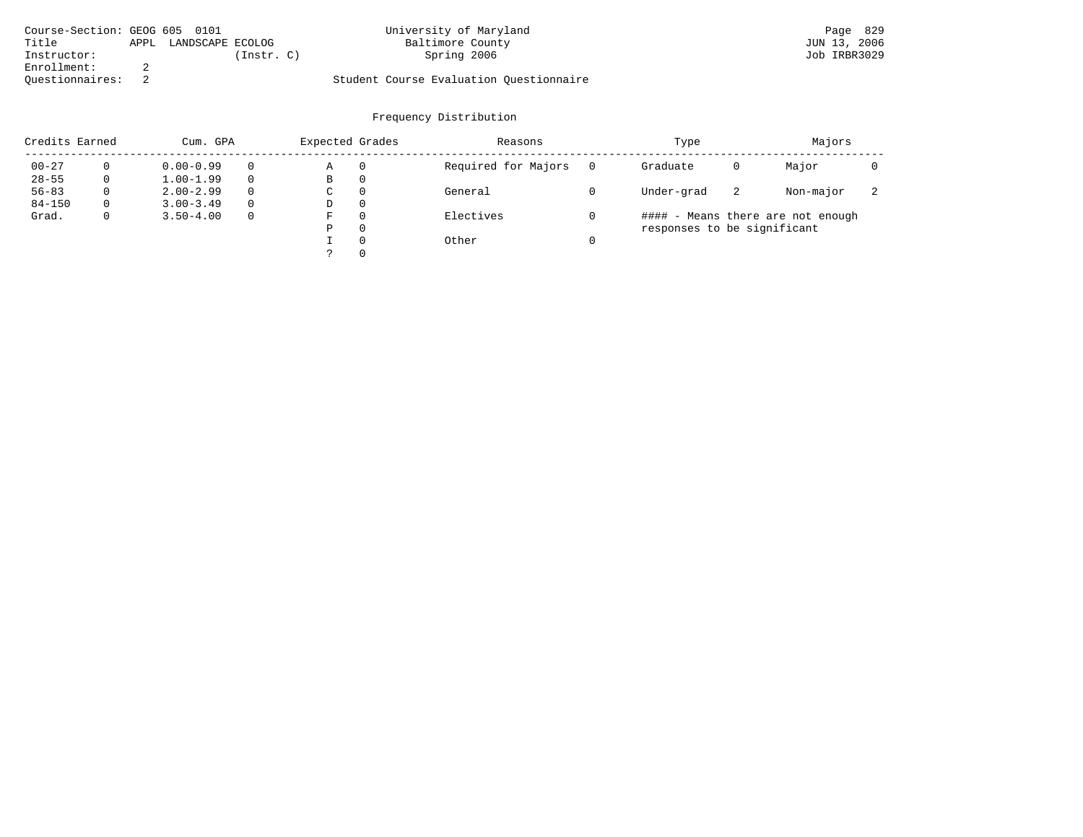| Course-Section: GEOG 605 0101 |      |                  |            | University of Maryland                  | Page 829     |
|-------------------------------|------|------------------|------------|-----------------------------------------|--------------|
| Title                         | APPL | LANDSCAPE ECOLOG |            | Baltimore County                        | JUN 13, 2006 |
| Instructor:                   |      |                  | (Instr. C) | Spring 2006                             | Job IRBR3029 |
| Enrollment:                   |      |                  |            |                                         |              |
| Ouestionnaires:               |      |                  |            | Student Course Evaluation Ouestionnaire |              |

| Credits Earned |          | Cum. GPA      |          |   | Expected Grades | Reasons             | Type                        | Majors |                                   |                          |
|----------------|----------|---------------|----------|---|-----------------|---------------------|-----------------------------|--------|-----------------------------------|--------------------------|
| $00 - 27$      |          | $0.00 - 0.99$ |          | Α | 0               | Required for Majors | Graduate                    | 0      | Major                             |                          |
| $28 - 55$      | 0        | $1.00 - 1.99$ |          | В | 0               |                     |                             |        |                                   |                          |
| $56 - 83$      | $\Omega$ | $2.00 - 2.99$ | $\Omega$ | C | $\Omega$        | General             | Under-grad                  | -2     | Non-major                         | $\overline{\phantom{a}}$ |
| $84 - 150$     | $\Omega$ | $3.00 - 3.49$ | $\Omega$ | D | $\Omega$        |                     |                             |        |                                   |                          |
| Grad.          | 0        | $3.50 - 4.00$ | $\Omega$ | F | $\Omega$        | Electives           |                             |        | #### - Means there are not enough |                          |
|                |          |               |          | Ρ | $\Omega$        |                     | responses to be significant |        |                                   |                          |
|                |          |               |          |   | $\Omega$        | Other               |                             |        |                                   |                          |
|                |          |               |          |   | $\Omega$        |                     |                             |        |                                   |                          |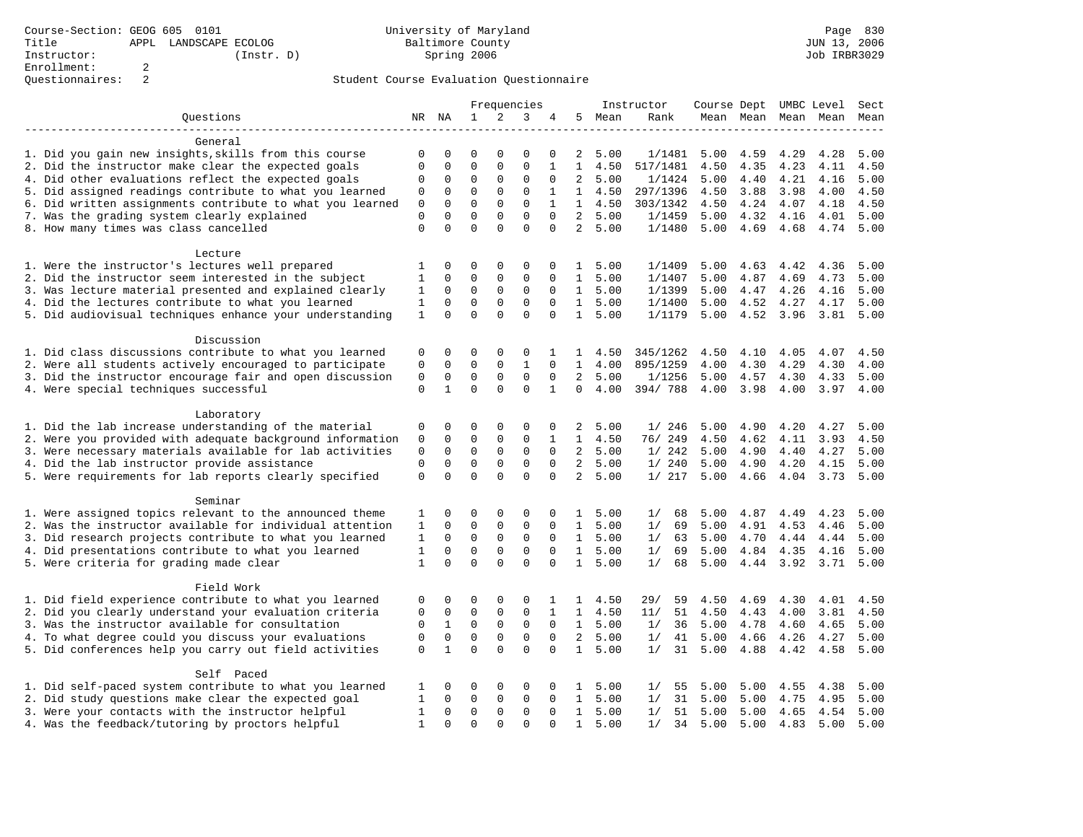| Ouestions<br>1<br>2<br>3<br>NR NA<br>4<br>5 Mean<br>Rank<br>Mean Mean Mean Mean Mean<br>General<br>1. Did you gain new insights, skills from this course<br>0<br>5.00<br>4.59<br>0<br>0<br>0<br>0<br>0<br>2<br>1/1481<br>5.00<br>4.29<br>2. Did the instructor make clear the expected goals<br>0<br>0<br>0<br>0<br>0<br>1<br>1<br>4.50<br>517/1481<br>4.50<br>4.35<br>4.23<br>4. Did other evaluations reflect the expected goals<br>$\overline{2}$<br>0<br>$\mathbf 0$<br>0<br>$\mathbf 0$<br>5.00<br>1/1424<br>5.00<br>4.40<br>4.21<br>0<br>0 | 4.28<br>5.00<br>4.50<br>4.11<br>4.16<br>5.00<br>4.00<br>4.50<br>4.18<br>4.50<br>4.01<br>5.00<br>4.74<br>5.00 |
|--------------------------------------------------------------------------------------------------------------------------------------------------------------------------------------------------------------------------------------------------------------------------------------------------------------------------------------------------------------------------------------------------------------------------------------------------------------------------------------------------------------------------------------------------|--------------------------------------------------------------------------------------------------------------|
|                                                                                                                                                                                                                                                                                                                                                                                                                                                                                                                                                  |                                                                                                              |
|                                                                                                                                                                                                                                                                                                                                                                                                                                                                                                                                                  |                                                                                                              |
|                                                                                                                                                                                                                                                                                                                                                                                                                                                                                                                                                  |                                                                                                              |
|                                                                                                                                                                                                                                                                                                                                                                                                                                                                                                                                                  |                                                                                                              |
|                                                                                                                                                                                                                                                                                                                                                                                                                                                                                                                                                  |                                                                                                              |
|                                                                                                                                                                                                                                                                                                                                                                                                                                                                                                                                                  |                                                                                                              |
| 5. Did assigned readings contribute to what you learned<br>$\mathbf 0$<br>0<br>$\mathbf 0$<br>$\mathbf 0$<br>1<br>1<br>4.50<br>297/1396<br>4.50<br>3.88<br>3.98<br>0                                                                                                                                                                                                                                                                                                                                                                             |                                                                                                              |
| 6. Did written assignments contribute to what you learned<br>0<br>0<br>$\mathbf 0$<br>$\mathbf 0$<br>$\mathbf{1}$<br>$\mathbf{1}$<br>303/1342<br>4.24<br>0<br>4.50<br>4.50<br>4.07                                                                                                                                                                                                                                                                                                                                                               |                                                                                                              |
| $\Omega$<br>$\overline{2}$<br>7. Was the grading system clearly explained<br>$\Omega$<br>$\Omega$<br>$\Omega$<br>$\Omega$<br>$\Omega$<br>5.00<br>1/1459<br>5.00<br>4.32<br>4.16                                                                                                                                                                                                                                                                                                                                                                  |                                                                                                              |
| 8. How many times was class cancelled<br>$\Omega$<br>$\Omega$<br>$\Omega$<br>$\Omega$<br>$\Omega$<br>$\Omega$<br>$\overline{2}$<br>5.00<br>1/1480<br>5.00<br>4.69<br>4.68                                                                                                                                                                                                                                                                                                                                                                        |                                                                                                              |
|                                                                                                                                                                                                                                                                                                                                                                                                                                                                                                                                                  |                                                                                                              |
| Lecture                                                                                                                                                                                                                                                                                                                                                                                                                                                                                                                                          |                                                                                                              |
| 1. Were the instructor's lectures well prepared<br>1<br>0<br>$\mathbf 0$<br>0<br>1/1409<br>0<br>0<br>5.00<br>5.00<br>4.63<br>4.42<br>$\mathbf{1}$                                                                                                                                                                                                                                                                                                                                                                                                | 5.00<br>4.36                                                                                                 |
| 2. Did the instructor seem interested in the subject<br>0<br>0<br>0<br>$\mathbf{1}$<br>5.00<br>1/1407<br>4.87<br>4.69<br>1<br>0<br>0<br>5.00                                                                                                                                                                                                                                                                                                                                                                                                     | 4.73<br>5.00                                                                                                 |
| 3. Was lecture material presented and explained clearly<br>$\mathsf 0$<br>1<br>0<br>0<br>0<br>$\mathbf 0$<br>$\mathbf{1}$<br>5.00<br>1/1399<br>5.00<br>4.47<br>4.26                                                                                                                                                                                                                                                                                                                                                                              | 4.16<br>5.00                                                                                                 |
| 4. Did the lectures contribute to what you learned<br>$\mathbf 0$<br>0<br>$\Omega$<br>0<br>$\Omega$<br>$\mathbf{1}$<br>5.00<br>1/1400<br>5.00<br>4.52<br>4.27<br>1                                                                                                                                                                                                                                                                                                                                                                               | 5.00<br>4.17                                                                                                 |
| 5. Did audiovisual techniques enhance your understanding<br>0<br>0<br>$\Omega$<br>0<br>1<br>5.00<br>1<br>0<br>1/1179<br>5.00<br>4.52 3.96                                                                                                                                                                                                                                                                                                                                                                                                        | 3.81<br>5.00                                                                                                 |
|                                                                                                                                                                                                                                                                                                                                                                                                                                                                                                                                                  |                                                                                                              |
| Discussion                                                                                                                                                                                                                                                                                                                                                                                                                                                                                                                                       |                                                                                                              |
| 1. Did class discussions contribute to what you learned<br>0<br>0<br>0<br>0<br>4.50<br>345/1262<br>4.50<br>4.10<br>4.05<br>0<br>1<br>ı.                                                                                                                                                                                                                                                                                                                                                                                                          | 4.07<br>4.50                                                                                                 |
| 2. Were all students actively encouraged to participate<br>$\mathbf 0$<br>$\mathbf 0$<br>0<br>$\mathbf{1}$<br>$\mathbf 0$<br>$\mathbf{1}$<br>4.00<br>895/1259<br>4.00<br>4.30<br>4.29<br>0                                                                                                                                                                                                                                                                                                                                                       | 4.30<br>4.00                                                                                                 |
| 3. Did the instructor encourage fair and open discussion<br>0<br>$\mathsf 0$<br>2<br>1/1256<br>0<br>0<br>0<br>0<br>5.00<br>5.00<br>4.57<br>4.30                                                                                                                                                                                                                                                                                                                                                                                                  | 4.33<br>5.00                                                                                                 |
| $\Omega$<br>$\Omega$<br>4. Were special techniques successful<br>$\mathbf 0$<br>$\mathbf{1}$<br>$\Omega$<br>$\mathbf{1}$<br>$\Omega$<br>394/788<br>4.00<br>4.00<br>3.98<br>4.00                                                                                                                                                                                                                                                                                                                                                                  | 3.97<br>4.00                                                                                                 |
|                                                                                                                                                                                                                                                                                                                                                                                                                                                                                                                                                  |                                                                                                              |
| Laboratory                                                                                                                                                                                                                                                                                                                                                                                                                                                                                                                                       |                                                                                                              |
| 1. Did the lab increase understanding of the material<br>0<br>0<br>0<br>0<br>0<br>0<br>1/246<br>5.00<br>4.90<br>4.20<br>2<br>5.00                                                                                                                                                                                                                                                                                                                                                                                                                | 4.27<br>5.00                                                                                                 |
| 2. Were you provided with adequate background information<br>0<br>0<br>$\mathbf 0$<br>0<br>$\mathbf{1}$<br>4.50<br>76/ 249<br>4.50<br>4.62<br>4.11<br>0<br>1                                                                                                                                                                                                                                                                                                                                                                                     | 3.93<br>4.50                                                                                                 |
| 3. Were necessary materials available for lab activities<br>$\mathbf 0$<br>0<br>$\mathsf 0$<br>$\mathsf 0$<br>$\mathbf 0$<br>2<br>5.00<br>1/242<br>4.90<br>0<br>5.00<br>4.40                                                                                                                                                                                                                                                                                                                                                                     | 4.27<br>5.00                                                                                                 |
| 4. Did the lab instructor provide assistance<br>0<br>$\mathsf 0$<br>2<br>0<br>0<br>0<br>0<br>5.00<br>1/240<br>5.00<br>4.90<br>4.20                                                                                                                                                                                                                                                                                                                                                                                                               | 4.15<br>5.00                                                                                                 |
| $\mathbf 0$<br>$\mathbf 0$<br>0<br>$\Omega$<br>$\Omega$<br>$\Omega$<br>$\overline{a}$<br>1/217<br>5. Were requirements for lab reports clearly specified<br>5.00<br>5.00<br>4.66<br>4.04                                                                                                                                                                                                                                                                                                                                                         | 3.73<br>5.00                                                                                                 |
|                                                                                                                                                                                                                                                                                                                                                                                                                                                                                                                                                  |                                                                                                              |
| Seminar                                                                                                                                                                                                                                                                                                                                                                                                                                                                                                                                          |                                                                                                              |
| 1. Were assigned topics relevant to the announced theme<br>0<br>0<br>0<br>5.00<br>1/<br>68<br>5.00<br>4.87<br>4.49<br>1<br>0<br>0<br>$\mathbf{1}$                                                                                                                                                                                                                                                                                                                                                                                                | 4.23<br>5.00                                                                                                 |
| 2. Was the instructor available for individual attention<br>0<br>0<br>0<br>0<br>$\mathbf{1}$<br>5.00<br>1/<br>69<br>5.00<br>4.91<br>4.53<br>1<br>0                                                                                                                                                                                                                                                                                                                                                                                               | 4.46<br>5.00                                                                                                 |
| 3. Did research projects contribute to what you learned<br>0<br>$\mathsf 0$<br>$\mathsf 0$<br>$\mathbf{1}$<br>5.00<br>5.00<br>1<br>0<br>0<br>1/<br>63<br>4.70<br>4.44                                                                                                                                                                                                                                                                                                                                                                            | 4.44<br>5.00                                                                                                 |
| 4. Did presentations contribute to what you learned<br>0<br>0<br>1<br>0<br>0<br>$\Omega$<br>$\mathbf{1}$<br>5.00<br>1/<br>69<br>5.00<br>4.84<br>4.35                                                                                                                                                                                                                                                                                                                                                                                             | 4.16<br>5.00                                                                                                 |
| $\Omega$<br>5. Were criteria for grading made clear<br>$\Omega$<br>$\Omega$<br>$\mathbf{1}$<br>5.00<br>$\mathbf{1}$<br>$\Omega$<br>$\Omega$<br>1/<br>68<br>5.00<br>4.44<br>3.92                                                                                                                                                                                                                                                                                                                                                                  | 3.71<br>5.00                                                                                                 |
|                                                                                                                                                                                                                                                                                                                                                                                                                                                                                                                                                  |                                                                                                              |
| Field Work                                                                                                                                                                                                                                                                                                                                                                                                                                                                                                                                       |                                                                                                              |
| 1. Did field experience contribute to what you learned<br>0<br>$\mathbf 0$<br>$1 \quad 4.50$<br>59<br>0<br>0<br>0<br>29/<br>4.50<br>4.69<br>4.30<br>1                                                                                                                                                                                                                                                                                                                                                                                            | 4.01<br>4.50                                                                                                 |
| 2. Did you clearly understand your evaluation criteria<br>0<br>0<br>$\mathbf 0$<br>0<br>1<br>$\mathbf{1}$<br>4.50<br>51<br>0<br>11/<br>4.50<br>4.43<br>4.00                                                                                                                                                                                                                                                                                                                                                                                      | 3.81<br>4.50                                                                                                 |
| 3. Was the instructor available for consultation<br>$\mathbf{1}$<br>$\mathsf 0$<br>$\mathsf 0$<br>1<br>5.00<br>0<br>0<br>0<br>1/<br>36<br>5.00<br>4.78<br>4.60                                                                                                                                                                                                                                                                                                                                                                                   | 4.65<br>5.00                                                                                                 |
| 4. To what degree could you discuss your evaluations<br>$\mathbf 0$<br>0<br>$\mathbf 0$<br>0<br>$\mathbf 0$<br>$\overline{a}$<br>5.00<br>0<br>1/<br>41<br>5.00<br>4.66<br>4.26                                                                                                                                                                                                                                                                                                                                                                   | 4.27<br>5.00                                                                                                 |
| 5. Did conferences help you carry out field activities<br>$\mathbf{1}$<br>0<br>0<br>$\Omega$<br>$\Omega$<br>$\Omega$<br>$\mathbf{1}$<br>5.00<br>1/<br>31<br>5.00<br>4.88<br>4.42                                                                                                                                                                                                                                                                                                                                                                 | 4.58<br>5.00                                                                                                 |
|                                                                                                                                                                                                                                                                                                                                                                                                                                                                                                                                                  |                                                                                                              |
| Self Paced                                                                                                                                                                                                                                                                                                                                                                                                                                                                                                                                       |                                                                                                              |
| 1. Did self-paced system contribute to what you learned<br>1/<br>0<br>0<br>0<br>0<br>5.00<br>55<br>5.00<br>5.00<br>4.55<br>1<br>0<br>$\mathbf{1}$                                                                                                                                                                                                                                                                                                                                                                                                | 4.38<br>5.00                                                                                                 |
| 2. Did study questions make clear the expected goal<br>0<br>$\mathbf 0$<br>0<br>$\mathbf{1}$<br>5.00<br>31<br>5.00<br>1<br>0<br>0<br>1/<br>5.00<br>4.75                                                                                                                                                                                                                                                                                                                                                                                          | 5.00<br>4.95                                                                                                 |
| 3. Were your contacts with the instructor helpful<br>0<br>5.00<br>1<br>0<br>0<br>0<br>0<br>$\mathbf{1}$<br>1/<br>51<br>5.00<br>5.00<br>4.65                                                                                                                                                                                                                                                                                                                                                                                                      | 4.54<br>5.00                                                                                                 |
| 4. Was the feedback/tutoring by proctors helpful<br>$\mathbf{1}$<br>$\Omega$<br>$\Omega$<br>$\Omega$<br>$\mathbf{1}$<br>5.00<br>5.00<br>5.00<br>$\Omega$<br>$\Omega$<br>1/<br>34<br>4.83                                                                                                                                                                                                                                                                                                                                                         | 5.00<br>5.00                                                                                                 |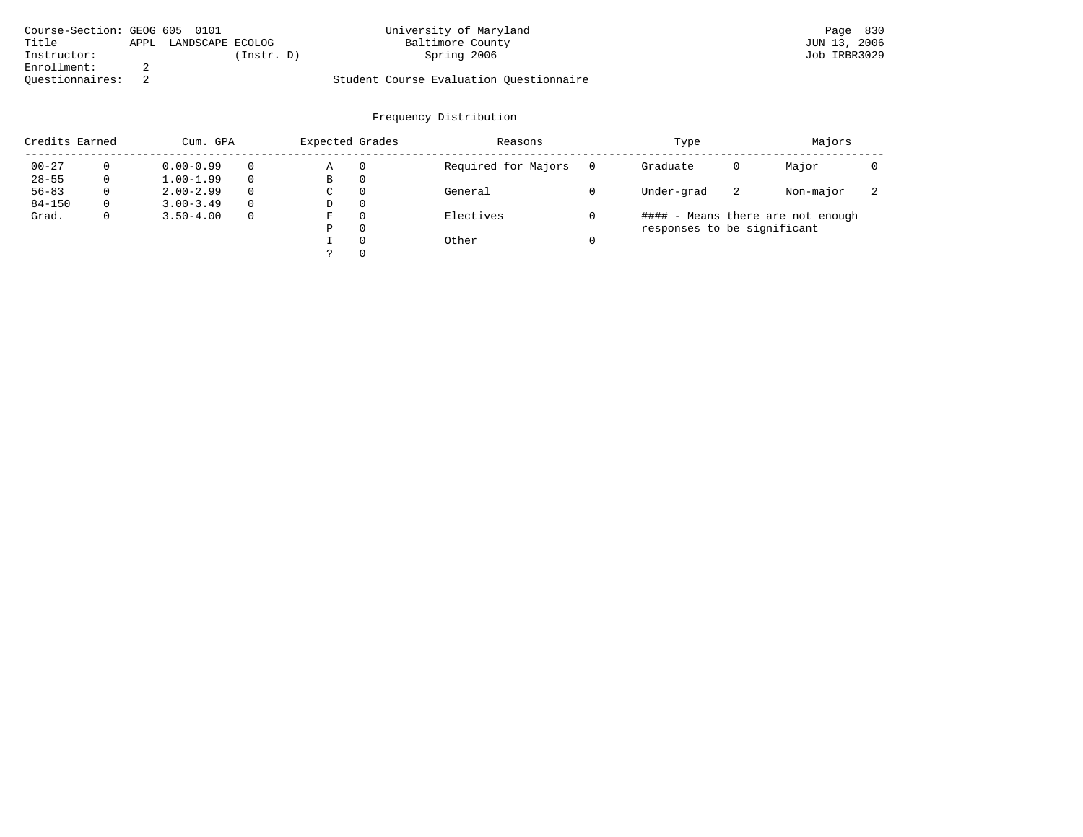| Course-Section: GEOG 605 0101 |      |                  |            | University of Maryland                  | Page 830     |
|-------------------------------|------|------------------|------------|-----------------------------------------|--------------|
| Title                         | APPL | LANDSCAPE ECOLOG |            | Baltimore County                        | JUN 13, 2006 |
| Instructor:                   |      |                  | (Instr. D) | Spring 2006                             | Job IRBR3029 |
| Enrollment:                   |      |                  |            |                                         |              |
| Ouestionnaires:               |      |                  |            | Student Course Evaluation Ouestionnaire |              |

| Credits Earned |          | Cum. GPA      |          |   | Expected Grades | Reasons             | Type                        | Majors |                                   |                          |
|----------------|----------|---------------|----------|---|-----------------|---------------------|-----------------------------|--------|-----------------------------------|--------------------------|
| $00 - 27$      |          | $0.00 - 0.99$ |          | Α | 0               | Required for Majors | Graduate                    | 0      | Major                             |                          |
| $28 - 55$      | 0        | $1.00 - 1.99$ |          | В | 0               |                     |                             |        |                                   |                          |
| $56 - 83$      | $\Omega$ | $2.00 - 2.99$ | $\Omega$ | C | $\Omega$        | General             | Under-grad                  | -2     | Non-major                         | $\overline{\phantom{a}}$ |
| $84 - 150$     | $\Omega$ | $3.00 - 3.49$ | $\Omega$ | D | $\Omega$        |                     |                             |        |                                   |                          |
| Grad.          | 0        | $3.50 - 4.00$ | $\Omega$ | F | $\Omega$        | Electives           |                             |        | #### - Means there are not enough |                          |
|                |          |               |          | Ρ | $\Omega$        |                     | responses to be significant |        |                                   |                          |
|                |          |               |          |   | $\Omega$        | Other               |                             |        |                                   |                          |
|                |          |               |          |   | $\Omega$        |                     |                             |        |                                   |                          |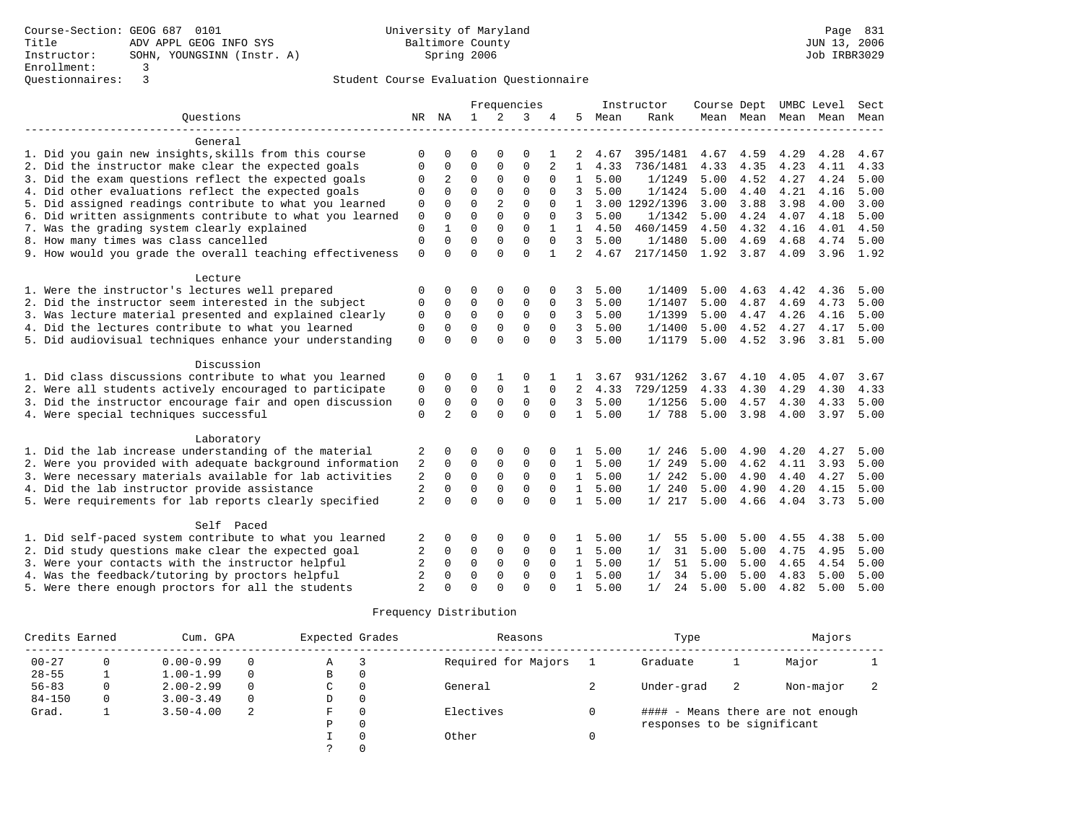|                                                                     |                |                      |              |                | Frequencies  |                      |              |              | Instructor     | Course Dept UMBC Level |              |              |                          | Sect |
|---------------------------------------------------------------------|----------------|----------------------|--------------|----------------|--------------|----------------------|--------------|--------------|----------------|------------------------|--------------|--------------|--------------------------|------|
| Ouestions                                                           |                | NR NA                | $\mathbf{1}$ | 2              | 3            | 4                    | 5            | Mean         | Rank           |                        |              |              | Mean Mean Mean Mean Mean |      |
|                                                                     |                |                      |              |                |              |                      |              |              |                |                        |              |              |                          |      |
| General                                                             |                |                      |              |                |              |                      |              |              |                |                        |              |              |                          |      |
| 1. Did you gain new insights, skills from this course               | $\Omega$       | $\Omega$             | $\Omega$     | $\Omega$       | $\Omega$     |                      | 2            | 4.67         | 395/1481       | 4.67                   | 4.59         | 4.29         | 4.28                     | 4.67 |
| 2. Did the instructor make clear the expected goals                 | $\Omega$       | $\Omega$             | $\Omega$     | $\Omega$       | $\Omega$     | $\overline{a}$       | $\mathbf{1}$ | 4.33         | 736/1481       | 4.33                   | 4.35         | 4.23         | 4.11                     | 4.33 |
| 3. Did the exam questions reflect the expected goals                | 0              | $\overline{a}$       | $\mathbf 0$  | $\mathbf{0}$   | $\mathbf 0$  | 0                    | $\mathbf{1}$ | 5.00         | 1/1249         | 5.00                   | 4.52         | 4.27         | 4.24                     | 5.00 |
| 4. Did other evaluations reflect the expected goals                 | 0              | $\Omega$             | $\Omega$     | $\Omega$       | $\Omega$     | $\Omega$             | 3            | 5.00         | 1/1424         | 5.00                   | 4.40         | 4.21         | 4.16                     | 5.00 |
| 5. Did assigned readings contribute to what you learned             | $\mathbf 0$    | $\Omega$             | $\Omega$     | $\overline{2}$ | $\Omega$     | $\Omega$             | $\mathbf{1}$ |              | 3.00 1292/1396 | 3.00                   | 3.88         | 3.98         | 4.00                     | 3.00 |
| 6. Did written assignments contribute to what you learned           | $\mathbf 0$    | $\Omega$             | $\Omega$     | $\Omega$       | $\Omega$     | $\Omega$             | 3            | 5.00         | 1/1342         | 5.00                   | 4.24         | 4.07         | 4.18                     | 5.00 |
| 7. Was the grading system clearly explained                         | $\mathbf 0$    |                      | $\Omega$     | $\Omega$       | $\Omega$     |                      | $\mathbf{1}$ | 4.50         | 460/1459       | 4.50                   | 4.32         | 4.16         | 4.01                     | 4.50 |
| 8. How many times was class cancelled                               | $\Omega$       | $\Omega$             | $\Omega$     | $\Omega$       | $\Omega$     |                      | 3            | 5.00         | 1/1480         | 5.00                   | 4.69         | 4.68         | 4.74                     | 5.00 |
| 9. How would you grade the overall teaching effectiveness           | $\Omega$       | $\cap$               | $\Omega$     | $\Omega$       | $\Omega$     | $\mathbf{1}$         | 2            | 4.67         | 217/1450       | 1.92 3.87              |              | 4.09         | 3.96 1.92                |      |
|                                                                     |                |                      |              |                |              |                      |              |              |                |                        |              |              |                          |      |
| Lecture                                                             |                |                      |              |                |              |                      |              |              |                |                        |              |              |                          |      |
| 1. Were the instructor's lectures well prepared                     | 0              | 0                    | $\Omega$     | 0              | 0            |                      | 3            | 5.00         | 1/1409         | 5.00                   | 4.63         | 4.42         | 4.36                     | 5.00 |
| 2. Did the instructor seem interested in the subject                | 0              | 0                    | 0            | 0              | 0            | 0                    | 3            | 5.00         | 1/1407         | 5.00                   | 4.87         | 4.69         | 4.73                     | 5.00 |
| 3. Was lecture material presented and explained clearly             | 0              | $\Omega$             | $\Omega$     | $\Omega$       | $\Omega$     | $\Omega$             | 3            | 5.00         | 1/1399         | 5.00                   | 4.47         | 4.26         | 4.16                     | 5.00 |
| 4. Did the lectures contribute to what you learned                  | 0              | $\Omega$             | 0            | $\Omega$       | $\mathbf 0$  | $\Omega$             | 3            | 5.00         | 1/1400         | 5.00                   | 4.52         | 4.27         | 4.17                     | 5.00 |
| 5. Did audiovisual techniques enhance your understanding            | $\Omega$       | $\Omega$             | $\Omega$     | $\Omega$       | $\Omega$     | $\Omega$             | 3            | 5.00         | 1/1179         | 5.00                   | 4.52 3.96    |              | 3.81                     | 5.00 |
|                                                                     |                |                      |              |                |              |                      |              |              |                |                        |              |              |                          |      |
| Discussion                                                          |                |                      |              |                |              |                      |              |              |                |                        |              |              |                          |      |
| 1. Did class discussions contribute to what you learned             | 0              | $\Omega$             | 0            |                | 0            |                      |              | 3.67         | 931/1262       | 3.67                   | 4.10         | 4.05         | 4.07                     | 3.67 |
| 2. Were all students actively encouraged to participate             | 0              | $\mathbf 0$          | $\mathbf 0$  | $\mathbf 0$    | $\mathbf{1}$ | 0                    | 2            | 4.33         | 729/1259       | 4.33                   | 4.30         | 4.29         | 4.30                     | 4.33 |
| 3. Did the instructor encourage fair and open discussion            | $\mathbf 0$    | 0                    | $\mathbf 0$  | $\mathbf 0$    | $\mathbf 0$  | $\mathbf 0$          | 3            | 5.00         | 1/1256         | 5.00                   | 4.57         | 4.30         | 4.33                     | 5.00 |
| 4. Were special techniques successful                               | $\Omega$       | $\overline{a}$       | $\Omega$     | $\Omega$       | $\Omega$     | $\Omega$             | $\mathbf{1}$ | 5.00         | 1/ 788         | 5.00                   | 3.98         | 4.00         | 3.97                     | 5.00 |
|                                                                     |                |                      |              |                |              |                      |              |              |                |                        |              |              |                          |      |
| Laboratory<br>1. Did the lab increase understanding of the material |                | $\Omega$             | $\Omega$     | $\Omega$       | $\Omega$     |                      | 1            |              |                |                        |              |              |                          | 5.00 |
| 2. Were you provided with adequate background information           | 2              | $\Omega$             | $\Omega$     | $\mathbf 0$    | $\Omega$     | $\Omega$             | $\mathbf{1}$ | 5.00<br>5.00 | 1/246<br>1/249 | 5.00<br>5.00           | 4.90<br>4.62 | 4.20<br>4.11 | 4.27<br>3.93             | 5.00 |
| 3. Were necessary materials available for lab activities            | 2<br>2         | $\Omega$             | $\Omega$     | $\mathbf 0$    | $\mathbf 0$  | $\Omega$             | $\mathbf{1}$ | 5.00         | 1/242          | 5.00                   | 4.90         | 4.40         | 4.27                     | 5.00 |
|                                                                     |                |                      | $\Omega$     | $\Omega$       | $\Omega$     |                      |              |              | 1/240          | 5.00                   |              |              | 4.15                     | 5.00 |
| 4. Did the lab instructor provide assistance                        | 2<br>2         | $\Omega$<br>$\Omega$ | $\Omega$     | $\Omega$       | $\Omega$     | $\Omega$<br>$\Omega$ | $\mathbf{1}$ | 5.00<br>5.00 | 1/217          | 5.00                   | 4.90<br>4.66 | 4.20         | 3.73                     | 5.00 |
| 5. Were requirements for lab reports clearly specified              |                |                      |              |                |              |                      | 1            |              |                |                        |              | 4.04         |                          |      |
| Self Paced                                                          |                |                      |              |                |              |                      |              |              |                |                        |              |              |                          |      |
| 1. Did self-paced system contribute to what you learned             | 2              | $\Omega$             | 0            | $\mathbf 0$    | 0            | $\Omega$             | $\mathbf{1}$ | 5.00         | 1/<br>55       | 5.00                   | 5.00         | 4.55         | 4.38                     | 5.00 |
| 2. Did study questions make clear the expected goal                 | 2              | 0                    | 0            | 0              | 0            | $\Omega$             | $\mathbf{1}$ | 5.00         | 31<br>1/       | 5.00                   | 5.00         | 4.75         | 4.95                     | 5.00 |
| 3. Were your contacts with the instructor helpful                   | 2              | $\Omega$             | $\Omega$     | $\Omega$       | $\Omega$     | $\Omega$             | $\mathbf{1}$ | 5.00         | 51<br>1/       | 5.00                   | 5.00         | 4.65         | 4.54                     | 5.00 |
| 4. Was the feedback/tutoring by proctors helpful                    | $\mathfrak{D}$ | $\Omega$             | $\Omega$     | $\Omega$       | $\Omega$     | $\Omega$             | $\mathbf{1}$ | 5.00         | 1/<br>34       | 5.00                   | 5.00         | 4.83         | 5.00                     | 5.00 |
| 5. Were there enough proctors for all the students                  | $\overline{a}$ | $\cap$               | $\Omega$     | $\Omega$       | $\cap$       |                      | 1            | 5.00         | 24<br>1/       | 5.00                   | 5.00         | 4.82         | 5.00                     | 5.00 |

| Credits Earned | Cum. GPA |               | Expected Grades |   | Reasons      | Type                | Majors                      |    |                                   |  |
|----------------|----------|---------------|-----------------|---|--------------|---------------------|-----------------------------|----|-----------------------------------|--|
| $00 - 27$      | 0        | $0.00 - 0.99$ | $\Omega$        | Α | 3            | Required for Majors | Graduate                    |    | Major                             |  |
| $28 - 55$      |          | $1.00 - 1.99$ | $\Omega$        | B | 0            |                     |                             |    |                                   |  |
| $56 - 83$      |          | $2.00 - 2.99$ | $\Omega$        | C | 0            | General             | Under-grad                  | -2 | Non-major                         |  |
| $84 - 150$     | $\Omega$ | $3.00 - 3.49$ | $\Omega$        | D | $\mathbf{0}$ |                     |                             |    |                                   |  |
| Grad.          |          | $3.50 - 4.00$ | -2              | F | 0            | Electives           |                             |    | #### - Means there are not enough |  |
|                |          |               |                 | Ρ | 0            |                     | responses to be significant |    |                                   |  |
|                |          |               |                 |   | $\Omega$     | Other               |                             |    |                                   |  |
|                |          |               |                 |   | $\Omega$     |                     |                             |    |                                   |  |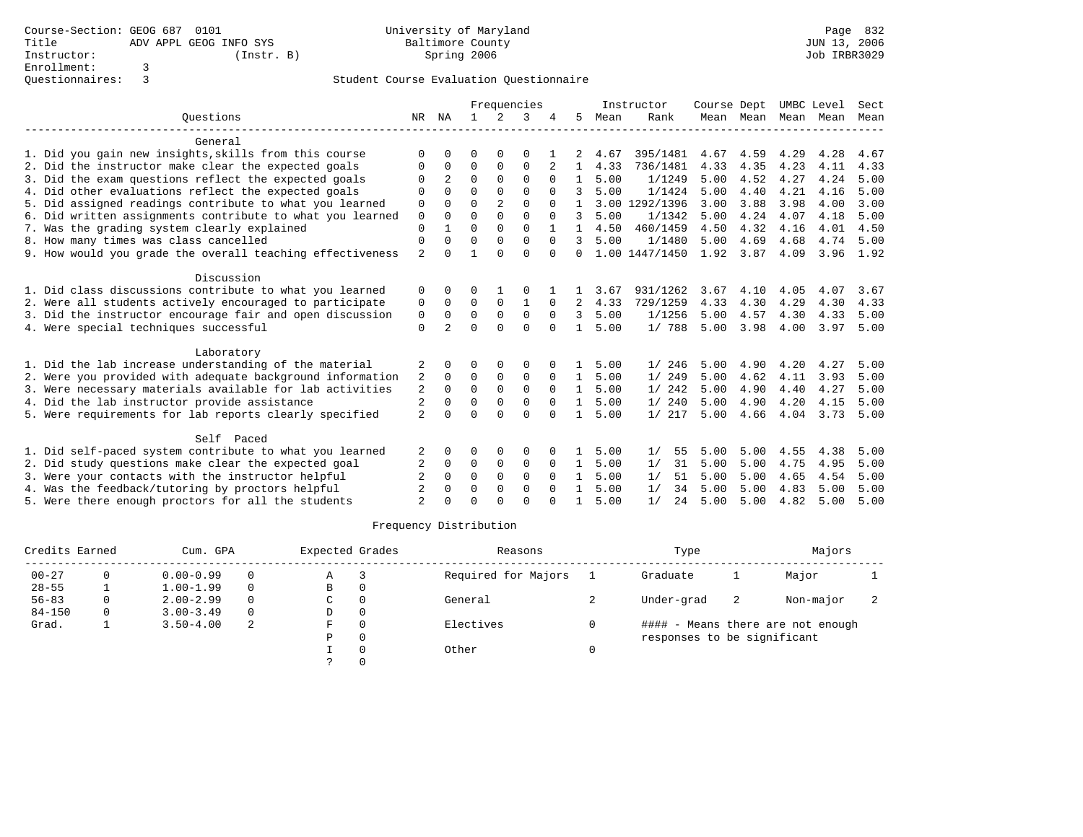|                                                           |                           |                |              |                | Frequencies  |             |               |      | Instructor     | Course Dept |      |                     | UMBC Level | Sect |
|-----------------------------------------------------------|---------------------------|----------------|--------------|----------------|--------------|-------------|---------------|------|----------------|-------------|------|---------------------|------------|------|
| Ouestions                                                 | NR                        | ΝA             | $\mathbf{1}$ | 2              | 3            |             | 5             | Mean | Rank           |             |      | Mean Mean Mean Mean |            | Mean |
| General                                                   |                           |                |              |                |              |             |               |      |                |             |      |                     |            |      |
| 1. Did you gain new insights, skills from this course     | $\Omega$                  | U              | 0            | $\Omega$       | 0            |             |               | 4.67 | 395/1481       | 4.67        | 4.59 | 4.29                | 4.28       | 4.67 |
| 2. Did the instructor make clear the expected goals       | 0                         | 0              | $\mathbf 0$  | 0              | $\mathbf{0}$ | 2           | $\mathbf{1}$  | 4.33 | 736/1481       | 4.33        | 4.35 | 4.23                | 4.11       | 4.33 |
| 3. Did the exam questions reflect the expected goals      | O                         | $\overline{a}$ | $\Omega$     | $\Omega$       | $\Omega$     | $\Omega$    | $\mathbf{1}$  | 5.00 | 1/1249         | 5.00        | 4.52 | 4.27                | 4.24       | 5.00 |
| 4. Did other evaluations reflect the expected goals       | $\Omega$                  | $\Omega$       | $\Omega$     | $\Omega$       | $\Omega$     | $\Omega$    |               | 5.00 | 1/1424         | 5.00        | 4.40 | 4.21                | 4.16       | 5.00 |
| 5. Did assigned readings contribute to what you learned   | 0                         | $\Omega$       | $\Omega$     | $\overline{2}$ | $\Omega$     | $\Omega$    |               |      | 3.00 1292/1396 | 3.00        | 3.88 | 3.98                | 4.00       | 3.00 |
| 6. Did written assignments contribute to what you learned | $\mathbf 0$               | $\Omega$       | $\Omega$     | $\Omega$       | $\Omega$     | $\Omega$    | $\mathcal{L}$ | 5.00 | 1/1342         | 5.00        | 4.24 | 4.07                | 4.18       | 5.00 |
| 7. Was the grading system clearly explained               | $\mathbf{0}$              | $\mathbf{1}$   | $\Omega$     | $\Omega$       | $\Omega$     |             | $\mathbf{1}$  | 4.50 | 460/1459       | 4.50        | 4.32 | 4.16                | 4.01       | 4.50 |
| 8. How many times was class cancelled                     | $\mathbf{0}$              | $\Omega$       | $\Omega$     | $\Omega$       | $\Omega$     | $\Omega$    |               | 5.00 | 1/1480         | 5.00        | 4.69 | 4.68                | 4.74       | 5.00 |
| 9. How would you grade the overall teaching effectiveness | $\overline{\mathfrak{L}}$ | $\Omega$       | $\mathbf{1}$ | $\Omega$       | $\Omega$     | $\Omega$    | $\Omega$      |      | 1.00 1447/1450 | 1.92        | 3.87 | 4.09                | 3.96       | 1.92 |
| Discussion                                                |                           |                |              |                |              |             |               |      |                |             |      |                     |            |      |
| 1. Did class discussions contribute to what you learned   | 0                         | 0              | O            |                |              |             |               | 3.67 | 931/1262       | 3.67        | 4.10 | 4.05                | 4.07       | 3.67 |
| 2. Were all students actively encouraged to participate   | 0                         | $\mathbf 0$    | $\mathbf 0$  | $\mathbf 0$    | $\mathbf{1}$ | $\Omega$    | 2             | 4.33 | 729/1259       | 4.33        | 4.30 | 4.29                | 4.30       | 4.33 |
| 3. Did the instructor encourage fair and open discussion  | 0                         | $\Omega$       | $\mathbf 0$  | $\mathbf 0$    | $\mathbf 0$  | $\Omega$    | $\mathcal{L}$ | 5.00 | 1/1256         | 5.00        | 4.57 | 4.30                | 4.33       | 5.00 |
| 4. Were special techniques successful                     | $\Omega$                  | $\mathfrak{D}$ | $\cap$       | $\cap$         | $\Omega$     | $\cap$      | $\mathbf{1}$  | 5.00 | 1/788          | 5.00        | 3.98 | 4.00                | 3.97       | 5.00 |
| Laboratory                                                |                           |                |              |                |              |             |               |      |                |             |      |                     |            |      |
| 1. Did the lab increase understanding of the material     | 2                         | 0              | 0            | 0              | 0            |             | 1             | 5.00 | 1/246          | 5.00        | 4.90 | 4.20                | 4.27       | 5.00 |
| 2. Were you provided with adequate background information | 2                         | $\Omega$       | $\Omega$     | $\mathbf 0$    | $\mathbf 0$  | $\Omega$    | $\mathbf{1}$  | 5.00 | 1/249          | 5.00        | 4.62 | 4.11                | 3.93       | 5.00 |
| 3. Were necessary materials available for lab activities  | $\overline{2}$            | $\mathbf 0$    | $\Omega$     | $\mathbf 0$    | $\mathbf{0}$ | $\Omega$    | $\mathbf{1}$  | 5.00 | 1/242          | 5.00        | 4.90 | 4.40                | 4.27       | 5.00 |
| 4. Did the lab instructor provide assistance              | $\overline{2}$            | $\Omega$       | $\Omega$     | $\Omega$       | $\Omega$     | $\Omega$    | $\mathbf{1}$  | 5.00 | 1/240          | 5.00        | 4.90 | 4.20                | 4.15       | 5.00 |
| 5. Were requirements for lab reports clearly specified    | $\overline{a}$            | $\Omega$       | $\Omega$     | $\cap$         | $\Omega$     | $\Omega$    |               | 5.00 | 1/217          | 5.00        | 4.66 | 4.04                | 3.73       | 5.00 |
| Self Paced                                                |                           |                |              |                |              |             |               |      |                |             |      |                     |            |      |
| 1. Did self-paced system contribute to what you learned   |                           | 0              | O            | $\Omega$       | 0            |             |               | 5.00 | 55<br>1/       | 5.00        | 5.00 | 4.55                | 4.38       | 5.00 |
| 2. Did study questions make clear the expected goal       | 2                         | $\mathbf 0$    | 0            | 0              | 0            | $\mathbf 0$ | $\mathbf{1}$  | 5.00 | 1/<br>31       | 5.00        | 5.00 | 4.75                | 4.95       | 5.00 |
| 3. Were your contacts with the instructor helpful         | $\overline{2}$            | $\Omega$       | $\Omega$     | $\mathbf{0}$   | $\mathbf 0$  | $\Omega$    | $\mathbf{1}$  | 5.00 | 1/<br>51       | 5.00        | 5.00 | 4.65                | 4.54       | 5.00 |
| 4. Was the feedback/tutoring by proctors helpful          |                           | 0              | $\Omega$     | $\Omega$       | 0            | $\Omega$    |               | 5.00 | 1/<br>34       | 5.00        | 5.00 | 4.83                | 5.00       | 5.00 |
| 5. Were there enough proctors for all the students        | っ                         | 0              | $\Omega$     | $\cap$         | $\Omega$     | $\Omega$    | 1             | 5.00 | 24<br>1/       | 5.00        | 5.00 | 4.82                | 5.00       | 5.00 |
|                                                           |                           |                |              |                |              |             |               |      |                |             |      |                     |            |      |

| Credits Earned<br>Cum. GPA |   |               |          | Expected Grades | Reasons             | Type                        | Majors |                                   |  |
|----------------------------|---|---------------|----------|-----------------|---------------------|-----------------------------|--------|-----------------------------------|--|
| $00 - 27$                  |   | $0.00 - 0.99$ | $\Omega$ | Α               | Required for Majors | Graduate                    |        | Major                             |  |
| $28 - 55$                  |   | $1.00 - 1.99$ | $\Omega$ | В               |                     |                             |        |                                   |  |
| $56 - 83$                  | 0 | $2.00 - 2.99$ | $\Omega$ | C               | General             | Under-grad                  | 2      | Non-major                         |  |
| $84 - 150$                 | 0 | $3.00 - 3.49$ | $\Omega$ | D               |                     |                             |        |                                   |  |
| Grad.                      |   | $3.50 - 4.00$ | 2        | F               | Electives           |                             |        | #### - Means there are not enough |  |
|                            |   |               |          | P               |                     | responses to be significant |        |                                   |  |
|                            |   |               |          |                 | Other               |                             |        |                                   |  |
|                            |   |               |          |                 |                     |                             |        |                                   |  |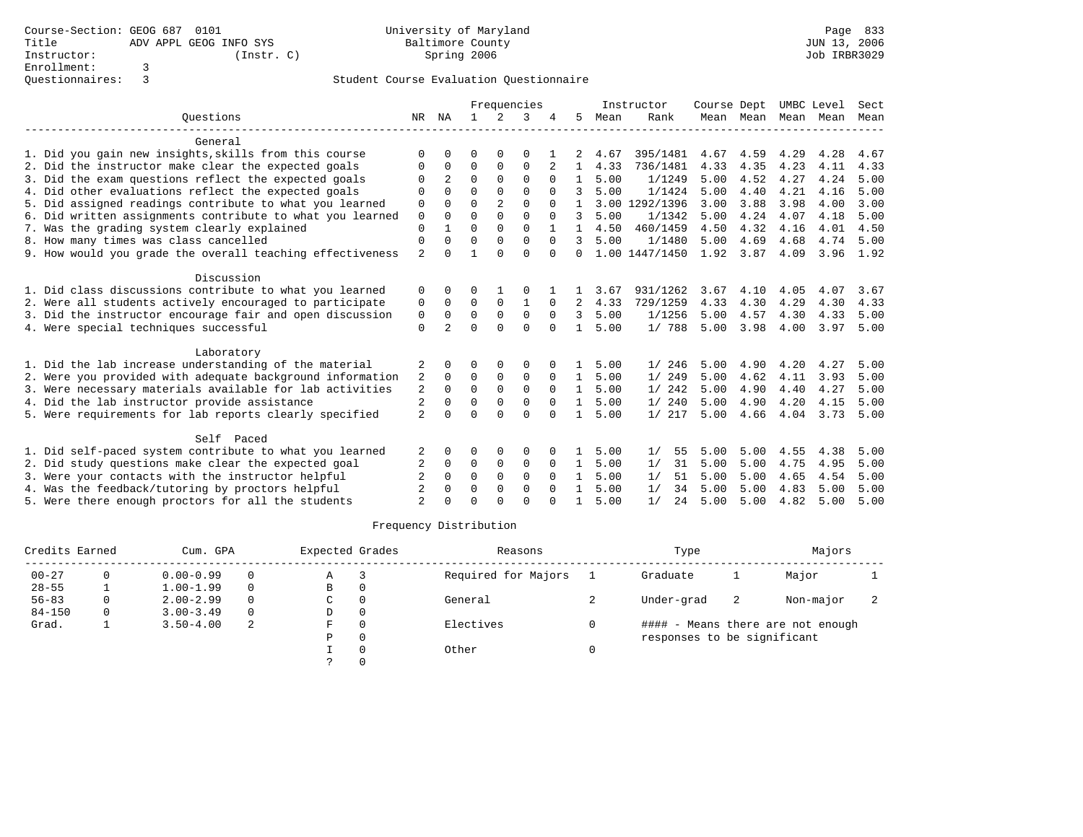|                                                                                                                                                              |                |                | Frequencies  |                |              |             |              |      | Instructor     | Course Dept |              | UMBC Level          |      | Sect |
|--------------------------------------------------------------------------------------------------------------------------------------------------------------|----------------|----------------|--------------|----------------|--------------|-------------|--------------|------|----------------|-------------|--------------|---------------------|------|------|
| Ouestions                                                                                                                                                    | NR             | ΝA             | $\mathbf{1}$ | 2              | 3            |             | 5            | Mean | Rank           |             |              | Mean Mean Mean Mean |      | Mean |
| General                                                                                                                                                      |                |                |              |                |              |             |              |      |                |             |              |                     |      |      |
| 1. Did you gain new insights, skills from this course                                                                                                        | O              | $\Omega$       | 0            | $\Omega$       | 0            |             |              | 4.67 | 395/1481       | 4.67        | 4.59         | 4.29                | 4.28 | 4.67 |
| 2. Did the instructor make clear the expected goals                                                                                                          | O              | 0              | 0            | 0              | 0            | 2           | 1            | 4.33 | 736/1481       | 4.33        | 4.35         | 4.23                | 4.11 | 4.33 |
| 3. Did the exam questions reflect the expected goals                                                                                                         | O              | 2              | $\Omega$     | $\Omega$       | 0            | $\Omega$    | 1            | 5.00 | 1/1249         | 5.00        | 4.52         | 4.27                | 4.24 | 5.00 |
| 4. Did other evaluations reflect the expected goals                                                                                                          | O              | $\Omega$       | $\Omega$     | $\Omega$       | $\Omega$     | $\Omega$    | 3            | 5.00 | 1/1424         | 5.00        | 4.40         | 4.21                | 4.16 | 5.00 |
| 5. Did assigned readings contribute to what you learned                                                                                                      | 0              | $\Omega$       | $\Omega$     | $\overline{2}$ | $\Omega$     | $\Omega$    |              |      | 3.00 1292/1396 | 3.00        | 3.88         | 3.98                | 4.00 | 3.00 |
| 6. Did written assignments contribute to what you learned                                                                                                    | $\mathbf 0$    | $\Omega$       | $\Omega$     | $\Omega$       | $\Omega$     | $\Omega$    | 3            | 5.00 | 1/1342         | 5.00        | 4.24         | 4.07                | 4.18 | 5.00 |
| 7. Was the grading system clearly explained                                                                                                                  | 0              | $\mathbf{1}$   | $\Omega$     | $\Omega$       | $\Omega$     |             |              | 4.50 | 460/1459       | 4.50        | 4.32         | 4.16                | 4.01 | 4.50 |
| 8. How many times was class cancelled                                                                                                                        | 0              | $\Omega$       | $\Omega$     | $\Omega$       | $\Omega$     | $\Omega$    |              | 5.00 | 1/1480         | 5.00        | 4.69         | 4.68                | 4.74 | 5.00 |
| 9. How would you grade the overall teaching effectiveness                                                                                                    | $\overline{2}$ | $\Omega$       | $\mathbf{1}$ | $\Omega$       | $\Omega$     | $\Omega$    | $\Omega$     |      | 1.00 1447/1450 | 1.92        | 3.87         | 4.09                | 3.96 | 1.92 |
| Discussion                                                                                                                                                   |                |                |              |                |              |             |              |      |                |             |              |                     |      |      |
| 1. Did class discussions contribute to what you learned                                                                                                      | 0              | $\Omega$       | U            |                | 0            |             |              | 3.67 | 931/1262       | 3.67        | 4.10         | 4.05                | 4.07 | 3.67 |
| 2. Were all students actively encouraged to participate                                                                                                      | 0              | $\mathbf 0$    | 0            | $\mathbf 0$    | $\mathbf{1}$ | $\Omega$    | 2            | 4.33 | 729/1259       | 4.33        | 4.30         | 4.29                | 4.30 | 4.33 |
| 3. Did the instructor encourage fair and open discussion                                                                                                     | 0              | $\Omega$       | $\Omega$     | $\mathbf{0}$   | 0            | $\Omega$    | 3            | 5.00 | 1/1256         | 5.00        | 4.57         | 4.30                | 4.33 | 5.00 |
| 4. Were special techniques successful                                                                                                                        | $\Omega$       | $\overline{a}$ | $\cap$       | $\cap$         | $\Omega$     | $\cap$      | $\mathbf{1}$ | 5.00 | 1/788          | 5.00        | 3.98         | 4.00                | 3.97 | 5.00 |
| Laboratory                                                                                                                                                   |                |                |              |                |              |             |              |      |                |             |              |                     |      |      |
| 1. Did the lab increase understanding of the material                                                                                                        | 2              | $\Omega$       | U            | 0              | 0            |             |              | 5.00 | 1/246          | 5.00        | 4.90         | 4.20                | 4.27 | 5.00 |
| 2. Were you provided with adequate background information                                                                                                    | 2              | $\Omega$       | $\Omega$     | $\mathbf 0$    | 0            | $\mathbf 0$ | 1            | 5.00 | 1/249          | 5.00        | 4.62         | 4.11                | 3.93 | 5.00 |
| 3. Were necessary materials available for lab activities                                                                                                     | 2              | 0              | $\Omega$     | $\Omega$       | 0            | 0           | $\mathbf{1}$ | 5.00 | 1/242          | 5.00        | 4.90         | 4.40                | 4.27 | 5.00 |
| 4. Did the lab instructor provide assistance                                                                                                                 | 2              | $\mathbf 0$    | $\Omega$     | $\Omega$       | $\Omega$     | $\Omega$    | 1            | 5.00 | 1/240          | 5.00        | 4.90         | 4.20                | 4.15 | 5.00 |
| 5. Were requirements for lab reports clearly specified                                                                                                       | $\overline{a}$ | $\Omega$       | U            | $\Omega$       | $\Omega$     | $\Omega$    |              | 5.00 | 1/217          | 5.00        | 4.66         | 4.04                | 3.73 | 5.00 |
| Self Paced                                                                                                                                                   |                |                |              |                |              |             |              |      |                |             |              |                     |      |      |
| 1. Did self-paced system contribute to what you learned                                                                                                      |                | $\Omega$       | U            | $\Omega$       | 0            |             | 1.           | 5.00 | 55<br>1/       | 5.00        | 5.00         | 4.55                | 4.38 | 5.00 |
|                                                                                                                                                              |                | $\mathbf 0$    | 0            | $\mathbf 0$    |              | $\mathbf 0$ |              |      | 31<br>1/       | 5.00        |              | 4.75                | 4.95 | 5.00 |
|                                                                                                                                                              | 2              | $\Omega$       | $\Omega$     | $\mathbf 0$    | 0            | $\Omega$    | $\mathbf{1}$ | 5.00 | 1/<br>51       | 5.00        | 5.00         | 4.65                | 4.54 | 5.00 |
|                                                                                                                                                              |                | $\Omega$       | $\Omega$     | $\Omega$       | $\Omega$     | $\Omega$    |              | 5.00 | 34             |             |              |                     |      | 5.00 |
| 5. Were there enough proctors for all the students                                                                                                           | っ              | $\Omega$       | U            | $\Omega$       | $\Omega$     | $\Omega$    | 1.           | 5.00 | 1/<br>24       | 5.00        | 5.00         | 4.82                | 5.00 | 5.00 |
| 2. Did study questions make clear the expected goal<br>3. Were your contacts with the instructor helpful<br>4. Was the feedback/tutoring by proctors helpful | 2              |                |              |                | 0            |             | $\mathbf{1}$ | 5.00 | 1/             | 5.00        | 5.00<br>5.00 | 4.83                | 5.00 |      |

| Credits Earned |   | Cum. GPA      |          | Expected Grades |  | Reasons             | Type                        | Majors |                                   |  |
|----------------|---|---------------|----------|-----------------|--|---------------------|-----------------------------|--------|-----------------------------------|--|
| $00 - 27$      |   | $0.00 - 0.99$ | $\Omega$ | Α               |  | Required for Majors | Graduate                    |        | Major                             |  |
| $28 - 55$      |   | $1.00 - 1.99$ | $\Omega$ | В               |  |                     |                             |        |                                   |  |
| $56 - 83$      | 0 | $2.00 - 2.99$ | $\Omega$ | C               |  | General             | Under-grad                  | 2      | Non-major                         |  |
| $84 - 150$     | 0 | $3.00 - 3.49$ | $\Omega$ | D               |  |                     |                             |        |                                   |  |
| Grad.          |   | $3.50 - 4.00$ | 2        | F               |  | Electives           |                             |        | #### - Means there are not enough |  |
|                |   |               |          | P               |  |                     | responses to be significant |        |                                   |  |
|                |   |               |          |                 |  | Other               |                             |        |                                   |  |
|                |   |               |          |                 |  |                     |                             |        |                                   |  |